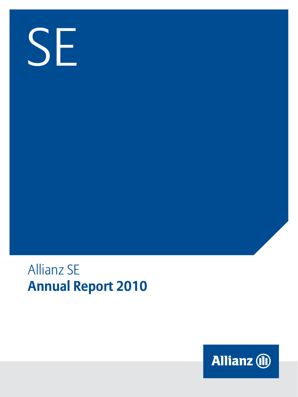# SE

# Allianz SE **Annual Report 2010**

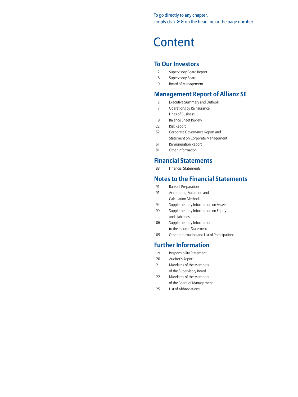To go directly to any chapter, simply click  $\rightarrow \rightarrow$  on the headline or the page number

# **Content**

## **To Our Investors**

- [2 Supervisory Board Report](#page-3-0)
- [8 Supervisory Board](#page-9-0)
- [9 Board of Management](#page-10-0)

# **[Management Report of Allianz](#page-13-0) SE**

- 12 Executive Summary and Outlook
- [17 Operations by Reinsurance](#page-18-0)  Lines of Business
- [19 Balance Sheet Review](#page-20-0)
- [22 Risk Report](#page-23-0)
- [52 Corporate Governance Report and](#page-53-0)  Statement on Corporate Management
- 61 [Remuneration Report](#page-62-0)
- [81 Other Information](#page-82-0)

# **[Financial Statements](#page-89-0)**

88 Financial Statements

# **[Notes to the Financial Statements](#page-94-0)**

- 91 Basis of Preparation
- 91 Accounting, Valuation and Calculation Methods
- [94 Supplementary Information on Assets](#page-97-0)
- [99 Supplementary Information on Equity](#page-102-0)  and Liabilities
- [106 Supplementary Information](#page-109-0)  to the Income Statement
- [109 Other Information and List of Participations](#page-112-0)

# **[Further Information](#page-122-0)**

- 119 Responsibility Statement
- [120 Auditor's Report](#page-123-0)
- [121 Mandates of the Members](#page-124-0)  of the Supervisory Board
- [122 Mandates of the Members](#page-125-0)  of the Board of Management
- [125 List of Abbreviations](#page-128-0)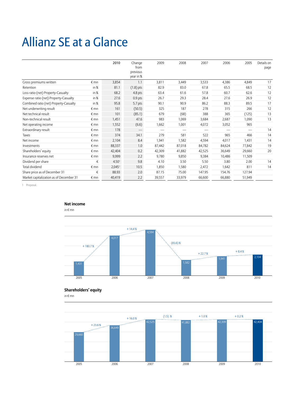# Allianz SE at a Glance

|                                         |             | 2010               | Change<br>from<br>previous<br>year in % | 2009   | 2008   | 2007   | 2006   | 2005   | Details on<br>page |
|-----------------------------------------|-------------|--------------------|-----------------------------------------|--------|--------|--------|--------|--------|--------------------|
| Gross premiums written                  | $\n  mn\n$  | 3,854              | 1.1                                     | 3,811  | 3,449  | 3,533  | 4,386  | 4,849  | 17                 |
| Retention                               | in %        | 81.1               | $(1.8)$ pts                             | 82.9   | 83.0   | 67.8   | 65.5   | 68.5   | 12                 |
| Loss ratio (net) Property-Casualty      | in %        | 68.2               | 4.8 pts                                 | 63.4   | 61.6   | 57.8   | 60.7   | 62.6   | 12                 |
| Expense ratio (net) Property-Casualty   | in %        | 27.6               | $0.9$ pts                               | 26.7   | 29.3   | 28.4   | 27.6   | 26.9   | 12                 |
| Combined ratio (net) Property-Casualty  | in %        | 95.8               | 5.7 pts                                 | 90.1   | 90.9   | 86.2   | 88.3   | 89.5   | 17                 |
| Net underwriting result                 | $\n  mn\n$  | 161                | (50.5)                                  | 325    | 187    | 278    | 315    | 266    | 12                 |
| Net technical result                    | $\n  Emn\n$ | 101                | (85.1)                                  | 679    | (68)   | 388    | 365    | (125)  | 13                 |
| Non-technical result                    | $\n  Emn\n$ | 1,451              | 47.6                                    | 983    | 1,069  | 3,684  | 2,687  | 1,090  | 13                 |
| Net operating income                    | $\n  mn\n$  | 1,552              | (6.6)                                   | 1,662  | 1,001  | 4,072  | 3,052  | 965    |                    |
| Extraordinary result                    | $\n  mn\n$  | 178                |                                         |        | -      |        |        |        | 14                 |
| Taxes                                   | $\n  mn\n$  | 374                | 34.1                                    | 279    | 581    | 522    | 965    | 466    | 14                 |
| Net income                              | $\n  Emn\n$ | 2,104              | 8.4                                     | 1,941  | 1,582  | 4,594  | 4,017  | 1,431  | 14                 |
| Investments                             | €mn         | 88,337             | 1.0                                     | 87,442 | 87,018 | 84,782 | 84,624 | 77,842 | 19                 |
| Shareholders' equity                    | €mn         | 42,404             | 0.2                                     | 42,309 | 41,882 | 42,525 | 36,649 | 29,660 | 20                 |
| Insurance reserves net                  | $\n  Emn\n$ | 9,999              | 2.2                                     | 9,780  | 9,850  | 9,384  | 10,486 | 11,509 |                    |
| Dividend per share                      | €           | 4.50 <sup>1</sup>  | 9.8                                     | 4.10   | 3.50   | 5.50   | 3.80   | 2.00   | 14                 |
| Total dividend                          | $\n  mn\n$  | 2,045 <sup>1</sup> | 10.5                                    | 1,850  | 1,580  | 2,472  | 1,642  | 811    | 14                 |
| Share price as of December 31           | €           | 88.93              | 2.0                                     | 87.15  | 75.00  | 147.95 | 154.76 | 127.94 |                    |
| Market capitalization as of December 31 | $\n  mn\n$  | 40,419             | 2.2                                     | 39,557 | 33,979 | 66,600 | 66,880 | 51,949 |                    |

1 Proposal.



#### **Shareholders' equity**

in € mn

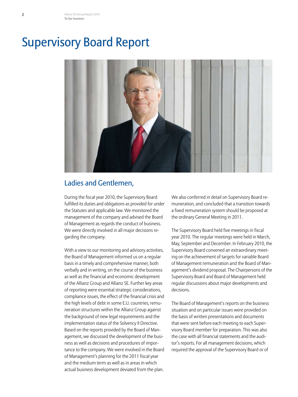# <span id="page-3-0"></span>Supervisory Board Report



# Ladies and Gentlemen,

During the fiscal year 2010, the Supervisory Board fulfilled its duties and obligations as provided for under the Statutes and applicable law. We monitored the management of the company and advised the Board of Management as regards the conduct of business. We were directly involved in all major decisions regarding the company.

With a view to our monitoring and advisory activities, the Board of Management informed us on a regular basis in a timely and comprehensive manner, both verbally and in writing, on the course of the business as well as the financial and economic development of the Allianz Group and Allianz SE. Further key areas of reporting were essential strategic considerations, compliance issues, the effect of the financial crisis and the high levels of debt in some E.U. countries, remuneration structures within the Allianz Group against the background of new legal requirements and the implementation status of the Solvency II Directive. Based on the reports provided by the Board of Management, we discussed the development of the business as well as decisions and procedures of importance to the company. We were involved in the Board of Management's planning for the 2011 fiscal year and the medium term as well as in areas in which actual business development deviated from the plan.

We also conferred in detail on Supervisory Board remuneration, and concluded that a transition towards a fixed remuneration system should be proposed at the ordinary General Meeting in 2011.

The Supervisory Board held five meetings in fiscal year 2010. The regular meetings were held in March, May, September and December. In February 2010, the Supervisory Board convened an extraordinary meeting on the achievement of targets for variable Board of Management remuneration and the Board of Management's dividend proposal. The Chairpersons of the Supervisory Board and Board of Management held regular discussions about major developments and decisions.

The Board of Management's reports on the business situation and on particular issues were provided on the basis of written presentations and documents that were sent before each meeting to each Supervisory Board member for preparation. This was also the case with all financial statements and the auditor's reports. For all management decisions, which required the approval of the Supervisory Board or of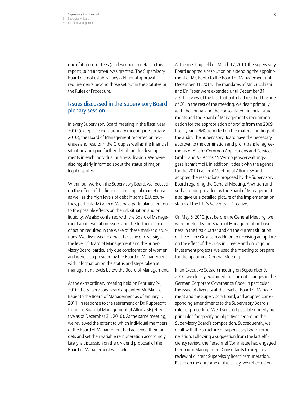one of its committees (as described in detail in this report), such approval was granted. The Supervisory Board did not establish any additional approval requirements beyond those set out in the Statutes or the Rules of Procedure.

# Issues discussed in the Supervisory Board plenary session

In every Supervisory Board meeting in the fiscal year 2010 (except the extraordinary meeting in February 2010), the Board of Management reported on revenues and results in the Group as well as the financial situation and gave further details on the developments in each individual business division. We were also regularly informed about the status of major legal disputes.

Within our work on the Supervisory Board, we focused on the effect of the financial and capital market crisis as well as the high levels of debt in some E.U. countries, particularly Greece. We paid particular attention to the possible effects on the risk situation and on liquidity. We also conferred with the Board of Management about valuation issues and the further course of action required in the wake of these market disruptions. We discussed in detail the issue of diversity at the level of Board of Management and the Supervisory Board, particularly due consideration of women, and were also provided by the Board of Management with information on the status and steps taken at management levels below the Board of Management.

At the extraordinary meeting held on February 24, 2010, the Supervisory Board appointed Mr. Manuel Bauer to the Board of Management as of January 1, 2011, in response to the retirement of Dr. Rupprecht from the Board of Management of Allianz SE (effective as of December 31, 2010). At the same meeting, we reviewed the extent to which individual members of the Board of Management had achieved their targets and set their variable remuneration accordingly. Lastly, a discussion on the dividend proposal of the Board of Management was held.

At the meeting held on March 17, 2010, the Supervisory Board adopted a resolution on extending the appointment of Mr. Booth to the Board of Management until December 31, 2014. The mandates of Mr. Cucchiani and Dr. Faber were extended until December 31, 2011, in view of the fact that both had reached the age of 60. In the rest of the meeting, we dealt primarily with the annual and the consolidated financial statements and the Board of Management's recommendation for the appropriation of profits from the 2009 fiscal year. KPMG reported on the material findings of the audit. The Supervisory Board gave the necessary approval to the domination and profit transfer agreements of Allianz Common Applications and Services GmbH and AZ Argos 45 Vermögensverwaltungsgesellschaft mbH. In addition, it dealt with the agenda for the 2010 General Meeting of Allianz SE and adopted the resolutions proposed by the Supervisory Board regarding the General Meeting. A written and verbal report provided by the Board of Management also gave us a detailed picture of the implementation status of the E.U.'s Solvency II Directive.

On May 5, 2010, just before the General Meeting, we were briefed by the Board of Management on business in the first quarter and on the current situation of the Allianz Group. In addition to receiving an update on the effect of the crisis in Greece and on ongoing investment projects, we used the meeting to prepare for the upcoming General Meeting.

In an Executive Session meeting on September 9, 2010, we closely examined the current changes in the German Corporate Governance Code, in particular the issue of diversity at the level of Board of Management and the Supervisory Board, and adopted corresponding amendments to the Supervisory Board's rules of procedure. We discussed possible underlying principles for specifying objectives regarding the Supervisory Board's composition. Subsequently, we dealt with the structure of Supervisory Board remuneration. Following a suggestion from the last efficiency review, the Personnel Committee had engaged Kienbaum Management Consultants to prepare a review of current Supervisory Board remuneration. Based on the outcome of this study, we reflected on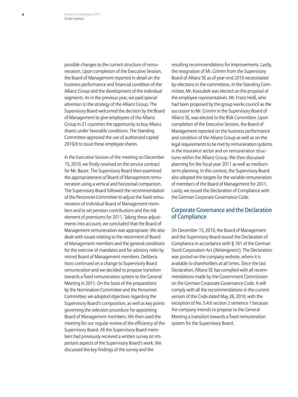possible changes to the current structure of remuneration. Upon completion of the Executive Session, the Board of Management reported in detail on the business performance and financial condition of the Allianz Group and the development of the individual segments. As in the previous year, we paid special attention to the strategy of the Allianz Group. The Supervisory Board welcomed the decision by the Board of Management to give employees of the Allianz Group in 21 countries the opportunity to buy Allianz shares under favorable conditions. The Standing Committee approved the use of authorized capital 2010/II to issue these employee shares.

In the Executive Session of the meeting on December 15, 2010, we firstly resolved on the service contract for Mr. Bauer. The Supervisory Board then examined the appropriateness of Board of Management remuneration using a vertical and horizontal comparison. The Supervisory Board followed the recommendation of the Personnel Committee to adjust the fixed remuneration of individual Board of Management members and to set pension contributions and the risk element of premiums for 2011. Taking these adjustments into account, we concluded that the Board of Management remuneration was appropriate. We also dealt with issues relating to the retirement of Board of Management members and the general conditions for the exercise of mandates and for advisory roles by retired Board of Management members. Deliberations continued on a change to Supervisory Board remuneration and we decided to propose transition towards a fixed remuneration system to the General Meeting in 2011. On the basis of the preparations by the Nomination Committee and the Personnel Committee, we adopted objectives regarding the Supervisory Board's composition, as well as key points governing the selection procedure for appointing Board of Management members. We then used the meeting for our regular review of the efficiency of the Supervisory Board. All the Supervisory Board members had previously received a written survey on important aspects of the Supervisory Board's work. We discussed the key findings of the survey and the

resulting recommendations for improvements. Lastly, the resignation of Mr. Grimm from the Supervisory Board of Allianz SE as of year-end 2010 necessitated by-elections in the committees. In the Standing Committee, Mr. Kossubek was elected on the proposal of the employee representatives. Mr. Franz Heiß, who had been proposed by the group works council as the successor to Mr. Grimm in the Supervisory Board of Allianz SE, was elected to the Risk Committee. Upon completion of the Executive Session, the Board of Management reported on the business performance and condition of the Allianz Group as well as on the legal requirements to be met by remuneration systems in the insurance sector and on remuneration structures within the Allianz Group. We then discussed planning for the fiscal year 2011 as well as mediumterm planning. In this context, the Supervisory Board also adopted the targets for the variable remuneration of members of the Board of Management for 2011. Lastly, we issued the Declaration of Compliance with the German Corporate Governance Code.

## Corporate Governance and the Declaration of Compliance

On December 15, 2010, the Board of Management and the Supervisory Board issued the Declaration of Compliance in accordance with § 161 of the German Stock Corporation Act (Aktiengesetz). The Declaration was posted on the company website, where it is available to shareholders at all times. Since the last Declaration, Allianz SE has complied with all recommendations made by the Government Commission on the German Corporate Governance Code. It will comply with all the recommendations in the current version of the Code dated May 26, 2010, with the exception of No. 5.4.6 section 2 sentence 1 because the company intends to propose to the General Meeting a transition towards a fixed remuneration system for the Supervisory Board.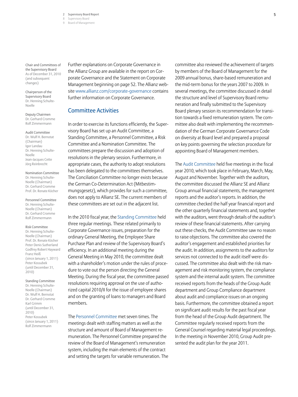2 Supervisory Board Report

8 Supervisory Board

#### 9 Board of Management

Chair and Committees of the Supervisory Board As of December 31, 2010 (and subsequent changes)

Chairperson of the Supervisory Board Dr. Henning Schulte-Noelle

Deputy Chairmen Dr. Gerhard Cromme Rolf Zimmermann

#### Audit Committee

Dr. Wulf H. Bernotat (Chairman) Igor Landau Dr. Henning Schulte-Noelle Jean-Jacques Cette Jörg Reinbrecht

Nomination Committee Dr. Henning Schulte-Noelle (Chairman) Dr. Gerhard Cromme Prof. Dr. Renate Köcher

Personnel Committee Dr. Henning Schulte-Noelle (Chairman) Dr. Gerhard Cromme Rolf Zimmermann

#### Risk Committee

Dr. Henning Schulte-Noelle (Chairman) Prof. Dr. Renate Köcher Peter Denis Sutherland Godfrey Robert Hayward Franz Heiß (since January 1, 2011) Peter Kossubek (until December 31, 2010)

#### Standing Committee

Dr. Henning Schulte-Noelle (Chairman) Dr. Wulf H. Bernotat Dr. Gerhard Cromme Karl Grimm (until December 31, 2010) Peter Kossubek (since January 1, 2011) Rolf Zimmermann

Further explanations on Corporate Governance in the Allianz Group are available in the report on Corporate Governance and t[he Statement](#page-53-0) on Corporate Management beginning on page 52. The Allianz website www.allianz.com/corporate-governance contains further information on Corporate Governance.

## Committee Activities

In order to exercise its functions efficiently, the Supervisory Board has set up an Audit Committee, a Standing Committee, a Personnel Committee, a Risk Committee and a Nomination Committee. The committees prepare the discussion and adoption of resolutions in the plenary session. Furthermore, in appropriate cases, the authority to adopt resolutions has been delegated to the committees themselves. The Conciliation Committee no longer exists because the German Co-Determination Act (Mitbestimmungsgesetz), which provides for such a committee, does not apply to Allianz SE. The current members of these committees are set out in the adjacent list.

In the 2010 fiscal year, the Standing Committee held three regular meetings. These related primarily to Corporate Governance issues, preparation for the ordinary General Meeting, the Employee Share Purchase Plan and review of the Supervisory Board's efficiency. In an additional meeting during the General Meeting in May 2010, the committee dealt with a shareholder's motion under the rules of procedure to vote out the person directing the General Meeting. During the fiscal year, the committee passed resolutions requiring approval on the use of authorized capital 2010/II for the issue of employee shares and on the granting of loans to managers and Board members.

The Personnel Committee met seven times. The meetings dealt with staffing matters as well as the structure and amount of Board of Management remuneration. The Personnel Committee prepared the review of the Board of Management's remuneration system, including the main elements of the contract and setting the targets for variable remuneration. The committee also reviewed the achievement of targets by members of the Board of Management for the 2009 annual bonus, share-based remuneration and the mid-term bonus for the years 2007 to 2009. In several meetings, the committee discussed in detail the structure and level of Supervisory Board remuneration and finally submitted to the Supervisory Board plenary session its recommendation for transition towards a fixed remuneration system. The committee also dealt with implementing the recommendation of the German Corporate Governance Code on diversity at Board level and prepared a proposal on key points governing the selection procedure for appointing Board of Management members.

The Audit Committee held five meetings in the fiscal year 2010, which took place in February, March, May, August and November. Together with the auditors, the committee discussed the Allianz SE and Allianz Group annual financial statements, the management reports and the auditor's reports. In addition, the committee checked the half year financial report and the other quarterly financial statements and, together with the auditors, went through details of the auditor's review of these financial statements. After carrying out these checks, the Audit Committee saw no reason to raise objections. The committee also covered the auditor's engagement and established priorities for the audit. In addition, assignments to the auditors for services not connected to the audit itself were discussed. The committee also dealt with the risk management and risk monitoring system, the compliance system and the internal audit system. The committee received reports from the heads of the Group Audit department and Group Compliance department about audit and compliance issues on an ongoing basis. Furthermore, the committee obtained a report on significant audit results for the past fiscal year from the head of the Group Audit department. The Committee regularly received reports from the General Counsel regarding material legal proceedings. In the meeting in November 2010, Group Audit presented the audit plan for the year 2011.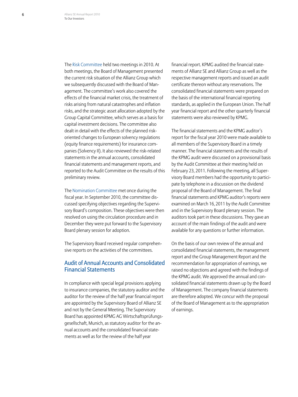The Risk Committee held two meetings in 2010. At both meetings, the Board of Management presented the current risk situation of the Allianz Group which we subsequently discussed with the Board of Management. The committee's work also covered the effects of the financial market crisis, the treatment of risks arising from natural catastrophes and inflation risks, and the strategic asset allocation adopted by the Group Capital Committee, which serves as a basis for capital investment decisions. The committee also dealt in detail with the effects of the planned riskoriented changes to European solvency regulations (equity finance requirements) for insurance companies (Solvency II). It also reviewed the risk-related statements in the annual accounts, consolidated financial statements and management reports, and reported to the Audit Committee on the results of this preliminary review.

The Nomination Committee met once during the fiscal year. In September 2010, the committee discussed specifying objectives regarding the Supervisory Board's composition. These objectives were then resolved on using the circulation procedure and in December they were put forward to the Supervisory Board plenary session for adoption.

The Supervisory Board received regular comprehensive reports on the activities of the committees.

# Audit of Annual Accounts and Consolidated Financial Statements

In compliance with special legal provisions applying to insurance companies, the statutory auditor and the auditor for the review of the half year financial report are appointed by the Supervisory Board of Allianz SE and not by the General Meeting. The Supervisory Board has appointed KPMG AG Wirtschaftsprüfungsgesellschaft, Munich, as statutory auditor for the annual accounts and the consolidated financial statements as well as for the review of the half year

financial report. KPMG audited the financial statements of Allianz SE and Allianz Group as well as the respective management reports and issued an audit certificate thereon without any reservations. The consolidated financial statements were prepared on the basis of the international financial reporting standards, as applied in the European Union. The half year financial report and the other quarterly financial statements were also reviewed by KPMG.

The financial statements and the KPMG auditor's report for the fiscal year 2010 were made available to all members of the Supervisory Board in a timely manner. The financial statements and the results of the KPMG audit were discussed on a provisional basis by the Audit Committee at their meeting held on February 23, 2011. Following the meeting, all Supervisory Board members had the opportunity to participate by telephone in a discussion on the dividend proposal of the Board of Management. The final financial statements and KPMG auditor's reports were examined on March 16, 2011 by the Audit Committee and in the Supervisory Board plenary session. The auditors took part in these discussions. They gave an account of the main findings of the audit and were available for any questions or further information.

On the basis of our own review of the annual and consolidated financial statements, the management report and the Group Management Report and the recommendation for appropriation of earnings, we raised no objections and agreed with the findings of the KPMG audit. We approved the annual and consolidated financial statements drawn up by the Board of Management. The company financial statements are therefore adopted. We concur with the proposal of the Board of Management as to the appropriation of earnings.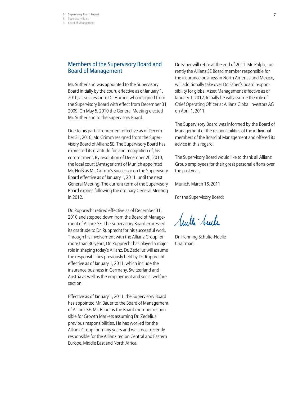9 Board of Management

# Members of the Supervisory Board and Board of Management

Mr. Sutherland was appointed to the Supervisory Board initially by the court, effective as of January 1, 2010, as successor to Dr. Humer, who resigned from the Supervisory Board with effect from December 31, 2009. On May 5, 2010 the General Meeting elected Mr. Sutherland to the Supervisory Board.

Due to his partial retirement effective as of December 31, 2010, Mr. Grimm resigned from the Supervisory Board of Allianz SE. The Supervisory Board has expressed its gratitude for, and recognition of, his commitment. By resolution of December 20, 2010, the local court (Amtsgericht) of Munich appointed Mr. Heiß as Mr. Grimm's successor on the Supervisory Board effective as of January 1, 2011, until the next General Meeting. The current term of the Supervisory Board expires following the ordinary General Meeting in 2012.

Dr. Rupprecht retired effective as of December 31, 2010 and stepped down from the Board of Management of Allianz SE. The Supervisory Board expressed its gratitude to Dr. Rupprecht for his successful work. Through his involvement with the Allianz Group for more than 30 years, Dr. Rupprecht has played a major role in shaping today's Allianz. Dr. Zedelius will assume the responsibilities previously held by Dr. Rupprecht effective as of January 1, 2011, which include the insurance business in Germany, Switzerland and Austria as well as the employment and social welfare section.

Effective as of January 1, 2011, the Supervisory Board has appointed Mr. Bauer to the Board of Management of Allianz SE. Mr. Bauer is the Board member responsible for Growth Markets assuming Dr. Zedelius' previous responsibilities. He has worked for the Allianz Group for many years and was most recently responsible for the Allianz region Central and Eastern Europe, Middle East and North Africa.

Dr. Faber will retire at the end of 2011. Mr. Ralph, currently the Allianz SE Board member responsible for the insurance business in North America and Mexico, will additionally take over Dr. Faber's board responsibility for global Asset Management effective as of January 1, 2012. Initially he will assume the role of Chief Operating Officer at Allianz Global Investors AG on April 1, 2011.

The Supervisory Board was informed by the Board of Management of the responsibilities of the individual members of the Board of Management and offered its advice in this regard.

The Supervisory Board would like to thank all Allianz Group employees for their great personal efforts over the past year.

Munich, March 16, 2011

For the Supervisory Board:

Suite-buile

Dr. Henning Schulte-Noelle Chairman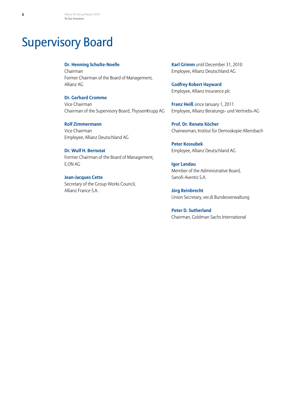# <span id="page-9-0"></span>Supervisory Board

#### **Dr. Henning Schulte-Noelle**

Chairman Former Chairman of the Board of Management, Allianz AG

#### **Dr. Gerhard Cromme**

Vice Chairman Chairman of the Supervisory Board, ThyssenKrupp AG

**Rolf Zimmermann** Vice Chairman Employee, Allianz Deutschland AG

**Dr. Wulf H. Bernotat** Former Chairman of the Board of Management, E.ON AG

**Jean-Jacques Cette** Secretary of the Group Works Council, Allianz France S.A.

**Karl Grimm** until December 31, 2010 Employee, Allianz Deutschland AG

**Godfrey Robert Hayward** Employee, Allianz Insurance plc

**Franz Heiß** since January 1, 2011 Employee, Allianz Beratungs- und Vertriebs-AG

**Prof. Dr. Renate Köcher** Chairwoman, Institut für Demoskopie Allensbach

**Peter Kossubek** Employee, Allianz Deutschland AG

**Igor Landau** Member of the Administrative Board, Sanofi-Aventis S.A.

**Jörg Reinbrecht** Union Secretary, ver.di Bundesverwaltung

**Peter D. Sutherland**  Chairman, Goldman Sachs International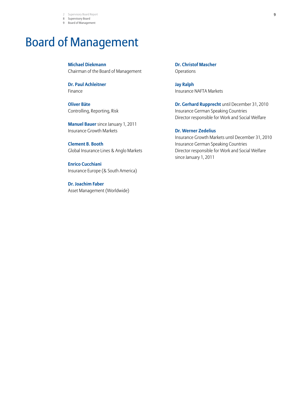2 Supervisory Board Report 8 Supervisory Board

9 Board of Management

# <span id="page-10-0"></span>Board of Management

**Michael Diekmann** Chairman of the Board of Management

**Dr. Paul Achleitner** Finance

**Oliver Bäte** Controlling, Reporting, Risk

**Manuel Bauer** since January 1, 2011 Insurance Growth Markets

**Clement B. Booth** Global Insurance Lines & Anglo Markets

**Enrico Cucchiani** Insurance Europe (& South America)

**Dr. Joachim Faber** Asset Management (Worldwide) **Dr. Christof Mascher** Operations

**Jay Ralph**  Insurance NAFTA Markets

**Dr. Gerhard Rupprecht** until December 31, 2010 Insurance German Speaking Countries Director responsible for Work and Social Welfare

#### **Dr. Werner Zedelius**

Insurance Growth Markets until December 31, 2010 Insurance German Speaking Countries Director responsible for Work and Social Welfare since January 1, 2011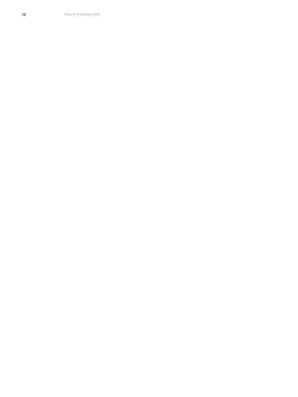10 Allianz SE Annual Report 2010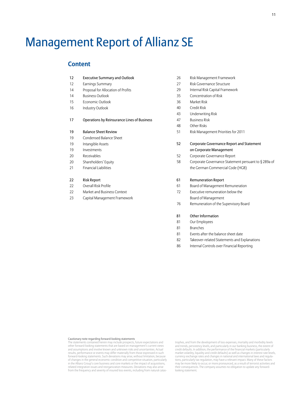# Management Report of Allianz SE

## **Content**

| 12 | <b>Executive Summary and Outlook</b> |  |  |  |  |
|----|--------------------------------------|--|--|--|--|
|----|--------------------------------------|--|--|--|--|

- 12 Earnings Summary
- [14 Proposal for Allocation of Profits](#page-15-0)
- 14 Business Outlook
- [15 Economic Outlook](#page-16-0)
- 16 [Industry Outlook](#page-17-0)
- [17 Operations by Reinsurance Lines of Business](#page-18-0)

#### 19 Balance Sheet Review

- [19 Condensed Balance Sheet](#page-20-0)
- 19 Intangible Assets
- 19 Investments
- 20 Receivables
- [20 Shareholders' Equity](#page-21-0)
- [21 Financial Liabilities](#page-22-0)

#### 22 Risk Report

- 22 Overall Risk Profile
- [22 Market and Business Context](#page-23-0)
- [23 Capital Management Framework](#page-24-0)
- [26 Risk Management Framework](#page-27-0)
- 27 [Risk Governance Structure](#page-28-0)
- 29 [Internal Risk Capital Framework](#page-30-0)
- 35 [Concentration of Risk](#page-36-0)
- [36 Market Risk](#page-37-0)
- [40 Credit Risk](#page-41-0)
- [43 Underwriting Risk](#page-44-0)
- [47 Business Risk](#page-48-0)
- [48 Other Risks](#page-49-0)
- [51 Risk Management Priorities for 2011](#page-52-0)
- [52 Corporate Governance Report and Statement](#page-53-0)  on Corporate Management
- 52 Corporate Governance Report
- [58 Corporate Governance Statement persuant to §289a of](#page-59-0)  the German Commercial Code (HGB)

#### 61 Remuneration Report

- 61 [Board of Management Remuneration](#page-62-0)
- [72 Executive remuneration below the](#page-73-0)  Board of Management
- 76 [Remuneration of the Supervisory Board](#page-77-0)

#### 81 Other Information

- 81 Our Employees
- 81 Branches
- [81 Events after the balance sheet date](#page-82-0)
- [82 Takeover-related Statements and Explanations](#page-83-0)
- [86 Internal Controls over Financial Reporting](#page-87-0)

#### Cautionary note regarding forward-looking statements

The statements contained herein may include prospects, future expectations and other forward-looking statements that are based on management's current views and assumptions and involve known and unknown risks and uncertainties. Actual results, performance or events may differ materially from those expressed in such forward-looking statements. Such deviations may arise, without limitation, because of changes in the general economic condition and competitive situation, particularly in the Allianz Group's core business and core markets or the impact of acquisitions, related integration issues and reorganization measures. Deviations may also arise from the frequency and severity of insured loss events, including from natural catastrophes, and from the development of loss expenses, mortality and morbidity levels and trends, persistency levels, and particularly in our banking business, the extent of credit defaults. In addition, the performance of the financial markets (particularly market volatility, liquidity and credit defaults) as well as changes in interest rate levels, currency exchange rates and changes in national and international laws and regulations, particularly tax regulation, may have a relevant impact. Many of these factors may be more likely to occur, or more pronounced, as a result of terrorist activities and their consequences. The company assumes no obligation to update any forwardlooking statement.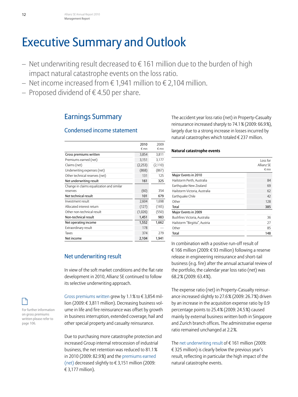# <span id="page-13-0"></span>Executive Summary and Outlook

- $−$  Net underwriting result decreased to  $€ 161$  million due to the burden of high impact natural catastrophe events on the loss ratio.
- Net income increased from € 1,941 million to € 2,104 million.
- Proposed dividend of €4.50 per share.

# Earnings Summary

# Condensed income statement

|                                           | 2010    | 2009    |
|-------------------------------------------|---------|---------|
|                                           | € mn    | € mn    |
| Gross premiums written                    | 3,854   | 3,811   |
| Premiums earned (net)                     | 3,151   | 3,177   |
| Claims (net)                              | (2,253) | (2,110) |
| Underwriting expenses (net)               | (868)   | (867)   |
| Other technical reserves (net)            | 131     | 125     |
| Net underwriting result                   | 161     | 325     |
| Change in claims equalization and similar |         |         |
| reserves                                  | (60)    | 354     |
| Net technical result                      | 101     | 679     |
| Investment result                         | 2,604   | 1,698   |
| Allocated interest return                 | (127)   | (165)   |
| Other non-technical result                | (1,026) | (550)   |
| Non-technical result                      | 1,451   | 983     |
| Net operating income                      | 1,552   | 1,662   |
| Extraordinary result                      | 178     |         |
| Taxes                                     | 374     | 279     |
| Net income                                | 2,104   | 1,941   |
|                                           |         |         |

# Net underwriting result

In view of the soft market conditions and the flat rate development in 2010, Allianz SE continued to follow its selective underwriting approach.

[For further information](#page-109-0)  on gross premiums written please refer to page 106.

Gross premiums written grew by 1.1% to € 3,854 million (2009: € 3,811 million). Decreasing business volume in life and fire reinsurance was offset by growth in business interruption, extended coverage, hail and other special property and casualty reinsurance.

Due to purchasing more catastrophe protection and increased Group internal retrocession of industrial business, the net retention was reduced to 81.1% in 2010 (2009: 82.9%) and the premiums earned (net) decreased slightly to € 3,151 million (2009: € 3,177 million).

The accident year loss ratio (net) in Property-Casualty reinsurance increased sharply to 74.1% (2009: 66.9%), largely due to a strong increase in losses incurred by natural catastrophes which totaled € 237 million.

#### **Natural catastrophe events**

|                               | Loss for<br>Allianz SE<br>€ mn |
|-------------------------------|--------------------------------|
| Major Events in 2010          |                                |
| Hailstorm Perth, Australia    | 84                             |
| Earthquake New Zealand        | 69                             |
| Hailstorm Victoria, Australia | 62                             |
| Earthquake Chile              | 42                             |
| Other                         | 128                            |
| Total                         | 385                            |
| Major Events in 2009          |                                |
| Bushfires Victoria, Australia | 36                             |
| Hailstorm "Birgitta", Austria | 27                             |
| Other                         | 85                             |
| Total                         | 148                            |

In combination with a positive run-off result of € 166 million (2009: € 93 million) following a reserve release in engineering reinsurance and short-tail business (e.g. fire) after the annual actuarial review of the portfolio, the calendar year loss ratio (net) was 68.2% (2009: 63.4%).

The expense ratio (net) in Property-Casualty reinsurance increased slightly to 27.6% (2009: 26.7%) driven by an increase in the acquisition expense ratio by 0.9 percentage points to 25.4% (2009: 24.5%) caused mainly by external business written both in Singapore and Zurich branch offices. The administrative expense ratio remained unchanged at 2.2%.

The net underwriting result of  $\epsilon$  161 million (2009: € 325 million) is clearly below the previous year's result, reflecting in particular the high impact of the natural catastrophe events.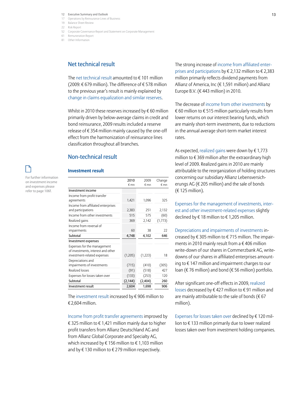<span id="page-14-0"></span>12 Executive Summary and Outlook

- 17 Operations by Reinsurance Lines of Business
- 19 Balance Sheet Review
- 22 Risk Report
- 52 Corporate Governance Report and Statement on Corporate Management
- 61 Remuneration Report
- 81 Other Information

# Net technical result

The net technical result amounted to  $\epsilon$  101 million (2009: € 679 million). The difference of € 578 million to the previous year's result is mainly explained by change in claims equalization and similar reserves.

Whilst in 2010 these reserves increased by  $\epsilon$  60 million primarily driven by below-average claims in credit and bond reinsurance, 2009 results included a reserve release of € 354 million mainly caused by the one-off effect from the harmonization of reinsurance lines classification throughout all branches.

# Non-technical result

#### **Investment result**

[For further information](#page-109-0)  on investment income and expenses please refer to page 106f.

|                                                                                                  | 2010<br>€ mn | 2009<br>€ mn | Change<br>€ mn |
|--------------------------------------------------------------------------------------------------|--------------|--------------|----------------|
| Investment income                                                                                |              |              |                |
| Income from profit transfer<br>agreements                                                        | 1,421        | 1,096        | 325            |
| Income from affiliated enterprises<br>and participations                                         | 2,383        | 251          | 2,132          |
| Income from other investments                                                                    | 515          | 575          | (60)           |
| Realized gains                                                                                   | 369          | 2,142        | (1, 773)       |
| Income from reversal of<br>impairments<br>Subtotal                                               | 60<br>4,748  | 38<br>4,102  | 22<br>646      |
| Investment expenses                                                                              |              |              |                |
| Expenses for the management<br>of investments, interest and other<br>investment-related expenses | (1,205)      | (1,223)      | 18             |
| Depreciations and<br>impairments of investments                                                  | (715)        | (410)        | (305)          |
| Realized losses                                                                                  | (91)         | (518)        | 427            |
| Expenses for losses taken over                                                                   | (133)        | (253)        | 120            |
| Subtotal                                                                                         | (2, 144)     | (2, 404)     | 260            |
| Investment result                                                                                | 2,604        | 1,698        | 906            |

The investment result increased by  $\epsilon$  906 million to € 2.604 million.

Income from profit transfer agreements improved by € 325 million to € 1,421 million mainly due to higher profit transfers from Allianz Deutschland AG and from Allianz Global Corporate and Specialty AG, which increased by € 156 million to € 1,103 million and by  $\epsilon$  130 million to  $\epsilon$  279 million respectively.

The strong increase of income from affiliated enterprises and participations by € 2,132 million to € 2,383 million primarily reflects dividend payments from Allianz of America, Inc (€ 1,591 million) and Allianz Europe B.V. ( $\in$  443 million) in 2010.

The decrease of income from other investments by € 60 million to € 515 million particularly results from lower returns on our interest bearing funds, which are mainly short-term investments, due to reductions in the annual average short-term market interest rates.

As expected, realized gains were down by  $\epsilon$  1,773 million to € 369 million after the extraordinary high level of 2009. Realized gains in 2010 are mainly attributable to the reorganization of holding structures concerning our subsidiary Allianz Lebensversicherungs AG ( $\epsilon$  205 million) and the sale of bonds  $(E 125$  million).

Expenses for the management of investments, interest and other investment-related expenses slightly declined by € 18 million to € 1,205 million.

Depreciations and impairments of investments increased by € 305 million to € 715 million. The impairments in 2010 mainly result from a  $\epsilon$  406 million write-down of our shares in Commerzbank AG, writedowns of our shares in affiliated enterprises amounting to € 147 million and impairment charges to our loan (€ 76 million) and bond (€ 56 million) portfolio.

After significant one-off effects in 2009, realized losses decreased by € 427 million to € 91 million and are mainly attributable to the sale of bonds ( $\epsilon$  67 million).

Expenses for losses taken over declined by € 120 million to € 133 million primarily due to lower realized losses taken over from investment holding companies.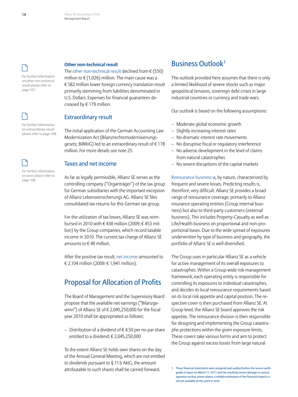<span id="page-15-0"></span>[For further information](#page-110-0)  on other non-technical result please refer to page 107.



For further information

on taxes please refer to page 108.

#### **Other non-technical result**

The other non-technical result declined from  $\epsilon$  (550) million to  $\epsilon$  (1,026) million. The main cause was a € 582 million lower foreign currency translation result primarily stemming from liabilities denominated in U.S. Dollars. Expenses for financial guarantees decreased by € 179 million.

# Extraordinary result

The initial application of the German Accounting Law Modernization Act (Bilanzrechtsmodernisierungsgesetz, BilMoG) led to an extraordinary result of € 178 million. For more detail[s see note](#page-111-0) 25.

# Taxes and net income

As far as legally permissible, Allianz SE serves as the controlling company ("Organträger") of the tax group for German subsidiaries with the important exception of Allianz Lebensversicherungs AG. Allianz SE files consolidated tax returns for this German tax group.

For the utilization of tax losses, Allianz SE was reimbursed in 2010 with  $\epsilon$  438 million (2009:  $\epsilon$  453 million) by the Group companies, which record taxable income in 2010. The current tax charge of Allianz SE amounts to  $\notin$  49 million.

After the positive tax result, net income amounted to € 2,104 million (2009: € 1,941 million).

# Proposal for Allocation of Profits

The Board of Management and the Supervisory Board propose that the available net earnings ("Bilanzgewinn") of Allianz SE of € 2,045,250,000 for the fiscal year 2010 shall be appropriated as follows:

– Distribution of a dividend of € 4.50 per no-par share entitled to a dividend: € 2,045,250,000

To the extent Allianz SE holds own shares on the day of the Annual General Meeting, which are not entitled to dividends pursuant to  $\S$  71 b AktG, the amount attributable to such shares shall be carried forward.

# Business Outlook1

The outlook provided here assumes that there is only a limited likelihood of severe shocks such as major geopolitical tensions, sovereign debt crises in large industrial countries or currency and trade wars.

Our outlook is based on the following assumptions:

- Moderate global economic growth
- Slightly increasing interest rates
- No dramatic interest rate movements
- No disruptive fiscal or regulatory interference
- No adverse development in the level of claims from natural catastrophes
- No severe disruptions of the capital markets

Reinsurance business is, by nature, characterized by frequent and severe losses. Predicting results is, therefore, very difficult. Allianz SE provides a broad range of reinsurance coverage, primarily to Allianz insurance operating entities (Group internal business) but also to third-party customers (external business). This includes Property-Casualty as well as Life/Health business on proportional and non-proportional bases. Due to the wide spread of exposures underwritten by type of business and geography, the portfolio of Allianz SE is well diversified.

The Group uses in particular Allianz SE as a vehicle for active management of its overall exposures to catastrophes. Within a Group-wide risk management framework, each operating entity is responsible for controlling its exposures to individual catastrophes, and decides its local reinsurance requirements based on its local risk appetite and capital position. The respective cover is then purchased from Allianz SE. At Group level, the Allianz SE board approves the risk appetite. The reinsurance division is then responsible for designing and implementing the Group catastrophe protections within the given exposure limits. These covers take various forms and aim to protect the Group against excess losses from large natural

<sup>1</sup> These financial statements were prepared and audited before the severe earthquake in Japan on March 11, 2011 and the resulting severe damage to various Japanese nuclear power plants; a reliable estimation of the financial impacts is not yet available at this point in time.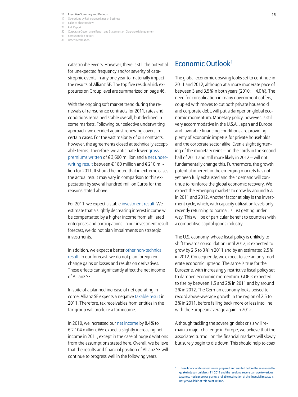<span id="page-16-0"></span>12 Executive Summary and Outlook

17 Operations by Reinsurance Lines of Business

19 Balance Sheet Review

22 Risk Report

52 Corporate Governance Report and Statement on Corporate Management

61 Remuneration Report

81 Other Information

catastrophe events. However, there is still the potential for unexpected frequency and/or severity of catastrophic events in any one year to materially impact the results of Allianz SE. The top five residual risk exposures on Group level are summarized o[n page 46.](#page-47-0)

With the ongoing soft market trend during the renewals of reinsurance contracts for 2011, rates and conditions remained stable overall, but declined in some markets. Following our selective underwriting approach, we decided against renewing covers in certain cases. For the vast majority of our contracts, however, the agreements closed at technically acceptable terms. Therefore, we anticipate lower gross premiums written of € 3,600 million and a net underwriting result between € 180 million and € 210 million for 2011. It should be noted that in extreme cases the actual result may vary in comparison to this expectation by several hundred million Euros for the reasons stated above.

For 2011, we expect a stable investment result. We estimate that a slightly decreasing interest income will be compensated by a higher income from affiliated enterprises and participations. In our investment result forecast, we do not plan impairments on strategic investments.

In addition, we expect a better other non-technical result. In our forecast, we do not plan foreign exchange gains or losses and results on derivatives. These effects can significantly affect the net income of Allianz SE.

In spite of a planned increase of net operating income, Allianz SE expects a negative taxable result in 2011. Therefore, tax receivables from entities in the tax group will produce a tax income.

In 2010, we increased our net income by 8.4% to € 2,104 million. We expect a slightly increasing net income in 2011, except in the case of huge deviations from the assumptions stated here. Overall, we believe that the results and financial position of Allianz SE will continue to progress well in the following years.

# Economic Outlook<sup>1</sup>

The global economic upswing looks set to continue in 2011 and 2012, although at a more moderate pace of between 3 and 3.5% in both years (2010: + 4.0%). The need for consolidation in many government coffers, coupled with moves to cut both private household and corporate debt, will put a damper on global economic momentum. Monetary policy, however, is still very accommodative in the U.S.A., Japan and Europe and favorable financing conditions are providing plenty of economic impetus for private households and the corporate sector alike. Even a slight tightening of the monetary reins – on the cards in the second half of 2011 and still more likely in 2012 – will not fundamentally change this. Furthermore, the growth potential inherent in the emerging markets has not yet been fully exhausted and their demand will continue to reinforce the global economic recovery. We expect the emerging markets to grow by around 6% in 2011 and 2012. Another factor at play is the investment cycle, which, with capacity utilization levels only recently returning to normal, is just getting under way. This will be of particular benefit to countries with a competitive capital goods industry.

The U.S. economy, whose fiscal policy is unlikely to shift towards consolidation until 2012, is expected to grow by 2.5 to 3% in 2011 and by an estimated 2.5% in 2012. Consequently, we expect to see an only moderate economic uptrend. The same is true for the Eurozone, with increasingly restrictive fiscal policy set to dampen economic momentum. GDP is expected to rise by between 1.5 and 2% in 2011 and by around 2% in 2012. The German economy looks poised to record above-average growth in the region of 2.5 to 3% in 2011, before falling back more or less into line with the European average again in 2012.

Although tackling the sovereign debt crisis will remain a major challenge in Europe, we believe that the associated turmoil on the financial markets will slowly but surely begin to die down. This should help to coax

<sup>1</sup> These financial statements were prepared and audited before the severe earthquake in Japan on March 11, 2011 and the resulting severe damage to various Japanese nuclear power plants; a reliable estimation of the financial impacts is not yet available at this point in time.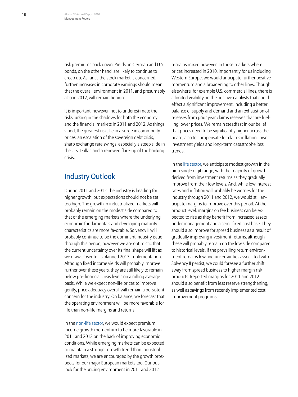<span id="page-17-0"></span>risk premiums back down. Yields on German and U.S. bonds, on the other hand, are likely to continue to creep up. As far as the stock market is concerned, further increases in corporate earnings should mean that the overall environment in 2011, and presumably also in 2012, will remain benign.

It is important, however, not to underestimate the risks lurking in the shadows for both the economy and the financial markets in 2011 and 2012. As things stand, the greatest risks lie in a surge in commodity prices, an escalation of the sovereign debt crisis, sharp exchange rate swings, especially a steep slide in the U.S. Dollar, and a renewed flare-up of the banking crisis.

# Industry Outlook

During 2011 and 2012, the industry is heading for higher growth, but expectations should not be set too high. The growth in industrialized markets will probably remain on the modest side compared to that of the emerging markets where the underlying economic fundamentals and developing maturity characteristics are more favorable. Solvency II will probably continue to be the dominant industry issue through this period, however we are optimistic that the current uncertainty over its final shape will lift as we draw closer to its planned 2013 implementation. Although fixed income yields will probably improve further over these years, they are still likely to remain below pre-financial crisis levels on a rolling average basis. While we expect non-life prices to improve gently, price adequacy overall will remain a persistent concern for the industry. On balance, we forecast that the operating environment will be more favorable for life than non-life margins and returns.

In the non-life sector, we would expect premium income growth momentum to be more favorable in 2011 and 2012 on the back of improving economic conditions. While emerging markets can be expected to maintain a stronger growth trend than industrialized markets, we are encouraged by the growth prospects for our major European markets too. Our outlook for the pricing environment in 2011 and 2012

remains mixed however. In those markets where prices increased in 2010, importantly for us including Western Europe, we would anticipate further positive momentum and a broadening to other lines. Though elsewhere, for example U.S. commercial lines, there is a limited visibility on the positive catalysts that could effect a significant improvement, including a better balance of supply and demand and an exhaustion of releases from prior year claims reserves that are fuelling lower prices. We remain steadfast in our belief that prices need to be significantly higher across the board, also to compensate for claims inflation, lower investment yields and long-term catastrophe loss trends.

In the life sector, we anticipate modest growth in the high single digit range, with the majority of growth derived from investment returns as they gradually improve from their low levels. And, while low interest rates and inflation will probably be worries for the industry through 2011 and 2012, we would still anticipate margins to improve over this period. At the product level, margins on fee business can be expected to rise as they benefit from increased assets under management and a semi-fixed cost base. They should also improve for spread business as a result of gradually improving investment returns, although these will probably remain on the low side compared to historical levels. If the prevailing return environment remains low and uncertainties associated with Solvency II persist, we could foresee a further shift away from spread business to higher margin risk products. Reported margins for 2011 and 2012 should also benefit from less reserve strengthening, as well as savings from recently implemented cost improvement programs.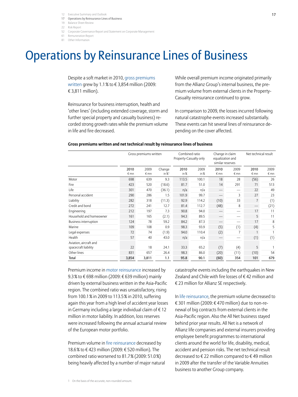- 12 Executive Summary and Outlook 17
- 17 Operations by Reinsurance Lines of Business
- 19 Balance Sheet Review
- 22 Risk Report
- 52 Corporate Governance Report and Statement on Corporate Management
- 61 Remuneration Report
- 81 Other Information

# <span id="page-18-0"></span>Operations by Reinsurance Lines of Business

Despite a soft market in 2010, gross premiums written grew by 1.1% to € 3,854 million (2009: € 3,811 million).

Reinsurance for business interruption, health and 'other lines' (including extended coverage, storm and further special property and casualty business) recorded strong growth rates while the premium volume in life and fire decreased.

While overall premium income originated primarily from the Allianz Group's internal business, the premium volume from external clients in the Property-Casualty reinsurance continued to grow.

In comparison to 2009, the losses incurred following natural catastrophe events increased substantially. These events can hit several lines of reinsurance depending on the cover affected.

#### **Gross premiums written and net technical result by reinsurance lines of business**

|                                                |              | Gross premiums written | Combined ratio<br>Change in claim<br>Property-Casualty only<br>equalization and<br>similar reserves |              |              |             |                |                                |             |  | Net technical result |
|------------------------------------------------|--------------|------------------------|-----------------------------------------------------------------------------------------------------|--------------|--------------|-------------|----------------|--------------------------------|-------------|--|----------------------|
|                                                | 2010<br>€ mn | 2009<br>€ mn           | Change<br>$in \mathcal{K}^1$                                                                        | 2010<br>in % | 2009<br>in % | 2010<br>€mn | 2009<br>€ mn   | 2010<br>€ mn                   | 2009<br>€mn |  |                      |
| Motor                                          | 698          | 639                    | 9.3                                                                                                 | 113.5        | 100.1        | 18          | 28             | (56)                           | 26          |  |                      |
| Fire                                           | 423          | 520                    | (18.6)                                                                                              | 81.7         | 51.0         | 14          | 291            | 71                             | 513         |  |                      |
| Life                                           | 301          | 470                    | (36.1)                                                                                              | n/a          | n/a          |             |                | 22                             | 49          |  |                      |
| Personal accident                              | 290          | 286                    | 1.5                                                                                                 | 101.9        | 99.7         |             | 3              | 27                             | 23          |  |                      |
| Liability                                      | 282          | 318                    | (11.3)                                                                                              | 92.9         | 114.2        | (10)        | 33             | $\overline{7}$                 | (1)         |  |                      |
| Credit and bond                                | 272          | 241                    | 12.7                                                                                                | 81.4         | 112.7        | (48)        | 8              | $\qquad \qquad \longleftarrow$ | (21)        |  |                      |
| Engineering                                    | 212          | 197                    | 7.3                                                                                                 | 90.8         | 94.0         |             |                | 17                             | 11          |  |                      |
| Household and homeowner                        | 161          | 165                    | (2.1)                                                                                               | 94.3         | 89.5         |             |                | 5                              | 11          |  |                      |
| <b>Business interruption</b>                   | 124          | 78                     | 59.2                                                                                                | 84.2         | 87.3         |             |                | 17                             | 8           |  |                      |
| Marine                                         | 109          | 108                    | 0.9                                                                                                 | 98.3         | 93.9         | (5)         | (1)            | (4)                            | 5           |  |                      |
| Legal expenses                                 | 72           | 74                     | (1.9)                                                                                               | 94.0         | 110.4        | (2)         | $\overline{7}$ | 1                              |             |  |                      |
| Health                                         | 57           | 40                     | 43.0                                                                                                | n/a          | n/a          |             |                | (1)                            | (1)         |  |                      |
| Aviation, aircraft and<br>spacecraft liability | 22           | 18                     | 24.1                                                                                                | 33.3         | 65.2         | (7)         | (4)            | 5                              |             |  |                      |
| Other lines                                    | 831          | 657                    | 26.4                                                                                                | 98.3         | 86.0         | (20)        | (11)           | (10)                           | 54          |  |                      |
| Total                                          | 3,854        | 3,811                  | 1.1                                                                                                 | 95.8         | 90.1         | (60)        | 354            | 101                            | 679         |  |                      |

Premium income in motor reinsurance increased by 9.3% to € 698 million (2009: € 639 million) mainly driven by external business written in the Asia-Pacific region. The combined ratio was unsatisfactory, rising from 100.1% in 2009 to 113.5% in 2010, suffering again this year from a high level of accident year losses in Germany including a large individual claim of  $\epsilon$  12 million in motor liability. In addition, loss reserves were increased following the annual actuarial review of the European motor portfolio.

Premium volume in fire reinsurance decreased by 18.6% to € 423 million (2009: € 520 million). The combined ratio worsened to 81.7% (2009: 51.0%) being heavily affected by a number of major natural catastrophe events including the earthquakes in New Zealand and Chile with fire losses of € 42 million and € 23 million for Allianz SE respectively.

In life reinsurance, the premium volume decreased to € 301 million (2009: € 470 million) due to non-renewal of big contracts from external clients in the Asia-Pacific region. Also the All Net business stayed behind prior year results. All Net is a network of Allianz life companies and external insurers providing employee benefit programmes to international clients around the world for life, disability, medical, accident and pension risks. The net technical result decreased to € 22 million compared to € 49 million in 2009 after the transfer of the Variable Annuities business to another Group company.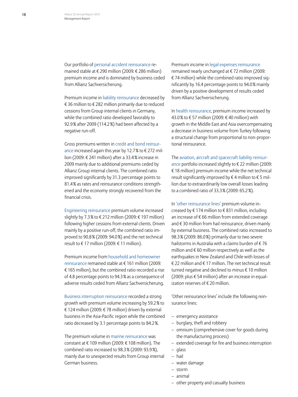Our portfolio of personal accident reinsurance remained stable at € 290 million (2009: € 286 million) premium income and is dominated by business ceded from Allianz Sachversicherung.

Premium income in liability reinsurance decreased by € 36 million to € 282 million primarily due to reduced cessions from Group internal clients in Germany, while the combined ratio developed favorably to 92.9% after 2009 (114.2%) had been affected by a negative run-off.

Gross premiums written in credit and bond reinsurance increased again this year by 12.7% to  $\epsilon$  272 million (2009: € 241 million) after a 33.4% increase in 2009 mainly due to additional premiums ceded by Allianz Group internal clients. The combined ratio improved significantly by 31.3 percentage points to 81.4% as rates and reinsurance conditions strengthened and the economy strongly recovered from the financial crisis.

Engineering reinsurance premium volume increased slightly by 7.3% to  $\epsilon$  212 million (2009:  $\epsilon$  197 million) following higher cessions from external clients. Driven mainly by a positive run-off, the combined ratio improved to 90.8% (2009: 94.0%) and the net technical result to € 17 million (2009: € 11 million).

Premium income from household and homeowner reinsurance remained stable at € 161 million (2009: € 165 million), but the combined ratio recorded a rise of 4.8 percentage points to 94.3% as a consequence of adverse results ceded from Allianz Sachversicherung.

Business interruption reinsurance recorded a strong growth with premium volume increasing by 59.2% to € 124 million (2009: € 78 million) driven by external business in the Asia-Pacific region while the combined ratio decreased by 3.1 percentage points to 84.2%.

The premium volume in marine reinsurance was constant at € 109 million (2009: € 108 million). The combined ratio increased to 98.3% (2009: 93.9%), mainly due to unexpected results from Group internal German business.

Premium income in legal expenses reinsurance remained nearly unchanged at € 72 million (2009: € 74 million) while the combined ratio improved significantly by 16.4 percentage points to 94.0% mainly driven by a positive development of results ceded from Allianz Sachversicherung.

In health reinsurance, premium income increased by 43.0% to € 57 million (2009: € 40 million) with growth in the Middle East and Asia overcompensating a decrease in business volume from Turkey following a structural change from proportional to non-proportional reinsurance.

#### The aviation, aircraft and spacecraft liability reinsur-

ance portfolio increased slightly to € 22 million (2009:  $\in$  18 million) premium income while the net technical result significantly improved by  $\epsilon$  4 million to  $\epsilon$  5 million due to extraordinarily low overall losses leading to a combined ratio of 33.3% (2009: 65.2%).

In 'other reinsurance lines' premium volume increased by  $\epsilon$  174 million to  $\epsilon$  831 million, including an increase of  $\epsilon$  66 million from extended coverage and € 30 million from hail reinsurance, driven mainly by external business. The combined ratio increased to 98.3% (2009: 86.0%) primarily due to two severe hailstorms in Australia with a claims burden of  $\epsilon$  76 million and  $\epsilon$  60 million respectively as well as the earthquakes in New Zealand and Chile with losses of € 22 million and € 17 million. The net technical result turned negative and declined to minus € 10 million (2009: plus € 54 million) after an increase in equalization reserves of € 20 million.

'Other reinsurance lines' include the following reinsurance lines:

- emergency assistance
- burglary, theft and robbery
- omnium (comprehensive cover for goods during the manufacturing process)
- extended coverage for fire and business interruption
- glass
- hail
- water damage
- storm
- animal
- other property and casualty business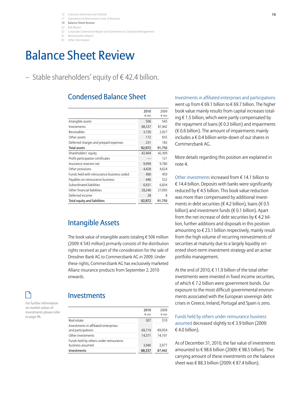- 17 Operations by Reinsurance Lines of Business
- 19 Balance Sheet Review
- 22 Risk Report
- 52 Corporate Governance Report and Statement on Corporate Management
- 61 Remuneration Report
- 81 Other Information

# <span id="page-20-0"></span>Balance Sheet Review

– Stable shareholders' equity of € 42.4 billion.

# Condensed Balance Sheet

|                                            | 2010<br>€ mn | 2009<br>€ mn |
|--------------------------------------------|--------------|--------------|
| Intangible assets                          | 506          | 543          |
| Investments                                | 88,337       | 87,442       |
| Receivables                                | 3,726        | 2,927        |
| Other assets                               | 172          | 655          |
| Deferred charges and prepaid expenses      | 231          | 183          |
| <b>Total assets</b>                        | 92,972       | 91,750       |
| Shareholders' equity                       | 42,404       | 42,309       |
| Profit participation certificates          |              | 121          |
| Insurance reserves net                     | 9,999        | 9,780        |
| Other provisions                           | 4,428        | 4,624        |
| Funds held with reinsurance business ceded | 490          | 459          |
| Payables on reinsurance business           | 446          | 522          |
| Subordinated liabilities                   | 6,931        | 6,834        |
| Other financial liabilities                | 28,246       | 27,093       |
| Deferred income                            | 28           | 8            |
| Total equity and liabilities               | 92,972       | 91,750       |

# Intangible Assets

The book value of intangible assets totaling  $\epsilon$  506 million (2009: € 543 million) primarily consists of the distribution rights received as part of the consideration for the sale of Dresdner Bank AG to Commerzbank AG in 2009. Under these rights, Commerzbank AG has exclusively marketed Allianz insurance products from September 2, 2010 onwards.



For further information on market values of [investments please refer](#page-99-0)  to page 96.

## **Investments**

|                                                             | 2010<br>€ mn | 2009<br>€ mn |
|-------------------------------------------------------------|--------------|--------------|
| Real estate                                                 | 307          | 310          |
| Investments in affiliated enterprises<br>and participations | 69,719       | 69,054       |
| Other investments                                           | 14,371       | 14,101       |
| Funds held by others under reinsurance<br>business assumed  | 3,940        | 3,977        |
| Investments                                                 | 88,337       | 87,442       |

Investments in affiliated enterprises and participations went up from € 69.1 billion to € 69.7 billion. The higher book value mainly results from capital increases totaling € 1.5 billion, which were partly compensated by the repayment of loans ( $\epsilon$  0.3 billion) and impairments  $(\in 0.6$  billion). The amount of impairments mainly includes a € 0.4 billion write-down of our shares in Commerzbank AG.

More details regarding this position are explained in note 4.

Other investments increased from € 14.1 billion to  $\epsilon$  14.4 billion. Deposits with banks were significantly reduced by  $\epsilon$  4.5 billion. This book value reduction was more than compensated by additional investments in debt securities ( $\in$  4.2 billion), loans ( $\in$  0.5 billion) and investment funds (€ 0.1 billion). Apart from the net increase of debt securities by  $\in$  4.2 billion, further additions and disposals in this position amounting to € 23.1 billion respectively, mainly result from the high volume of recurring reinvestments of securities at maturity due to a largely liquidity oriented short-term investment strategy and an active portfolio management.

At the end of 2010, € 11.9 billion of the total other investments were invested in fixed income securities, of which € 7.2 billion were government bonds. Our exposure to the most difficult governmental environments associated with the European sovereign debt crises in Greece, Ireland, Portugal and Spain is zero.

Funds held by others under reinsurance business assumed decreased slightly to € 3.9 billion (2009:  $€ 4.0$  billion).

As of December 31, 2010, the fair value of investments amounted to € 98.6 billion (2009: € 98.5 billion). The carrying amount of these investments on the balance sheet was € 88.3 billion (2009: € 87.4 billion).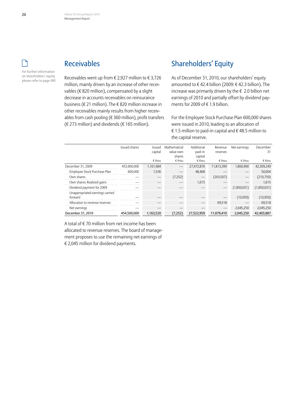# <span id="page-21-0"></span>For further information on shareholders' equity [please refer to page 99f.](#page-102-0)

# Receivables

Receivables went up from € 2,927 million to € 3,726 million, mainly driven by an increase of other receivables ( $\epsilon$  820 million), compensated by a slight decrease in accounts receivables on reinsurance business (€ 21 million). The € 820 million increase in other receivables mainly results from higher receivables from cash pooling (€ 360 million), profit transfers  $(\text{\ensuremath{\in}} 273 \text{ million})$  and dividends ( $\text{\ensuremath{\in}} 165 \text{ million}$ ).

# Shareholders' Equity

As of December 31, 2010, our shareholders' equity amounted to € 42.4 billion (2009: € 42.3 billion). The increase was primarily driven by the  $\epsilon$  2.0 billion net earnings of 2010 and partially offset by dividend payments for 2009 of € 1.9 billion.

For the Employee Stock Purchase Plan 600,000 shares were issued in 2010, leading to an allocation of € 1.5 million to paid-in capital and € 48.5 million to the capital reserve.

|                                            | Issued shares | Issued<br>capital | Mathematical<br>value own<br>shares | Additional<br>paid-in<br>capital | Revenue<br>reserves | Net earnings    | December<br>31  |
|--------------------------------------------|---------------|-------------------|-------------------------------------|----------------------------------|---------------------|-----------------|-----------------|
|                                            |               | € thou            | $\epsilon$ thou                     | $\epsilon$ thou                  | $\epsilon$ thou     | $\epsilon$ thou | $\epsilon$ thou |
| December 31, 2009                          | 453,900,000   | 1,161,984         |                                     | 27,472,876                       | 11,813,399          | 1,860,990       | 42,309,249      |
| Employee Stock Purchase Plan               | 600.000       | 1,536             |                                     | 48.468                           |                     |                 | 50,004          |
| Own shares                                 |               |                   | (7,252)                             |                                  | (203, 507)          |                 | (210, 759)      |
| Own shares: Realized gains                 |               |                   |                                     | 1,615                            |                     |                 | 1,615           |
| Dividend payment for 2009                  |               |                   |                                     |                                  |                     | (1,850,031)     | (1,850,031)     |
| Unappropriated earnings carried<br>forward |               |                   |                                     |                                  |                     | (10, 959)       | (10,959)        |
| Allocation to revenue reserves             |               |                   |                                     |                                  | 69,518              |                 | 69,518          |
| Net earnings                               |               |                   |                                     |                                  |                     | 2.045.250       | 2,045,250       |
| December 31, 2010                          | 454.500.000   | 1,163,520         | (7,252)                             | 27,522,959                       | 11,679,410          | 2,045,250       | 42,403,887      |

A total of  $\epsilon$  70 million from net income has been allocated to revenue reserves. The board of management proposes to use the remaining net earnings of € 2,045 million for dividend payments.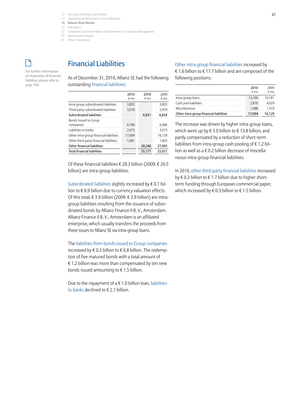- <span id="page-22-0"></span>12 Executive Summary and Outlook 21 **21**
- 17 Operations by Reinsurance Lines of Business
- 19 Balance Sheet Review
- 22 Risk Report
- 52 Corporate Governance Report and Statement on Corporate Management
- 61 Remuneration Report
- 81 Other Information

For further information [on maturities of financial](#page-106-0)  liabilities please refer to page 103.

# Financial Liabilities

As of December 31, 2010, Allianz SE had the following outstanding financial liabilities:

|                                         | 2010<br>€ mn | 2010<br>€ mn | 2009<br>€ mn |
|-----------------------------------------|--------------|--------------|--------------|
| Intra-group subordinated liabilities    | 3,855        |              | 3,855        |
|                                         |              |              |              |
| Third-party subordinated liabilities    | 3,076        |              | 2,979        |
| Subordinated liabilities                |              | 6,931        | 6,834        |
| Bonds issued to Group                   |              |              |              |
| companies                               | 6,798        |              | 6,486        |
| Liabilities to banks                    | 2,073        |              | 3,075        |
| Other intra-group financial liabilities | 17,694       |              | 16,129       |
| Other third-party financial liabilities | 1,681        |              | 1.403        |
| Other financial liabilities             |              | 28,246       | 27,093       |
| <b>Total financial liabilities</b>      |              | 35,177       | 33,927       |
|                                         |              |              |              |

Of these financial liabilities € 28.3 billion (2009: € 26.5 billion) are intra-group liabilities.

Subordinated liabilities slightly increased by € 0.1 billion to € 6.9 billion due to currency valuation effects. Of this total, € 3.9 billion (2009: € 3.9 billion) are intragroup liabilities resulting from the issuance of subordinated bonds by Allianz Finance II B. V., Amsterdam. Allianz Finance II B. V., Amsterdam is an affiliated enterprise, which usually transfers the proceeds from these issues to Allianz SE via intra-group loans.

The liabilities from bonds issued to Group companies increased by  $\epsilon$  0.3 billion to  $\epsilon$  6.8 billion. The redemption of five matured bonds with a total amount of € 1.2 billion was more than compensated by ten new bonds issued amounting to  $\epsilon$  1.5 billion.

Due to the repayment of  $a \in 1.0$  billion loan, liabilities to banks declined to € 2.1 billion.

Other intra-group financial liabilities increased by € 1.6 billion to € 17.7 billion and are composed of the following positions:

|                                         | 2010   | 2009   |
|-----------------------------------------|--------|--------|
|                                         | € mn   | € mn   |
| Intra-group loans                       | 13,790 | 10.781 |
| Cash pool liabilities                   | 2,816  | 4.029  |
| Miscellaneous                           | 1.088  | 1.319  |
| Other intra-group financial liabilities | 17,694 | 16.129 |

The increase was driven by higher intra-group loans, which went up by  $\in$  3.0 billion to  $\in$  13.8 billion, and partly compensated by a reduction of short-term liabilities from intra-group cash pooling of € 1.2 billion as well as a  $\epsilon$  0.2 billion decrease of miscellaneous intra-group financial liabilities.

In 2010, other third-party financial liabilities increased by € 0.3 billion to € 1.7 billion due to higher shortterm funding through European commercial paper, which increased by  $\in$  0.3 billion to  $\in$  1.5 billion.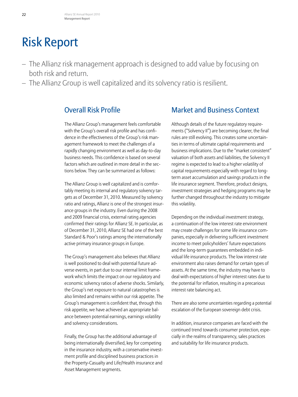# <span id="page-23-0"></span>Risk Report

- The Allianz risk management approach is designed to add value by focusing on both risk and return.
- The Allianz Group is well capitalized and its solvency ratio is resilient.

# Overall Risk Profile

The Allianz Group's management feels comfortable with the Group's overall risk profile and has confidence in the effectiveness of the Group's risk management framework to meet the challenges of a rapidly changing environment as well as day-to-day business needs. This confidence is based on several factors which are outlined in more detail in the sections below. They can be summarized as follows:

The Allianz Group is well capitalized and is comfortably meeting its internal and regulatory solvency targets as of December 31, 2010. Measured by solvency ratio and ratings, Allianz is one of the strongest insurance groups in the industry. Even during the 2008 and 2009 financial crisis, external rating agencies confirmed their ratings for Allianz SE. In particular, as of December 31, 2010, Allianz SE had one of the best Standard & Poor's ratings among the internationally active primary insurance groups in Europe.

The Group's management also believes that Allianz is well positioned to deal with potential future adverse events, in part due to our internal limit framework which limits the impact on our regulatory and economic solvency ratios of adverse shocks. Similarly, the Group's net exposure to natural catastrophes is also limited and remains within our risk appetite. The Group's management is confident that, through this risk appetite, we have achieved an appropriate balance between potential earnings, earnings volatility and solvency considerations.

Finally, the Group has the additional advantage of being internationally diversified, key for competing in the insurance industry, with a conservative investment profile and disciplined business practices in the Property-Casualty and Life/Health insurance and Asset Management segments.

# Market and Business Context

Although details of the future regulatory requirements ("Solvency II") are becoming clearer, the final rules are still evolving. This creates some uncertainties in terms of ultimate capital requirements and business implications. Due to the "market consistent" valuation of both assets and liabilities, the Solvency II regime is expected to lead to a higher volatility of capital requirements especially with regard to longterm asset accumulation and savings products in the life insurance segment. Therefore, product designs, investment strategies and hedging programs may be further changed throughout the industry to mitigate this volatility.

Depending on the individual investment strategy, a continuation of the low interest rate environment may create challenges for some life insurance companies, especially in delivering sufficient investment income to meet policyholders' future expectations and the long-term guarantees embedded in individual life insurance products. The low interest rate environment also raises demand for certain types of assets. At the same time, the industry may have to deal with expectations of higher interest rates due to the potential for inflation, resulting in a precarious interest rate balancing act.

There are also some uncertainties regarding a potential escalation of the European sovereign debt crisis.

In addition, insurance companies are faced with the continued trend towards consumer protection, especially in the realms of transparency, sales practices and suitability for life insurance products.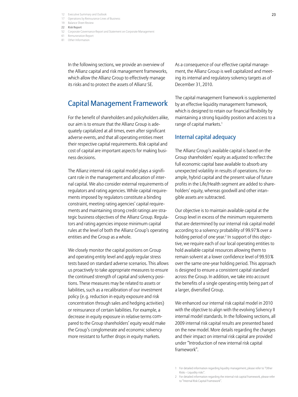<span id="page-24-0"></span>12 Executive Summary and Outlook 23

- 17 Operations by Reinsurance Lines of Business
- 19 Balance Sheet Review

22 Risk Report

- 52 Corporate Governance Report and Statement on Corporate Management
- 61 Remuneration Report

81 Other Information

In the following sections, we provide an overview of the Allianz capital and risk management frameworks, which allow the Allianz Group to effectively manage its risks and to protect the assets of Allianz SE.

# Capital Management Framework

For the benefit of shareholders and policyholders alike, our aim is to ensure that the Allianz Group is adequately capitalized at all times, even after significant adverse events, and that all operating entities meet their respective capital requirements. Risk capital and cost of capital are important aspects for making business decisions.

The Allianz internal risk capital model plays a significant role in the management and allocation of internal capital. We also consider external requirements of regulators and rating agencies. While capital requirements imposed by regulators constitute a binding constraint, meeting rating agencies' capital requirements and maintaining strong credit ratings are strategic business objectives of the Allianz Group. Regulators and rating agencies impose minimum capital rules at the level of both the Allianz Group's operating entities and the Group as a whole.

We closely monitor the capital positions on Group and operating entity level and apply regular stress tests based on standard adverse scenarios. This allows us proactively to take appropriate measures to ensure the continued strength of capital and solvency positions. These measures may be related to assets or liabilities, such as a recalibration of our investment policy (e. g. reduction in equity exposure and risk concentration through sales and hedging activities) or reinsurance of certain liabilities. For example, a decrease in equity exposure in relative terms compared to the Group shareholders' equity would make the Group's conglomerate and economic solvency more resistant to further drops in equity markets.

As a consequence of our effective capital management, the Allianz Group is well capitalized and meeting its internal and regulatory solvency targets as of December 31, 2010.

The capital management framework is supplemented by an effective liquidity management framework, which is designed to retain our financial flexibility by maintaining a strong liquidity position and access to a range of capital markets.<sup>1</sup>

# Internal capital adequacy

The Allianz Group's available capital is based on the Group shareholders' equity as adjusted to reflect the full economic capital base available to absorb any unexpected volatility in results of operations. For example, hybrid capital and the present value of future profits in the Life/Health segment are added to shareholders' equity, whereas goodwill and other intangible assets are subtracted.

Our objective is to maintain available capital at the Group level in excess of the minimum requirements that are determined by our internal risk capital model according to a solvency probability of 99.97% over a holding period of one year.2 In support of this objective, we require each of our local operating entities to hold available capital resources allowing them to remain solvent at a lower confidence level of 99.93% over the same one-year holding period. This approach is designed to ensure a consistent capital standard across the Group. In addition, we take into account the benefits of a single operating entity being part of a larger, diversified Group.

We enhanced our internal risk capital model in 2010 with the objective to align with the evolving Solvency II internal model standards. In the following sections, all 2009 internal risk capital results are presented based on the new model. More details regarding the changes and their impact on internal risk capital are provided under "Introduction of new internal risk capital framework".

<sup>1</sup> For detailed information regarding liquidity management, please refer to "Other Risks – Liquidity risks".

<sup>2</sup> For detailed information regarding the internal risk capital framework, please refer to "Internal Risk Capital Framework".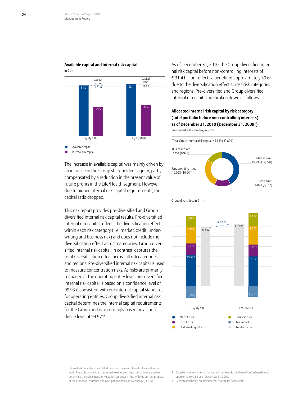

**Available capital and internal risk capital** in € bn

The increase in available capital was mainly driven by an increase in the Group shareholders' equity, partly compensated by a reduction in the present value of future profits in the Life/Health segment. However, due to higher internal risk capital requirements, the capital ratio dropped.

This risk report provides pre-diversified and Group diversified internal risk capital results. Pre-diversified internal risk capital reflects the diversification effect within each risk category (i. e. market, credit, underwriting and business risk) and does not include the diversification effect across categories. Group diversified internal risk capital, in contrast, captures the total diversification effect across all risk categories and regions. Pre-diversified internal risk capital is used to measure concentration risks. As risks are primarily managed at the operating entity level, pre-diversified internal risk capital is based on a confidence level of 99.93% consistent with our internal capital standards for operating entities. Group diversified internal risk capital determines the internal capital requirements for the Group and is accordingly based on a confidence level of 99.97%.

As of December 31, 2010, the Group diversified internal risk capital before non-controlling interests of € 31.4 billion reflects a benefit of approximately 30 $\frac{1}{2}$ due to the diversification effect across risk categories and regions. Pre-diversified and Group diversified internal risk capital are broken down as follows:

#### **Allocated internal risk capital by risk category (total portfolio before non-controlling interests) as of December 31, 2010 (December 31, 20093 )** Pre-diversified before tax, in € mn

Total Group internal risk capital: 45,149 (43,809)







- 1 Internal risk capital is recalculated based on the new internal risk capital framework. Available capital is also adjusted to reflect our new methodology used to determine the yield curves for valuation purposes in line with the current proposal of the European Insurance and Occupational Pensions Authority (EIOPA).
- 2 Based on the new internal risk capital framework, this diversification benefit was approximately 33% as of December 31, 2009.
- 3 Recalculated based on new internal risk capital framework.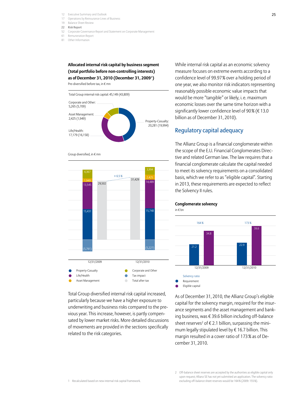12 Executive Summary and Outlook 25<br>17 Operations by Reinsurance Lines of Business

- 17 Operations by Reinsurance Lines of Business
- 19 Balance Sheet Review
- 22 Risk Report
- 52 Corporate Governance Report and Statement on Corporate Management
- 61 Remuneration Report
- 81 Other Information

**Allocated internal risk capital by business segment (total portfolio before non-controlling interests) as of December 31, 2010 (December 31, 20091 )**

Pre-diversified before tax, in € mn



Group diversified, in  $\epsilon$  mn



Total Group diversified internal risk capital increased, particularly because we have a higher exposure to underwriting and business risks compared to the previous year. This increase, however, is partly compensated by lower market risks. More detailed discussions of movements are provided in the sections specifically related to the risk categories.

While internal risk capital as an economic solvency measure focuses on extreme events according to a confidence level of 99.97% over a holding period of one year, we also monitor risk indicators representing reasonably possible economic value impacts that would be more "tangible" or likely, i. e. maximum economic losses over the same time horizon with a significantly lower confidence level of 90% ( $\epsilon$  13.0 billion as of December 31, 2010).

## Regulatory capital adequacy

The Allianz Group is a financial conglomerate within the scope of the E.U. Financial Conglomerates Directive and related German law. The law requires that a financial conglomerate calculate the capital needed to meet its solvency requirements on a consolidated basis, which we refer to as "eligible capital". Starting in 2013, these requirements are expected to reflect the Solvency II rules.





As of December 31, 2010, the Allianz Group's eligible capital for the solvency margin, required for the insurance segments and the asset management and banking business, was € 39.6 billion including off-balance sheet reserves<sup>2</sup> of  $\epsilon$  2.1 billion, surpassing the minimum legally stipulated level by € 16.7 billion. This margin resulted in a cover ratio of 173% as of December 31, 2010.

1 Recalculated based on new internal risk capital framework.

2 Off-balance sheet reserves are accepted by the authorities as eligible capital only upon request; Allianz SE has not yet submitted an application. The solvency ratio excluding off-balance sheet reserves would be 164% (2009: 155%).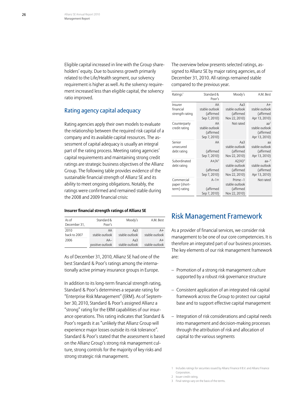<span id="page-27-0"></span>Eligible capital increased in line with the Group shareholders' equity. Due to business growth primarily related to the Life/Health segment, our solvency requirement is higher as well. As the solvency requirement increased less than eligible capital, the solvency ratio improved.

# Rating agency capital adequacy

Rating agencies apply their own models to evaluate the relationship between the required risk capital of a company and its available capital resources. The assessment of capital adequacy is usually an integral part of the rating process. Meeting rating agencies' capital requirements and maintaining strong credit ratings are strategic business objectives of the Allianz Group. The following table provides evidence of the sustainable financial strength of Allianz SE and its ability to meet ongoing obligations. Notably, the ratings were confirmed and remained stable during the 2008 and 2009 financial crisis:

#### **Insurer financial strength ratings of Allianz SE**

| As of<br>December 31, | Standard &<br>Poor's      | Moody's                  | A.M. Best              |
|-----------------------|---------------------------|--------------------------|------------------------|
| 2010<br>back to 2007  | AA<br>stable outlook      | Aa $3$<br>stable outlook | $A+$<br>stable outlook |
| 2006                  | $AA-$<br>positive outlook | Aa $3$<br>stable outlook | $A+$<br>stable outlook |
|                       |                           |                          |                        |

As of December 31, 2010, Allianz SE had one of the best Standard & Poor's ratings among the internationally active primary insurance groups in Europe.

In addition to its long-term financial strength rating, Standard & Poor's determines a separate rating for "Enterprise Risk Management" (ERM). As of September 30, 2010, Standard & Poor's assigned Allianz a "strong" rating for the ERM capabilities of our insurance operations. This rating indicates that Standard & Poor's regards it as "unlikely that Allianz Group will experience major losses outside its risk tolerance". Standard & Poor's stated that the assessment is based on the Allianz Group's strong risk management culture, strong controls for the majority of key risks and strong strategic risk management.

The overview below presents selected ratings, assigned to Allianz SE by major rating agencies, as of December 31, 2010. All ratings remained stable compared to the previous year.

| Ratings <sup>1</sup> | Standard &<br>Poor's | Moody's<br>A.M. Best |                 |  |
|----------------------|----------------------|----------------------|-----------------|--|
| Insurer              | AA                   | Aa3                  | $A+$            |  |
| financial            | stable outlook       | stable outlook       | stable outlook  |  |
| strength rating      | (affirmed            | (affirmed            | (affirmed       |  |
|                      | Sep 7, 2010)         | Nov 22, 2010)        | Apr 13, 2010)   |  |
| Counterparty         | AA                   | Not rated            | aa <sup>2</sup> |  |
| credit rating        | stable outlook       |                      | stable outlook  |  |
|                      | (affirmed            |                      | (affirmed       |  |
|                      | Sep 7, 2010)         |                      | Apr 13, 2010)   |  |
| Senior               | AA                   | Aa3                  | aa              |  |
| unsecured            |                      | stable outlook       | stable outlook  |  |
| debt rating          | (affirmed            | (affirmed            | (affirmed       |  |
|                      | Sep 7, 2010)         | Nov 22, 2010)        | Apr 13, 2010)   |  |
| Subordinated         | $A+ /A^3$            | A2/A3 <sup>3</sup>   | aa <sup>3</sup> |  |
| debt rating          |                      | stable outlook       | stable outlook  |  |
|                      | (affirmed            | (affirmed            | (affirmed       |  |
|                      | Sep 7, 2010)         | Nov 22, 2010)        | Apr 13, 2010)   |  |
| Commercial           | $A - 1 +$            | $Prime-1$            | Not rated       |  |
| paper (short-        |                      | stable outlook       |                 |  |
| term) rating         | (affirmed            | (affirmed            |                 |  |
|                      | Sep 7, 2010)         | Nov 22, 2010)        |                 |  |

# Risk Management Framework

As a provider of financial services, we consider risk management to be one of our core competencies. It is therefore an integrated part of our business processes. The key elements of our risk management framework are:

- Promotion of a strong risk management culture supported by a robust risk governance structure
- Consistent application of an integrated risk capital framework across the Group to protect our capital base and to support effective capital management
- Integration of risk considerations and capital needs into management and decision-making processes through the attribution of risk and allocation of capital to the various segments

<sup>1</sup> Includes ratings for securities issued by Allianz Finance II B.V. and Allianz Finance **Corporation** 

<sup>2</sup> Issuer credit rating.

<sup>3</sup> Final ratings vary on the basis of the terms.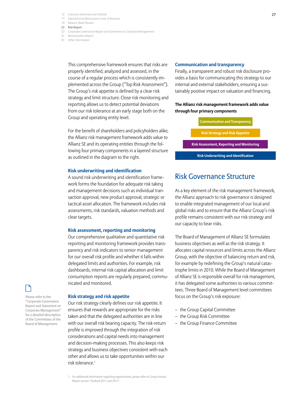<span id="page-28-0"></span>12 Executive Summary and Outlook 27

- 17 Operations by Reinsurance Lines of Business
- 19 Balance Sheet Review

22 Risk Report

- 52 Corporate Governance Report and Statement on Corporate Management
- 61 Remuneration Report
- 81 Other Information

This comprehensive framework ensures that risks are properly identified, analyzed and assessed, in the course of a regular process which is consistently implemented across the Group ("Top Risk Assessment"). The Group's risk appetite is defined by a clear risk strategy and limit structure. Close risk monitoring and reporting allows us to detect potential deviations from our risk tolerance at an early stage both on the Group and operating entity level.

For the benefit of shareholders and policyholders alike, the Allianz risk management framework adds value to Allianz SE and its operating entities through the following four primary components in a layered structure as outlined in the diagram to the right.

#### **Risk underwriting and identification**

A sound risk underwriting and identification framework forms the foundation for adequate risk taking and management decisions such as individual transaction approval, new product approval, strategic or tactical asset allocation. The framework includes risk assessments, risk standards, valuation methods and clear targets.

#### **Risk assessment, reporting and monitoring**

Our comprehensive qualitative and quantitative risk reporting and monitoring framework provides transparency and risk indicators to senior management for our overall risk profile and whether it falls within delegated limits and authorities. For example, risk dashboards, internal risk capital allocation and limit consumption reports are regularly prepared, communicated and monitored.

Please refer to the "Corporate Governance Report and Statement on [Corporate Management"](#page-53-0)  for a detailed description of the Committees of the Board of Management.

#### **Risk strategy and risk appetite**

Our risk strategy clearly defines our risk appetite. It ensures that rewards are appropriate for the risks taken and that the delegated authorities are in line with our overall risk bearing capacity. The risk-return profile is improved through the integration of risk considerations and capital needs into management and decision-making processes. This also keeps risk strategy and business objectives consistent with each other and allows us to take opportunities within our risk tolerance.1

#### **Communication and transparency**

Finally, a transparent and robust risk disclosure provides a basis for communicating this strategy to our internal and external stakeholders, ensuring a sustainably positive impact on valuation and financing.

**The Allianz risk management framework adds value through four primary components** 

> **Risk Strategy and Risk Appetite Communication and Transparency**

**Risk Assessment, Reporting and Monitoring**

**Risk Underwriting and Identification**

# Risk Governance Structure

As a key element of the risk management framework, the Allianz approach to risk governance is designed to enable integrated management of our local and global risks and to ensure that the Allianz Group's risk profile remains consistent with our risk strategy and our capacity to bear risks.

The Board of Management of Allianz SE formulates business objectives as well as the risk strategy. It allocates capital resources and limits across the Allianz Group, with the objective of balancing return and risk, for example by redefining the Group's natural catastrophe limits in 2010. While the Board of Management of Allianz SE is responsible overall for risk management, it has delegated some authorities to various committees. Three Board of Management level committees focus on the Group's risk exposure:

- the Group Capital Committee
- the Group Risk Committee
- the Group Finance Committee

1 For additional information regarding opportunities, please refer to Group Annual Report section "Outlook 2011 and 2012".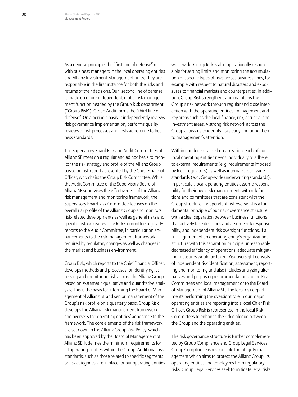As a general principle, the "first line of defense" rests with business managers in the local operating entities and Allianz Investment Management units. They are responsible in the first instance for both the risks and returns of their decisions. Our "second line of defense" is made up of our independent, global risk management function headed by the Group Risk department ("Group Risk"). Group Audit forms the "third line of defense". On a periodic basis, it independently reviews risk governance implementation, performs quality reviews of risk processes and tests adherence to business standards.

The Supervisory Board Risk and Audit Committees of Allianz SE meet on a regular and ad hoc basis to monitor the risk strategy and profile of the Allianz Group based on risk reports presented by the Chief Financial Officer, who chairs the Group Risk Committee. While the Audit Committee of the Supervisory Board of Allianz SE supervises the effectiveness of the Allianz risk management and monitoring framework, the Supervisory Board Risk Committee focuses on the overall risk profile of the Allianz Group and monitors risk-related developments as well as general risks and specific risk exposures. The Risk Committee regularly reports to the Audit Committee, in particular on enhancements to the risk management framework required by regulatory changes as well as changes in the market and business environment.

Group Risk, which reports to the Chief Financial Officer, develops methods and processes for identifying, assessing and monitoring risks across the Allianz Group based on systematic qualitative and quantitative analysis. This is the basis for informing the Board of Management of Allianz SE and senior management of the Group's risk profile on a quarterly basis. Group Risk develops the Allianz risk management framework and oversees the operating entities' adherence to the framework. The core elements of the risk framework are set down in the Allianz Group Risk Policy, which has been approved by the Board of Management of Allianz SE. It defines the minimum requirements for all operating entities within the Group. Additional risk standards, such as those related to specific segments or risk categories, are in place for our operating entities worldwide. Group Risk is also operationally responsible for setting limits and monitoring the accumulation of specific types of risks across business lines, for example with respect to natural disasters and exposures to financial markets and counterparties. In addition, Group Risk strengthens and maintains the Group's risk network through regular and close interaction with the operating entities' management and key areas such as the local finance, risk, actuarial and investment areas. A strong risk network across the Group allows us to identify risks early and bring them to management's attention.

Within our decentralized organization, each of our local operating entities needs individually to adhere to external requirements (e. g. requirements imposed by local regulators) as well as internal Group-wide standards (e. g. Group-wide underwriting standards). In particular, local operating entities assume responsibility for their own risk management, with risk functions and committees that are consistent with the Group structure. Independent risk oversight is a fundamental principle of our risk governance structure, with a clear separation between business functions that actively take decisions and assume risk responsibility, and independent risk oversight functions. If a full alignment of an operating entity's organizational structure with this separation principle unreasonably decreased efficiency of operations, adequate mitigating measures would be taken. Risk oversight consists of independent risk identification, assessment, reporting and monitoring and also includes analyzing alternatives and proposing recommendations to the Risk Committees and local management or to the Board of Management of Allianz SE. The local risk departments performing the oversight role in our major operating entities are reporting into a local Chief Risk Officer. Group Risk is represented in the local Risk Committees to enhance the risk dialogue between the Group and the operating entities.

The risk governance structure is further complemented by Group Compliance and Group Legal Services. Group Compliance is responsible for integrity management which aims to protect the Allianz Group, its operating entities and employees from regulatory risks. Group Legal Services seek to mitigate legal risks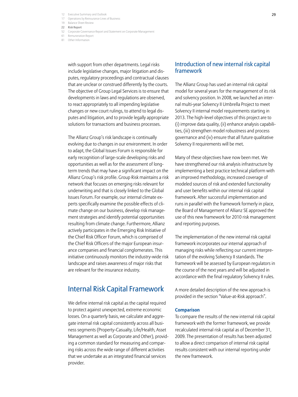<span id="page-30-0"></span>12 Executive Summary and Outlook 29

17 Operations by Reinsurance Lines of Business

19 Balance Sheet Review

22 Risk Report

52 Corporate Governance Report and Statement on Corporate Management

61 Remuneration Report

81 Other Information

with support from other departments. Legal risks include legislative changes, major litigation and disputes, regulatory proceedings and contractual clauses that are unclear or construed differently by the courts. The objective of Group Legal Services is to ensure that developments in laws and regulations are observed, to react appropriately to all impending legislative changes or new court rulings, to attend to legal disputes and litigation, and to provide legally appropriate solutions for transactions and business processes.

The Allianz Group's risk landscape is continually evolving due to changes in our environment. In order to adapt, the Global Issues Forum is responsible for early recognition of large-scale developing risks and opportunities as well as for the assessment of longterm trends that may have a significant impact on the Allianz Group's risk profile. Group Risk maintains a risk network that focuses on emerging risks relevant for underwriting and that is closely linked to the Global Issues Forum. For example, our internal climate experts specifically examine the possible effects of climate change on our business, develop risk management strategies and identify potential opportunities resulting from climate change. Furthermore, Allianz actively participates in the Emerging Risk Initiative of the Chief Risk Officer Forum, which is comprised of the Chief Risk Officers of the major European insurance companies and financial conglomerates. This initiative continuously monitors the industry-wide risk landscape and raises awareness of major risks that are relevant for the insurance industry.

# Internal Risk Capital Framework

We define internal risk capital as the capital required to protect against unexpected, extreme economic losses. On a quarterly basis, we calculate and aggregate internal risk capital consistently across all business segments (Property-Casualty, Life/Health, Asset Management as well as Corporate and Other), providing a common standard for measuring and comparing risks across the wide range of different activities that we undertake as an integrated financial services provider.

## Introduction of new internal risk capital framework

The Allianz Group has used an internal risk capital model for several years for the management of its risk and solvency position. In 2008, we launched an internal multi-year Solvency II Umbrella Project to meet Solvency II internal model requirements starting in 2013. The high-level objectives of this project are to (i) improve data quality, (ii) enhance analysis capabilities, (iii) strengthen model robustness and process governance and (iv) ensure that all future qualitative Solvency II requirements will be met.

Many of these objectives have now been met. We have strengthened our risk analysis infrastructure by implementing a best practice technical platform with an improved methodology, increased coverage of modeled sources of risk and extended functionality and user benefits within our internal risk capital framework. After successful implementation and runs in parallel with the framework formerly in place, the Board of Management of Allianz SE approved the use of this new framework for 2010 risk management and reporting purposes.

The implementation of the new internal risk capital framework incorporates our internal approach of managing risks while reflecting our current interpretation of the evolving Solvency II standards. The framework will be assessed by European regulators in the course of the next years and will be adjusted in accordance with the final regulatory Solvency II rules.

A more detailed description of the new approach is provided in the section "Value-at-Risk approach".

#### **Comparison**

To compare the results of the new internal risk capital framework with the former framework, we provide recalculated internal risk capital as of December 31, 2009. The presentation of results has been adjusted to allow a direct comparison of internal risk capital results consistent with our internal reporting under the new framework.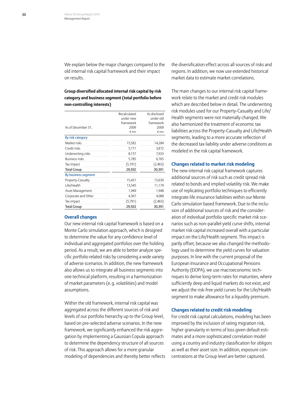We explain below the major changes compared to the old internal risk capital framework and their impact on results.

**Group diversified allocated internal risk capital by risk category and business segment (total portfolio before non-controlling interests)**

|                       | Recalculated<br>under new<br>framework | As disclosed<br>under old<br>framework |
|-----------------------|----------------------------------------|----------------------------------------|
| As of December 31,    | 2009                                   | 2009                                   |
|                       | € mn                                   | € mn                                   |
| By risk category      |                                        |                                        |
| Market risks          | 15,582                                 | 14,284                                 |
| Credit risks          | 5,771                                  | 3,872                                  |
| Underwriting risks    | 8,157                                  | 7,933                                  |
| <b>Business risks</b> | 5,785                                  | 6,765                                  |
| Tax impact            | (5,791)                                | (2,463)                                |
| <b>Total Group</b>    | 29,502                                 | 30,391                                 |
| By business segment   |                                        |                                        |
| Property-Casualty     | 15,431                                 | 15,639                                 |
| Life/Health           | 13,545                                 | 11,179                                 |
| Asset Management      | 1,949                                  | 1,948                                  |
| Corporate and Other   | 4,367                                  | 4,088                                  |
| Tax impact            | (5,791)                                | (2,463)                                |
| <b>Total Group</b>    | 29,502                                 | 30,391                                 |

#### **Overall changes**

Our new internal risk capital framework is based on a Monte Carlo simulation approach, which is designed to determine the value for any confidence level of individual and aggregated portfolios over the holding period. As a result, we are able to better analyze specific portfolio related risks by considering a wide variety of adverse scenarios. In addition, the new framework also allows us to integrate all business segments into one technical platform, resulting in a harmonization of market parameters (e. g. volatilities) and model assumptions.

Within the old framework, internal risk capital was aggregated across the different sources of risk and levels of our portfolio hierarchy up to the Group level, based on pre-selected adverse scenarios. In the new framework, we significantly enhanced the risk aggregation by implementing a Gaussian Copula approach to determine the dependency structure of all sources of risk. This approach allows for a more granular modeling of dependencies and thereby better reflects the diversification effect across all sources of risks and regions. In addition, we now use extended historical market data to estimate market correlations.

The main changes to our internal risk capital framework relate to the market and credit risk modules which are described below in detail. The underwriting risk modules used for our Property-Casualty and Life/ Health segments were not materially changed. We also harmonized the treatment of economic tax liabilities across the Property-Casualty and Life/Health segments, leading to a more accurate reflection of the decreased tax liability under adverse conditions as modeled in the risk capital framework.

#### **Changes related to market risk modeling**

The new internal risk capital framework captures additional sources of risk such as credit spread risk related to bonds and implied volatility risk. We make use of replicating portfolio techniques to efficiently integrate life insurance liabilities within our Monte Carlo simulation based framework. Due to the inclusion of additional sources of risk and the consideration of individual portfolio specific market risk scenarios such as non-parallel yield curve shifts, internal market risk capital increased overall with a particular impact on the Life/Health segment. This impact is partly offset, because we also changed the methodology used to determine the yield curves for valuation purposes. In line with the current proposal of the European Insurance and Occupational Pensions Authority (EIOPA), we use macroeconomic techniques to derive long-term rates for maturities, where sufficiently deep and liquid markets do not exist, and we adjust the risk-free yield curves for the Life/Health segment to make allowance for a liquidity premium.

#### **Changes related to credit risk modeling**

For credit risk capital calculations, modeling has been improved by the inclusion of rating migration risk, higher granularity in terms of loss given default estimates and a more sophisticated correlation model using a country and industry classification for obligors as well as their asset size. In addition, exposure concentrations at the Group level are better captured.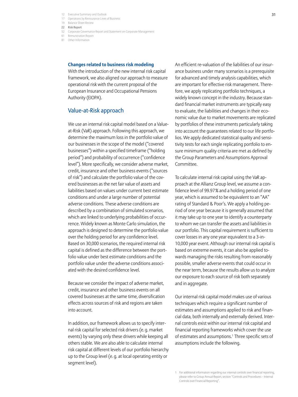- 12 Executive Summary and Outlook 31 Securities were also seen to the securities of the secutive Summary and Outlook
- 17 Operations by Reinsurance Lines of Business
- 19 Balance Sheet Review
- 22 Risk Report
- 52 Corporate Governance Report and Statement on Corporate Management
- 61 Remuneration Report
- 81 Other Information

#### **Changes related to business risk modeling**

With the introduction of the new internal risk capital framework, we also aligned our approach to measure operational risk with the current proposal of the European Insurance and Occupational Pensions Authority (EIOPA).

## Value-at-Risk approach

We use an internal risk capital model based on a Valueat-Risk (VaR) approach. Following this approach, we determine the maximum loss in the portfolio value of our businesses in the scope of the model ("covered businesses") within a specified timeframe ("holding period") and probability of occurrence ("confidence level"). More specifically, we consider adverse market, credit, insurance and other business events ("sources of risk") and calculate the portfolio value of the covered businesses as the net fair value of assets and liabilities based on values under current best estimate conditions and under a large number of potential adverse conditions. These adverse conditions are described by a combination of simulated scenarios, which are linked to underlying probabilities of occurrence. Widely known as Monte Carlo simulation, the approach is designed to determine the portfolio value over the holding period for any confidence level. Based on 30,000 scenarios, the required internal risk capital is defined as the difference between the portfolio value under best estimate conditions and the portfolio value under the adverse conditions associated with the desired confidence level.

Because we consider the impact of adverse market, credit, insurance and other business events on all covered businesses at the same time, diversification effects across sources of risk and regions are taken into account.

In addition, our framework allows us to specify internal risk capital for selected risk drivers (e. g. market events) by varying only these drivers while keeping all others stable. We are also able to calculate internal risk capital at different levels of our portfolio hierarchy up to the Group level (e. g. at local operating entity or segment level).

An efficient re-valuation of the liabilities of our insurance business under many scenarios is a prerequisite for advanced and timely analysis capabilities, which are important for effective risk management. Therefore, we apply replicating portfolio techniques, a widely known concept in the industry. Because standard financial market instruments are typically easy to evaluate, the liabilities and changes in their economic value due to market movements are replicated by portfolios of these instruments particularly taking into account the guarantees related to our life portfolios. We apply dedicated statistical quality and sensitivity tests for each single replicating portfolio to ensure minimum quality criteria are met as defined by the Group Parameters and Assumptions Approval Committee.

To calculate internal risk capital using the VaR approach at the Allianz Group level, we assume a confidence level of 99.97% and a holding period of one year, which is assumed to be equivalent to an "AA" rating of Standard & Poor's. We apply a holding period of one year because it is generally assumed that it may take up to one year to identify a counterparty to whom we can transfer the assets and liabilities in our portfolio. This capital requirement is sufficient to cover losses in any one year equivalent to a 3-in-10,000 year event. Although our internal risk capital is based on extreme events, it can also be applied towards managing the risks resulting from reasonably possible, smaller adverse events that could occur in the near term, because the results allow us to analyze our exposure to each source of risk both separately and in aggregate.

Our internal risk capital model makes use of various techniques which require a significant number of estimates and assumptions applied to risk and financial data, both internally and externally derived. Internal controls exist within our internal risk capital and financial reporting frameworks which cover the use of estimates and assumptions.<sup>1</sup> Three specific sets of assumptions include the following.

<sup>1</sup> For additional information regarding our internal controls over financial reporting, please refer to Group Annual Report, section "Controls and Procedures – Internal Controls over Financial Reporting".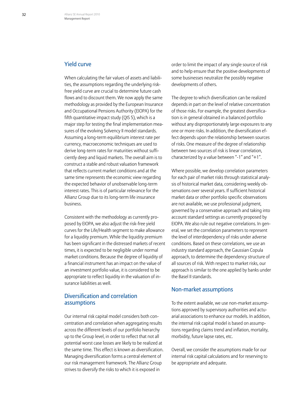## Yield curve

When calculating the fair values of assets and liabilities, the assumptions regarding the underlying riskfree yield curve are crucial to determine future cash flows and to discount them. We now apply the same methodology as provided by the European Insurance and Occupational Pensions Authority (EIOPA) for the fifth quantitative impact study (QIS 5), which is a major step for testing the final implementation measures of the evolving Solvency II model standards. Assuming a long-term equilibrium interest rate per currency, macroeconomic techniques are used to derive long-term rates for maturities without sufficiently deep and liquid markets. The overall aim is to construct a stable and robust valuation framework that reflects current market conditions and at the same time represents the economic view regarding the expected behavior of unobservable long-term interest rates. This is of particular relevance for the Allianz Group due to its long-term life insurance business.

Consistent with the methodology as currently proposed by EIOPA, we also adjust the risk-free yield curves for the Life/Health segment to make allowance for a liquidity premium. While the liquidity premium has been significant in the distressed markets of recent times, it is expected to be negligible under normal market conditions. Because the degree of liquidity of a financial instrument has an impact on the value of an investment portfolio value, it is considered to be appropriate to reflect liquidity in the valuation of insurance liabilities as well.

# Diversification and correlation assumptions

Our internal risk capital model considers both concentration and correlation when aggregating results across the different levels of our portfolio hierarchy up to the Group level, in order to reflect that not all potential worst case losses are likely to be realized at the same time. This effect is known as diversification. Managing diversification forms a central element of our risk management framework. The Allianz Group strives to diversify the risks to which it is exposed in

order to limit the impact of any single source of risk and to help ensure that the positive developments of some businesses neutralize the possibly negative developments of others.

The degree to which diversification can be realized depends in part on the level of relative concentration of those risks. For example, the greatest diversification is in general obtained in a balanced portfolio without any disproportionately large exposures to any one or more risks. In addition, the diversification effect depends upon the relationship between sources of risks. One measure of the degree of relationship between two sources of risk is linear correlation, characterized by a value between "-1" and "+1".

Where possible, we develop correlation parameters for each pair of market risks through statistical analysis of historical market data, considering weekly observations over several years. If sufficient historical market data or other portfolio specific observations are not available, we use professional judgment, governed by a conservative approach and taking into account standard settings as currently proposed by EIOPA. We also rule out negative correlations. In general, we set the correlation parameters to represent the level of interdependency of risks under adverse conditions. Based on these correlations, we use an industry standard approach, the Gaussian Copula approach, to determine the dependency structure of all sources of risk. With respect to market risks, our approach is similar to the one applied by banks under the Basel II standards.

## Non-market assumptions

To the extent available, we use non-market assumptions approved by supervisory authorities and actuarial associations to enhance our models. In addition, the internal risk capital model is based on assumptions regarding claims trend and inflation, mortality, morbidity, future lapse rates, etc.

Overall, we consider the assumptions made for our internal risk capital calculations and for reserving to be appropriate and adequate.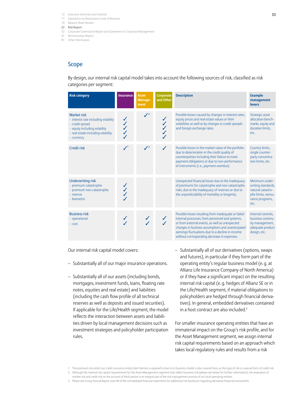- 17 Operations by Reinsurance Lines of Business
- 19 Balance Sheet Review
- 22 Risk Report
- 52 Corporate Governance Report and Statement on Corporate Management
- 61 Remuneration Report
- 81 Other Information

## Scope

By design, our internal risk capital model takes into account the following sources of risk, classified as risk categories per segment:

| <b>Risk category</b>                                                                                                                                               | <b>Insurance</b> | <b>Asset</b><br>Manage-<br>ment | <b>Corporate</b><br>and Other | <b>Description</b>                                                                                                                                                                                                                                                                                               | <b>Example</b><br>management<br><b>levers</b>                                                               |
|--------------------------------------------------------------------------------------------------------------------------------------------------------------------|------------------|---------------------------------|-------------------------------|------------------------------------------------------------------------------------------------------------------------------------------------------------------------------------------------------------------------------------------------------------------------------------------------------------------|-------------------------------------------------------------------------------------------------------------|
| <b>Market risk</b><br>- interest rate including volatility<br>- credit spread<br>- equity including volatility<br>- real estate including volatility<br>- currency |                  | $\sqrt{2}$                      | $\checkmark$<br>✓             | Possible losses caused by changes in interest rates,<br>equity prices and real estate values or their<br>volatilities as well as by changes in credit spreads<br>and foreign exchange rates.                                                                                                                     | Strategic asset<br>allocation bench-<br>marks, equity and<br>duration limits,<br>etc.                       |
| <b>Credit risk</b>                                                                                                                                                 | $\mathscr{I}^1$  | $\mathcal{J}^2$                 | $\checkmark$                  | Possible losses in the market value of the portfolio<br>due to deterioration in the credit quality of<br>counterparties including their failure to meet<br>payment obligations or due to non-performance<br>of instruments (i.e., payment overdue).                                                              | Country limits,<br>single counter-<br>party concentra-<br>tion limits, etc.                                 |
| <b>Underwriting risk</b><br>- premium catastrophe<br>- premium non-catastrophe<br>- reserve<br>- biometric                                                         |                  |                                 |                               | Unexpected financial losses due to the inadequacy<br>of premiums for catastrophe and non-catastrophe<br>risks, due to the inadequacy of reserves or due to<br>the unpredictability of mortality or longevity.                                                                                                    | Minimum under-<br>writing standards,<br>natural catastro-<br>phe limits, reinsu-<br>rance programs,<br>etc. |
| <b>Business risk</b><br>- operational<br>$- cost$                                                                                                                  |                  |                                 |                               | Possible losses resulting from inadequate or failed<br>internal processes, from personnel and systems,<br>or from external events, as well as unexpected<br>changes in business assumptions and unanticipated<br>earnings fluctuations due to a decline in income<br>without corresponding decrease in expenses. | Internal controls,<br>business continu-<br>ity management,<br>adequate product<br>design, etc.              |

Our internal risk capital model covers:

- Substantially all of our major insurance operations.
- Substantially all of our assets (including bonds, mortgages, investment funds, loans, floating rate notes, equities and real estate) and liabilities (including the cash flow profile of all technical reserves as well as deposits and issued securities). If applicable for the Life/Health segment, the model reflects the interaction between assets and liabilities driven by local management decisions such as investment strategies and policyholder participation rules.
- Substantially all of our derivatives (options, swaps and futures), in particular if they form part of the operating entity's regular business model (e. g. at Allianz Life Insurance Company of North America) or if they have a significant impact on the resulting internal risk capital (e. g. hedges of Allianz SE or in the Life/Health segment, if material obligations to policyholders are hedged through financial derivatives). In general, embedded derivatives contained in a host contract are also included.<sup>3</sup>

For smaller insurance operating entities that have an immaterial impact on the Group's risk profile, and for the Asset Management segment, we assign internal risk capital requirements based on an approach which takes local regulatory rules and results from a risk

<sup>1</sup> The premium risk which our credit insurance entity Euler Hermes is exposed to due to its business model is also covered here, as this type of risk is a special form of credit risk. 2 Although the internal risk capital requirements for the Asset Management segment only reflect business risk (please see below for further information), the evaluation of market risk and credit risk on the account of third-parties is an integral part of the risk management process of our local operating entities.

<sup>3</sup> Please see Group Annual Report note 44 of the consolidated financial statements for additional risk disclosure regarding derivative financial instruments.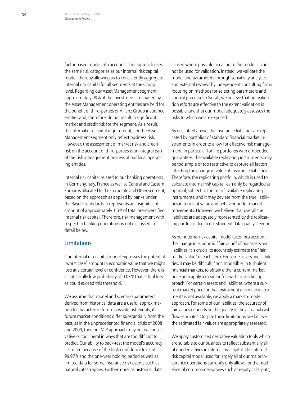factor based model into account. This approach uses the same risk categories as our internal risk capital model, thereby allowing us to consistently aggregate internal risk capital for all segments at the Group level. Regarding our Asset Management segment, approximately 99% of the investments managed by the Asset Management operating entities are held for the benefit of third-parties or Allianz Group insurance entities and, therefore, do not result in significant market and credit risk for the segment. As a result, the internal risk capital requirements for the Asset Management segment only reflect business risk. However, the assessment of market risk and credit risk on the account of third-parties is an integral part of the risk management process of our local operating entities.

Internal risk capital related to our banking operations in Germany, Italy, France as well as Central and Eastern Europe is allocated to the Corporate and Other segment, based on the approach as applied by banks under the Basel II standards. It represents an insignificant amount of approximately 1.6% of total pre-diversified internal risk capital. Therefore, risk management with respect to banking operations is not discussed in detail below.

## **Limitations**

Our internal risk capital model expresses the potential "worst case" amount in economic value that we might lose at a certain level of confidence. However, there is a statistically low probability of 0.03% that actual losses could exceed this threshold.

We assume that model and scenario parameters derived from historical data are a useful approximation to characterize future possible risk events; if future market conditions differ substantially from the past, as in the unprecedented financial crisis of 2008 and 2009, then our VaR approach may be too conservative or too liberal in ways that are too difficult to predict. Our ability to back-test the model's accuracy is limited because of the high confidence level of 99.97% and the one-year holding period as well as limited data for some insurance risk events such as natural catastrophes. Furthermore, as historical data

is used where possible to calibrate the model, it cannot be used for validation. Instead, we validate the model and parameters through sensitivity analyses and external reviews by independent consulting firms focusing on methods for selecting parameters and control processes. Overall, we believe that our validation efforts are effective to the extent validation is possible, and that our model adequately assesses the risks to which we are exposed.

As described above, the insurance liabilities are replicated by portfolios of standard financial market instruments in order to allow for effective risk management. In particular for life portfolios with embedded guarantees, the available replicating instruments may be too simple or too restrictive to capture all factors affecting the change in value of insurance liabilities. Therefore, the replicating portfolio, which is used to calculate internal risk capital, can only be regarded as optimal, subject to the set of available replicating instruments, and it may deviate from the true liabilities in terms of value and behavior under market movements. However, we believe that overall the liabilities are adequately represented by the replicating portfolios due to our stringent data quality steering.

As our internal risk capital model takes into account the change in economic "fair value" of our assets and liabilities, it is crucial to accurately estimate the "fair market value" of each item. For some assets and liabilities, it may be difficult if not impossible, in turbulent financial markets, to obtain either a current market price or to apply a meaningful mark-to-market approach. For certain assets and liabilities, where a current market price for that instrument or similar instruments is not available, we apply a mark-to-model approach. For some of our liabilities, the accuracy of fair values depends on the quality of the actuarial cash flow estimates. Despite these limitations, we believe the estimated fair values are appropriately assessed.

We apply customized derivative valuation tools which are suitable to our business to reflect substantially all of our derivatives in internal risk capital. The internal risk capital model used for largely all of our major insurance operations currently only allows for the modeling of common derivatives such as equity calls, puts,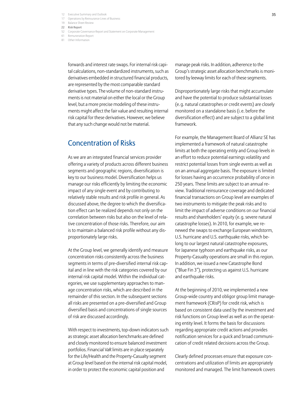12 Executive Summary and Outlook 35

- 17 Operations by Reinsurance Lines of Business
- 19 Balance Sheet Review

22 Risk Report

- 52 Corporate Governance Report and Statement on Corporate Management
- 61 Remuneration Report
- 81 Other Information

forwards and interest rate swaps. For internal risk capital calculations, non-standardized instruments, such as derivatives embedded in structured financial products, are represented by the most comparable standard derivative types. The volume of non-standard instruments is not material on either the local or the Group level, but a more precise modeling of these instruments might affect the fair value and resulting internal risk capital for these derivatives. However, we believe that any such change would not be material.

# Concentration of Risks

As we are an integrated financial services provider offering a variety of products across different business segments and geographic regions, diversification is key to our business model. Diversification helps us manage our risks efficiently by limiting the economic impact of any single event and by contributing to relatively stable results and risk profile in general. As discussed above, the degree to which the diversification effect can be realized depends not only on the correlation between risks but also on the level of relative concentration of those risks. Therefore, our aim is to maintain a balanced risk profile without any disproportionately large risks.

At the Group level, we generally identify and measure concentration risks consistently across the business segments in terms of pre-diversified internal risk capital and in line with the risk categories covered by our internal risk capital model. Within the individual categories, we use supplementary approaches to manage concentration risks, which are described in the remainder of this section. In the subsequent sections all risks are presented on a pre-diversified and Group diversified basis and concentrations of single sources of risk are discussed accordingly.

With respect to investments, top-down indicators such as strategic asset allocation benchmarks are defined and closely monitored to ensure balanced investment portfolios. Financial VaR limits are in place separately for the Life/Health and the Property-Casualty segment at Group level based on the internal risk capital model, in order to protect the economic capital position and

manage peak risks. In addition, adherence to the Group's strategic asset allocation benchmarks is monitored by leeway limits for each of these segments.

Disproportionately large risks that might accumulate and have the potential to produce substantial losses (e. g. natural catastrophes or credit events) are closely monitored on a standalone basis (i. e. before the diversification effect) and are subject to a global limit framework.

For example, the Management Board of Allianz SE has implemented a framework of natural catastrophe limits at both the operating entity and Group levels in an effort to reduce potential earnings volatility and restrict potential losses from single events as well as on an annual aggregate basis. The exposure is limited for losses having an occurrence probability of once in 250 years. These limits are subject to an annual review. Traditional reinsurance coverage and dedicated financial transactions on Group level are examples of two instruments to mitigate the peak risks and to limit the impact of adverse conditions on our financial results and shareholders' equity (e. g. severe natural catastrophe losses). In 2010, for example, we renewed the swaps to exchange European windstorm, U.S. hurricane and U.S. earthquake risks, which belong to our largest natural catastrophe exposures, for Japanese typhoon and earthquake risks, as our Property-Casualty operations are small in this region. In addition, we issued a new Catastrophe Bond ("Blue Fin 3"), protecting us against U.S. hurricane and earthquake risks.

At the beginning of 2010, we implemented a new Group-wide country and obligor group limit management framework (CRisP) for credit risk, which is based on consistent data used by the investment and risk functions on Group level as well as on the operating entity level. It forms the basis for discussions regarding appropriate credit actions and provides notification services for a quick and broad communication of credit related decisions across the Group.

Clearly defined processes ensure that exposure concentrations and utilization of limits are appropriately monitored and managed. The limit framework covers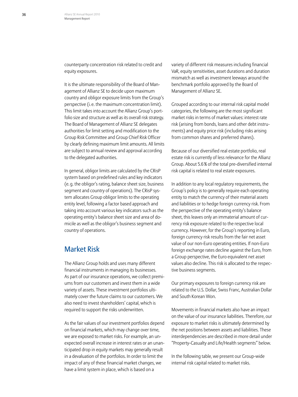counterparty concentration risk related to credit and equity exposures.

It is the ultimate responsibility of the Board of Management of Allianz SE to decide upon maximum country and obligor exposure limits from the Group's perspective (i. e. the maximum concentration limit). This limit takes into account the Allianz Group's portfolio size and structure as well as its overall risk strategy. The Board of Management of Allianz SE delegates authorities for limit setting and modification to the Group Risk Committee and Group Chief Risk Officer by clearly defining maximum limit amounts. All limits are subject to annual review and approval according to the delegated authorities.

In general, obligor limits are calculated by the CRisP system based on predefined rules and key indicators (e. g. the obligor's rating, balance sheet size, business segment and country of operations). The CRisP system allocates Group obligor limits to the operating entity level, following a factor based approach and taking into account various key indicators such as the operating entity's balance sheet size and area of domicile as well as the obligor's business segment and country of operations.

# Market Risk

The Allianz Group holds and uses many different financial instruments in managing its businesses. As part of our insurance operations, we collect premiums from our customers and invest them in a wide variety of assets. These investment portfolios ultimately cover the future claims to our customers. We also need to invest shareholders' capital, which is required to support the risks underwritten.

As the fair values of our investment portfolios depend on financial markets, which may change over time, we are exposed to market risks. For example, an unexpected overall increase in interest rates or an unanticipated drop in equity markets may generally result in a devaluation of the portfolios. In order to limit the impact of any of these financial market changes, we have a limit system in place, which is based on a

variety of different risk measures including financial VaR, equity sensitivities, asset durations and duration mismatch as well as investment leeways around the benchmark portfolio approved by the Board of Management of Allianz SE.

Grouped according to our internal risk capital model categories, the following are the most significant market risks in terms of market values: interest rate risk (arising from bonds, loans and other debt instruments) and equity price risk (including risks arising from common shares and preferred shares).

Because of our diversified real estate portfolio, real estate risk is currently of less relevance for the Allianz Group. About 5.6% of the total pre-diversified internal risk capital is related to real estate exposures.

In addition to any local regulatory requirements, the Group's policy is to generally require each operating entity to match the currency of their material assets and liabilities or to hedge foreign currency risk. From the perspective of the operating entity's balance sheet, this leaves only an immaterial amount of currency risk exposure related to the respective local currency. However, for the Group's reporting in Euro, foreign currency risk results from the fair net asset value of our non-Euro operating entities. If non-Euro foreign exchange rates decline against the Euro, from a Group perspective, the Euro equivalent net asset values also decline. This risk is allocated to the respective business segments.

Our primary exposures to foreign currency risk are related to the U.S. Dollar, Swiss Franc, Australian Dollar and South Korean Won.

Movements in financial markets also have an impact on the value of our insurance liabilities. Therefore, our exposure to market risks is ultimately determined by the net positions between assets and liabilities. These interdependencies are described in more detail under "Property-Casualty and Life/Health segments" below.

In the following table, we present our Group-wide internal risk capital related to market risks.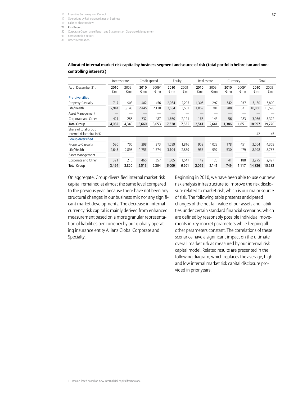- 17 Operations by Reinsurance Lines of Business
- 19 Balance Sheet Review
- 22 Risk Report
- 52 Corporate Governance Report and Statement on Corporate Management

61 Remuneration Report

81 Other Information

|                                                    | Interest rate |               | Credit spread |               | Equity      |               |              | Real estate         | Currency     |              |              | Total         |
|----------------------------------------------------|---------------|---------------|---------------|---------------|-------------|---------------|--------------|---------------------|--------------|--------------|--------------|---------------|
| As of December 31,                                 | 2010<br>€ mn  | 20091<br>€ mn | 2010<br>€mn   | 20091<br>€ mn | 2010<br>€mn | 20091<br>€ mn | 2010<br>€ mn | 20091<br>$\n  mn\n$ | 2010<br>€ mn | 20091<br>€mn | 2010<br>€ mn | 20091<br>€ mn |
| <b>Pre-diversified</b>                             |               |               |               |               |             |               |              |                     |              |              |              |               |
| Property-Casualty                                  | 717           | 903           | 482           | 456           | 2,084       | 2,207         | 1,305        | 1,297               | 542          | 937          | 5,130        | 5,800         |
| Life/Health                                        | 2,944         | 3,148         | 2,445         | 2,110         | 3,584       | 3,507         | 1,069        | 1,201               | 788          | 631          | 10,830       | 10,598        |
| Asset Management                                   |               |               |               |               |             |               |              |                     |              |              |              |               |
| Corporate and Other                                | 421           | 288           | 732           | 487           | 1,660       | 2,121         | 166          | 143                 | 56           | 283          | 3,036        | 3,322         |
| <b>Total Group</b>                                 | 4,082         | 4,340         | 3,660         | 3,053         | 7,328       | 7,835         | 2,541        | 2,641               | 1,386        | 1,851        | 18,997       | 19,720        |
| Share of total Group<br>internal risk capital in % |               |               |               |               |             |               |              |                     |              |              | 42           | 45            |
| <b>Group diversified</b>                           |               |               |               |               |             |               |              |                     |              |              |              |               |
| Property-Casualty                                  | 530           | 706           | 298           | 373           | 1,599       | 1,816         | 958          | 1,023               | 178          | 451          | 3,564        | 4,369         |
| Life/Health                                        | 2,643         | 2,898         | 1,756         | 1,574         | 3,104       | 2,839         | 965          | 997                 | 530          | 479          | 8,998        | 8,787         |
| Asset Management                                   |               |               |               |               |             |               |              |                     |              |              |              |               |
| Corporate and Other                                | 321           | 216           | 466           | 357           | 1,305       | 1,547         | 142          | 120                 | 41           | 188          | 2,275        | 2,427         |
| <b>Total Group</b>                                 | 3,494         | 3,820         | 2,519         | 2,304         | 6,009       | 6,201         | 2,065        | 2,141               | 749          | 1,117        | 14,836       | 15,582        |

### **Allocated internal market risk capital by business segment and source of risk (total portfolio before tax and noncontrolling interests)**

On aggregate, Group diversified internal market risk capital remained at almost the same level compared to the previous year, because there have not been any structural changes in our business mix nor any significant market developments. The decrease in internal currency risk capital is mainly derived from enhanced measurement based on a more granular representation of liabilities per currency by our globally operating insurance entity Allianz Global Corporate and Specialty.

Beginning in 2010, we have been able to use our new risk analysis infrastructure to improve the risk disclosure related to market risk, which is our major source of risk. The following table presents anticipated changes of the net fair value of our assets and liabilities under certain standard financial scenarios, which are defined by reasonably possible individual movements in key market parameters while keeping all other parameters constant. The correlations of these scenarios have a significant impact on the ultimate overall market risk as measured by our internal risk capital model. Related results are presented in the following diagram, which replaces the average, high and low internal market risk capital disclosure provided in prior years.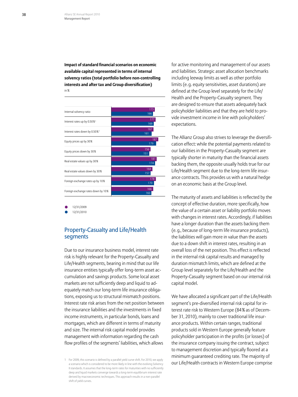**Impact of standard financial scenarios on economic available capital represented in terms of internal solvency ratios (total portfolio before non-controlling interests and after tax and Group diversification)** in %

| Internal solvency ratio                   | 173<br>166 |
|-------------------------------------------|------------|
| Interest rates up by 0.50% <sup>1</sup>   | 177<br>169 |
| Interest rates down by 0.50% <sup>1</sup> | 167<br>161 |
| Equity prices up by 30%                   | 187<br>179 |
| Equity prices down by 30%                 | 156<br>151 |
| Real estate values up by 30%              | 181<br>174 |
| Real estate values down by 30%            | 164<br>157 |
| Foreign exchange rates up by 10%          | 178<br>170 |
| Foreign exchange rates down by 10%        | 166<br>160 |

12/31/2009

12/31/2010

# Property-Casualty and Life/Health segments

Due to our insurance business model, interest rate risk is highly relevant for the Property-Casualty and Life/Health segments, bearing in mind that our life insurance entities typically offer long-term asset accumulation and savings products. Some local asset markets are not sufficiently deep and liquid to adequately match our long-term life insurance obligations, exposing us to structural mismatch positions. Interest rate risk arises from the net position between the insurance liabilities and the investments in fixed income instruments, in particular bonds, loans and mortgages, which are different in terms of maturity and size. The internal risk capital model provides management with information regarding the cash flow profiles of the segments' liabilities, which allows

for active monitoring and management of our assets and liabilities. Strategic asset allocation benchmarks including leeway limits as well as other portfolio limits (e. g. equity sensitivities, asset durations) are defined at the Group level separately for the Life/ Health and the Property-Casualty segment. They are designed to ensure that assets adequately back policyholder liabilities and that they are held to provide investment income in line with policyholders' expectations.

The Allianz Group also strives to leverage the diversification effect: while the potential payments related to our liabilities in the Property-Casualty segment are typically shorter in maturity than the financial assets backing them, the opposite usually holds true for our Life/Health segment due to the long-term life insurance contracts. This provides us with a natural hedge on an economic basis at the Group level.

The maturity of assets and liabilities is reflected by the concept of effective duration, more specifically, how the value of a certain asset or liability portfolio moves with changes in interest rates. Accordingly, if liabilities have a longer duration than the assets backing them (e. g., because of long-term life insurance products), the liabilities will gain more in value than the assets due to a down shift in interest rates, resulting in an overall loss of the net position. This effect is reflected in the internal risk capital results and managed by duration mismatch limits, which are defined at the Group level separately for the Life/Health and the Property-Casualty segment based on our internal risk capital model.

We have allocated a significant part of the Life/Health segment's pre-diversified internal risk capital for interest rate risk to Western Europe (84% as of December 31, 2010), mainly to cover traditional life insurance products. Within certain ranges, traditional products sold in Western Europe generally feature policyholder participation in the profits (or losses) of the insurance company issuing the contract, subject to management discretion and typically floored at a minimum guaranteed crediting rate. The majority of our Life/Health contracts in Western Europe comprise

<sup>1</sup> For 2009, this scenario is defined by a parallel yield curve shift. For 2010, we apply a scenario which is considered to be more likely in line with the evolving Solvency II standards. It assumes that the long-term rates for maturities with no sufficiently deep and liquid markets converge towards a long-term equilibrium interest rate derived by macroeconomic techniques. This approach results in a non-parallel shift of yield curves.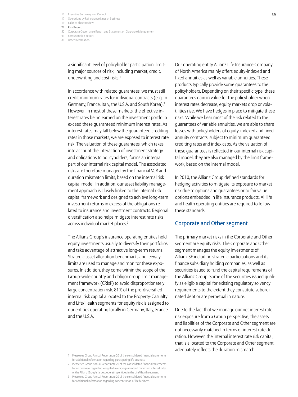12 Executive Summary and Outlook 39

17 Operations by Reinsurance Lines of Business

19 Balance Sheet Review

22 Risk Report

52 Corporate Governance Report and Statement on Corporate Management

61 Remuneration Report

81 Other Information

a significant level of policyholder participation, limiting major sources of risk, including market, credit, underwriting and cost risks.<sup>1</sup>

In accordance with related guarantees, we must still credit minimum rates for individual contracts (e. g. in Germany, France, Italy, the U.S.A. and South Korea).2 However, in most of these markets, the effective interest rates being earned on the investment portfolio exceed these guaranteed minimum interest rates. As interest rates may fall below the guaranteed crediting rates in those markets, we are exposed to interest rate risk. The valuation of these guarantees, which takes into account the interaction of investment strategy and obligations to policyholders, forms an integral part of our internal risk capital model. The associated risks are therefore managed by the financial VaR and duration mismatch limits, based on the internal risk capital model. In addition, our asset liability management approach is closely linked to the internal risk capital framework and designed to achieve long-term investment returns in excess of the obligations related to insurance and investment contracts. Regional diversification also helps mitigate interest rate risks across individual market places.3

The Allianz Group's insurance operating entities hold equity investments usually to diversify their portfolios and take advantage of attractive long-term returns. Strategic asset allocation benchmarks and leeway limits are used to manage and monitor these exposures. In addition, they come within the scope of the Group-wide country and obligor group limit management framework (CRisP) to avoid disproportionately large concentration risk. 81% of the pre-diversified internal risk capital allocated to the Property-Casualty and Life/Health segments for equity risk is assigned to our entities operating locally in Germany, Italy, France and the U.S.A.

Our operating entity Allianz Life Insurance Company of North America mainly offers equity-indexed and fixed annuities as well as variable annuities. These products typically provide some guarantees to the policyholders. Depending on their specific type, these guarantees gain in value for the policyholder when interest rates decrease, equity markets drop or volatilities rise. We have hedges in place to mitigate these risks. While we bear most of the risk related to the guarantees of variable annuities, we are able to share losses with policyholders of equity-indexed and fixed annuity contracts, subject to minimum guaranteed crediting rates and index caps. As the valuation of these guarantees is reflected in our internal risk capital model, they are also managed by the limit framework, based on the internal model.

In 2010, the Allianz Group defined standards for hedging activities to mitigate its exposure to market risk due to options and guarantees or to fair value options embedded in life insurance products. All life and health operating entities are required to follow these standards.

# Corporate and Other segment

The primary market risks in the Corporate and Other segment are equity risks. The Corporate and Other segment manages the equity investments of Allianz SE including strategic participations and its finance subsidiary holding companies, as well as securities issued to fund the capital requirements of the Allianz Group. Some of the securities issued qualify as eligible capital for existing regulatory solvency requirements to the extent they constitute subordinated debt or are perpetual in nature.

Due to the fact that we manage our net interest rate risk exposure from a Group perspective, the assets and liabilities of the Corporate and Other segment are not necessarily matched in terms of interest rate duration. However, the internal interest rate risk capital, that is allocated to the Corporate and Other segment, adequately reflects the duration mismatch.

<sup>1</sup> Please see Group Annual Report note 20 of the consolidated financial statements for additional information regarding participating life business.

<sup>2</sup> Please see Group Annual Report note 20 of the consolidated financial statements for an overview regarding weighted average guaranteed minimum interest rates of the Allianz Group's largest operating entities in the Life/Health segment.

<sup>3</sup> Please see Group Annual Report note 20 of the consolidated financial statements for additional information regarding concentration of life business.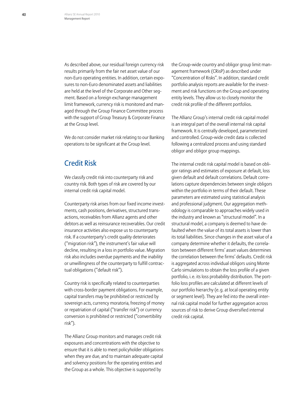As described above, our residual foreign currency risk results primarily from the fair net asset value of our non-Euro operating entities. In addition, certain exposures to non-Euro denominated assets and liabilities are held at the level of the Corporate and Other segment. Based on a foreign exchange management limit framework, currency risk is monitored and managed through the Group Finance Committee process with the support of Group Treasury & Corporate Finance at the Group level.

We do not consider market risk relating to our Banking operations to be significant at the Group level.

# Credit Risk

We classify credit risk into counterparty risk and country risk. Both types of risk are covered by our internal credit risk capital model.

Counterparty risk arises from our fixed income investments, cash positions, derivatives, structured transactions, receivables from Allianz agents and other debtors as well as reinsurance recoverables. Our credit insurance activities also expose us to counterparty risk. If a counterparty's credit quality deteriorates ("migration risk"), the instrument's fair value will decline, resulting in a loss in portfolio value. Migration risk also includes overdue payments and the inability or unwillingness of the counterparty to fulfill contractual obligations ("default risk").

Country risk is specifically related to counterparties with cross-border payment obligations. For example, capital transfers may be prohibited or restricted by sovereign acts, currency moratoria, freezing of money or repatriation of capital ("transfer risk") or currency conversion is prohibited or restricted ("convertibility risk").

The Allianz Group monitors and manages credit risk exposures and concentrations with the objective to ensure that it is able to meet policyholder obligations when they are due, and to maintain adequate capital and solvency positions for the operating entities and the Group as a whole. This objective is supported by

the Group-wide country and obligor group limit management framework (CRisP) as described under "Concentration of Risks". In addition, standard credit portfolio analysis reports are available for the investment and risk functions on the Group and operating entity levels. They allow us to closely monitor the credit risk profile of the different portfolios.

The Allianz Group's internal credit risk capital model is an integral part of the overall internal risk capital framework. It is centrally developed, parameterized and controlled. Group-wide credit data is collected following a centralized process and using standard obligor and obligor group mappings.

The internal credit risk capital model is based on obligor ratings and estimates of exposure at default, loss given default and default correlations. Default correlations capture dependencies between single obligors within the portfolio in terms of their default. These parameters are estimated using statistical analysis and professional judgment. Our aggregation methodology is comparable to approaches widely used in the industry and known as "structural model". In a structural model, a company is deemed to have defaulted when the value of its total assets is lower than its total liabilities. Since changes in the asset value of a company determine whether it defaults, the correlation between different firms' asset values determines the correlation between the firms' defaults. Credit risk is aggregated across individual obligors using Monte Carlo simulations to obtain the loss profile of a given portfolio, i. e. its loss probability distribution. The portfolio loss profiles are calculated at different levels of our portfolio hierarchy (e. g. at local operating entity or segment level). They are fed into the overall internal risk capital model for further aggregation across sources of risk to derive Group diversified internal credit risk capital.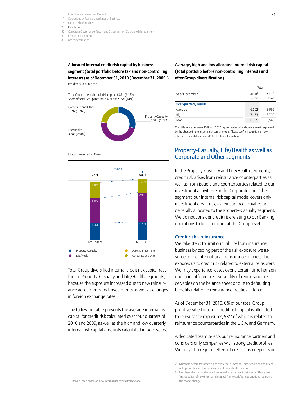12 Executive Summary and Outlook 41<br>17 Operations by Reinsurance Lines of Business

- 17 Operations by Reinsurance Lines of Business
- 19 Balance Sheet Review
- 22 Risk Report
- 52 Corporate Governance Report and Statement on Corporate Management
- 61 Remuneration Report
- 81 Other Information

**Allocated internal credit risk capital by business segment (total portfolio before tax and non-controlling interests) as of December 31, 2010 (December 31, 20091 )** Pre-diversified, in € mn

Total Group internal credit risk capital: 6,871 (6,152) Share of total Group internal risk capital: 15% (14%)



Group diversified, in € mn



Total Group diversified internal credit risk capital rose for the Property-Casualty and Life/Health segments, because the exposure increased due to new reinsurance agreements and investments as well as changes in foreign exchange rates.

The following table presents the average internal risk capital for credit risk calculated over four quarters of 2010 and 2009, as well as the high and low quarterly internal risk capital amounts calculated in both years. **Average, high and low allocated internal risk capital (total portfolio before non-controlling interests and after Group diversification)**

|                        | Total                    |               |
|------------------------|--------------------------|---------------|
| As of December 31,     | 2010 <sup>2</sup><br>€mn | 20093<br>€ mn |
| Over quarterly results |                          |               |
| Average                | 6,602                    | 3,692         |
| High                   | 7,153                    | 3,792         |
| Low                    | 6,099                    | 3.549         |

The difference between 2009 and 2010 figures in the table shown above is explained by the change in the internal risk capital model. Please see "Introduction of new internal risk capital framework" for further information.

# Property-Casualty, Life/Health as well as Corporate and Other segments

In the Property-Casualty and Life/Health segments, credit risk arises from reinsurance counterparties as well as from issuers and counterparties related to our investment activities. For the Corporate and Other segment, our internal risk capital model covers only investment credit risk, as reinsurance activities are generally allocated to the Property-Casualty segment. We do not consider credit risk relating to our Banking operations to be significant at the Group level.

### **Credit risk – reinsurance**

We take steps to limit our liability from insurance business by ceding part of the risk exposure we assume to the international reinsurance market. This exposes us to credit risk related to external reinsurers. We may experience losses over a certain time horizon due to insufficient recoverability of reinsurance receivables on the balance sheet or due to defaulting benefits related to reinsurance treaties in force.

As of December 31, 2010, 6% of our total Group pre-diversified internal credit risk capital is allocated to reinsurance exposures, 58% of which is related to reinsurance counterparties in the U.S.A. and Germany.

A dedicated team selects our reinsurance partners and considers only companies with strong credit profiles. We may also require letters of credit, cash deposits or

2 Numbers before tax based on new internal risk capital framework and consistent with presentation of internal credit risk capital in this section.

<sup>3</sup> Numbers after tax as disclosed under old internal credit risk model. Please see "Introduction of new internal risk capital framework" for explanations regarding the model change.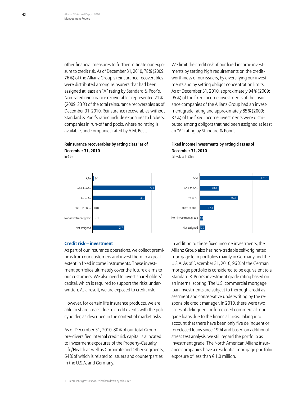other financial measures to further mitigate our exposure to credit risk. As of December 31, 2010, 78% (2009: 76%) of the Allianz Group's reinsurance recoverables were distributed among reinsurers that had been assigned at least an "A" rating by Standard & Poor's. Non-rated reinsurance recoverables represented 21% (2009: 23%) of the total reinsurance recoverables as of December 31, 2010. Reinsurance recoverables without Standard & Poor's rating include exposures to brokers, companies in run-off and pools, where no rating is available, and companies rated by A.M. Best.

We limit the credit risk of our fixed income investments by setting high requirements on the creditworthiness of our issuers, by diversifying our investments and by setting obligor concentration limits. As of December 31, 2010, approximately 94% (2009: 95%) of the fixed income investments of the insurance companies of the Allianz Group had an investment grade rating and approximately 85% (2009: 87%) of the fixed income investments were distributed among obligors that had been assigned at least an "A" rating by Standard & Poor's.

Reinsurance recoverables by rating class<sup>1</sup> as of **December 31, 2010**

in € bn



### **Credit risk – investment**

As part of our insurance operations, we collect premiums from our customers and invest them to a great extent in fixed income instruments. These investment portfolios ultimately cover the future claims to our customers. We also need to invest shareholders' capital, which is required to support the risks underwritten. As a result, we are exposed to credit risk.

However, for certain life insurance products, we are able to share losses due to credit events with the policyholder, as described in the context of market risks.

As of December 31, 2010, 80% of our total Group pre-diversified internal credit risk capital is allocated to investment exposures of the Property-Casualty, Life/Health as well as Corporate and Other segments, 64% of which is related to issuers and counterparties in the U.S.A. and Germany.

## **Fixed income investments by rating class as of December 31, 2010**

fair values in € bn



In addition to these fixed income investments, the Allianz Group also has non-tradable self-originated mortgage loan portfolios mainly in Germany and the U.S.A. As of December 31, 2010, 96% of the German mortgage portfolio is considered to be equivalent to a Standard & Poor's investment grade rating based on an internal scoring. The U.S. commercial mortgage loan investments are subject to thorough credit assessment and conservative underwriting by the responsible credit manager. In 2010, there were two cases of delinquent or foreclosed commercial mortgage loans due to the financial crisis. Taking into account that there have been only five delinquent or foreclosed loans since 1994 and based on additional stress test analysis, we still regard the portfolio as investment grade. The North American Allianz insurance companies have a residential mortgage portfolio exposure of less than € 1.0 million.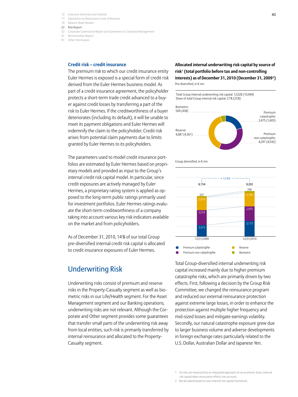- 12 Executive Summary and Outlook 43<br>17 Operations by Reinsurance Lines of Business
- 17 Operations by Reinsurance Lines of Business
- 19 Balance Sheet Review
- 22 Risk Report
- 52 Corporate Governance Report and Statement on Corporate Management
- 61 Remuneration Report
- 81 Other Information

### **Credit risk – credit insurance**

The premium risk to which our credit insurance entity Euler Hermes is exposed is a special form of credit risk derived from the Euler Hermes business model. As part of a credit insurance agreement, the policyholder protects a short-term trade credit advanced to a buyer against credit losses by transferring a part of the risk to Euler Hermes. If the creditworthiness of a buyer deteriorates (including its default), it will be unable to meet its payment obligations and Euler Hermes will indemnify the claim to the policyholder. Credit risk arises from potential claim payments due to limits granted by Euler Hermes to its policyholders.

The parameters used to model credit insurance portfolios are estimated by Euler Hermes based on proprietary models and provided as input to the Group's internal credit risk capital model. In particular, since credit exposures are actively managed by Euler Hermes, a proprietary rating system is applied as opposed to the long-term public ratings primarily used for investment portfolios. Euler Hermes ratings evaluate the short-term creditworthiness of a company taking into account various key risk indicators available on the market and from policyholders.

As of December 31, 2010, 14% of our total Group pre-diversified internal credit risk capital is allocated to credit insurance exposures of Euler Hermes.

# Underwriting Risk

Underwriting risks consist of premium and reserve risks in the Property-Casualty segment as well as biometric risks in our Life/Health segment. For the Asset Management segment and our Banking operations, underwriting risks are not relevant. Although the Corporate and Other segment provides some guarantees that transfer small parts of the underwriting risk away from local entities, such risk is primarily transferred by internal reinsurance and allocated to the Property-Casualty segment.

**Allocated internal underwriting risk capital by source of risk1 (total portfolio before tax and non-controlling interests) as of December 31, 2010 (December 31, 20092 )** Pre-diversified, in € mn



Group diversified, in € mn



Total Group-diversified internal underwriting risk capital increased mainly due to higher premium catastrophe risks, which are primarily driven by two effects. First, following a decision by the Group Risk Committee, we changed the reinsurance program and reduced our external reinsurance protection against extreme large losses, in order to enhance the protection against multiple higher frequency and mid-sized losses and mitigate earnings volatility. Secondly, our natural catastrophe exposure grew due to larger business volume and adverse developments in foreign exchange rates particularly related to the U.S. Dollar, Australian Dollar and Japanese Yen.

risk capital takes reinsurance effects into account.

<sup>1</sup> As risks are measured by an integrated approach on an economic basis, internal

<sup>2</sup> Recalculated based on new internal risk capital framework.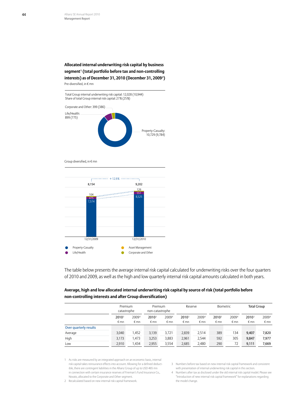**Allocated internal underwriting risk capital by business segment1 (total portfolio before tax and non-controlling interests) as of December 31, 2010 (December 31, 20092 )** Pre-diversified, in € mn



Group diversified, in € mn



The table below presents the average internal risk capital calculated for underwriting risks over the four quarters of 2010 and 2009, as well as the high and low quarterly internal risk capital amounts calculated in both years.

## **Average, high and low allocated internal underwriting risk capital by source of risk (total portfolio before non-controlling interests and after Group diversification)**

|                        | Premium<br>catastrophe    |               | Premium<br>non-catastrophe |               | Reserve                   |               | Biometric                 |               | <b>Total Group</b> |              |
|------------------------|---------------------------|---------------|----------------------------|---------------|---------------------------|---------------|---------------------------|---------------|--------------------|--------------|
|                        | 2010 <sup>3</sup><br>€ mn | 20094<br>€ mn | 20103<br>€ mn              | 20094<br>€ mn | 2010 <sup>3</sup><br>€ mn | 20094<br>€ mn | 2010 <sup>3</sup><br>€ mn | 20094<br>€ mn | 2010<br>€ mn       | 20094<br>€mn |
| Over quarterly results |                           |               |                            |               |                           |               |                           |               |                    |              |
| Average                | 3.040                     | 1.452         | 3,139                      | 3.721         | 2,839                     | 2,514         | 389                       | 134           | 9.407              | 7,820        |
| High                   | 3,173                     | 1.473         | 3.253                      | 3,883         | 2,961                     | 2,544         | 592                       | 305           | 9.847              | 7,977        |
| Low                    | 2,910                     | 1,434         | 2,955                      | 3,554         | 2,685                     | 2,480         | 290                       | 72            | 9,111              | 7,669        |

1 As risks are measured by an integrated approach on an economic basis, internal risk capital takes reinsurance effects into account. Allowing for a defined deductible, there are contingent liabilities in the Allianz Group of up to USD 465 mn in connection with certain insurance reserves of Fireman's Fund Insurance Co., Novato, allocated to the Corporate and Other segment.

2 Recalculated based on new internal risk capital framework.

3 Numbers before tax based on new internal risk capital framework and consistent with presentation of internal underwriting risk capital in this section.

4 Numbers after tax as disclosed under the old internal risk capital model. Please see "Introduction of new internal risk capital framework" for explanations regarding the model change.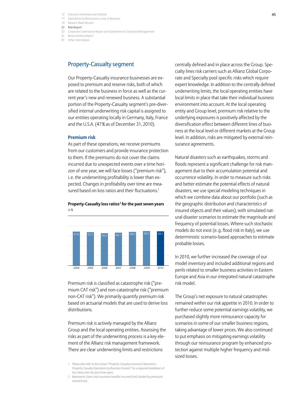- 12 Executive Summary and Outlook 45<br>17 Operations by Reinsurance Lines of Business
- 17 Operations by Reinsurance Lines of Business
- 19 Balance Sheet Review
- 22 Risk Report
- 52 Corporate Governance Report and Statement on Corporate Management
- 61 Remuneration Report
- 81 Other Information

# Property-Casualty segment

Our Property-Casualty insurance businesses are exposed to premium and reserve risks, both of which are related to the business in force as well as the current year's new and renewed business. A substantial portion of the Property-Casualty segment's pre-diversified internal underwriting risk capital is assigned to our entities operating locally in Germany, Italy, France and the U.S.A. (47% as of December 31, 2010).

### **Premium risk**

As part of these operations, we receive premiums from our customers and provide insurance protection to them. If the premiums do not cover the claims incurred due to unexpected events over a time horizon of one year, we will face losses ("premium risk"), i. e. the underwriting profitability is lower than expected. Changes in profitability over time are measured based on loss ratios and their fluctuations.<sup>1</sup>

Property-Casualty loss ratios<sup>2</sup> for the past seven years in %



Premium risk is classified as catastrophe risk ("premium CAT risk") and non-catastrophe risk ("premium non-CAT risk"). We primarily quantify premium risk based on actuarial models that are used to derive loss distributions.

Premium risk is actively managed by the Allianz Group and the local operating entities. Assessing the risks as part of the underwriting process is a key element of the Allianz risk management framework. There are clear underwriting limits and restrictions

centrally defined and in place across the Group. Specialty lines risk carriers such as Allianz Global Corporate and Specialty pool specific risks which require expert knowledge. In addition to the centrally defined underwriting limits, the local operating entities have local limits in place that take their individual business environment into account. At the local operating entity and Group level, premium risk relative to the underlying exposures is positively affected by the diversification effect between different lines of business at the local level or different markets at the Group level. In addition, risks are mitigated by external reinsurance agreements.

Natural disasters such as earthquakes, storms and floods represent a significant challenge for risk management due to their accumulation potential and occurrence volatility. In order to measure such risks and better estimate the potential effects of natural disasters, we use special modeling techniques in which we combine data about our portfolio (such as the geographic distribution and characteristics of insured objects and their values), with simulated natural disaster scenarios to estimate the magnitude and frequency of potential losses. Where such stochastic models do not exist (e. g. flood risk in Italy), we use deterministic scenario-based approaches to estimate probable losses.

In 2010, we further increased the coverage of our model inventory and included additional regions and perils related to smaller business activities in Eastern Europe and Asia in our integrated natural catastrophe risk model.

The Group's net exposure to natural catastrophes remained within our risk appetite in 2010. In order to further reduce some potential earnings volatility, we purchased slightly more reinsurance capacity for scenarios in some of our smaller business regions, taking advantage of lower prices. We also continued to put emphasis on mitigating earnings volatility through our reinsurance program by enhanced protection against multiple higher frequency and midsized losses.

<sup>1</sup> Please also refer to the section "Property-Casualty Insurance Operations – Property-Casualty Operations by Business Division" for a regional breakdown of loss ratios over the past three years.

<sup>2</sup> Represents claims and insurance benefits incurred (net) divided by premiums earned (net).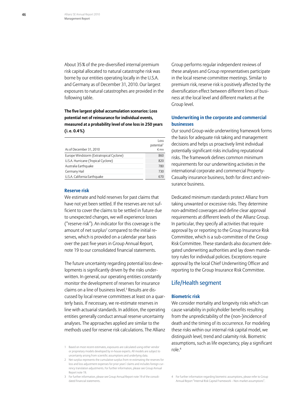About 35% of the pre-diversified internal premium risk capital allocated to natural catastrophe risk was borne by our entities operating locally in the U.S.A. and Germany as of December 31, 2010. Our largest exposures to natural catastrophes are provided in the following table.

# **The five largest global accumulation scenarios: Loss potential net of reinsurance for individual events, measured at a probability level of one loss in 250 years (i.e. 0.4%)**

| As of December 31, 2010                  | Loss<br>potential <sup>1</sup><br>€ mn |
|------------------------------------------|----------------------------------------|
| Europe Windstorm (Extratropical Cyclone) | 860                                    |
| U.S.A. Hurricane (Tropical Cyclone)      | 820                                    |
| Australia Earthquake                     | 780                                    |
| Germany Hail                             | 730                                    |
| U.S.A. California Earthquake             | 670                                    |

### **Reserve risk**

We estimate and hold reserves for past claims that have not yet been settled. If the reserves are not sufficient to cover the claims to be settled in future due to unexpected changes, we will experience losses ("reserve risk"). An indicator for this coverage is the amount of net surplus<sup>2</sup> compared to the initial reserves, which is provided on a calendar year basis over the past five years in Group Annual Report, note 19 to our consolidated financial statements.

The future uncertainty regarding potential loss developments is significantly driven by the risks underwritten. In general, our operating entities constantly monitor the development of reserves for insurance claims on a line of business level.<sup>3</sup> Results are discussed by local reserve committees at least on a quarterly basis. If necessary, we re-estimate reserves in line with actuarial standards. In addition, the operating entities generally conduct annual reserve uncertainty analyses. The approaches applied are similar to the methods used for reserve risk calculations. The Allianz

Group performs regular independent reviews of these analyses and Group representatives participate in the local reserve committee meetings. Similar to premium risk, reserve risk is positively affected by the diversification effect between different lines of business at the local level and different markets at the Group level.

## **Underwriting in the corporate and commercial businesses**

Our sound Group-wide underwriting framework forms the basis for adequate risk taking and management decisions and helps us proactively limit individual potentially significant risks including reputational risks. The framework defines common minimum requirements for our underwriting activities in the international corporate and commercial Property-Casualty insurance business, both for direct and reinsurance business.

Dedicated minimum standards protect Allianz from taking unwanted or excessive risks. They determine non-admitted coverages and define clear approval requirements at different levels of the Allianz Group. In particular, they specify all activities that require approval by or reporting to the Group Insurance Risk Committee, which is a sub-committee of the Group Risk Committee. These standards also document delegated underwriting authorities and lay down mandatory rules for individual policies. Exceptions require approval by the local Chief Underwriting Officer and reporting to the Group Insurance Risk Committee.

# Life/Health segment

### **Biometric risk**

We consider mortality and longevity risks which can cause variability in policyholder benefits resulting from the unpredictability of the (non-)incidence of death and the timing of its occurrence. For modeling these risks within our internal risk capital model, we distinguish level, trend and calamity risk. Biometric assumptions, such as life expectancy, play a significant role.4

<sup>1</sup> Based on most recent estimates, exposures are calculated using either vendor or proprietary models developed by in-house experts. All models are subject to uncertainty arising from scientific assumptions and underlying data.

<sup>2</sup> Net surplus represents the cumulative surplus from re-estimating the reserves for loss and loss adjustment expenses for prior years' claims and includes foreign currency translation adjustments. For further information, please see Group Annual Report note 19.

<sup>3</sup> For further information, please see Group Annual Report note 19 of the consolidated financial statements.

<sup>4</sup> For further information regarding biometric assumptions, please refer to Group Annual Report "Internal Risk Capital Framework – Non-market assumptions".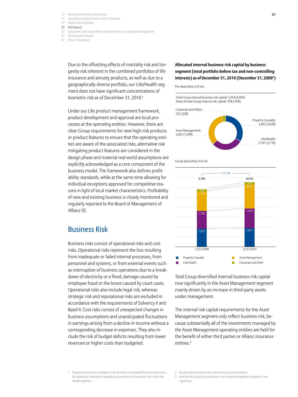12 Executive Summary and Outlook 47<br>17 Operations by Reinsurance Lines of Business

- 17 Operations by Reinsurance Lines of Business
- 19 Balance Sheet Review

22 Risk Report

- 52 Corporate Governance Report and Statement on Corporate Management
- 61 Remuneration Report
- 81 Other Information

Due to the offsetting effects of mortality risk and longevity risk inherent in the combined portfolios of life insurance and annuity products, as well as due to a geographically diverse portfolio, our Life/Health segment does not have significant concentrations of biometric risk as of December 31, 2010.<sup>1</sup>

Under our Life product management framework, product development and approval are local processes at the operating entities. However, there are clear Group requirements for new high-risk products or product features to ensure that the operating entities are aware of the associated risks, alternative risk mitigating product features are considered in the design phase and material real world assumptions are explicitly acknowledged as a core component of the business model. The framework also defines profitability standards, while at the same time allowing for individual exceptions approved for competitive reasons in light of local market characteristics. Profitability of new and existing business is closely monitored and regularly reported to the Board of Management of Allianz SE.

# Business Risk

Business risks consist of operational risks and cost risks. Operational risks represent the loss resulting from inadequate or failed internal processes, from personnel and systems, or from external events such as interruption of business operations due to a breakdown of electricity or a flood, damage caused by employee fraud or the losses caused by court cases. Operational risks also include legal risk, whereas strategic risk and reputational risks are excluded in accordance with the requirements of Solvency II and Basel II. Cost risks consist of unexpected changes in business assumptions and unanticipated fluctuations in earnings arising from a decline in income without a corresponding decrease in expenses. They also include the risk of budget deficits resulting from lower revenues or higher costs than budgeted.

# **Allocated internal business risk capital by business segment (total portfolio before tax and non-controlling interests) as of December 31, 2010 (December 31, 20092 )**

Pre-diversified, in € mn



Group diversified, in € mn



Total Group diversified internal business risk capital rose significantly in the Asset Management segment mainly driven by an increase in third-party assets under management.

The internal risk capital requirements for the Asset Management segment only reflect business risk, because substantially all of the investments managed by the Asset Management operating entities are held for the benefit of either third parties or Allianz insurance entities.3

- 1 Please see Group Annual Report note 20 of the consolidated financial statements for additional information regarding concentration of insurance risk in the Life/ Health segment.
- 2 Recalculated based on new internal risk capital framework.

<sup>3</sup> Internal risk capital for guarantees in our Asset Management segment is not significant.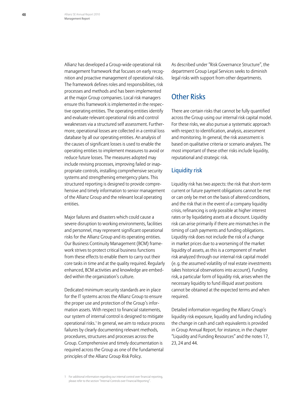Allianz has developed a Group-wide operational risk management framework that focuses on early recognition and proactive management of operational risks. The framework defines roles and responsibilities, risk processes and methods and has been implemented at the major Group companies. Local risk managers ensure this framework is implemented in the respective operating entities. The operating entities identify and evaluate relevant operational risks and control weaknesses via a structured self assessment. Furthermore, operational losses are collected in a central loss database by all our operating entities. An analysis of the causes of significant losses is used to enable the operating entities to implement measures to avoid or reduce future losses. The measures adopted may include revising processes, improving failed or inappropriate controls, installing comprehensive security systems and strengthening emergency plans. This structured reporting is designed to provide comprehensive and timely information to senior management of the Allianz Group and the relevant local operating entities.

Major failures and disasters which could cause a severe disruption to working environments, facilities and personnel, may represent significant operational risks for the Allianz Group and its operating entities. Our Business Continuity Management (BCM) framework strives to protect critical business functions from these effects to enable them to carry out their core tasks in time and at the quality required. Regularly enhanced, BCM activities and knowledge are embedded within the organization's culture.

Dedicated minimum security standards are in place for the IT systems across the Allianz Group to ensure the proper use and protection of the Group's information assets. With respect to financial statements, our system of internal control is designed to mitigate operational risks.<sup>1</sup> In general, we aim to reduce process failures by clearly documenting relevant methods, procedures, structures and processes across the Group. Comprehensive and timely documentation is required across the Group as one of the fundamental principles of the Allianz Group Risk Policy.

As described under "Risk Governance Structure", the department Group Legal Services seeks to diminish legal risks with support from other departments.

# Other Risks

There are certain risks that cannot be fully quantified across the Group using our internal risk capital model. For these risks, we also pursue a systematic approach with respect to identification, analysis, assessment and monitoring. In general, the risk assessment is based on qualitative criteria or scenario analyses. The most important of these other risks include liquidity, reputational and strategic risk.

# Liquidity risk

Liquidity risk has two aspects: the risk that short-term current or future payment obligations cannot be met or can only be met on the basis of altered conditions, and the risk that in the event of a company liquidity crisis, refinancing is only possible at higher interest rates or by liquidating assets at a discount. Liquidity risk can arise primarily if there are mismatches in the timing of cash payments and funding obligations. Liquidity risk does not include the risk of a change in market prices due to a worsening of the market liquidity of assets, as this is a component of market risk analyzed through our internal risk capital model (e. g. the assumed volatility of real estate investments takes historical observations into account). Funding risk, a particular form of liquidity risk, arises when the necessary liquidity to fund illiquid asset positions cannot be obtained at the expected terms and when required.

Detailed information regarding the Allianz Group's liquidity risk exposure, liquidity and funding including the change in cash and cash equivalents is provided in Group Annual Report, for instance, in the chapter "Liquidity and Funding Resources" and the notes 17, 23, 24 and 44.

<sup>1</sup> For additional information regarding our internal control over financial reporting, please refer to the section "Internal Controls over Financial Reporting".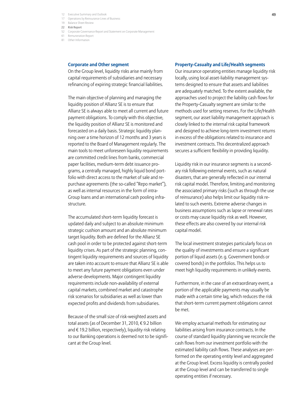- 12 Executive Summary and Outlook **49**
- 17 Operations by Reinsurance Lines of Business
- 19 Balance Sheet Review
- 22 Risk Report
- 52 Corporate Governance Report and Statement on Corporate Management
- 61 Remuneration Report
- 81 Other Information

### **Corporate and Other segment**

On the Group level, liquidity risks arise mainly from capital requirements of subsidiaries and necessary refinancing of expiring strategic financial liabilities.

The main objective of planning and managing the liquidity position of Allianz SE is to ensure that Allianz SE is always able to meet all current and future payment obligations. To comply with this objective, the liquidity position of Allianz SE is monitored and forecasted on a daily basis. Strategic liquidity planning over a time horizon of 12 months and 3 years is reported to the Board of Management regularly. The main tools to meet unforeseen liquidity requirements are committed credit lines from banks, commercial paper facilities, medium-term debt issuance programs, a centrally managed, highly liquid bond portfolio with direct access to the market of sale and repurchase agreements (the so-called "Repo market"), as well as internal resources in the form of intra-Group loans and an international cash pooling infrastructure.

The accumulated short-term liquidity forecast is updated daily and subject to an absolute minimum strategic cushion amount and an absolute minimum target liquidity. Both are defined for the Allianz SE cash pool in order to be protected against short-term liquidity crises. As part of the strategic planning, contingent liquidity requirements and sources of liquidity are taken into account to ensure that Allianz SE is able to meet any future payment obligations even under adverse developments. Major contingent liquidity requirements include non-availability of external capital markets, combined market and catastrophe risk scenarios for subsidiaries as well as lower than expected profits and dividends from subsidiaries.

Because of the small size of risk-weighted assets and total assets (as of December 31, 2010, € 9.2 billion and € 19.2 billion, respectively), liquidity risk relating to our Banking operations is deemed not to be significant at the Group level.

#### **Property-Casualty and Life/Health segments**

Our insurance operating entities manage liquidity risk locally, using local asset-liability management systems designed to ensure that assets and liabilities are adequately matched. To the extent available, the approaches used to project the liability cash flows for the Property-Casualty segment are similar to the methods used for setting reserves. For the Life/Health segment, our asset liability management approach is closely linked to the internal risk capital framework and designed to achieve long-term investment returns in excess of the obligations related to insurance and investment contracts. This decentralized approach secures a sufficient flexibility in providing liquidity.

Liquidity risk in our insurance segments is a secondary risk following external events, such as natural disasters, that are generally reflected in our internal risk capital model. Therefore, limiting and monitoring the associated primary risks (such as through the use of reinsurance) also helps limit our liquidity risk related to such events. Extreme adverse changes in business assumptions such as lapse or renewal rates or costs may cause liquidity risk as well. However, these effects are also covered by our internal risk capital model.

The local investment strategies particularly focus on the quality of investments and ensure a significant portion of liquid assets (e. g. Government bonds or covered bonds) in the portfolios. This helps us to meet high liquidity requirements in unlikely events.

Furthermore, in the case of an extraordinary event, a portion of the applicable payments may usually be made with a certain time lag, which reduces the risk that short-term current payment obligations cannot be met.

We employ actuarial methods for estimating our liabilities arising from insurance contracts. In the course of standard liquidity planning we reconcile the cash flows from our investment portfolio with the estimated liability cash flows. These analyses are performed on the operating entity level and aggregated at the Group level. Excess liquidity is centrally pooled at the Group level and can be transferred to single operating entities if necessary.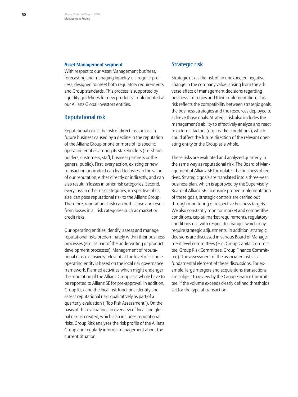### **Asset Management segment**

With respect to our Asset Management business, forecasting and managing liquidity is a regular process, designed to meet both regulatory requirements and Group standards. This process is supported by liquidity guidelines for new products, implemented at our Allianz Global Investors entities.

## Reputational risk

Reputational risk is the risk of direct loss or loss in future business caused by a decline in the reputation of the Allianz Group or one or more of its specific operating entities among its stakeholders (i. e. shareholders, customers, staff, business partners or the general public). First, every action, existing or new transaction or product can lead to losses in the value of our reputation, either directly or indirectly, and can also result in losses in other risk categories. Second, every loss in other risk categories, irrespective of its size, can pose reputational risk to the Allianz Group. Therefore, reputational risk can both cause and result from losses in all risk categories such as market or credit risks.

Our operating entities identify, assess and manage reputational risks predominately within their business processes (e. g. as part of the underwriting or product development processes). Management of reputational risks exclusively relevant at the level of a single operating entity is based on the local risk governance framework. Planned activities which might endanger the reputation of the Allianz Group as a whole have to be reported to Allianz SE for pre-approval. In addition, Group Risk and the local risk functions identify and assess reputational risks qualitatively as part of a quarterly evaluation ("Top Risk Assessment"). On the basis of this evaluation, an overview of local and global risks is created, which also includes reputational risks. Group Risk analyses the risk profile of the Allianz Group and regularly informs management about the current situation.

### Strategic risk

Strategic risk is the risk of an unexpected negative change in the company value, arising from the adverse effect of management decisions regarding business strategies and their implementation. This risk reflects the compatibility between strategic goals, the business strategies and the resources deployed to achieve those goals. Strategic risk also includes the management's ability to effectively analyze and react to external factors (e. g. market conditions), which could affect the future direction of the relevant operating entity or the Group as a whole.

These risks are evaluated and analyzed quarterly in the same way as reputational risk. The Board of Management of Allianz SE formulates the business objectives. Strategic goals are translated into a three-year business plan, which is approved by the Supervisory Board of Allianz SE. To ensure proper implementation of these goals, strategic controls are carried out through monitoring of respective business targets. We also constantly monitor market and competitive conditions, capital market requirements, regulatory conditions etc. with respect to changes which may require strategic adjustments. In addition, strategic decisions are discussed in various Board of Management level committees (e. g. Group Capital Committee, Group Risk Committee, Group Finance Committee). The assessment of the associated risks is a fundamental element of these discussions. For example, large mergers and acquisitions transactions are subject to review by the Group Finance Committee, if the volume exceeds clearly defined thresholds set for the type of transaction.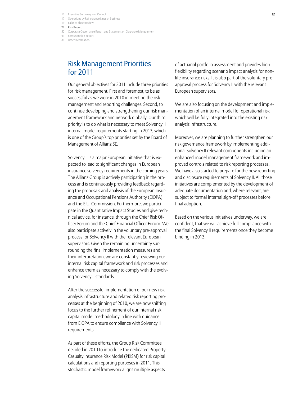- 12 Executive Summary and Outlook 51 Securities were summary and Outlook 51 Securities were summary and Outlook
- 17 Operations by Reinsurance Lines of Business
- 19 Balance Sheet Review
- 22 Risk Report
- 52 Corporate Governance Report and Statement on Corporate Management
- 61 Remuneration Report
- 81 Other Information

# Risk Management Priorities for 2011

Our general objectives for 2011 include three priorities for risk management. First and foremost, to be as successful as we were in 2010 in meeting the risk management and reporting challenges. Second, to continue developing and strengthening our risk management framework and network globally. Our third priority is to do what is necessary to meet Solvency II internal model requirements starting in 2013, which is one of the Group's top priorities set by the Board of Management of Allianz SE.

Solvency II is a major European initiative that is expected to lead to significant changes in European insurance solvency requirements in the coming years. The Allianz Group is actively participating in the process and is continuously providing feedback regarding the proposals and analysis of the European Insurance and Occupational Pensions Authority (EIOPA) and the E.U. Commission. Furthermore, we participate in the Quantitative Impact Studies and give technical advice, for instance, through the Chief Risk Officer Forum and the Chief Financial Officer Forum. We also participate actively in the voluntary pre-approval process for Solvency II with the relevant European supervisors. Given the remaining uncertainty surrounding the final implementation measures and their interpretation, we are constantly reviewing our internal risk capital framework and risk processes and enhance them as necessary to comply with the evolving Solvency II standards.

After the successful implementation of our new risk analysis infrastructure and related risk reporting processes at the beginning of 2010, we are now shifting focus to the further refinement of our internal risk capital model methodology in line with guidance from EIOPA to ensure compliance with Solvency II requirements.

As part of these efforts, the Group Risk Committee decided in 2010 to introduce the dedicated Property-Casualty Insurance Risk Model (PRISM) for risk capital calculations and reporting purposes in 2011. This stochastic model framework aligns multiple aspects

of actuarial portfolio assessment and provides high flexibility regarding scenario impact analysis for nonlife insurance risks. It is also part of the voluntary preapproval process for Solvency II with the relevant European supervisors.

We are also focusing on the development and implementation of an internal model for operational risk which will be fully integrated into the existing risk analysis infrastructure.

Moreover, we are planning to further strengthen our risk governance framework by implementing additional Solvency II relevant components including an enhanced model management framework and improved controls related to risk reporting processes. We have also started to prepare for the new reporting and disclosure requirements of Solvency II. All those initiatives are complemented by the development of adequate documentation and, where relevant, are subject to formal internal sign-off processes before final adoption.

Based on the various initiatives underway, we are confident, that we will achieve full compliance with the final Solvency II requirements once they become binding in 2013.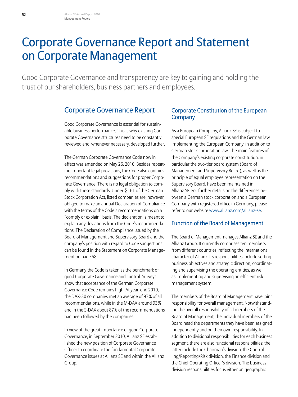# <span id="page-53-0"></span>Corporate Governance Report and Statement on Corporate Management

Good Corporate Governance and transparency are key to gaining and holding the trust of our shareholders, business partners and employees.

# Corporate Governance Report

Good Corporate Governance is essential for sustainable business performance. This is why existing Corporate Governance structures need to be constantly reviewed and, whenever necessary, developed further.

The German Corporate Governance Code now in effect was amended on May 26, 2010. Besides repeating important legal provisions, the Code also contains recommendations and suggestions for proper Corporate Governance. There is no legal obligation to comply with these standards. Under §161 of the German Stock Corporation Act, listed companies are, however, obliged to make an annual Declaration of Compliance with the terms of the Code's recommendations on a "comply or explain" basis. The declaration is meant to explain any deviations from the Code's recommendations. The Declaration of Compliance issued by the Board of Management and Supervisory Board and the company's position with regard to Code suggestions can be f[ound in the St](#page-59-0)atement on Corporate Management on page 58.

In Germany the Code is taken as the benchmark of good Corporate Governance and control. Surveys show that acceptance of the German Corporate Governance Code remains high. At year-end 2010, the DAX-30 companies met an average of 97% of all recommendations, while in the M-DAX around 93% and in the S-DAX about 87% of the recommendations had been followed by the companies.

In view of the great importance of good Corporate Governance, in September 2010, Allianz SE established the new position of Corporate Governance Officer to coordinate the fundamental Corporate Governance issues at Allianz SE and within the Allianz Group.

# Corporate Constitution of the European **Company**

As a European Company, Allianz SE is subject to special European SE regulations and the German law implementing the European Company, in addition to German stock corporation law. The main features of the Company's existing corporate constitution, in particular the two-tier board system (Board of Management and Supervisory Board), as well as the principle of equal employee representation on the Supervisory Board, have been maintained in Allianz SE. For further details on the differences between a German stock corporation and a European Company with registered office in Germany, please refer to our w[ebsite www.allianz.com/allianz-se.](www.allianz.com/allianz-se) 

# Function of the Board of Management

The Board of Management manages Allianz SE and the Allianz Group. It currently comprises ten members from different countries, reflecting the international character of Allianz. Its responsibilities include setting business objectives and strategic direction, coordinating and supervising the operating entities, as well as implementing and supervising an efficient risk management system.

The members of the Board of Management have joint responsibility for overall management. Notwithstanding the overall responsibility of all members of the Board of Management, the individual members of the Board head the departments they have been assigned independently and on their own responsibility. In addition to divisional responsibilities for each business segment, there are also functional responsibilities; the latter include the Chairman's division, the Controlling/Reporting/Risk division, the Finance division and the Chief Operating Officer's division. The business division responsibilities focus either on geographic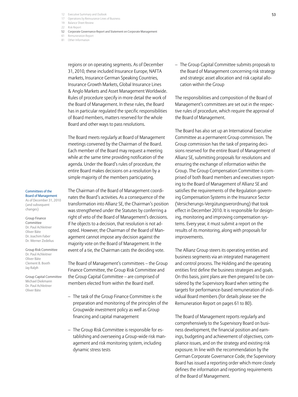<span id="page-54-0"></span>12 Executive Summary and Outlook 53

17 Operations by Reinsurance Lines of Business

19 Balance Sheet Review

22 Risk Report

52 Corporate Governance Report and Statement on Corporate Management

61 Remuneration Report

81 Other Information

regions or on operating segments. As of December 31, 2010, these included Insurance Europe, NAFTA markets, Insurance German Speaking Countries, Insurance Growth Markets, Global Insurance Lines & Anglo Markets and Asset Management Worldwide. Rules of procedure specify in more detail the work of the Board of Management. In these rules, the Board has in particular regulated the specific responsibilities of Board members, matters reserved for the whole Board and other ways to pass resolutions.

The Board meets regularly at Board of Management meetings convened by the Chairman of the Board. Each member of the Board may request a meeting while at the same time providing notification of the agenda. Under the Board's rules of procedure, the entire Board makes decisions on a resolution by a simple majority of the members participating.

# Committees of the

Board of Management As of December 31, 2010 (and subsequent changes)

Group Finance **Committee** Dr. Paul Achleitner Oliver Bäte Dr. Joachim Faber Dr. Werner Zedelius

Group Risk Committee Dr. Paul Achleitner Oliver Bäte Clement B. Booth Jay Ralph

Group Capital Committee Michael Diekmann Dr. Paul Achleitner Oliver Bäte

The Chairman of the Board of Management coordinates the Board's activities. As a consequence of the transformation into Allianz SE, the Chairman's position was strengthened under the Statutes by conferring a right of veto of the Board of Management's decisions. If he objects to a decision, that resolution is not adopted. However, the Chairman of the Board of Management cannot impose any decision against the majority vote on the Board of Management. In the event of a tie, the Chairman casts the deciding vote.

The Board of Management's committees – the Group Finance Committee, the Group Risk Committee and the Group Capital Committee – are comprised of members elected from within the Board itself.

- The task of the Group Finance Committee is the preparation and monitoring of the principles of the Groupwide investment policy as well as Group financing and capital management
- The Group Risk Committee is responsible for establishing and overseeing a Group-wide risk management and risk monitoring system, including dynamic stress tests

– The Group Capital Committee submits proposals to the Board of Management concerning risk strategy and strategic asset allocation and risk capital allocation within the Group

The responsibilities and composition of the Board of Management's committees are set out in the respective rules of procedure, which require the approval of the Board of Management.

The Board has also set up an International Executive Committee as a permanent Group commission. The Group commission has the task of preparing decisions reserved for the entire Board of Management of Allianz SE, submitting proposals for resolutions and ensuring the exchange of information within the Group. The Group Compensation Committee is comprised of both Board members and executives reporting to the Board of Management of Allianz SE and satisfies the requirements of the Regulation governing Compensation Systems in the Insurance Sector (Versicherungs-Vergütungsverordnung) that took effect in December 2010. It is responsible for designing, monitoring and improving compensation systems. Every year, it must submit a report on the results of its monitoring, along with proposals for improvements.

The Allianz Group steers its operating entities and business segments via an integrated management and control process. The Holding and the operating entities first define the business strategies and goals. On this basis, joint plans are then prepared to be considered by the Supervisory Board when setting the targets for performance-based remuneration of indi[vidual Board members \(for details please se](#page-62-0)e the Remuneration Report on pages 61 to 80).

The Board of Management reports regularly and comprehensively to the Supervisory Board on business development, the financial position and earnings, budgeting and achievement of objectives, compliance issues, and on the strategy and existing risk exposure. In line with the recommendation by the German Corporate Governance Code, the Supervisory Board has issued a reporting order which more closely defines the information and reporting requirements of the Board of Management.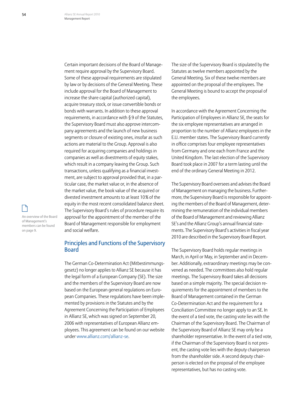<span id="page-55-0"></span>Certain important decisions of the Board of Management require approval by the Supervisory Board. Some of these approval requirements are stipulated by law or by decisions of the General Meeting. These include approval for the Board of Management to increase the share capital (authorized capital), acquire treasury stock, or issue convertible bonds or bonds with warrants. In addition to these approval requirements, in accordance with  $\S 9$  of the Statutes, the Supervisory Board must also approve intercompany agreements and the launch of new business segments or closure of existing ones, insofar as such actions are material to the Group. Approval is also required for acquiring companies and holdings in companies as well as divestments of equity stakes, which result in a company leaving the Group. Such transactions, unless qualifying as a financial investment, are subject to approval provided that, in a particular case, the market value or, in the absence of the market value, the book value of the acquired or divested investment amounts to at least 10% of the equity in the most recent consolidated balance sheet. The Supervisory Board's rules of procedure require its approval for the appointment of the member of the Board of Management responsible for employment and social welfare.

An overview of the Board of Management's members can be found on page 9.

# Principles and Functions of [the Super](#page-10-0)visory Board

The German Co-Determination Act (Mitbestimmungsgesetz) no longer applies to Allianz SE because it has the legal form of a European Company (SE). The size and the members of the Supervisory Board are now based on the European general regulations on European Companies. These regulations have been implemented by provisions in the Statutes and by the Agreement Concerning the Participation of Employees in Allianz SE, which was signed on September 20, 2006 with representatives of European Allianz employees. This agreement can be found on our website under www.allianz.com/allianz-se.

The size of the Supervisory Board is stipulated by the Statutes as twelve members appointed by the General Meeting. Six of these twelve members are appointed on the proposal of the employees. The General Meeting is bound to accept the proposal of the employees.

In accordance with the Agreement Concerning the Participation of Employees in Allianz SE, the seats for the six employee representatives are arranged in proportion to the number of Allianz employees in the E.U. member states. The Supervisory Board currently in office comprises four employee representatives from Germany and one each from France and the United Kingdom. The last election of the Supervisory Board took place in 2007 for a term lasting until the end of the ordinary General Meeting in 2012.

The Supervisory Board oversees and advises the Board of Management on managing the business. Furthermore, the Supervisory Board is responsible for appointing the members of the Board of Management, determining the remuneration of the individual members of the Board of Management and reviewing Allianz SE's and the Allianz Group's annual financial statements. The Supervisory Board's activities in fiscal year 2010 are described in the Supervisory Board Report.

The Supervisory Board holds regular meetings in March, in April or May, in September and in December. Additionally, extraordinary meetings may be convened as needed. The committees also hold regular meetings. The Supervisory Board takes all decisions based on a simple majority. The special decision requirements for the appointment of members to the Board of Management contained in the German Co-Determination Act and the requirement for a Conciliation Committee no longer apply to an SE. In the event of a tied vote, the casting vote lies with the Chairman of the Supervisory Board. The Chairman of the Supervisory Board of Allianz SE may only be a shareholder representative. In the event of a tied vote, if the Chairman of the Supervisory Board is not present, the casting vote lies with the deputy chairperson from the shareholder side. A second deputy chairperson is elected on the proposal of the employee representatives, but has no casting vote.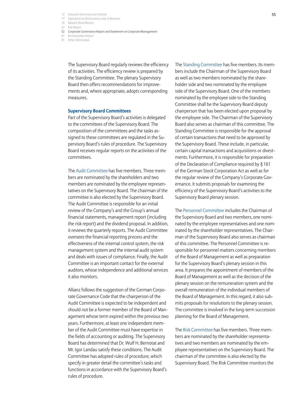<span id="page-56-0"></span>12 Executive Summary and Outlook 55

17 Operations by Reinsurance Lines of Business

19 Balance Sheet Review

22 Risk Report

52 Corporate Governance Report and Statement on Corporate Management

61 Remuneration Report

81 Other Information

The Supervisory Board regularly reviews the efficiency of its activities. The efficiency review is prepared by the Standing Committee. The plenary Supervisory Board then offers recommendations for improvements and, where appropriate, adopts corresponding measures.

### **Supervisory Board Committees**

Part of the Supervisory Board's activities is delegated to the committees of the Supervisory Board. The composition of the committees and the tasks assigned to these committees are regulated in the Supervisory Board's rules of procedure. The Supervisory Board receives regular reports on the activities of the committees.

The Audit Committee has five members. Three members are nominated by the shareholders and two members are nominated by the employee representatives on the Supervisory Board. The chairman of the committee is also elected by the Supervisory Board. The Audit Committee is responsible for an initial review of the Company's and the Group's annual financial statements, management report (including the risk report) and the dividend proposal. In addition, it reviews the quarterly reports. The Audit Committee oversees the financial reporting process and the effectiveness of the internal control system, the risk management system and the internal audit system and deals with issues of compliance. Finally, the Audit Committee is an important contact for the external auditors, whose independence and additional services it also monitors.

Allianz follows the suggestion of the German Corporate Governance Code that the chairperson of the Audit Committee is expected to be independent and should not be a former member of the Board of Management whose term expired within the previous two years. Furthermore, at least one independent member of the Audit Committee must have expertise in the fields of accounting or auditing. The Supervisory Board has determined that Dr. Wulf H. Bernotat and Mr. Igor Landau satisfy these conditions. The Audit Committee has adopted rules of procedure, which specify in greater detail the committee's tasks and functions in accordance with the Supervisory Board's rules of procedure.

The Standing Committee has five members. Its members include the Chairman of the Supervisory Board as well as two members nominated by the shareholder side and two nominated by the employee side of the Supervisory Board. One of the members nominated by the employee side to the Standing Committee shall be the Supervisory Board deputy chairperson that has been elected upon proposal by the employee side. The Chairman of the Supervisory Board also serves as chairman of this committee. The Standing Committee is responsible for the approval of certain transactions that need to be approved by the Supervisory Board. These include, in particular, certain capital transactions and acquisitions or divestments. Furthermore, it is responsible for preparation of the Declaration of Compliance required by §161 of the German Stock Corporation Act as well as for the regular review of the Company's Corporate Governance. It submits proposals for examining the efficiency of the Supervisory Board's activities to the Supervisory Board plenary session.

The Personnel Committee includes the Chairman of the Supervisory Board and two members, one nominated by the employee representatives and one nominated by the shareholder representatives. The Chairman of the Supervisory Board also serves as chairman of this committee. The Personnel Committee is responsible for personnel matters concerning members of the Board of Management as well as preparation for the Supervisory Board's plenary session in this area. It prepares the appointment of members of the Board of Management as well as the decision of the plenary session on the remuneration system and the overall remuneration of the individual members of the Board of Management. In this regard, it also submits proposals for resolutions to the plenary session. The committee is involved in the long-term succession planning for the Board of Management.

The Risk Committee has five members. Three members are nominated by the shareholder representatives and two members are nominated by the employee representatives on the Supervisory Board. The chairman of the committee is also elected by the Supervisory Board. The Risk Committee monitors the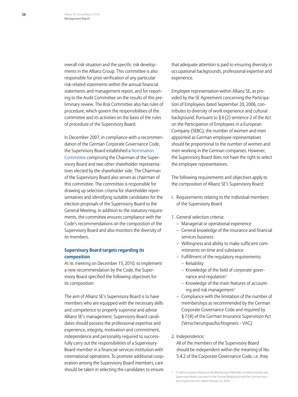overall risk situation and the specific risk developments in the Allianz Group. This committee is also responsible for prior verification of any particular risk-related statements within the annual financial statements and management report, and for reporting to the Audit Committee on the results of this preliminary review. The Risk Committee also has rules of procedure, which govern the responsibilities of the committee and its activities on the basis of the rules of procedure of the Supervisory Board.

In December 2007, in compliance with a recommendation of the German Corporate Governance Code, the Supervisory Board established a Nomination Committee comprising the Chairman of the Supervisory Board and two other shareholder representatives elected by the shareholder side. The Chairman of the Supervisory Board also serves as chairman of this committee. The committee is responsible for drawing up selection criteria for shareholder representatives and identifying suitable candidates for the election proposals of the Supervisory Board to the General Meeting. In addition to the statutory requirements, the committee ensures compliance with the Code's recommendations on the composition of the Supervisory Board and also monitors the diversity of its members.

# **Supervisory Board targets regarding its composition**

At its meeting on December 15, 2010, to implement a new recommendation by the Code, the Supervisory Board specified the following objectives for its composition:

The aim of Allianz SE's Supervisory Board is to have members who are equipped with the necessary skills and competence to properly supervise and advise Allianz SE's management. Supervisory Board candidates should possess the professional expertise and experience, integrity, motivation and commitment, independence and personality required to successfully carry out the responsibilities of a Supervisory Board member in a financial-services institution with international operations. To promote additional cooperation among the Supervisory Board members, care should be taken in selecting the candidates to ensure

that adequate attention is paid to ensuring diversity in occupational backgrounds, professional expertise and experience.

Employee representation within Allianz SE, as provided by the SE Agreement concerning the Participation of Employees dated September 20, 2006, contributes to diversity of work experience and cultural background. Pursuant to §6 (2) sentence 2 of the Act on the Participation of Employees in a European Company (SEBG), the number of women and men appointed as German employee representatives should be proportional to the number of women and men working in the German companies. However, the Supervisory Board does not have the right to select the employee representatives.

The following requirements and objectives apply to the composition of Allianz SE's Supervisory Board:

- I. Requirements relating to the individual members of the Supervisory Board
- 1. General selection criteria:
	- Managerial or operational experience
	- General knowledge of the insurance and financial services business
	- Willingness and ability to make sufficient commitments on time and substance
	- Fulfillment of the regulatory requirements:
		- Reliability
		- Knowledge of the field of corporate governance and regulation<sup>1</sup>
		- Knowledge of the main features of accounting and risk management<sup>1</sup>
	- Compliance with the limitation of the number of memberships as recommended by the German Corporate Governance Code and required by §7 (4) of the German Insurance Supervision Act (Versicherungsaufsichtsgesetz - VAG)

### 2. Independence:

All of the members of the Supervisory Board should be independent within the meaning of No. 5.4.2 of the Corporate Governance Code, i.e. they

<sup>1</sup> Cf. BaFin Guidance Notice on the Monitoring of Members of Administrative and Supervisory Bodies pursuant to the German Banking Act and the German Insurance Supervision Act, dated February 22, 2010.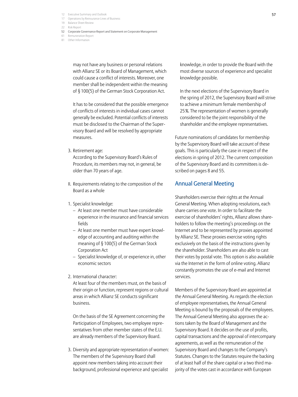12 Executive Summary and Outlook 57

17 Operations by Reinsurance Lines of Business

19 Balance Sheet Review

22 Risk Report

52 Corporate Governance Report and Statement on Corporate Management

61 Remuneration Report

81 Other Information

may not have any business or personal relations with Allianz SE or its Board of Management, which could cause a conflict of interests. Moreover, one member shall be independent within the meaning of §100(5) of the German Stock Corporation Act.

It has to be considered that the possible emergence of conflicts of interests in individual cases cannot generally be excluded. Potential conflicts of interests must be disclosed to the Chairman of the Supervisory Board and will be resolved by appropriate measures.

3. Retirement age:

According to the Supervisory Board's Rules of Procedure, its members may not, in general, be older than 70 years of age.

- II. Requirements relating to the composition of the Board as a whole
- 1. Specialist knowledge:
	- At least one member must have considerable experience in the insurance and financial services fields
	- At least one member must have expert knowledge of accounting and auditing within the meaning of §100(5) of the German Stock Corporation Act
	- Specialist knowledge of, or experience in, other economic sectors
- 2. International character:

At least four of the members must, on the basis of their origin or function, represent regions or cultural areas in which Allianz SE conducts significant business.

On the basis of the SE Agreement concerning the Participation of Employees, two employee representatives from other member states of the E.U. are already members of the Supervisory Board.

3. Diversity and appropriate representation of women: The members of the Supervisory Board shall appoint new members taking into account their background, professional experience and specialist

knowledge, in order to provide the Board with the most diverse sources of experience and specialist knowledge possible.

In the next elections of the Supervisory Board in the spring of 2012, the Supervisory Board will strive to achieve a minimum female membership of 25%. The representation of women is generally considered to be the joint responsibility of the shareholder and the employee representatives.

Future nominations of candidates for membership by the Supervisory Board will take account of these goals. This is particularly the case in respect of the elections in spring of 2012. The current composition of the Supervisory Board and its committees is described on p[ages 8 a](#page-9-0)n[d 55.](#page-56-0) 

# Annual General Meeting

Shareholders exercise their rights at the Annual General Meeting. When adopting resolutions, each share carries one vote. In order to facilitate the exercise of shareholders' rights, Allianz allows shareholders to follow the meeting's proceedings on the Internet and to be represented by proxies appointed by Allianz SE. These proxies exercise voting rights exclusively on the basis of the instructions given by the shareholder. Shareholders are also able to cast their votes by postal vote. This option is also available via the Internet in the form of online voting. Allianz constantly promotes the use of e-mail and Internet services.

Members of the Supervisory Board are appointed at the Annual General Meeting. As regards the election of employee representatives, the Annual General Meeting is bound by the proposals of the employees. The Annual General Meeting also approves the actions taken by the Board of Management and the Supervisory Board. It decides on the use of profits, capital transactions and the approval of intercompany agreements, as well as the remuneration of the Supervisory Board and changes to the Company's Statutes. Changes to the Statutes require the backing of at least half of the share capital or a two third majority of the votes cast in accordance with European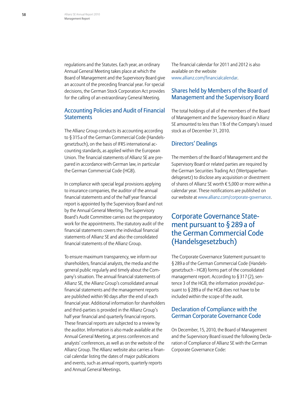<span id="page-59-0"></span>regulations and the Statutes. Each year, an ordinary Annual General Meeting takes place at which the Board of Management and the Supervisory Board give an account of the preceding financial year. For special decisions, the German Stock Corporation Act provides for the calling of an extraordinary General Meeting.

# Accounting Policies and Audit of Financial **Statements**

The Allianz Group conducts its accounting according to §315 a of the German Commercial Code (Handelsgesetzbuch), on the basis of IFRS international accounting standards, as applied within the European Union. The financial statements of Allianz SE are prepared in accordance with German law, in particular the German Commercial Code (HGB).

In compliance with special legal provisions applying to insurance companies, the auditor of the annual financial statements and of the half year financial report is appointed by the Supervisory Board and not by the Annual General Meeting. The Supervisory Board's Audit Committee carries out the preparatory work for the appointments. The statutory audit of the financial statements covers the individual financial statements of Allianz SE and also the consolidated financial statements of the Allianz Group.

To ensure maximum transparency, we inform our shareholders, financial analysts, the media and the general public regularly and timely about the Company's situation. The annual financial statements of Allianz SE, the Allianz Group's consolidated annual financial statements and the management reports are published within 90 days after the end of each financial year. Additional information for shareholders and third-parties is provided in the Allianz Group's half year financial and quarterly financial reports. These financial reports are subjected to a review by the auditor. Information is also made available at the Annual General Meeting, at press conferences and analysts' conferences, as well as on the website of the Allianz Group. The Allianz website also carries a financial calendar listing the dates of major publications and events, such as annual reports, quarterly reports and Annual General Meetings.

The financial calendar for 2011 and 2012 is also available on the website www.allianz.com/financialcalendar.

# Shares held by Members of the Board of Management and the Supervisory Board

The total holdings of all of the members of the Board of Management and the Supervisory Board in Allianz SE amounted to less than 1% of the Company's issued stock as of December 31, 2010.

# Directors' Dealings

The members of the Board of Management and the Supervisory Board or related parties are required by the German Securities Trading Act (Wertpapierhandelsgesetz) to disclose any acquisition or divestment of shares of Allianz SE worth € 5,000 or more within a calendar year. These notifications are published on our website [at www.allianz.com/corporate-governance.](www.allianz.com/corporate-governance) 

# Corporate Governance Statement pursuant to §289a of the German Commercial Code (Handelsgesetzbuch)

The Corporate Governance Statement pursuant to §289 a of the German Commercial Code (Handelsgesetzbuch - HGB) forms part of the consolidated management report. According to §317 (2), sentence 3 of the HGB, the information provided pursuant to §289 a of the HGB does not have to be included within the scope of the audit.

# Declaration of Compliance with the German Corporate Governance Code

On December, 15, 2010, the Board of Management and the Supervisory Board issued the following Declaration of Compliance of Allianz SE with the German Corporate Governance Code: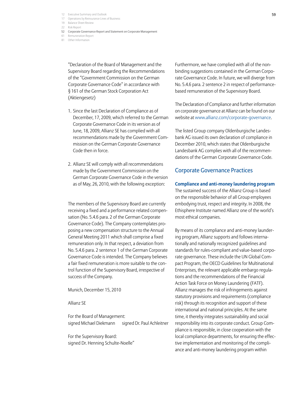12 Executive Summary and Outlook 59

17 Operations by Reinsurance Lines of Business

19 Balance Sheet Review

22 Risk Report

52 Corporate Governance Report and Statement on Corporate Management

61 Remuneration Report

81 Other Information

"Declaration of the Board of Management and the Supervisory Board regarding the Recommendations of the "Government Commission on the German Corporate Governance Code" in accordance with §161 of the German Stock Corporation Act (Aktiengesetz)

- 1. Since the last Declaration of Compliance as of December, 17, 2009, which referred to the German Corporate Governance Code in its version as of June, 18, 2009, Allianz SE has complied with all recommendations made by the Government Commission on the German Corporate Governance Code then in force.
- 2. Allianz SE will comply with all recommendations made by the Government Commission on the German Corporate Governance Code in the version as of May, 26, 2010, with the following exception:

The members of the Supervisory Board are currently receiving a fixed and a performance related compensation (No. 5.4.6 para. 2 of the German Corporate Governance Code). The Company contemplates proposing a new compensation structure to the Annual General Meeting 2011 which shall comprise a fixed remuneration only. In that respect, a deviation from No. 5.4.6 para. 2 sentence 1 of the German Corporate Governance Code is intended. The Company believes a fair fixed remuneration is more suitable to the control function of the Supervisory Board, irrespective of success of the Company.

Munich, December 15, 2010

Allianz SE

For the Board of Management: signed Michael Diekmann signed Dr. Paul Achleitner

For the Supervisory Board: signed Dr. Henning Schulte-Noelle" Furthermore, we have complied with all of the nonbinding suggestions contained in the German Corporate Governance Code. In future, we will diverge from No. 5.4.6 para. 2 sentence 2 in respect of performancebased remuneration of the Supervisory Board.

The Declaration of Compliance and further information on corporate governance at Allianz can be found on our website [at www.allianz.com/corporate-governance.](www.allianz.com/corporate-governance) 

The listed Group company Oldenburgische Landesbank AG issued its own declaration of compliance in December 2010, which states that Oldenburgische Landesbank AG complies with all of the recommendations of the German Corporate Governance Code.

# Corporate Governance Practices

### **Compliance and anti-money laundering program**

The sustained success of the Allianz Group is based on the responsible behavior of all Group employees embodying trust, respect and integrity. In 2008, the Ethisphere Institute named Allianz one of the world's most ethical companies.

By means of its compliance and anti-money laundering program, Allianz supports and follows internationally and nationally recognized guidelines and standards for rules-compliant and value-based corporate governance. These include the UN Global Compact Program, the OECD Guidelines for Multinational Enterprises, the relevant applicable embargo regulations and the recommendations of the Financial Action Task Force on Money Laundering (FATF). Allianz manages the risk of infringements against statutory provisions and requirements (compliance risk) through its recognition and support of these international and national principles. At the same time, it thereby integrates sustainability and social responsibility into its corporate conduct. Group Compliance is responsible, in close cooperation with the local compliance departments, for ensuring the effective implementation and monitoring of the compliance and anti-money laundering program within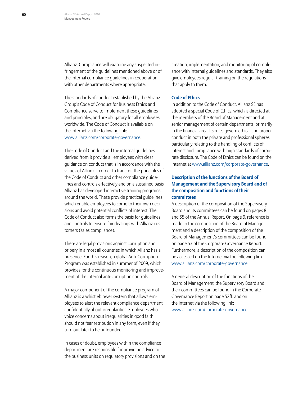Allianz. Compliance will examine any suspected infringement of the guidelines mentioned above or of the internal compliance guidelines in cooperation with other departments where appropriate.

The standards of conduct established by the Allianz Group's Code of Conduct for Business Ethics and Compliance serve to implement these guidelines and principles, and are obligatory for all employees worldwide. The Code of Conduct is available on the Internet via the following link: [www.allianz.com/corporate-governance.](www.allianz.com/corporate-governance) 

The Code of Conduct and the internal guidelines derived from it provide all employees with clear guidance on conduct that is in accordance with the values of Allianz. In order to transmit the principles of the Code of Conduct and other compliance guidelines and controls effectively and on a sustained basis, Allianz has developed interactive training programs around the world. These provide practical guidelines which enable employees to come to their own decisions and avoid potential conflicts of interest. The Code of Conduct also forms the basis for guidelines and controls to ensure fair dealings with Allianz customers (sales compliance).

There are legal provisions against corruption and bribery in almost all countries in which Allianz has a presence. For this reason, a global Anti-Corruption Program was established in summer of 2009, which provides for the continuous monitoring and improvement of the internal anti-corruption controls.

A major component of the compliance program of Allianz is a whistleblower system that allows employees to alert the relevant compliance department confidentially about irregularities. Employees who voice concerns about irregularities in good faith should not fear retribution in any form, even if they turn out later to be unfounded.

In cases of doubt, employees within the compliance department are responsible for providing advice to the business units on regulatory provisions and on the creation, implementation, and monitoring of compliance with internal guidelines and standards. They also give employees regular training on the regulations that apply to them.

## **Code of Ethics**

In addition to the Code of Conduct, Allianz SE has adopted a special Code of Ethics, which is directed at the members of the Board of Management and at senior management of certain departments, primarily in the financial area. Its rules govern ethical and proper conduct in both the private and professional spheres, particularly relating to the handling of conflicts of interest and compliance with high standards of corporate disclosure. The Code of Ethics can be found on the Internet [at www.allianz.com/corporate-governance.](www.allianz.com/corporate-governance) 

# **Description of the functions of the Board of Management and the Supervisory Board and of the composition and functions of their committees**

A description of the composition of the Supervisory Board and its committees can be found o[n pages 8](#page-9-0)  a[nd 55 o](#page-56-0)f the Annual Report. On [page 9, r](#page-10-0)eference is made to the composition of the Board of Management and a description of the composition of the Board of Management's committees can be found o[n page 53 of](#page-54-0) the Corporate Governance Report. Furthermore, a description of the composition can be accessed on the Internet via the following link: [www.allianz.com/corporate-governance.](www.allianz.com/corporate-governance)

A general description of the functions of the Board of Management, the Supervisory Board and their committees can be found in the Corporate Governance Report on [page 52ff. a](#page-53-0)nd on the Internet via the following link: [www.allianz.com/corporate-governance.](www.allianz.com/corporate-governance)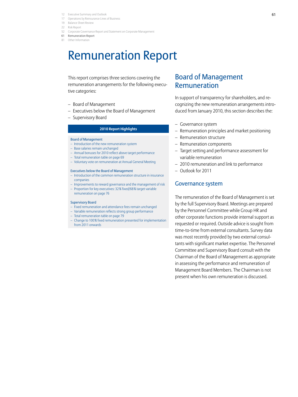- <span id="page-62-0"></span>12 Executive Summary and Outlook 61
- 17 Operations by Reinsurance Lines of Business
- 19 Balance Sheet Review
- 22 Risk Report
- 52 Corporate Governance Report and Statement on Corporate Management
- 61 Remuneration Report
- 81 Other Information

# Remuneration Report

This report comprises three sections covering the remuneration arrangements for the following executive categories:

- Board of Management
- Executives below the Board of Management
- Supervisory Board

### **2010 Report Highlights**

#### Board of Management

- Introduction of the new remuneration system
- Base salaries remain unchanged
- Annual bonuses for 2010 reflect above target performance
- Total remuneration table o[n page 69](#page-70-0)
- Voluntary vote on remuneration at Annual General Meeting

#### Executives below the Board of Management

- Introduction of the common remuneration structure in insurance companies
- Improvements to reward governance and the management of risk
- Proportion for key executives: 32% fixed/68% target variable
- remuneration on [page 76](#page-77-0)

### Supervisory Board

- Fixed remuneration and attendance fees remain unchanged
- Variable remuneration refle[cts strong gr](#page-80-0)oup performance
- Total remuneration table on page 79
- Change to 100% fixed remuneration presented for implementation from 2011 onwards

# Board of Management Remuneration

In support of transparency for shareholders, and recognizing the new remuneration arrangements introduced from January 2010, this section describes the:

- Governance system
- Remuneration principles and market positioning
- Remuneration structure
- Remuneration components
- Target setting and performance assessment for variable remuneration
- 2010 remuneration and link to performance
- Outlook for 2011

### Governance system

The remuneration of the Board of Management is set by the full Supervisory Board. Meetings are prepared by the Personnel Committee while Group HR and other corporate functions provide internal support as requested or required. Outside advice is sought from time-to-time from external consultants. Survey data was most recently provided by two external consultants with significant market expertise. The Personnel Committee and Supervisory Board consult with the Chairman of the Board of Management as appropriate in assessing the performance and remuneration of Management Board Members. The Chairman is not present when his own remuneration is discussed.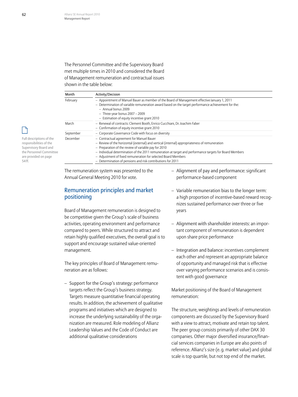The Personnel Committee and the Supervisory Board met multiple times in 2010 and considered the Board of Management remuneration and contractual issues shown in the table below:

| Month     | Activity/Decision                                                                                                                                                                                                                                                                                                                                                                                                                            |
|-----------|----------------------------------------------------------------------------------------------------------------------------------------------------------------------------------------------------------------------------------------------------------------------------------------------------------------------------------------------------------------------------------------------------------------------------------------------|
| February  | - Appointment of Manuel Bauer as member of the Board of Management effective January 1, 2011<br>- Determination of variable remuneration award based on the target performance achievement for the:<br>$-$ Annual bonus 2009<br>$-$ Three-year bonus 2007 $-$ 2009<br>- Estimation of equity incentive grant 2010                                                                                                                            |
| March     | - Renewal of contracts: Clement Booth, Enrico Cucchiani, Dr. Joachim Faber<br>- Confirmation of equity incentive grant 2010                                                                                                                                                                                                                                                                                                                  |
| September | - Corporate Governance Code with focus on diversity                                                                                                                                                                                                                                                                                                                                                                                          |
| December  | - Contractual agreement for Manuel Bauer<br>- Review of the horizontal (external) and vertical (internal) appropriateness of remuneration<br>- Preparation of the review of variable pay for 2010<br>- Individual determination of the 2011 remuneration at target and performance targets for Board Members<br>- Adjustment of fixed remuneration for selected Board Members<br>- Determination of pensions and risk contributions for 2011 |

The remuneration system was presented to the Annual General Meeting 2010 for vote.

# Remuneration principles and market positioning

Board of Management remuneration is designed to be competitive given the Group's scale of business activities, operating environment and performance compared to peers. While structured to attract and retain highly qualified executives, the overall goal is to support and encourage sustained value-oriented management.

The key principles of Board of Management remuneration are as follows:

– Support for the Group's strategy: performance targets reflect the Group's business strategy. Targets measure quantitative financial operating results. In addition, the achievement of qualitative programs and initiatives which are designed to increase the underlying sustainability of the organization are measured. Role modeling of Allianz Leadership Values and the Code of Conduct are additional qualitative considerations

- Alignment of pay and performance: significant performance-based component
- Variable remuneration bias to the longer term: a high proportion of incentive-based reward recognizes sustained performance over three or five years
- Alignment with shareholder interests: an important component of remuneration is dependent upon share price performance
- Integration and balance: incentives complement each other and represent an appropriate balance of opportunity and managed risk that is effective over varying performance scenarios and is consistent with good governance

Market positioning of the Board of Management remuneration:

The structure, weightings and levels of remuneration components are discussed by the Supervisory Board with a view to attract, motivate and retain top talent. The peer group consists primarily of other DAX 30 companies. Other major diversified insurance/financial services companies in Europe are also points of reference. Allianz's size (e. g. market value) and global scale is top quartile, but not top end of the market.

Full descriptions of the responsibilities of the Supervisory Board and [the Personnel Committee](#page-55-0)  are provided on page  $54ff$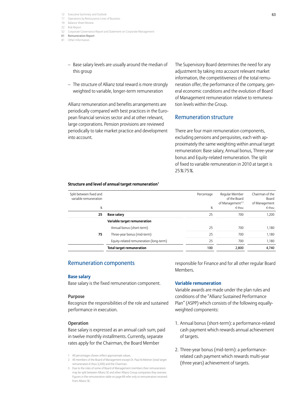- 17 Operations by Reinsurance Lines of Business
- 19 Balance Sheet Review
- 22 Risk Report
- 52 Corporate Governance Report and Statement on Corporate Management
- 61 Remuneration Report
- 81 Other Information
	- Base salary levels are usually around the median of this group
	- The structure of Allianz total reward is more strongly weighted to variable, longer-term remuneration

Allianz remuneration and benefits arrangements are periodically compared with best practices in the European financial services sector and at other relevant, large corporations. Pension provisions are reviewed periodically to take market practice and development into account.

The Supervisory Board determines the need for any adjustment by taking into account relevant market information, the competitiveness of the total remuneration offer, the performance of the company, general economic conditions and the evolution of Board of Management remuneration relative to remuneration levels within the Group.

# Remuneration structure

There are four main remuneration components, excluding pensions and perquisites, each with approximately the same weighting within annual target remuneration: Base salary, Annual bonus, Three-year bonus and Equity-related remuneration. The split of fixed to variable remuneration in 2010 at target is 25%:75%.

### **Structure and level of annual target remuneration1**

| Split between fixed and<br>variable remuneration |                                         | Percentage | Regular Member<br>of the Board<br>of Management <sup>2,3</sup> | Chairman of the<br>Board<br>of Management |
|--------------------------------------------------|-----------------------------------------|------------|----------------------------------------------------------------|-------------------------------------------|
| $\%$                                             |                                         | $\%$       | $\epsilon$ thou                                                | € thou                                    |
| 25                                               | <b>Base salary</b>                      | 25         | 700                                                            | 1.200                                     |
|                                                  | Variable target remuneration            |            |                                                                |                                           |
|                                                  | Annual bonus (short-term)               | 25         | 700                                                            | 1,180                                     |
| 75                                               | Three-year bonus (mid-term)             | 25         | 700                                                            | 1,180                                     |
|                                                  | Equity-related remuneration (long-term) | 25         | 700                                                            | 1,180                                     |
|                                                  | <b>Total target remuneration</b>        | 100        | 2.800                                                          | 4,740                                     |

# Remuneration components

### **Base salary**

Base salary is the fixed remuneration component.

### **Purpose**

Recognize the responsibilities of the role and sustained performance in execution.

### **Operation**

Base salary is expressed as an annual cash sum, paid in twelve monthly installments. Currently, separate rates apply for the Chairman, the Board Member

2 All members of the Board of Management except Dr. Paul Achleitner (total target remuneration € thou 3,200) and the Chairman.

3 Due to the roles of some of Board of Management members their remuneration may be split between Allianz SE and other Allianz Group companies they oversee. Figures in the remuneration tab[le on page 69 refer](#page-70-0) only to remuneration received from Allianz SE.

responsible for Finance and for all other regular Board Members.

### **Variable remuneration**

Variable awards are made under the plan rules and conditions of the "Allianz Sustained Performance Plan" (ASPP) which consists of the following equallyweighted components:

- 1. Annual bonus (short-term): a performance-related cash payment which rewards annual achievement of targets.
- 2. Three-year bonus (mid-term): a performancerelated cash payment which rewards multi-year (three years) achievement of targets.

<sup>1</sup> All percentages shown reflect approximate values.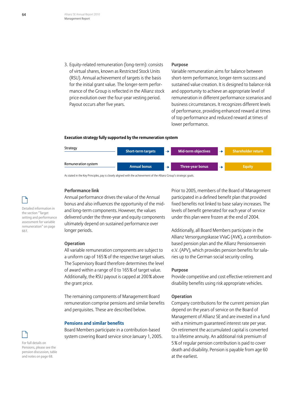3. Equity-related remuneration (long-term): consists of virtual shares, known as Restricted Stock Units (RSU). Annual achievement of targets is the basis for the initial grant value. The longer-term performance of the Group is reflected in the Allianz stock price evolution over the four-year vesting period. Payout occurs after five years.

### **Purpose**

Variable remuneration aims for balance between short-term performance, longer-term success and sustained value creation. It is designed to balance risk and opportunity to achieve an appropriate level of remuneration in different performance scenarios and business circumstances. It recognizes different levels of performance, providing enhanced reward at times of top performance and reduced reward at times of lower performance.

### **Execution strategy fully supported by the remuneration system**



As stated in the Key Principles, pay is closely aligned with the achievement of the Allianz Group's strategic goals.

### **Performance link**

Annual performance drives the value of the Annual bonus and also influences the opportunity of the midand long-term components. However, the values delivered under the three-year and equity components ultimately depend on sustained performance over longer periods.

### **Operation**

All variable remuneration components are subject to a uniform cap of 165% of the respective target values. The Supervisory Board therefore determines the level of award within a range of 0 to 165% of target value. Additionally, the RSU payout is capped at 200% above the grant price.

The remaining components of Management Board remuneration comprise pensions and similar benefits and perquisites. These are described below.

### **Pensions and similar benefits**

Board Members participate in a contribution-based system covering Board service since January 1, 2005.

Prior to 2005, members of the Board of Management participated in a defined benefit plan that provided fixed benefits not linked to base salary increases. The levels of benefit generated for each year of service under this plan were frozen at the end of 2004.

Additionally, all Board Members participate in the Allianz Versorgungskasse VVaG (AVK), a contributionbased pension plan and the Allianz Pensionsverein e.V. (APV), which provides pension benefits for salaries up to the German social security ceiling.

### **Purpose**

Provide competitive and cost effective retirement and disability benefits using risk appropriate vehicles.

### **Operation**

Company contributions for the current pension plan depend on the years of service on the Board of Management of Allianz SE and are invested in a fund with a minimum guaranteed interest rate per year. On retirement the accumulated capital is converted to a lifetime annuity. An additional risk premium of 5% of regular pension contribution is paid to cover death and disability. Pension is payable from age 60 at the earliest.

Detailed information in the section "Target [setting and performance](#page-67-0)  assessment for variable remuneration" on page

66f.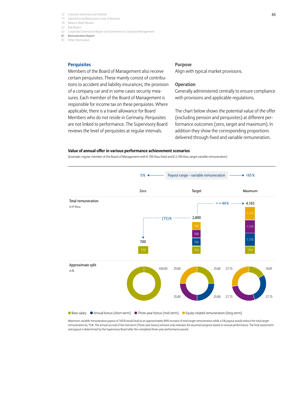- 12 Executive Summary and Outlook 65<br>17 Operations by Reinsurance Lines of Business
- 17 Operations by Reinsurance Lines of Business
- 19 Balance Sheet Review
- 22 Risk Report
- 52 Corporate Governance Report and Statement on Corporate Management
- 61 Remuneration Report
- 81 Other Information

### **Perquisites**

Members of the Board of Management also receive certain perquisites. These mainly consist of contributions to accident and liability insurances, the provision of a company car and in some cases security measures. Each member of the Board of Management is responsible for income tax on these perquisites. Where applicable, there is a travel allowance for Board Members who do not reside in Germany. Perquisites are not linked to performance. The Supervisory Board reviews the level of perquisites at regular intervals.

#### **Purpose**

Align with typical market provisions.

#### **Operation**

Generally administered centrally to ensure compliance with provisions and applicable regulations.

The chart below shows the potential value of the offer (excluding pension and perquisites) at different performance outcomes (zero, target and maximum). In addition they show the corresponding proportions delivered through fixed and variable remuneration.

#### **Value of annual offer in various performance achievement scenarios**

(Example: regular member of the Board of Management with € 700 thou fixed and € 2,100 thou target variable remuneration)



● Base salary ● Annual bonus (short-term) ● Three-year bonus (mid-term) ● Equity-related remuneration (long-term)

Maximum variable remuneration payout of 165% would lead to an approximately 49% increase of total target remuneration while a 0% payout would reduce the total target remuneration by 75%. The annual accrual of the mid-term (Three-year bonus) amount only indicates the assumed progress based on annual performance. The final assessment and payout is determined by the Supervisory Board after the completed three-year performance period.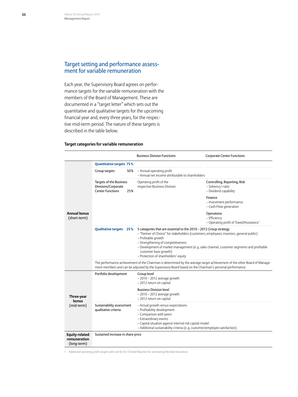# <span id="page-67-0"></span>Target setting and performance assessment for variable remuneration

Each year, the Supervisory Board agrees on performance targets for the variable remuneration with the members of the Board of Management. These are documented in a "target letter" which sets out the quantitative and qualitative targets for the upcoming financial year and, every three years, for the respective mid-term period. The nature of these targets is described in the table below.

### **Target categories for variable remuneration**

|                                                      |                                                                                  |  | <b>Business Division Functions</b>                                                                                                                                                                                                                                                                                                                                                                                                              | <b>Corporate Center Functions</b>                                                                                                                                          |  |  |  |  |
|------------------------------------------------------|----------------------------------------------------------------------------------|--|-------------------------------------------------------------------------------------------------------------------------------------------------------------------------------------------------------------------------------------------------------------------------------------------------------------------------------------------------------------------------------------------------------------------------------------------------|----------------------------------------------------------------------------------------------------------------------------------------------------------------------------|--|--|--|--|
|                                                      | <b>Quantitative targets 75%</b>                                                  |  |                                                                                                                                                                                                                                                                                                                                                                                                                                                 |                                                                                                                                                                            |  |  |  |  |
|                                                      | Group targets<br>50%                                                             |  | - Annual operating profit<br>- Annual net income attributable to shareholders                                                                                                                                                                                                                                                                                                                                                                   |                                                                                                                                                                            |  |  |  |  |
| <b>Annual bonus</b><br>(short-term)                  | Targets of the Business<br>Divisions/Corporate<br><b>Center Functions</b><br>25% |  | Operating profit of the<br>respective Business Division                                                                                                                                                                                                                                                                                                                                                                                         | Controlling, Reporting, Risk<br>- Solvency I ratio<br>- Dividend capability<br>Finance<br>- Investment performance<br>- Cash-Flow generation<br>Operations<br>- Efficiency |  |  |  |  |
|                                                      | Qualitative targets 25%                                                          |  | - Operating profit of Travel/Assistance <sup>1</sup><br>5 categories that are essential to the 2010 - 2012 Group strategy<br>- "Partner of Choice" for stakeholders (customers, employees, investors, general public)<br>- Profitable growth<br>- Strengthening of competitiveness<br>- Development of market management (e.g. sales channel, customer segments and profitable<br>customer base growth)<br>- Protection of shareholders' equity |                                                                                                                                                                            |  |  |  |  |
|                                                      |                                                                                  |  | The performance achievement of the Chairman is determined by the average target achievement of the other Board of Manage-<br>ment members and can be adjusted by the Supervisory Board based on the Chairman's personal performance.                                                                                                                                                                                                            |                                                                                                                                                                            |  |  |  |  |
|                                                      | Portfolio development                                                            |  | Group level<br>$-2010 - 2012$ average growth<br>-2012 return on capital                                                                                                                                                                                                                                                                                                                                                                         |                                                                                                                                                                            |  |  |  |  |
| Three-year<br>bonus                                  |                                                                                  |  | <b>Business Division level</b><br>$-2010 - 2012$ average growth<br>-2012 return on capital                                                                                                                                                                                                                                                                                                                                                      |                                                                                                                                                                            |  |  |  |  |
| (mid-term)                                           | Sustainability assessment<br>qualitative criteria                                |  | - Actual growth versus expectations<br>- Profitability development<br>- Comparison with peers<br>- Extraordinary events<br>- Capital situation against internal risk capital model<br>- Additional sustainability criteria (e.g. customer/employee satisfaction)                                                                                                                                                                                |                                                                                                                                                                            |  |  |  |  |
| <b>Equity-related</b><br>remuneration<br>(long-term) | Sustained increase in share price                                                |  |                                                                                                                                                                                                                                                                                                                                                                                                                                                 |                                                                                                                                                                            |  |  |  |  |

1 Additional operating profit targets were set for Dr. Christof Mascher for overseeing Mondial Assistance.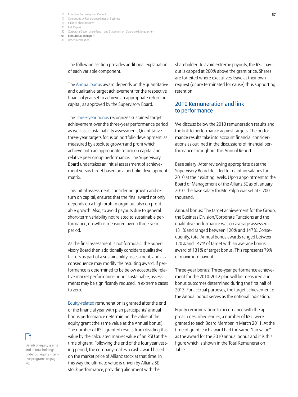12 Executive Summary and Outlook 67 17 Operations by Reinsurance Lines of Business 19 Balance Sheet Review

22 Risk Report

52 Corporate Governance Report and Statement on Corporate Management

61 Remuneration Report

81 Other Information

The following section provides additional explanation of each variable component.

The Annual bonus award depends on the quantitative and qualitative target achievement for the respective financial year set to achieve an appropriate return on capital, as approved by the Supervisory Board.

The Three-year bonus recognizes sustained target achievement over the three-year performance period as well as a sustainability assessment. Quantitative three-year targets focus on portfolio development, as measured by absolute growth and profit which achieve both an appropriate return on capital and relative peer group performance. The Supervisory Board undertakes an initial assessment of achievement versus target based on a portfolio development matrix.

This initial assessment, considering growth and return on capital, ensures that the final award not only depends on a high profit margin but also on profitable growth. Also, to avoid payouts due to general short-term variability not related to sustainable performance, growth is measured over a three-year period.

As the final assessment is not formulaic, the Supervisory Board then additionally considers qualitative factors as part of a sustainability assessment, and as a consequence may modify the resulting award. If performance is determined to be below acceptable relative market performance or not sustainable, assessments may be significantly reduced, in extreme cases to zero.

Equity-related remuneration is granted after the end of the financial year with plan participants' annual bonus performance determining the value of the equity grant (the same value as the Annual bonus). The number of RSU granted results from dividing this value by the calculated market value of an RSU at the time of grant. Following the end of the four year vesting period, the company makes a cash award based on the market price of Allianz stock at that time. In this way the ultimate value is driven by Allianz SE stock performance, providing alignment with the

shareholder. To avoid extreme payouts, the RSU payout is capped at 200% above the grant price. Shares are forfeited where executives leave at their own request (or are terminated for cause) thus supporting retention.

# 2010 Remuneration and link to performance

We discuss below the 2010 remuneration results and the link to performance against targets. The performance results take into account financial considerations as outlined in the discussions of financial performance throughout this Annual Report.

Base salary: After reviewing appropriate data the Supervisory Board decided to maintain salaries for 2010 at their existing levels. Upon appointment to the Board of Management of the Allianz SE as of January 2010, the base salary for Mr. Ralph was set at  $\epsilon$  700 thousand.

Annual bonus: The target achievement for the Group, the Business Division/Corporate Functions and the qualitative performance was on average assessed at 131% and ranged between 120% and 147%. Consequently, total Annual bonus awards ranged between 120% and 147% of target with an average bonus award of 131% of target bonus. This represents 79% of maximum payout.

Three-year bonus: Three-year performance achievement for the 2010-2012 plan will be measured and bonus outcomes determined during the first half of 2013. For accrual purposes, the target achievement of the Annual bonus serves as the notional indication.

Equity remuneration: In accordance with the approach described earlier, a number of RSU were granted to each Board Member in March 2011. At the time of grant, each award had the same "fair value" as the award for the 2010 annual bonus and it is this figure which is shown in the Total Remuneration Table.

Details of equity grants and of total holdings [under our equity incen](#page-71-0)tive programs on page 70.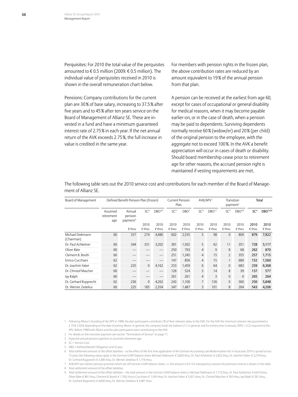<span id="page-69-0"></span>Perquisites: For 2010 the total value of the perquisites amounted to  $\epsilon$  0.5 million (2009:  $\epsilon$  0.5 million). The individual value of perquisites received in 2010 is shown in the overall remuneration chart below.

Pensions: Company contributions for the current plan are 30% of base salary, increasing to 37.5% after five years and to 45% after ten years service on the Board of Management of Allianz SE. These are invested in a fund and have a minimum guaranteed interest rate of 2.75% in each year. If the net annual return of the AVK exceeds 2.75%, the full increase in value is credited in the same year.

For members with pension rights in the frozen plan, the above contribution rates are reduced by an amount equivalent to 19% of the annual pension from that plan.

A pension can be received at the earliest from age 60, except for cases of occupational or general disability for medical reasons, when it may become payable earlier-on, or in the case of death, when a pension may be paid to dependents. Surviving dependents normally receive 60% (widow/er) and 20% (per child) of the original pension to the employee, with the aggregate not to exceed 100%. In the AVK a benefit appreciation will occur in cases of death or disability. Should board membership cease prior to retirement age for other reasons, the accrued pension right is maintained if vesting requirements are met.

Board of Management Defined Benefit Pension Plan (frozen) Current Pension Plan AVK/APV1 Transition payment2 Total Assumed retirement age Annual pension payment<sup>3</sup>  $SC<sup>4</sup>$  DBO<sup>5,6</sup> SC<sup>4</sup> DBO<sup>5</sup> SC<sup>4</sup> DBO<sup>5,7</sup> SC<sup>4</sup> DBO<sup>5,8</sup> SC<sup>4</sup> DBO<sup>5,6,9</sup> 2010 2010 2010 2010 2010 2010 2010 2010 2010 2010 € thou € thou € thou € thou € thou € thou € thou € thou € thou € thou € thou Michael Diekmann (Chairman) 60 337 274 4,480 602 2,535 3 98 0 809 879 7,922 Dr. Paul Achleitner 60 344 331 3,202 381 1,502 5 62 11 351 728 5,117 Oliver Bäte 60 — — — 250 793 4 9 8 68 262 870 Clement B. Booth 60 — — — 251 1,345 4 15 2 355 257 1,715 Enrico Cucchiani 62 — — — 147 856 4 15 1 689 152 1,560 Dr. Joachim Faber 62 225 0 4,162 253 1,459 6 64 0 683 259 6,368 Dr. Christof Mascher 60 — — — 126 524 3 14 8 39 137 577 Jay Ralph 60 — — — 261 261 4 3 0 0 265 264 Dr. Gerhard Rupprecht 62 236 0 4,262 243 1,100 7 126 0 360 250 5,848 Dr. Werner Zedelius 60 225 185 2,354 347 1,487 3 101 8 264 543 4,206

The following table sets out the 2010 service cost and contributions for each member of the Board of Management of Allianz SE.

1 Following Allianz's founding of the APV in 1998, the plan participants contribute 3% of their relevant salary to the AVK. For the AVK the minimum interest rate guaranteed is 2.75%-3.50% depending on the date of joining Allianz. In general, the company funds the balance (1:1 in general, and for entries prior to January 2005, 1:2.2) required via the APV. Before 1998 both Allianz and the plan participants were contributing to the AVK.

- 2 For details on the transition payment see section "Termination of Service" [on page 71.](#page-72-0)
- 3 Expected annual pension payment at assumed retirement age.

- 5 DBO = Defined Benefit Obligation; end of year.
- 6 Total settlement amount of the offset liabilities as the effect of the first time application of the German Accounting Law Modernization Act in fiscal year 2010 is spread across 15 years the following values apply in the German GAAP balance sheet: Michael Diekmann: € 3,829 thou, Dr. Paul Achleitner: € 2,822 thou, Dr. Joachim Faber: € 3,279 thou, Dr. Gerhard Rupprecht: € 3,366 thou, Dr. Werner Zedelius: € 1,716 thou.
- 7 AVK/APV are indirect pension promises which are off German GAAP balance sheet, i. e. the amount is € 0. For transparency reasons the premium reserve is shown in the table.
- 8 Total settlement amount of the offset liabilities.
- 9 Total settlement amount of the offset liabilities the total amount in the German GAAP balance sheet is: Michael Diekmann: € 7,173 thou, Dr. Paul Achleitner: € 4,674 thou, Oliver Bäte: € 861 thou, Clement B. Booth: € 1,700, Enrico Cucchiani: € 1,545 thou, Dr. Joachim Faber: € 5,421 thou, Dr. Christof Mascher: € 563 thou, Jay Ralph: € 261 thou, Dr. Gerhard Rupprecht: € 4,826 thou, Dr. Werner Zedelius: € 3,467 thou.

<sup>4</sup> SC = Service Cost.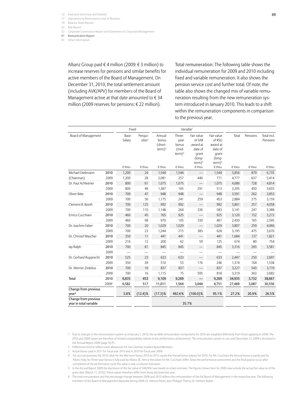<span id="page-70-0"></span>12 Executive Summary and Outlook 69

17 Operations by Reinsurance Lines of Business

19 Balance Sheet Review

22 Risk Report

52 Corporate Governance Report and Statement on Corporate Management

61 Remuneration Report

81 Other Information

Allianz Group paid € 4 million (2009: € 3 million) to increase reserves for pensions and similar benefits for active members of the Board of Management. On December 31, 2010, the total settlement amount (including AVK/APV) for members of the Board of Management active at that date amounted to € 34 million (2009 reserves for pensions: € 22 million).

Total remuneration: The following table shows the individual remuneration for 2009 and 2010 including fixed and variable remuneration. It also shows the pension service cost and further total. Of note, the table also shows the changed mix of variable remuneration resulting from the new remuneration system introduced in January 2010. This leads to a shift within the remuneration components in comparison to the previous year.

|                                                |       | Fixed           |                               |                                                   |                                               | Variable <sup>1</sup>                                                       |                                                                                       |        |                 |                         |
|------------------------------------------------|-------|-----------------|-------------------------------|---------------------------------------------------|-----------------------------------------------|-----------------------------------------------------------------------------|---------------------------------------------------------------------------------------|--------|-----------------|-------------------------|
| Board of Management                            |       | Base<br>Salary  | Perqui-<br>sites <sup>2</sup> | Annual<br>bonus<br>(short-<br>$term$ <sup>3</sup> | Three-<br>year<br>bonus<br>(mid-<br>$term)^4$ | Fair value<br>of SAR<br>award at<br>date of<br>qrant<br>(long-<br>$term)^5$ | Fair value<br>of RSU<br>award at<br>date of<br>grant<br>(long-<br>$term$ <sup>5</sup> | Total  | Pensions        | Total incl.<br>Pensions |
|                                                |       | $\epsilon$ thou | € thou                        | € thou                                            | € thou                                        | € thou                                                                      | € thou                                                                                | € thou | $\epsilon$ thou | € thou                  |
| Michael Diekmann                               | 2010  | 1,200           | 24                            | 1,544                                             | 1,544                                         | $\overline{\phantom{m}}$                                                    | 1,544                                                                                 | 5,856  | 879             | 6,735                   |
| (Chairman)                                     | 2009  | 1,200           | 28                            | 2,081                                             | 257                                           | 440                                                                         | 771                                                                                   | 4,777  | 637             | 5,414                   |
| Dr. Paul Achleitner                            | 2010  | 800             | 61                            | 1,075                                             | 1,075                                         | $\overline{\phantom{0}}$                                                    | 1,075                                                                                 | 4,086  | 728             | 4,814                   |
|                                                | 2009  | 800             | 49                            | 1,387                                             | 165                                           | 291                                                                         | 513                                                                                   | 3,205  | 450             | 3,655                   |
| Oliver Bäte                                    | 2010  | 700             | 47                            | 948                                               | 948                                           |                                                                             | 948                                                                                   | 3,591  | 262             | 3,853                   |
|                                                | 2009  | 700             | 56                            | 1,175                                             | 241                                           | 259                                                                         | 453                                                                                   | 2,884  | 275             | 3,159                   |
| Clement B. Booth                               | 2010  | 700             | 125                           | 992                                               | 992                                           | $\overline{\phantom{0}}$                                                    | 992                                                                                   | 3,801  | 257             | 4,058                   |
|                                                | 2009  | 700             | 110                           | 1,148                                             | 264                                           | 336                                                                         | 583                                                                                   | 3,141  | 247             | 3,388                   |
| Enrico Cucchiani                               | 2010  | 460             | 45                            | 765                                               | 925                                           | $\qquad \qquad -$                                                           | 925                                                                                   | 3,120  | 152             | 3,272                   |
|                                                | 2009  | 460             | 98                            | 970                                               | 105                                           | 330                                                                         | 467                                                                                   | 2,430  | 165             | 2,595                   |
| Dr. Joachim Faber                              | 2010  | 700             | 20                            | 1,029                                             | 1,029                                         | $\overline{\phantom{m}}$                                                    | 1,029                                                                                 | 3,807  | 259             | 4,066                   |
|                                                | 2009  | 700             | 23                            | 1,244                                             | 215                                           | 385                                                                         | 628                                                                                   | 3,195  | 475             | 3,670                   |
| Dr. Christof Mascher                           | 2010  | 350             | 11                            | 441                                               | 441                                           | $\qquad \qquad -$                                                           | 441                                                                                   | 1,684  | 137             | 1,821                   |
|                                                | 2009  | 216             | 12                            | 200                                               | 62                                            | 59                                                                          | 125                                                                                   | 674    | 80              | 754                     |
| Jay Ralph                                      | 2010  | 700             | 81                            | 845                                               | 845                                           |                                                                             | 845                                                                                   | 3,316  | 265             | 3,581                   |
|                                                | 2009  |                 |                               |                                                   |                                               |                                                                             |                                                                                       |        |                 |                         |
| Dr. Gerhard Rupprecht                          | 2010  | 525             | 23                            | 633                                               | 633                                           | $\overline{\phantom{0}}$                                                    | 633                                                                                   | 2,447  | 250             | 2,697                   |
|                                                | 2009  | 350             | 39                            | 510                                               | 53                                            | 176                                                                         | 246                                                                                   | 1,374  | 164             | 1,538                   |
| Dr. Werner Zedelius                            | 2010  | 700             | 16                            | 837                                               | 837                                           |                                                                             | 837                                                                                   | 3,227  | 543             | 3,770                   |
|                                                | 2009  | 700             | 16                            | 1,115                                             | 75                                            | 595                                                                         | 818                                                                                   | 3,319  | 363             | 3,682                   |
| Total                                          | 2010  | 6,835           | 453                           | 9,109                                             | 9,269                                         | $\qquad \qquad -$                                                           | 9,269                                                                                 | 34,935 | 3,732           | 38,667                  |
|                                                | 20096 | 6,582           | 517                           | 11,011                                            | 1,564                                         | 3,044                                                                       | 4,751                                                                                 | 27,469 | 3,087           | 30,556                  |
| Change from previous<br>year <sup>6</sup>      |       | 3.8%            | $(12.4)$ %                    | $(17.3)$ %                                        | 492.6%                                        | $(100.0)$ %                                                                 | 95.1%                                                                                 | 27.2%  | 20.9%           | 26.5%                   |
| Change from previous<br>year in total variable |       |                 |                               |                                                   |                                               | 35.7%                                                                       |                                                                                       |        |                 |                         |

1 Due to changes in the remuneration system as of January 1, 2010, the variable remuneration components for 2010 are weighted differently from those applying to 2009. The 2010 and 2009 values [are therefore of](#page-56-0) limited comparability relative to the performance achievement. The remuneration system in use until December 31, 2009 is disclosed in the Annual Report 2009 (page 55 ff).

2 Differences tend to reflect travel allowances for non-German resident Board Members.

3 Actual bonus paid in 2011 for fiscal year 2010 and in 2010 for fiscal year 2009.

4 For accrual purposes the 2010 value for the Mid-term bonus 2010 to 2012 equals the Annual bonus payout for 2010. For Mr. Cucchiani the Annual bonus is partly paid by Allianz Italy; his Three-year bonus is fully paid by Allianz SE. Hence the values for Mr. Cucchiani differ. Since the performance assessment and the final payout occur after completion of the performance cycle this value is only a notional indication.

5 In the Annual Report 2009 the disclosure of the fair value of SAR/RSU was based on a best estimate. The figures shown here for 2009 now include the actual fair value as of the grant date (March 11, 2010). These values therefore differ from those disclosed last year.

6 The total remuneration and the percentage change between 2009 and 2010 reflects the remuneration of the full Board of Management in the respective year. The following members of the Board of Management departed during 2009: Dr. Helmut Perlet, Jean-Philippe Thierry, Dr. Herbert Walter.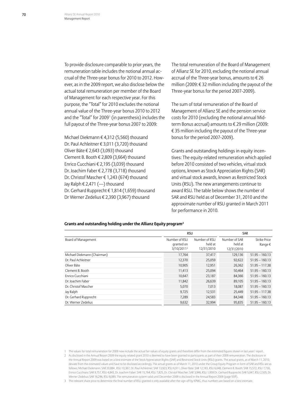<span id="page-71-0"></span>To provide disclosure comparable to prior years, the remuneration table includes the notional annual accrual of the Three-year bonus for 2010 to 2012. However, as in the 2009 report, we also disclose below the actual total remuneration per member of the Board of Management for each respective year. For this purpose, the "Total" for 2010 excludes the notional annual value of the Three-year bonus 2010 to 2012 and the "Total" for 20091 (in parenthesis) includes the full payout of the Three-year bonus 2007 to 2009:

Michael Diekmann € 4,312 (5,560) thousand Dr. Paul Achleitner € 3,011 (3,720) thousand Oliver Bäte € 2,643 (3,093) thousand Clement B. Booth € 2,809 (3,664) thousand Enrico Cucchiani € 2,195 (3,039) thousand Dr. Joachim Faber € 2,778 (3,718) thousand Dr. Christof Mascher € 1,243 (674) thousand Jay Ralph € 2,471 (—) thousand Dr. Gerhard Rupprecht € 1,814 (1,659) thousand Dr Werner Zedelius € 2,390 (3,967) thousand

The total remuneration of the Board of Management of Allianz SE for 2010, excluding the notional annual accrual of the Three-year bonus, amounts to € 26 million (2009: € 32 million including the payout of the Three-year bonus for the period 2007-2009).

The sum of total remuneration of the Board of Management of Allianz SE and the pension service costs for 2010 (excluding the notional annual Midterm Bonus accrual) amounts to € 29 million (2009: € 35 million including the payout of the Three-year bonus for the period 2007-2009).

Grants and outstanding holdings in equity incentives: The equity-related remuneration which applied before 2010 consisted of two vehicles, virtual stock options, known as Stock Appreciation Rights (SAR) and virtual stock awards, known as Restricted Stock Units (RSU). The new arrangements continue to award RSU. The table below shows the number of SAR and RSU held as of December 31, 2010 and the approximate number of RSU granted in March 2011 for performance in 2010.

### **Grants and outstanding holding under the Allianz Equity program2**

|                             | <b>RSU</b>                                            |                                        | <b>SAR</b>                             |                                  |
|-----------------------------|-------------------------------------------------------|----------------------------------------|----------------------------------------|----------------------------------|
| Board of Management         | Number of RSU<br>granted on<br>3/10/2011 <sup>3</sup> | Number of RSU<br>held at<br>12/31/2010 | Number of SAR<br>held at<br>12/31/2010 | Strike Price<br>Range $\epsilon$ |
| Michael Diekmann (Chairman) | 17,764                                                | 37,417                                 | 129,136                                | $51.95 - 160.13$                 |
| Dr. Paul Achleitner         | 12,370                                                | 25,059                                 | 92,622                                 | $51.95 - 160.13$                 |
| Oliver Bäte                 | 10.905                                                | 12,951                                 | 26,362                                 | $51.95 - 117.38$                 |
| Clement B. Booth            | 11,413                                                | 25,094                                 | 50,464                                 | $51.95 - 160.13$                 |
| Enrico Cucchiani            | 10,647                                                | 23,187                                 | 84,366                                 | $51.95 - 160.13$                 |
| Dr. Joachim Faber           | 11,842                                                | 26,639                                 | 89,105                                 | $51.95 - 160.13$                 |
| Dr. Christof Mascher        | 5,070                                                 | 7.013                                  | 18.087                                 | $51.95 - 160.13$                 |
| Jay Ralph                   | 9,725                                                 | 12,531                                 | 25,449                                 | $51.95 - 117.38$                 |
| Dr. Gerhard Rupprecht       | 7,289                                                 | 24,583                                 | 84,348                                 | $51.95 - 160.13$                 |
| Dr. Werner Zedelius         | 9,632                                                 | 32,994                                 | 95.835                                 | $51.95 - 160.13$                 |

2 As disclosed in the Annual Report 2009 the equity related grant 2010 is deemed to have been granted to participants as part of their 2009 remuneration. The disclosure in the Annual Report 2009 was based on a best estimate of the Stock Appreciation Rights (SAR) and Restricted Stock Units (RSU) grants. The actual grants, as of March 11, 2010, deviate from the estimated values and have to be disclosed accordingly. The actual grants as of March 11, 2010 under the Group Equity Program in form of SAR and RSU are as follows: Michael Diekmann: SAR 20,884 , RSU 10,367, Dr. Paul Achleitner: SAR 13,923, RSU 6,911, Oliver Bäte: SAR 12,183, RSU 6,048, Clement B. Booth: SAR 15,572, RSU 7,730, Enrico Cucchiani: SAR 9,757, RSU 4,843, Dr. Joachim Faber: SAR 15,764, RSU 7,825, Dr. Christof Mascher: SAR 3,946, RSU 1,959 Dr. Gerhard Rupprecht: SAR 5,047, RSU 2,505, Dr. Werner Zedelius: SAR 16,296, RSU 8,089. The remuneration system valid until December 2009 is disclosed in the Annual Report 200[9 \(page 55ff\).](#page-56-0) 

3 The relevant share price to determine the final number of RSU granted is only available after the sign-off by KPMG, thus numbers are based on a best estimate.

<sup>1</sup> The values for total remuneration for 2009 now include the actual fair values of equity grants and therefore differ from the estimated figures shown in last years' report.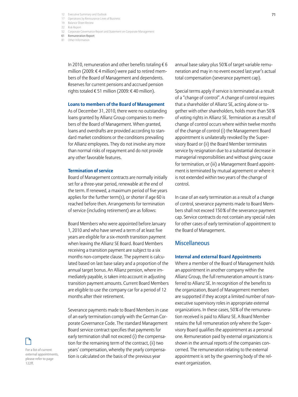12 Executive Summary and Outlook 71

17 Operations by Reinsurance Lines of Business

19 Balance Sheet Review

22 Risk Report

52 Corporate Governance Report and Statement on Corporate Management

61 Remuneration Report

81 Other Information

In 2010, remuneration and other benefits totaling  $\epsilon$  6 million (2009: € 4 million) were paid to retired members of the Board of Management and dependents. Reserves for current pensions and accrued pension rights totaled € 51 million (2009:  $€$  40 million).

#### **Loans to members of the Board of Management**

As of December 31, 2010, there were no outstanding loans granted by Allianz Group companies to members of the Board of Management. When granted, loans and overdrafts are provided according to standard market conditions or the conditions prevailing for Allianz employees. They do not involve any more than normal risks of repayment and do not provide any other favorable features.

#### **Termination of service**

Board of Management contracts are normally initially set for a three-year period, renewable at the end of the term. If renewed, a maximum period of five years applies for the further term(s), or shorter if age 60 is reached before then. Arrangements for termination of service (including retirement) are as follows:

Board Members who were appointed before January 1, 2010 and who have served a term of at least five years are eligible for a six-month transition payment when leaving the Allianz SE Board. Board Members receiving a transition payment are subject to a six months non-compete clause. The payment is calculated based on last base salary and a proportion of the annual target bonus. An Allianz pension, where immediately payable, is taken into account in adjusting transition payment amounts. Current Board Members are eligible to use the company car for a period of 12 months after their retirement.

Severance payments made to Board Members in case of an early termination comply with the German Corporate Governance Code. The standard Management Board service contract specifies that payments for early termination shall not exceed (i) the compensation for the remaining term of the contract, (ii) two years' compensation, whereby the yearly compensation is calculated on the basis of the previous year

annual base salary plus 50% of target variable remuneration and may in no event exceed last year's actual total compensation (severance payment cap).

Special terms apply if service is terminated as a result of a "change of control". A change of control requires that a shareholder of Allianz SE, acting alone or together with other shareholders, holds more than 50% of voting rights in Allianz SE. Termination as a result of change of control occurs where within twelve months of the change of control (i) the Management Board appointment is unilaterally revoked by the Supervisory Board or (ii) the Board Member terminates service by resignation due to a substantial decrease in managerial responsibilities and without giving cause for termination, or (iii) a Management Board appointment is terminated by mutual agreement or where it is not extended within two years of the change of control.

In case of an early termination as a result of a change of control, severance payments made to Board Members shall not exceed 150% of the severance payment cap. Service contracts do not contain any special rules for other cases of early termination of appointment to the Board of Management.

### Miscellaneous

#### **Internal and external Board Appointments**

Where a member of the Board of Management holds an appointment in another company within the Allianz Group, the full remuneration amount is transferred to Allianz SE. In recognition of the benefits to the organization, Board of Management members are supported if they accept a limited number of nonexecutive supervisory roles in appropriate external organizations. In these cases, 50% of the remuneration received is paid to Allianz SE. A Board Member retains the full remuneration only where the Supervisory Board qualifies the appointment as a personal one. Remuneration paid by external organizations is shown in the annual reports of the companies concerned. The remuneration relating to the external appointment is set by the governing body of the relevant organization.

For a list of current [external appointments,](#page-125-0)  please refer to page 122ff.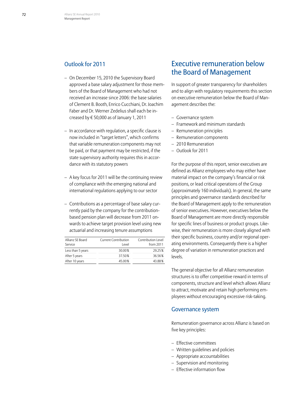## Outlook for 2011

- On December 15, 2010 the Supervisory Board approved a base salary adjustment for those members of the Board of Management who had not received an increase since 2006: the base salaries of Clement B. Booth, Enrico Cucchiani, Dr. Joachim Faber and Dr. Werner Zedelius shall each be increased by € 50,000 as of January 1, 2011
- In accordance with regulation, a specific clause is now included in "target letters", which confirms that variable remuneration components may not be paid, or that payment may be restricted, if the state supervisory authority requires this in accordance with its statutory powers
- A key focus for 2011 will be the continuing review of compliance with the emerging national and international regulations applying to our sector
- Contributions as a percentage of base salary currently paid by the company for the contributionbased pension plan will decrease from 2011 onwards to achieve target provision level using new actuarial and increasing tenure assumptions

| Allianz SE Board<br>Service | <b>Current Contribution</b><br>l evel | Contribution Level<br>from 2011 |
|-----------------------------|---------------------------------------|---------------------------------|
| Less than 5 years           | 30.00%                                | 29.25%                          |
| After 5 years               | 37.50%                                | 36.56%                          |
| After 10 years              | 45.00%                                | 4388%                           |

## Executive remuneration below the Board of Management

In support of greater transparency for shareholders and to align with regulatory requirements this section on executive remuneration below the Board of Management describes the:

- Governance system
- Framework and minimum standards
- Remuneration principles
- Remuneration components
- 2010 Remuneration
- Outlook for 2011

For the purpose of this report, senior executives are defined as Allianz employees who may either have material impact on the company's financial or risk positions, or lead critical operations of the Group (approximately 160 individuals). In general, the same principles and governance standards described for the Board of Management apply to the remuneration of senior executives. However, executives below the Board of Management are more directly responsible for specific lines of business or product groups. Likewise, their remuneration is more closely aligned with their specific business, country and/or regional operating environments. Consequently there is a higher degree of variation in remuneration practices and levels.

The general objective for all Allianz remuneration structures is to offer competitive reward in terms of components, structure and level which allows Allianz to attract, motivate and retain high performing employees without encouraging excessive risk-taking.

#### Governance system

Remuneration governance across Allianz is based on five key principles:

- Effective committees
- Written guidelines and policies
- Appropriate accountabilities
- Supervision and monitoring
- Effective information flow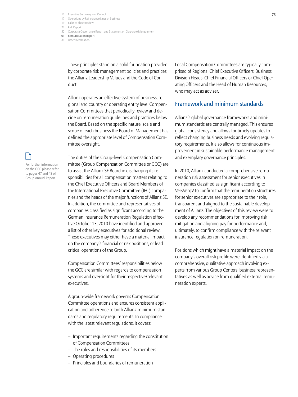12 Executive Summary and Outlook **73** 

- 17 Operations by Reinsurance Lines of Business
- 19 Balance Sheet Review

22 Risk Report

52 Corporate Governance Report and Statement on Corporate Management

61 Remuneration Report

81 Other Information

These principles stand on a solid foundation provided by corporate risk management policies and practices, the Allianz Leadership Values and the Code of Conduct.

Allianz operates an effective system of business, regional and country or operating entity level Compensation Committees that periodically review and decide on remuneration guidelines and practices below the Board. Based on the specific nature, scale and scope of each business the Board of Management has defined the appropriate level of Compensation Committee oversight.

For further information [on the GCC please refer](#page-48-0)  to pages 47 and 48 of Group Annual Report.

The duties of the Group-level Compensation Committee (Group Compensation Committee or GCC) are to assist the Allianz SE Board in discharging its responsibilities for all compensation matters relating to the Chief Executive Officers and Board Members of the International Executive Committee (IEC) companies and the heads of the major functions of Allianz SE. In addition, the committee and representatives of companies classified as significant according to the German Insurance Remuneration Regulation effective October 13, 2010 have identified and approved a list of other key executives for additional review. These executives may either have a material impact on the company's financial or risk positions, or lead critical operations of the Group.

Compensation Committees' responsibilities below the GCC are similar with regards to compensation systems and oversight for their respective/relevant executives.

A group-wide framework governs Compensation Committee operations and ensures consistent application and adherence to both Allianz minimum standards and regulatory requirements. In compliance with the latest relevant regulations, it covers:

- Important requirements regarding the constitution of Compensation Committees
- The roles and responsibilities of its members
- Operating procedures
- Principles and boundaries of remuneration

Local Compensation Committees are typically comprised of Regional Chief Executive Officers, Business Division Heads, Chief Financial Officers or Chief Operating Officers and the Head of Human Resources, who may act as adviser.

## Framework and minimum standards

Allianz's global governance frameworks and minimum standards are centrally managed. This ensures global consistency and allows for timely updates to reflect changing business needs and evolving regulatory requirements. It also allows for continuous improvement in sustainable performance management and exemplary governance principles.

In 2010, Allianz conducted a comprehensive remuneration risk assessment for senior executives in companies classified as significant according to VersVergV to confirm that the remuneration structures for senior executives are appropriate to their role, transparent and aligned to the sustainable development of Allianz. The objectives of this review were to develop any recommendations for improving risk mitigation and aligning pay for performance and, ultimately, to confirm compliance with the relevant insurance regulation on remuneration.

Positions which might have a material impact on the company's overall risk profile were identified via a comprehensive, qualitative approach involving experts from various Group Centers, business representatives as well as advice from qualified external remuneration experts.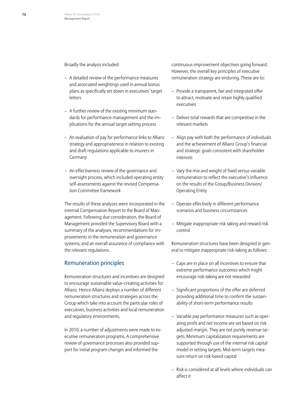Broadly the analysis included:

- A detailed review of the performance measures and associated weightings used in annual bonus plans as specifically set down in executives' target letters
- A further review of the existing minimum standards for performance management and the implications for the annual target setting process
- An evaluation of pay for performance links to Allianz strategy and appropriateness in relation to existing and draft regulations applicable to insurers in Germany
- An effectiveness review of the governance and oversight process, which included operating entity self-assessments against the revised Compensation Committee framework

The results of these analyses were incorporated in the internal Compensation Report to the Board of Management. Following due consideration, the Board of Management provided the Supervisory Board with a summary of the analyses, recommendations for improvements in the remuneration and governance systems, and an overall assurance of compliance with the relevant regulations.

## Remuneration principles

Remuneration structures and incentives are designed to encourage sustainable value-creating activities for Allianz. Hence Allianz deploys a number of different remuneration structures and strategies across the Group which take into account the particular roles of executives, business activities and local remuneration and regulatory environments.

In 2010, a number of adjustments were made to executive remuneration programs. A comprehensive review of governance processes also provided support for initial program changes and informed the

continuous improvement objectives going forward. However, the overall key principles of executive remuneration strategy are enduring. These are to:

- Provide a transparent, fair and integrated offer to attract, motivate and retain highly qualified executives
- Deliver total rewards that are competitive in the relevant markets
- Align pay with both the performance of individuals and the achievement of Allianz Group's financial and strategic goals consistent with shareholder interests
- Vary the mix and weight of fixed versus variable remuneration to reflect the executive's influence on the results of the Group/Business Division/ Operating Entity
- Operate effectively in different performance scenarios and business circumstances
- Mitigate inappropriate risk taking and reward risk control

Remuneration structures have been designed in general to mitigate inappropriate risk-taking as follows:

- Caps are in place on all incentives to ensure that extreme performance outcomes which might encourage risk-taking are not rewarded
- Significant proportions of the offer are deferred providing additional time to confirm the sustainability of short-term performance results
- Variable pay performance measures such as operating profit and net income are set based on risk adjusted margin. They are not purely revenue targets. Minimum capitalization requirements are supported through use of the internal risk capital model in setting targets. Mid-term targets measure return on risk-based capital
- Risk is considered at all levels where individuals can affect it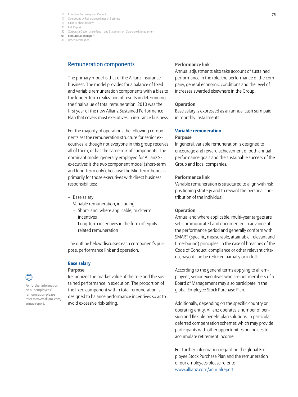- 12 Executive Summary and Outlook **75**
- 17 Operations by Reinsurance Lines of Business
- 19 Balance Sheet Review
- 22 Risk Report
- 52 Corporate Governance Report and Statement on Corporate Management
- 61 Remuneration Report
- 81 Other Information

## Remuneration components

The primary model is that of the Allianz insurance business. The model provides for a balance of fixed and variable remuneration components with a bias to the longer-term realization of results in determining the final value of total remuneration. 2010 was the first year of the new Allianz Sustained Performance Plan that covers most executives in insurance business.

For the majority of operations the following components set the remuneration structure for senior executives, although not everyone in this group receives all of them, or has the same mix of components. The dominant model generally employed for Allianz SE executives is the two component model (short-term and long-term only), because the Mid-term-bonus is primarily for those executives with direct business responsibilities:

- Base salary
- Variable remuneration, including:
	- Short- and, where applicable, mid-term incentives
	- Long-term incentives in the form of equityrelated remuneration

The outline below discusses each component's purpose, performance link and operation.

#### **Base salary**

#### **Purpose**

Recognizes the market value of the role and the sustained performance in execution. The proportion of the fixed component within total remuneration is designed to balance performance incentives so as to avoid excessive risk-taking.

#### **Performance link**

Annual adjustments also take account of sustained performance in the role, the performance of the company, general economic conditions and the level of increases awarded elsewhere in the Group.

#### **Operation**

Base salary is expressed as an annual cash sum paid in monthly installments.

#### **Variable remuneration Purpose**

In general, variable remuneration is designed to encourage and reward achievement of both annual performance goals and the sustainable success of the Group and local companies.

#### **Performance link**

Variable remuneration is structured to align with risk positioning strategy and to reward the personal contribution of the individual.

#### **Operation**

Annual and where applicable, multi-year targets are set, communicated and documented in advance of the performance period and generally conform with SMART (specific, measurable, attainable, relevant and time-bound) principles. In the case of breaches of the Code of Conduct, compliance or other relevant criteria, payout can be reduced partially or in full.

According to the general terms applying to all employees, senior executives who are not members of a Board of Management may also participate in the global Employee Stock Purchase Plan.

Additionally, depending on the specific country or operating entity, Allianz operates a number of pension and flexible benefit plan solutions, in particular deferred compensation schemes which may provide participants with other opportunities or choices to accumulate retirement income.

For further information regarding the global Employee Stock Purchase Plan and the remuneration of our employees please refer to www.allianz.com/annualreport.



For further information on our employees' remuneration please [refer to www.allianz.com/](www.allianz.com/annualreport) annualreport.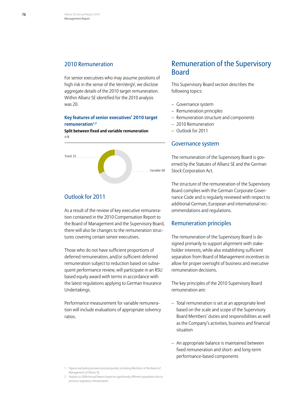## 2010 Remuneration

For senior executives who may assume positions of high risk in the sense of the VersVergV, we disclose aggregate details of the 2010 target remuneration. Within Allianz SE identified for the 2010 analysis was 20.

### **Key features of senior executives' 2010 target remuneration1,2**

**Split between fixed and variable remuneration** in%



## Outlook for 2011

As a result of the review of key executive remuneration contained in the 2010 Compensation Report to the Board of Management and the Supervisory Board, there will also be changes to the remuneration structures covering certain senior executives.

Those who do not have sufficient proportions of deferred remuneration, and/or sufficient deferred remuneration subject to reduction based on subsequent performance review, will participate in an RSU based equity award with terms in accordance with the latest regulations applying to German Insurance Undertakings.

Performance measurement for variable remuneration will include evaluations of appropriate solvency ratios.

## Remuneration of the Supervisory Board

This Supervisory Board section describes the following topics:

- Governance system
- Remuneration principles
- Remuneration structure and components
- 2010 Remuneration
- Outlook for 2011

### Governance system

The remuneration of the Supervisory Board is governed by the Statutes of Allianz SE and the German Stock Corporation Act.

The structure of the remuneration of the Supervisory Board complies with the German Corporate Governance Code and is regularly reviewed with respect to additional German, European and international recommendations and regulations.

### Remuneration principles

The remuneration of the Supervisory Board is designed primarily to support alignment with stakeholder interests, while also establishing sufficient separation from Board of Management incentives to allow for proper oversight of business and executive remuneration decisions.

The key principles of the 2010 Supervisory Board remuneration are:

- Total remuneration is set at an appropriate level based on the scale and scope of the Supervisory Board Members' duties and responsibilities as well as the Company's activities, business and financial situation
- An appropriate balance is maintained between fixed remuneration and short- and long-term performance-based components

2 Analysis in 2009 Annual Report based on significantly different population due to previous regulatory interpretation.

<sup>1</sup> Figures excluding pensions and perquisites; including Members of the Board of Management of Allianz SE.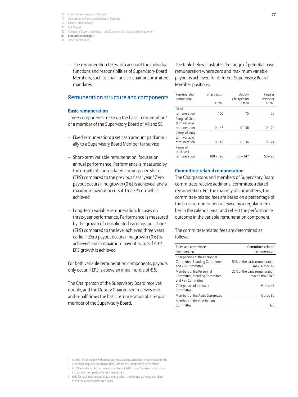- 17 Operations by Reinsurance Lines of Business
- 19 Balance Sheet Review
- 22 Risk Report
- 52 Corporate Governance Report and Statement on Corporate Management
- 61 Remuneration Report
- 81 Other Information
	- The remuneration takes into account the individual functions and responsibilities of Supervisory Board Members, such as chair, or vice-chair or committee mandates

#### Remuneration structure and components

#### **Basic remuneration**

Three components make up the basic remuneration $1$ of a member of the Supervisory Board of Allianz SE.

- Fixed remuneration: a set cash amount paid annually to a Supervisory Board Member for service
- Short-term variable remuneration: focuses on annual performance. Performance is measured by the growth of consolidated earnings-per-share (EPS) compared to the previous fiscal year.2 Zero payout occurs if no growth (0%) is achieved, and a maximum payout occurs if 16% EPS growth is achieved
- Long-term variable remuneration: focuses on three-year performance. Performance is measured by the growth of consolidated earnings-per-share (EPS) compared to the level achieved three years earlier.3 Zero payout occurs if no growth (0%) is achieved, and a maximum payout occurs if 40% EPS growth is achieved

For both variable remuneration components, payouts only occur if EPS is above an initial hurdle of  $\epsilon$  5.

The Chairperson of the Supervisory Board receives double, and the Deputy Chairperson receives oneand-a-half times the basic remuneration of a regular member of the Supervisory Board.

The table below illustrates the range of potential basic remuneration where zero and maximum variable payout is achieved for different Supervisory Board Member positions.

| Remuneration<br>component                        | Chairperson<br>€ thou | Deputy<br>Chairperson<br>€ thou | Regular<br>member<br>€ thou |
|--------------------------------------------------|-----------------------|---------------------------------|-----------------------------|
| Fixed<br>remuneration                            | 100                   | 75                              | 50                          |
| Range of short-<br>term variable<br>remuneration | $0 - 48$              | $0 - 36$                        | $0 - 24$                    |
| Range of long-<br>term variable<br>remuneration  | $0 - 48$              | $0 - 36$                        | $0 - 24$                    |
| Range of<br>total basic<br>remuneration          | $100 - 196$           | $75 - 147$                      | $50 - 98$                   |

#### **Committee-related remuneration**

The Chairpersons and members of Supervisory Board committees receive additional committee-related remuneration. For the majority of committees, the committee-related fees are based on a percentage of the basic remuneration received by a regular member in the calendar year and reflect the performance outcome in the variable remuneration component.

The committee-related fees are determined as follows:

| Roles and committee<br>membership                                                    | Committee related<br>remuneration                          |
|--------------------------------------------------------------------------------------|------------------------------------------------------------|
| Chairpersons of the Personnel<br>Committee, Standing Committee<br>and Risk Committee | 50% of the basic remuneration<br>max: $\notin$ thou 49     |
| Members of the Personnel<br>Committee, Standing Committee<br>and Risk Committee      | 25% of the basic remuneration<br>max: $\epsilon$ thou 24.5 |
| Chairperson of the Audit<br>Committee                                                | € thou 45                                                  |
| Members of the Audit Committee                                                       | $€$ thou 30                                                |
| Members of the Nomination<br>Committee                                               | €∩                                                         |

- 1 I.e. the remuneration without taking into account additional remuneration for the
- Chairman, Deputy Chairman and/or Committee Chairpersons or members. 2  $€ 150$  for each tenth percentage point by which the Group's earnings-per-share increased in comparison to the previous year.
- 3 € 60 for each tenth percentage point by which the Group's earnings-per-share increased over the past three years.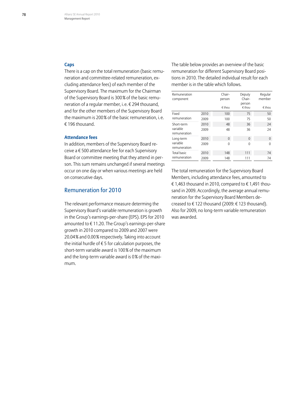#### **Caps**

There is a cap on the total remuneration (basic remuneration and committee-related remuneration, excluding attendance fees) of each member of the Supervisory Board. The maximum for the Chairman of the Supervisory Board is 300% of the basic remuneration of a regular member, i. e. € 294 thousand, and for the other members of the Supervisory Board the maximum is 200% of the basic remuneration, i. e. € 196 thousand.

#### **Attendance fees**

In addition, members of the Supervisory Board receive a € 500 attendance fee for each Supervisory Board or committee meeting that they attend in person. This sum remains unchanged if several meetings occur on one day or when various meetings are held on consecutive days.

### Remuneration for 2010

The relevant performance measure determing the Supervisory Board's variable remuneration is growth in the Group's earnings-per-share (EPS). EPS for 2010 amounted to € 11.20. The Group's earnings-per-share growth in 2010 compared to 2009 and 2007 were 20.04% and 0.00% respectively. Taking into account the initial hurdle of  $\epsilon$  5 for calculation purposes, the short-term variable award is 100% of the maximum and the long-term variable award is 0% of the maximum.

The table below provides an overview of the basic remuneration for different Supervisory Board positions in 2010. The detailed individual result for each member is in the table which follows.

| Remuneration<br>component |      | Chair-<br>person | Deputy<br>Chair-<br>person | Regular<br>member |
|---------------------------|------|------------------|----------------------------|-------------------|
|                           |      | $f$ thou         | € thou                     | € thou            |
| Fixed                     | 2010 | 100              | 75                         | 50                |
| remuneration              | 2009 | 100              | 75                         | 50                |
| Short-term                | 2010 | 48               | 36                         | 24                |
| variable<br>remuneration  | 2009 | 48               | 36                         | 24                |
| Long-term                 | 2010 | 0                | $\mathbf{0}$               | $\Omega$          |
| variable<br>remuneration  | 2009 | 0                | 0                          | $\Omega$          |
| <b>Total basic</b>        | 2010 | 148              | 111                        | 74                |
| remuneration              | 2009 | 148              | 111                        | 74                |

The total remuneration for the Supervisory Board Members, including attendance fees, amounted to € 1,463 thousand in 2010, compared to  $€$  1,491 thousand in 2009. Accordingly, the average annual remuneration for the Supervisory Board Members decreased to € 122 thousand (2009: € 123 thousand). Also for 2009, no long-term variable remuneration was awarded.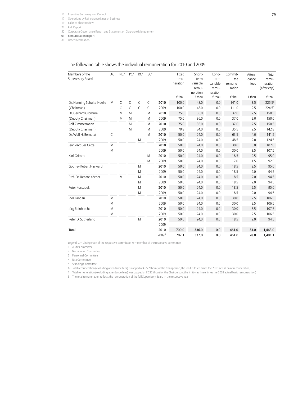12 Executive Summary and Outlook **79** 

17 Operations by Reinsurance Lines of Business

19 Balance Sheet Review

22 Risk Report

52 Corporate Governance Report and Statement on Corporate Management

61 Remuneration Report

81 Other Information

### The following table shows the individual remuneration for 2010 and 2009:

| Members of the             | AC <sup>1</sup> | NC <sup>2</sup> | PC <sup>3</sup> | RC <sup>4</sup> | SC <sup>5</sup> |       | Fixed    | Short-   | Long-    | Commit- | Atten- | Total       |
|----------------------------|-----------------|-----------------|-----------------|-----------------|-----------------|-------|----------|----------|----------|---------|--------|-------------|
| Supervisory Board          |                 |                 |                 |                 |                 |       | remu-    | term     | term     | tee     | dance  | remu-       |
|                            |                 |                 |                 |                 |                 |       | neration | variable | variable | remune- | fees   | neration    |
|                            |                 |                 |                 |                 |                 |       |          | remu-    | remu-    | ration  |        | (after cap) |
|                            |                 |                 |                 |                 |                 |       |          | neration | neration |         |        |             |
|                            |                 |                 |                 |                 |                 |       | € thou   | € thou   | € thou   | € thou  | € thou | € thou      |
| Dr. Henning Schulte-Noelle | M               | $\mathsf{C}$    | $\mathsf{C}$    | $\mathsf C$     | $\mathsf{C}$    | 2010  | 100.0    | 48.0     | 0.0      | 141.0   | 3.5    | 225.56      |
| (Chairman)                 |                 | C               | C               | C               | C               | 2009  | 100.0    | 48.0     | 0.0      | 111.0   | 2.5    | 224.57      |
| Dr. Gerhard Cromme         |                 | M               | M               |                 | M               | 2010  | 75.0     | 36.0     | 0.0      | 37.0    | 2.5    | 150.5       |
| (Deputy Chairman)          |                 | M               | M               |                 | M               | 2009  | 75.0     | 36.0     | 0.0      | 37.0    | 2.0    | 150.0       |
| Rolf Zimmermann            |                 |                 | M               |                 | M               | 2010  | 75.0     | 36.0     | 0.0      | 37.0    | 2.5    | 150.5       |
| (Deputy Chairman)          |                 |                 | M               |                 | M               | 2009  | 70.8     | 34.0     | 0.0      | 35.5    | 2.5    | 142.8       |
| Dr. Wulf H. Bernotat       | C               |                 |                 |                 | M               | 2010  | 50.0     | 24.0     | 0.0      | 63.5    | 4.0    | 141.5       |
|                            |                 |                 |                 | M               |                 | 2009  | 50.0     | 24.0     | 0.0      | 48.5    | 2.0    | 124.5       |
| Jean-Jacques Cette         | M               |                 |                 |                 |                 | 2010  | 50.0     | 24.0     | 0.0      | 30.0    | 3.0    | 107.0       |
|                            | M               |                 |                 |                 |                 | 2009  | 50.0     | 24.0     | 0.0      | 30.0    | 3.5    | 107.5       |
| Karl Grimm                 |                 |                 |                 |                 | M               | 2010  | 50.0     | 24.0     | 0.0      | 18.5    | 2.5    | 95.0        |
|                            |                 |                 |                 |                 | M               | 2009  | 50.0     | 24.0     | 0.0      | 17.0    | 1.5    | 92.5        |
| Godfrey Robert Hayward     |                 |                 |                 | M               |                 | 2010  | 50.0     | 24.0     | 0.0      | 18.5    | 2.5    | 95.0        |
|                            |                 |                 |                 | M               |                 | 2009  | 50.0     | 24.0     | 0.0      | 18.5    | 2.0    | 94.5        |
| Prof. Dr. Renate Köcher    |                 | M               |                 | M               |                 | 2010  | 50.0     | 24.0     | 0.0      | 18.5    | 2.0    | 94.5        |
|                            |                 |                 |                 | M               |                 | 2009  | 50.0     | 24.0     | 0.0      | 18.5    | 2.0    | 94.5        |
| Peter Kossubek             |                 |                 |                 | M               |                 | 2010  | 50.0     | 24.0     | 0.0      | 18.5    | 2.5    | 95.0        |
|                            |                 |                 |                 | M               |                 | 2009  | 50.0     | 24.0     | 0.0      | 18.5    | 2.0    | 94.5        |
| Igor Landau                | M               |                 |                 |                 |                 | 2010  | 50.0     | 24.0     | 0.0      | 30.0    | 2.5    | 106.5       |
|                            | M               |                 |                 |                 |                 | 2009  | 50.0     | 24.0     | 0.0      | 30.0    | 2.5    | 106.5       |
| Jörg Reinbrecht            | M               |                 |                 |                 |                 | 2010  | 50.0     | 24.0     | 0.0      | 30.0    | 3.5    | 107.5       |
|                            | M               |                 |                 |                 |                 | 2009  | 50.0     | 24.0     | 0.0      | 30.0    | 2.5    | 106.5       |
| Peter D. Sutherland        |                 |                 |                 | M               |                 | 2010  | 50.0     | 24.0     | 0.0      | 18.5    | 2.0    | 94.5        |
|                            |                 |                 |                 |                 |                 | 2009  |          |          |          |         |        |             |
| <b>Total</b>               |                 |                 |                 |                 |                 | 2010  | 700.0    | 336.0    | 0.0      | 461.0   | 33.0   | 1,463.0     |
|                            |                 |                 |                 |                 |                 | 20098 | 702.1    | 337.0    | 0.0      | 461.0   | 28.0   | 1,491.1     |

Legend: C = Chairperson of the respective committee, M = Member of the respective committee

1 Audit Committee

2 Nomination Committee

3 Personnel Committee

4 Risk Committee

5 Standing Committee

6 Total remuneration (excluding attendance fees) is capped at € 222 thou (for the Chairperson, the limit is three times the 2010 actual basic remuneration)

7 Total remuneration (excluding attendance fees) was capped at € 222 thou (for the Chairperson, the limit was three times the 2009 actual basic remuneration)

8 The total remuneration reflects the remuneration of the full Supervisory Board in the respective year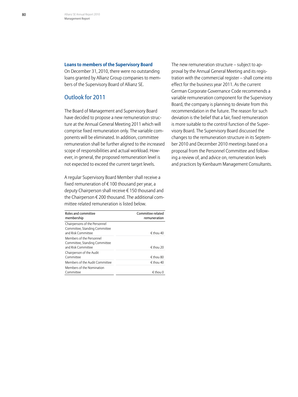#### **Loans to members of the Supervisory Board**

On December 31, 2010, there were no outstanding loans granted by Allianz Group companies to members of the Supervisory Board of Allianz SE.

## Outlook for 2011

The Board of Management and Supervisory Board have decided to propose a new remuneration structure at the Annual General Meeting 2011 which will comprise fixed remuneration only. The variable components will be eliminated. In addition, committee remuneration shall be further aligned to the increased scope of responsibilities and actual workload. However, in general, the proposed remuneration level is not expected to exceed the current target levels.

A regular Supervisory Board Member shall receive a fixed remuneration of  $\epsilon$  100 thousand per year, a deputy Chairperson shall receive € 150 thousand and the Chairperson € 200 thousand. The additional committee related remuneration is listed below.

| Roles and committee<br>membership                                                    | Committee related<br>remuneration |
|--------------------------------------------------------------------------------------|-----------------------------------|
| Chairpersons of the Personnel<br>Committee, Standing Committee<br>and Risk Committee | $f$ thou 40                       |
| Members of the Personnel<br>Committee, Standing Committee<br>and Risk Committee      | $f$ thou 20                       |
| Chairperson of the Audit<br>Committee                                                | $€$ thou 80                       |
| Members of the Audit Committee                                                       | $€$ thou 40                       |
| Members of the Nomination<br>Committee                                               | $\n  in from 0\n$                 |

The new remuneration structure – subject to approval by the Annual General Meeting and its registration with the commercial register – shall come into effect for the business year 2011. As the current German Corporate Governance Code recommends a variable remuneration component for the Supervisory Board, the company is planning to deviate from this recommendation in the future. The reason for such deviation is the belief that a fair, fixed remuneration is more suitable to the control function of the Supervisory Board. The Supervisory Board discussed the changes to the remuneration structure in its September 2010 and December 2010 meetings based on a proposal from the Personnel Committee and following a review of, and advice on, remuneration levels and practices by Kienbaum Management Consultants.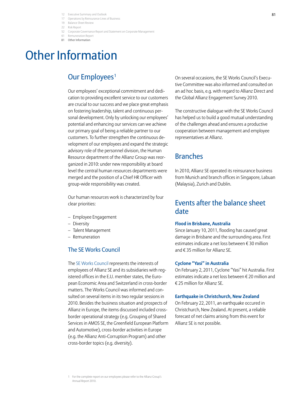- 17 Operations by Reinsurance Lines of Business
- 19 Balance Sheet Review
- 22 Risk Report
- 52 Corporate Governance Report and Statement on Corporate Management
- 61 Remuneration Report
- 81 Other Information

# Other Information

## Our Employees<sup>1</sup>

Our employees' exceptional commitment and dedication to providing excellent service to our customers are crucial to our success and we place great emphasis on fostering leadership, talent and continuous personal development. Only by unlocking our employees' potential and enhancing our services can we achieve our primary goal of being a reliable partner to our customers. To further strengthen the continuous development of our employees and expand the strategic advisory role of the personnel division, the Human Resource department of the Allianz Group was reorganized in 2010: under new responsibility at board level the central human resources departments were merged and the position of a Chief HR Officer with group-wide responsibility was created.

Our human resources work is characterized by four clear priorities:

- Employee Engagement
- Diversity
- Talent Management
- Remuneration

### The SE Works Council

The SE Works Council represents the interests of employees of Allianz SE and its subsidiaries with registered offices in the E.U. member states, the European Economic Area and Switzerland in cross-border matters. The Works Council was informed and consulted on several items in its two regular sessions in 2010. Besides the business situation and prospects of Allianz in Europe, the items discussed included crossborder operational strategy (e.g. Grouping of Shared Services in AMOS SE, the Greenfield European Platform and Automotive), cross-border activities in Europe (e.g. the Allianz Anti-Corruption Program) and other cross-border topics (e.g. diversity).

On several occasions, the SE Works Council's Executive Committee was also informed and consulted on an ad hoc basis, e.g. with regard to Allianz Direct and the Global Allianz Engagement Survey 2010.

The constructive dialogue with the SE Works Council has helped us to build a good mutual understanding of the challenges ahead and ensures a productive cooperation between management and employee representatives at Allianz.

## **Branches**

In 2010, Allianz SE operated its reinsurance business from Munich and branch offices in Singapore, Labuan (Malaysia), Zurich and Dublin.

## Events after the balance sheet date

#### **Flood in Brisbane, Australia**

Since January 10, 2011, flooding has caused great damage in Brisbane and the surrounding area. First estimates indicate a net loss between € 30 million and € 35 million for Allianz SE.

#### **Cyclone "Yasi" in Australia**

On February 2, 2011, Cyclone "Yasi" hit Australia. First estimates indicate a net loss between € 20 million and  $£$  25 million for Allianz SF

#### **Earthquake in Christchurch, New Zealand**

On February 22, 2011, an earthquake occured in Christchurch, New Zealand. At present, a reliable forecast of net claims arising from this event for Allianz SE is not possible.

<sup>1</sup> For the complete report on our employees please refer to the Allianz Group's Annual Report 2010.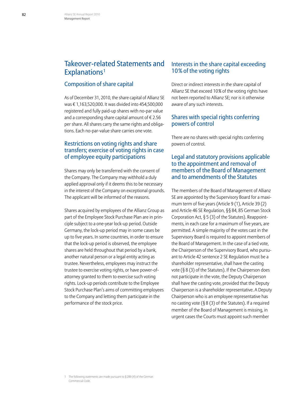## Takeover-related Statements and Explanations<sup>1</sup>

## Composition of share capital

As of December 31, 2010, the share capital of Allianz SE was € 1,163,520,000. It was divided into 454,500,000 registered and fully paid-up shares with no-par value and a corresponding share capital amount of  $\epsilon$  2.56 per share. All shares carry the same rights and obligations. Each no-par-value share carries one vote.

## Restrictions on voting rights and share transfers; exercise of voting rights in case of employee equity participations

Shares may only be transferred with the consent of the Company. The Company may withhold a duly applied approval only if it deems this to be necessary in the interest of the Company on exceptional grounds. The applicant will be informed of the reasons.

Shares acquired by employees of the Allianz Group as part of the Employee Stock Purchase Plan are in principle subject to a one-year lock-up period. Outside Germany, the lock-up period may in some cases be up to five years. In some countries, in order to ensure that the lock-up period is observed, the employee shares are held throughout that period by a bank, another natural person or a legal entity acting as trustee. Nevertheless, employees may instruct the trustee to exercise voting rights, or have power-ofattorney granted to them to exercise such voting rights. Lock-up periods contribute to the Employee Stock Purchase Plan's aims of committing employees to the Company and letting them participate in the performance of the stock price.

## Interests in the share capital exceeding 10% of the voting rights

Direct or indirect interests in the share capital of Allianz SE that exceed 10% of the voting rights have not been reported to Allianz SE; nor is it otherwise aware of any such interests.

## Shares with special rights conferring powers of control

There are no shares with special rights conferring powers of control.

## Legal and statutory provisions applicable to the appointment and removal of members of the Board of Management and to amendments of the Statutes

The members of the Board of Management of Allianz SE are appointed by the Supervisory Board for a maximum term of five years (Article 9 (1), Article 39 (2) and Article 46 SE Regulation, §§84, 85 German Stock Corporation Act,  $\S 5(3)$  of the Statutes). Reappointments, in each case for a maximum of five years, are permitted. A simple majority of the votes cast in the Supervisory Board is required to appoint members of the Board of Management. In the case of a tied vote, the Chairperson of the Supervisory Board, who pursuant to Article 42 sentence 2 SE Regulation must be a shareholder representative, shall have the casting vote ( $§ 8(3)$  of the Statutes). If the Chairperson does not participate in the vote, the Deputy Chairperson shall have the casting vote, provided that the Deputy Chairperson is a shareholder representative. A Deputy Chairperson who is an employee representative has no casting vote ( $\S 8(3)$  of the Statutes). If a required member of the Board of Management is missing, in urgent cases the Courts must appoint such member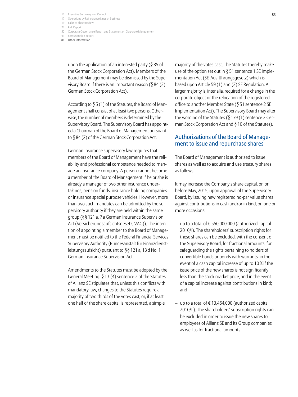12 Executive Summary and Outlook 83

17 Operations by Reinsurance Lines of Business

19 Balance Sheet Review

22 Risk Report

52 Corporate Governance Report and Statement on Corporate Management

61 Remuneration Report

81 Other Information

upon the application of an interested party (§85 of the German Stock Corporation Act). Members of the Board of Management may be dismissed by the Supervisory Board if there is an important reason  $(§ 84 (3)$ German Stock Corporation Act).

According to §5 (1) of the Statutes, the Board of Management shall consist of at least two persons. Otherwise, the number of members is determined by the Supervisory Board. The Supervisory Board has appointed a Chairman of the Board of Management pursuant to §84 (2) of the German Stock Corporation Act.

German insurance supervisory law requires that members of the Board of Management have the reliability and professional competence needed to manage an insurance company. A person cannot become a member of the Board of Management if he or she is already a manager of two other insurance undertakings, pension funds, insurance holding companies or insurance special purpose vehicles. However, more than two such mandates can be admitted by the supervisory authority if they are held within the same group (§§121 a, 7 a German Insurance Supervision Act (Versicherungsaufsichtsgesetz, VAG)). The intention of appointing a member to the Board of Management must be notified to the Federal Financial Services Supervisory Authority (Bundesanstalt für Finanzdienstleistungsaufsicht) pursuant to §§121 a, 13 d No. 1 German Insurance Supervision Act.

Amendments to the Statutes must be adopted by the General Meeting. §13 (4) sentence 2 of the Statutes of Allianz SE stipulates that, unless this conflicts with mandatory law, changes to the Statutes require a majority of two thirds of the votes cast, or, if at least one half of the share capital is represented, a simple

majority of the votes cast. The Statutes thereby make use of the option set out in §51 sentence 1 SE Implementation Act (SE-Ausführungsgesetz) which is based upon Article 59 (1) and (2) SE Regulation. A larger majority is, inter alia, required for a change in the corporate object or the relocation of the registered office to another Member State (§51 sentence 2 SE Implementation Act). The Supervisory Board may alter the wording of the Statutes ( $\S$  179 (1) sentence 2 German Stock Corporation Act and §10 of the Statutes).

## Authorizations of the Board of Management to issue and repurchase shares

The Board of Management is authorized to issue shares as well as to acquire and use treasury shares as follows:

It may increase the Company's share capital, on or before May, 2015, upon approval of the Supervisory Board, by issuing new registered no-par value shares against contributions in cash and/or in kind, on one or more occasions:

- up to a total of € 550,000,000 (authorized capital 2010/I). The shareholders' subscription rights for these shares can be excluded, with the consent of the Supervisory Board, for fractional amounts, for safeguarding the rights pertaining to holders of convertible bonds or bonds with warrants, in the event of a cash capital increase of up to 10% if the issue price of the new shares is not significantly less than the stock market price, and in the event of a capital increase against contributions in kind; and
- up to a total of € 13,464,000 (authorized capital 2010/II). The shareholders' subscription rights can be excluded in order to issue the new shares to employees of Allianz SE and its Group companies as well as for fractional amounts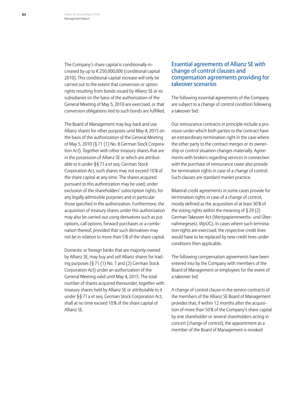The Company's share capital is conditionally increased by up to € 250,000,000 (conditional capital 2010). This conditional capital increase will only be carried out to the extent that conversion or option rights resulting from bonds issued by Allianz SE or its subsidiaries on the basis of the authorization of the General Meeting of May 5, 2010 are exercised, or that conversion obligations tied to such bonds are fulfilled.

The Board of Management may buy back and use Allianz shares for other purposes until May 4, 2015 on the basis of the authorization of the General Meeting of May 5, 2010 (§71 (1) No. 8 German Stock Corporation Act). Together with other treasury shares that are in the possession of Allianz SE or which are attributable to it under §§71 a et seq. German Stock Corporation Act, such shares may not exceed 10% of the share capital at any time. The shares acquired pursuant to this authorization may be used, under exclusion of the shareholders' subscription rights, for any legally admissible purposes and in particular those specified in the authorization. Furthermore, the acquisition of treasury shares under this authorization may also be carried out using derivatives such as put options, call options, forward purchases or a combination thereof, provided that such derivatives may not be in relation to more than 5% of the share capital.

Domestic or foreign banks that are majority-owned by Allianz SE, may buy and sell Allianz shares for trading purposes  $(\S 71 (1)$  No. 7 and  $(2)$  German Stock Corporation Act) under an authorization of the General Meeting valid until May 4, 2015. The total number of shares acquired thereunder, together with treasury shares held by Allianz SE or attributable to it under §§71 a et seq. German Stock Corporation Act, shall at no time exceed 10% of the share capital of Allianz SE.

## Essential agreements of Allianz SE with change of control clauses and compensation agreements providing for takeover scenarios

The following essential agreements of the Company are subject to a change of control condition following a takeover bid:

Our reinsurance contracts in principle include a provision under which both parties to the contract have an extraordinary termination right in the case where the other party to the contract merges or its ownership or control situation changes materially. Agreements with brokers regarding services in connection with the purchase of reinsurance cover also provide for termination rights in case of a change of control. Such clauses are standard market practice.

Bilateral credit agreements in some cases provide for termination rights in case of a change of control, mostly defined as the acquisition of at least 30% of the voting rights within the meaning of  $\S 29(2)$ German Takeover Act (Wertpapiererwerbs- und Übernahmegesetz, WpÜG). In cases where such termination rights are exercised, the respective credit lines would have to be replaced by new credit lines under conditions then applicable.

The following compensation agreements have been entered into by the Company with members of the Board of Management or employees for the event of a takeover bid:

A change of control clause in the service contracts of the members of the Allianz SE Board of Management provides that, if within 12 months after the acquisition of more than 50% of the Company's share capital by one shareholder or several shareholders acting in concert (change of control), the appointment as a member of the Board of Management is revoked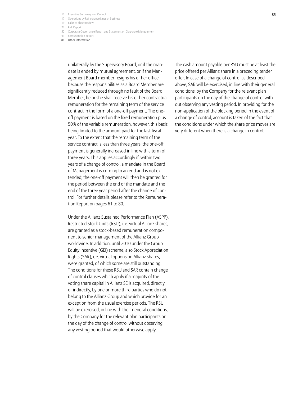12 Executive Summary and Outlook 85

17 Operations by Reinsurance Lines of Business

19 Balance Sheet Review

22 Risk Report

52 Corporate Governance Report and Statement on Corporate Management

61 Remuneration Report

81 Other Information

unilaterally by the Supervisory Board, or if the mandate is ended by mutual agreement, or if the Management Board member resigns his or her office because the responsibilities as a Board Member are significantly reduced through no fault of the Board Member, he or she shall receive his or her contractual remuneration for the remaining term of the service contract in the form of a one-off payment. The oneoff payment is based on the fixed remuneration plus 50% of the variable remuneration, however, this basis being limited to the amount paid for the last fiscal year. To the extent that the remaining term of the service contract is less than three years, the one-off payment is generally increased in line with a term of three years. This applies accordingly if, within two years of a change of control, a mandate in the Board of Management is coming to an end and is not extended; the one-off payment will then be granted for the period between the end of the mandate and the end of the three year period after the change of con[trol. For further details please refer to the Remunera](#page-62-0)tion Report on pages 61 to 80.

Under the Allianz Sustained Performance Plan (ASPP), Restricted Stock Units (RSU), i. e. virtual Allianz shares, are granted as a stock-based remuneration component to senior management of the Allianz Group worldwide. In addition, until 2010 under the Group Equity Incentive (GEI) scheme, also Stock Appreciation Rights (SAR), i. e. virtual options on Allianz shares, were granted, of which some are still outstanding. The conditions for these RSU and SAR contain change of control clauses which apply if a majority of the voting share capital in Allianz SE is acquired, directly or indirectly, by one or more third parties who do not belong to the Allianz Group and which provide for an exception from the usual exercise periods. The RSU will be exercised, in line with their general conditions, by the Company for the relevant plan participants on the day of the change of control without observing any vesting period that would otherwise apply.

The cash amount payable per RSU must be at least the price offered per Allianz share in a preceding tender offer. In case of a change of control as described above, SAR will be exercised, in line with their general conditions, by the Company for the relevant plan participants on the day of the change of control without observing any vesting period. In providing for the non-application of the blocking period in the event of a change of control, account is taken of the fact that the conditions under which the share price moves are very different when there is a change in control.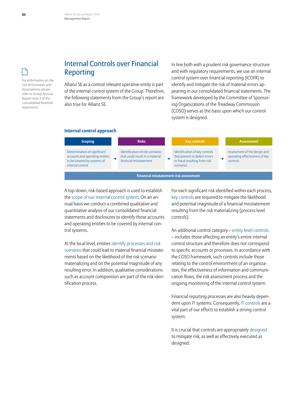For information on the Use of Estimates and Assumptions please refer to Group Annual Report note 3 of the consolidated financial statements.

## Internal Controls over Financial Reporting

Allianz SE as a control relevant operative entity is part of the internal control system of the Group. Therefore, the following statements from the Group's report are also true for Allianz SE.

In line both with a prudent risk governance structure and with regulatory requirements, we use an internal control system over financial reporting (ICOFR) to identify and mitigate the risk of material errors appearing in our consolidated financial statements. The framework developed by the Committee of Sponsoring Organizations of the Treadway Commission (COSO) serves as the basis upon which our control system is designed.

#### **Internal control approach**



A top-down, risk-based approach is used to establish the scope of our internal control system. On an annual basis we conduct a combined qualitative and quantitative analysis of our consolidated financial statements and disclosures to identify those accounts and operating entities to be covered by internal control systems.

At the local level, entities identify processes and risk scenarios that could lead to material financial misstatements based on the likelihood of the risk scenario materializing and on the potential magnitude of any resulting error. In addition, qualitative considerations such as account composition are part of the risk identification process.

For each significant risk identified within each process, key controls are required to mitigate the likelihood and potential magnitude of a financial misstatement resulting from the risk materializing (process level controls).

An additional control category – entity level controls – includes those affecting an entity's entire internal control structure and therefore does not correspond to specific accounts or processes. In accordance with the COSO framework, such controls include those relating to the control environment of an organization, the effectiveness of information and communication flows, the risk assessment process and the ongoing monitoring of the internal control system.

Financial reporting processes are also heavily dependent upon IT systems. Consequently, IT controls are a vital part of our efforts to establish a strong control system.

It is crucial that controls are appropriately designed to mitigate risk, as well as effectively executed as designed.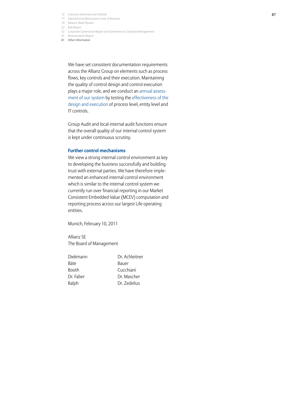12 Executive Summary and Outlook 87

17 Operations by Reinsurance Lines of Business

19 Balance Sheet Review

22 Risk Report

52 Corporate Governance Report and Statement on Corporate Management

61 Remuneration Report

81 Other Information

We have set consistent documentation requirements across the Allianz Group on elements such as process flows, key controls and their execution. Maintaining the quality of control design and control execution plays a major role, and we conduct an annual assess ment of our system by testing the effectiveness of the design and execution of process level, entity level and IT controls.

Group Audit and local internal audit functions ensure that the overall quality of our internal control system is kept under continuous scrutiny.

#### **Further control mechanisms**

We view a strong internal control environment as key to developing the business successfully and building trust with external parties. We have therefore imple mented an enhanced internal control environment which is similar to the internal control system we currently run over financial reporting in our Market Consistent Embedded Value (MCEV) computation and reporting process across our largest Life operating entities.

Munich, February 10, 2011

Allianz SE The Board of Management

| Diekmann  | Dr. Achleitner |
|-----------|----------------|
| Bäte      | Bauer          |
| Booth     | Cucchiani      |
| Dr. Faber | Dr. Mascher    |
| Ralph     | Dr. Zedelius   |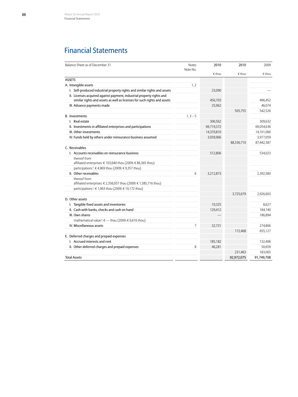## Financial Statements

| Balance Sheet as of December 31                                                                                                                   | <b>Notes</b><br>Note No. | 2010       | 2010       | 2009       |
|---------------------------------------------------------------------------------------------------------------------------------------------------|--------------------------|------------|------------|------------|
|                                                                                                                                                   |                          | € thou     | € thou     | € thou     |
| <b>ASSETS</b>                                                                                                                                     |                          |            |            |            |
| A. Intangible assets                                                                                                                              | 1, 2                     |            |            |            |
| I. Self-produced industrial property rights and similar rights and assets                                                                         |                          | 23,090     |            |            |
| II. Licenses acquired against payment, industrial property rights and<br>similar rights and assets as well as licenses for such rights and assets |                          | 456,703    |            | 496,452    |
| III. Advance payments made                                                                                                                        |                          | 25,962     |            | 46,074     |
|                                                                                                                                                   |                          |            | 505,755    | 542,526    |
| <b>B.</b> Investments                                                                                                                             | $1, 3 - 5$               |            |            |            |
| I. Real estate                                                                                                                                    |                          | 306,562    |            | 309,632    |
| II. Investments in affiliated enterprises and participations                                                                                      |                          | 69,719,372 |            | 69,054,636 |
| III. Other investments                                                                                                                            |                          | 14,370,810 |            | 14,101,060 |
| IV. Funds held by others under reinsurance business assumed                                                                                       |                          | 3,939,966  |            | 3,977,059  |
|                                                                                                                                                   |                          |            | 88,336,710 | 87,442,387 |
| C. Receivables                                                                                                                                    |                          |            |            |            |
| I. Accounts receivables on reinsurance business                                                                                                   |                          | 512,806    |            | 534,023    |
| thereof from<br>affiliated enterprises: € 103,640 thou (2009: € 86,365 thou)                                                                      |                          |            |            |            |
| participations <sup>1</sup> : € 4,969 thou (2009: € 9,357 thou)                                                                                   |                          |            |            |            |
| II. Other receivables                                                                                                                             | 6                        | 3,212,873  |            | 2,392,580  |
| thereof from<br>affiliated enterprises: €2,356,057 thou (2009: €1,585,716 thou)                                                                   |                          |            |            |            |
| participations <sup>1</sup> : € 1,963 thou (2009: € 10,172 thou)                                                                                  |                          |            |            |            |
|                                                                                                                                                   |                          |            | 3,725,679  | 2,926,603  |
| D. Other assets                                                                                                                                   |                          |            |            |            |
| I. Tangible fixed assets and inventories                                                                                                          |                          | 10,325     |            | 8.627      |
| II. Cash with banks, checks and cash on hand                                                                                                      |                          | 129,412    |            | 184,740    |
| III. Own shares                                                                                                                                   |                          |            |            | 186,894    |
| mathematical value <sup>2</sup> : € - thou (2009: € 6,616 thou)                                                                                   |                          |            |            |            |
| IV. Miscellaneous assets                                                                                                                          | $\overline{7}$           | 32,731     |            | 274,866    |
|                                                                                                                                                   |                          |            | 172,468    | 655,127    |
| E. Deferred charges and prepaid expenses                                                                                                          |                          |            |            |            |
| I. Accrued interests and rent                                                                                                                     |                          | 185,182    |            | 132,406    |
| II. Other deferred charges and prepaid expenses                                                                                                   | 8                        | 46,281     |            | 50,659     |
|                                                                                                                                                   |                          |            | 231,463    | 183,065    |
| <b>Total Assets</b>                                                                                                                               |                          |            | 92,972,075 | 91,749,708 |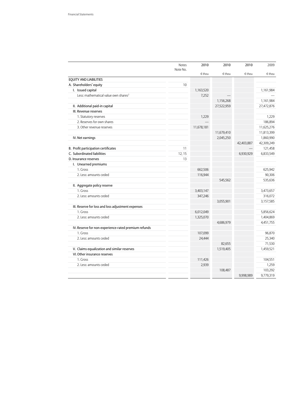|                                                      | Notes<br>Note No. | 2010       | 2010       | 2010       | 2009       |
|------------------------------------------------------|-------------------|------------|------------|------------|------------|
|                                                      |                   | € thou     | € thou     | € thou     | € thou     |
| <b>EQUITY AND LIABILITIES</b>                        |                   |            |            |            |            |
| A. Shareholders' equity                              | 10                |            |            |            |            |
| I. Issued capital                                    |                   | 1,163,520  |            |            | 1,161,984  |
| Less: mathematical value own shares <sup>2</sup>     |                   | 7,252      |            |            |            |
|                                                      |                   |            | 1,156,268  |            | 1,161,984  |
| II. Additional paid-in capital                       |                   |            | 27,522,959 |            | 27,472,876 |
| III. Revenue reserves                                |                   |            |            |            |            |
| 1. Statutory reserves                                |                   | 1,229      |            |            | 1,229      |
| 2. Reserves for own shares                           |                   |            |            |            | 186,894    |
| 3. Other revenue reserves                            |                   | 11,678,181 |            |            | 11,625,276 |
|                                                      |                   |            | 11,679,410 |            | 11,813,399 |
| IV. Net earnings                                     |                   |            | 2,045,250  |            | 1,860,990  |
|                                                      |                   |            |            | 42,403,887 | 42,309,249 |
| B. Profit participation certificates                 | 11                |            |            |            | 121,458    |
| C. Subordinated liabilities                          | 12, 15            |            |            | 6,930,929  | 6,833,549  |
| D. Insurance reserves                                | 13                |            |            |            |            |
| I. Unearned premiums                                 |                   |            |            |            |            |
| 1. Gross                                             |                   | 662,506    |            |            | 625,942    |
| 2. Less: amounts ceded                               |                   | 116,944    |            |            | 90,306     |
|                                                      |                   |            | 545,562    |            | 535,636    |
| II. Aggregate policy reserve                         |                   |            |            |            |            |
| 1. Gross                                             |                   | 3,403,147  |            |            | 3,473,657  |
| 2. Less: amounts ceded                               |                   | 347,246    |            |            | 316,072    |
|                                                      |                   |            | 3,055,901  |            | 3,157,585  |
| III. Reserve for loss and loss adjustment expenses   |                   |            |            |            |            |
| 1. Gross                                             |                   | 6,012,049  |            |            | 5,856,624  |
| 2. Less: amounts ceded                               |                   | 1,325,070  |            |            | 1,404,869  |
|                                                      |                   |            | 4,686,979  |            | 4,451,755  |
| IV. Reserve for non-experience-rated premium refunds |                   |            |            |            |            |
| 1. Gross                                             |                   | 107,099    |            |            | 96,870     |
| 2. Less: amounts ceded                               |                   | 24,444     |            |            | 25,340     |
|                                                      |                   |            | 82,655     |            | 71,530     |
| V. Claims equalization and similar reserves          |                   |            | 1,519,405  |            | 1,459,521  |
| VI. Other insurance reserves                         |                   |            |            |            |            |
| 1. Gross                                             |                   | 111,426    |            |            | 104,551    |
| 2. Less: amounts ceded                               |                   | 2,939      |            |            | 1,259      |
|                                                      |                   |            | 108,487    |            | 103,292    |
|                                                      |                   |            |            | 9,998,989  | 9,779,319  |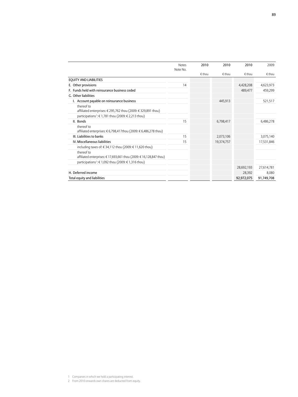|                                                                                 | <b>Notes</b><br>Note No. | 2010     | 2010          | 2010       | 2009       |
|---------------------------------------------------------------------------------|--------------------------|----------|---------------|------------|------------|
|                                                                                 |                          | $f$ thou | $\notin$ thou | $f$ thou   | € thou     |
| EQUITY AND LIABILITIES                                                          |                          |          |               |            |            |
| E. Other provisions                                                             | 14                       |          |               | 4,428,208  | 4,623,973  |
| F. Funds held with reinsurance business ceded                                   |                          |          |               | 489,477    | 459,299    |
| G. Other liabilities                                                            |                          |          |               |            |            |
| I. Account payable on reinsurance business                                      |                          |          | 445,913       |            | 521,517    |
| thereof to<br>affiliated enterprises: € 295,762 thou (2009: € 329,891 thou)     |                          |          |               |            |            |
| participations <sup>1</sup> : € 1,781 thou (2009: € 2,213 thou)                 |                          |          |               |            |            |
| II. Bonds                                                                       | 15                       |          | 6,798,417     |            | 6,486,278  |
| thereof to<br>affiliated enterprises: € 6,798,417thou (2009: € 6,486,278 thou)  |                          |          |               |            |            |
| III. Liabilities to banks                                                       | 15                       |          | 2,073,106     |            | 3,075,140  |
| IV. Miscellaneous liabilities                                                   | 15                       |          | 19,374,757    |            | 17,531,846 |
| including taxes of: €34,112 thou (2009: €11,620 thou)                           |                          |          |               |            |            |
| thereof to<br>affiliated enterprises: €17,693,661 thou (2009: €16,128,847 thou) |                          |          |               |            |            |
| participations <sup>1</sup> : € 1,092 thou (2009: € 1,316 thou)                 |                          |          |               |            |            |
|                                                                                 |                          |          |               | 28,692,193 | 27,614,781 |
| H. Deferred income                                                              |                          |          |               | 28,392     | 8,080      |
| Total equity and liabilities                                                    |                          |          |               | 92,972,075 | 91,749,708 |

1 Companies in which we hold a participating interest.

2 From 2010 onwards own shares are deducted from equity.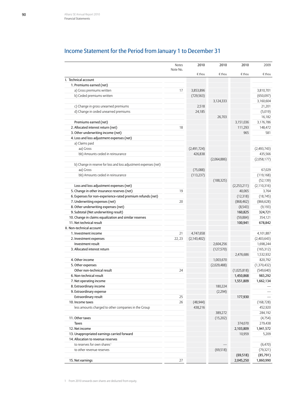## Income Statement for the Period from January 1 to December 31

|                                                                  | <b>Notes</b><br>Note No. | 2010          | 2010        | 2010        | 2009          |
|------------------------------------------------------------------|--------------------------|---------------|-------------|-------------|---------------|
|                                                                  |                          | € thou        | € thou      | € thou      | € thou        |
| I. Technical account                                             |                          |               |             |             |               |
| 1. Premiums earned (net)                                         |                          |               |             |             |               |
| a) Gross premiums written                                        | 17                       | 3,853,896     |             |             | 3,810,701     |
| b) Ceded premiums written                                        |                          | (729, 563)    |             |             | (650,097)     |
|                                                                  |                          |               | 3,124,333   |             | 3,160,604     |
| c) Change in gross unearned premiums                             |                          | 2,518         |             |             | 21,201        |
| d) Change in ceded unearned premiums                             |                          | 24,185        |             |             | (5,019)       |
|                                                                  |                          |               | 26,703      |             | 16,182        |
| Premiums earned (net)                                            |                          |               |             | 3,151,036   | 3,176,786     |
| 2. Allocated interest return (net)                               | 18                       |               |             | 111,293     | 148,472       |
| 3. Other underwriting income (net)                               |                          |               |             | 965         | 581           |
| 4. Loss and loss adjustment expenses (net)                       |                          |               |             |             |               |
| a) Claims paid                                                   |                          |               |             |             |               |
| aa) Gross                                                        |                          | (2,491,724)   |             |             | (2,493,743)   |
| bb) Amounts ceded in reinsurance                                 |                          | 426,838       |             |             | 435,566       |
|                                                                  |                          |               | (2,064,886) |             | (2,058,177)   |
| b) Change in reserve for loss and loss adjustment expenses (net) |                          |               |             |             |               |
| aa) Gross                                                        |                          | (75,088)      |             |             | 67,029        |
| bb) Amounts ceded in reinsurance                                 |                          | (113, 237)    |             |             | (119, 168)    |
|                                                                  |                          |               | (188, 325)  |             | (52, 139)     |
| Loss and loss adjustment expenses (net)                          |                          |               |             | (2,253,211) | (2, 110, 316) |
| 5. Change in other insurance reserves (net)                      | 19                       |               |             | 40,065      | 3,764         |
| 6. Expenses for non-experience-rated premium refunds (net)       |                          |               |             | (12, 318)   | (18, 745)     |
| 7. Underwriting expenses (net)                                   | 20                       |               |             | (868, 462)  | (866, 628)    |
| 8. Other underwriting expenses (net)                             |                          |               |             | (8, 543)    | (9, 193)      |
| 9. Subtotal (Net underwriting result)                            |                          |               |             | 160,825     | 324,721       |
| 10. Change in claims equalization and similar reserves           |                          |               |             | (59,884)    | 354,121       |
| 11. Net technical result                                         |                          |               |             | 100,941     | 678,842       |
| II. Non-technical account                                        |                          |               |             |             |               |
| 1. Investment income                                             | 21                       | 4,747,658     |             |             | 4,101,887     |
| 2. Investment expenses                                           | 22, 23                   | (2, 143, 402) |             |             | (2,403,643)   |
| Investment result                                                |                          |               | 2,604,256   |             | 1,698,244     |
| 3. Allocated interest return                                     |                          |               | (127, 570)  |             | (165,312)     |
|                                                                  |                          |               |             | 2,476,686   | 1,532,932     |
| 4. Other income                                                  |                          |               | 1,003,670   |             | 820,792       |
| 5. Other expenses                                                |                          |               | (2,029,488) |             | (1,370,432)   |
| Other non-technical result                                       | 24                       |               |             | (1,025,818) | (549, 640)    |
| 6. Non-technical result                                          |                          |               |             | 1,450,868   | 983,292       |
| 7. Net operating income                                          |                          |               |             | 1,551,809   | 1,662,134     |
| 8. Extraordinary income                                          |                          |               | 180,224     |             |               |
| 9. Extraordinary expense                                         |                          |               | (2, 294)    |             |               |
| Extraordinary result                                             | 25                       |               |             | 177,930     |               |
| 10. Income taxes                                                 | 26                       | (48, 944)     |             |             | (168, 728)    |
| less amounts charged to other companies in the Group             |                          | 438,216       |             |             | 452,920       |
|                                                                  |                          |               | 389,272     |             | 284,192       |
| 11. Other taxes                                                  |                          |               | (15,202)    |             | (4, 754)      |
| <b>Taxes</b>                                                     |                          |               |             | 374,070     | 279,438       |
| 12. Net income                                                   |                          |               |             | 2,103,809   | 1,941,572     |
| 13. Unappropriated earnings carried forward                      |                          |               |             | 10,959      | 5,209         |
| 14. Allocation to revenue reserves                               |                          |               |             |             |               |
| to reserves for own shares <sup>1</sup>                          |                          |               |             |             | (6, 470)      |
| to other revenue reserves                                        |                          |               | (69, 518)   |             | (79, 321)     |
|                                                                  |                          |               |             | (69, 518)   | (85, 791)     |
| 15. Net earnings                                                 | 27                       |               |             | 2,045,250   | 1,860,990     |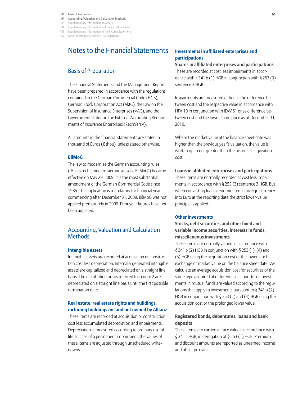91 Basis of Preparation 91 Basis of Preparation 91 Basis of Preparation 91

91 Accounting, Valuation and Calculation Methods

94 Supplementary Information on Assets

99 Supplementary Information on Equity and Liabilities

106 Supplementary Information to the Income Statement 109 Other Information and List of Participations

## Notes to the Financial Statements

## Basis of Preparation

The Financial Statements and the Management Report have been prepared in accordance with the regulations contained in the German Commercial Code (HGB), German Stock Corporation Act (AktG), the Law on the Supervision of Insurance Enterprises (VAG), and the Government Order on the External Accounting Requirements of Insurance Enterprises (RechVersV).

All amounts in the financial statements are stated in thousand of Euros (€ thou), unless stated otherwise.

#### **BilMoG**

The law to modernize the German accounting rules ("Bilanzrechtsmodernisierungsgesetz, BilMoG") became effective on May 29, 2009. It is the most substantial amendment of the German Commercial Code since 1985. The application is mandatory for financial years commencing after December 31, 2009. BilMoG was not applied prematurely in 2009. Prior year figures have not been adjusted.

## Accounting, Valuation and Calculation **Methods**

#### **Intangible assets**

Intangible assets are recorded at acquisition or construction cost less depreciation. Internally generated intangible assets are capitalized and depreciated on a straight line basis. The distribution rights referred to in note 2 are depreciated on a straight line basis until the first possible termination date.

### **Real estate, real estate rights and buildings, including buildings on land not owned by Allianz**

These items are recorded at acquisition or construction cost less accumulated depreciation and impairments. Depreciation is measured according to ordinary useful life. In case of a permanent impairment, the values of these items are adjusted through unscheduled writedowns.

### **Investments in affiliated enterprises and participations**

**Shares in affiliated enterprises and participations** These are recorded at cost less impairments in accordance with  $\S 341 b (1)$  HGB in conjunction with  $\S 253 (3)$ sentence 3 HGB.

Impairments are measured either as the difference between cost and the respective value in accordance with HFA 10 in conjunction with IDW S1 or as difference between cost and the lower share price as of December 31, 2010.

Where the market value at the balance sheet date was higher than the previous year's valuation, the value is written up to not greater than the historical acquisition cost.

#### **Loans in affiliated enterprises and participations**

These items are normally recorded at cost less impairments in accordance with §253 (3) sentence 3 HGB. But when converting loans denominated in foreign currency into Euro at the reporting date the strict lower-value principle is applied.

#### **Other investments**

## **Stocks, debt securities, and other fixed and variable income securities, interests in funds, miscellaneous investments**

These items are normally valued in accordance with §341 b (2) HGB in conjunction with §253 (1), (4) and (5) HGB using the acquisition cost or the lower stock exchange or market value on the balance sheet date. We calculate an average acquisition cost for securities of the same type acquired at different cost. Long-term investments in mutual funds are valued according to the regulations that apply to investments pursuant to §341 b (2) HGB in conjunction with  $\S 253$  (1) and (3) HGB using the acquisition cost or the prolonged lower value.

#### **Registered bonds, debentures, loans and bank deposits**

These items are carried at face value in accordance with § 341 c HGB, in derogation of § 253 (1) HGB. Premium and discount amounts are reported as unearned income and offset pro rata.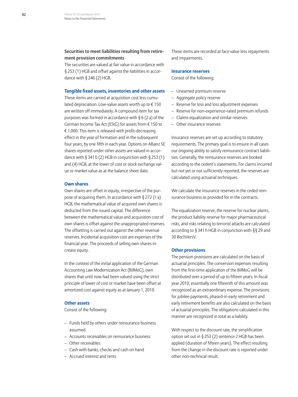#### **Securities to meet liabilities resulting from retirement provision commitments**

The securities are valued at fair value in accordance with §253 (1) HGB and offset against the liabilities in accordance with  $\S$  246 (2) HGB.

#### **Tangible fixed assets, inventories and other assets**

These items are carried at acquisition cost less cumulated depreciation. Low-value assets worth up to  $\epsilon$  150 are written off immediately. A compound item for tax purposes was formed in accordance with  $\S 6(2a)$  of the German Income Tax Act (EStG) for assets from € 150 to  $\epsilon$  1,000. This item is released with profit-decreasing effect in the year of formation and in the subsequent four years, by one fifth in each year. Options on Allianz SE shares reported under other assets are valued in accordance with  $\S 341 b (2)$  HGB in conjunction with  $\S 253 (1)$ and (4) HGB, at the lower of cost or stock exchange value or market value as at the balance sheet date.

#### **Own shares**

Own shares are offset in equity, irrespective of the purpose of acquiring them. In accordance with §272 (1 a) HGB, the mathematical value of acquired own shares is deducted from the issued capital. The difference between the mathematical value and acquisition cost of own shares is offset against the unappropriated reserves. The offsetting is carried out against the other revenue reserves. Incidental acquisition cost are expenses of the financial year. The proceeds of selling own shares increase equity.

In the context of the initial application of the German Accounting Law Modernization Act (BilMoG), own shares that until now had been valued using the strict principle of lower of cost or market have been offset at amortized cost against equity as at January 1, 2010.

#### **Other assets**

Consist of the following:

- Funds held by others under reinsurance business assumed
- Accounts receivables on reinsurance business
- Other receivables
- Cash with banks, checks and cash on hand
- Accrued interest and rents

These items are recorded at face value less repayments and impairments.

#### **Insurance reserves**

Consist of the following:

- Unearned premium reserve
- Aggregate policy reserve
- Reserve for loss and loss adjustment expenses
- Reserve for non-experience-rated premium refunds
- Claims equalization and similar reserves
- Other insurance reserves

Insurance reserves are set up according to statutory requirements. The primary goal is to ensure in all cases our ongoing ability to satisfy reinsurance contract liabilities. Generally, the reinsurance reserves are booked according to the cedent's statements. For claims incurred but not yet or not sufficiently reported, the reserves are calculated using actuarial techniques.

We calculate the insurance reserves in the ceded reinsurance business as provided for in the contracts.

The equalization reserve, the reserve for nuclear plants, the product liability reserve for major pharmaceutical risks, and risks relating to terrorist attacks are calculated according to §341 h HGB in conjunction with §§29 and 30 RechVersV.

#### **Other provisions**

The pension provisions are calculated on the basis of actuarial principles. The conversion expenses resulting from the first-time application of the BilMoG will be distributed over a period of up to fifteen years. In fiscal year 2010, essentially one fifteenth of this amount was recognized as an extraordinary expense. The provisions for jubilee payments, phased-in early retirement and early retirement benefits are also calculated on the basis of actuarial principles. The obligations calculated in this manner are recognized in total as a liability.

With respect to the discount rate, the simplification option set out in  $\S 253$  (2) sentence 2 HGB has been applied (duration of fifteen years). The effect resulting from the change in the discount rate is reported under other non-technical result.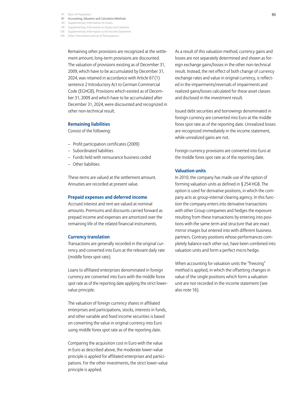93 Basis of Preparation **93** 

- 91 Accounting, Valuation and Calculation Methods
- 94 Supplementary Information on Assets
- 99 Supplementary Information on Equity and Liabilities
- 106 Supplementary Information to the Income Statement
- 109 Other Information and List of Participations

Remaining other provisions are recognized at the settlement amount; long-term provisions are discounted. The valuation of provisions existing as of December 31, 2009, which have to be accumulated by December 31, 2024, was retained in accordance with Article 67 (1) sentence 2 Introductory Act to German Commercial Code (EGHGB). Provisions which existed as of December 31, 2009 and which have to be accumulated after December 31, 2024, were discounted and recognized in other non-technical result.

#### **Remaining liabilities**

Consist of the following:

- Profit participation certificates (2009)
- Subordinated liabilities
- Funds held with reinsurance business ceded
- Other liabilities

These items are valued at the settlement amount. Annuities are recorded at present value.

#### **Prepaid expenses and deferred income**

Accrued interest and rent are valued at nominal amounts. Premiums and discounts carried forward as prepaid income and expenses are amortized over the remaining life of the related financial instruments.

#### **Currency translation**

Transactions are generally recorded in the original currency and converted into Euro at the relevant daily rate (middle forex spot rate).

Loans to affiliated enterprises denominated in foreign currency are converted into Euro with the middle forex spot rate as of the reporting date applying the strict lowervalue principle.

The valuation of foreign currency shares in affiliated enterprises and participations, stocks, interests in funds, and other variable and fixed income securities is based on converting the value in original currency into Euro using middle forex spot rate as of the reporting date.

Comparing the acquisition cost in Euro with the value in Euro as described above, the moderate lower-value principle is applied for affiliated enterprises and participations. For the other investments, the strict lower-value principle is applied.

As a result of this valuation method, currency gains and losses are not separately determined and shown as foreign exchange gains/losses in the other non-technical result. Instead, the net effect of both change of currency exchange rates and value in original currency, is reflected in the impairments/reversals of impairments and realized gains/losses calculated for these asset classes and disclosed in the investment result.

Issued debt securities and borrowings denominated in foreign currency are converted into Euro at the middle forex spot rate as of the reporting date. Unrealized losses are recognized immediately in the income statement, while unrealized gains are not.

Foreign currency provisions are converted into Euro at the middle forex spot rate as of the reporting date.

#### **Valuation units**

In 2010, the company has made use of the option of forming valuation units as defined in §254 HGB. The option is used for derivative positions, in which the company acts as group-internal clearing agency. In this function the company enters into derivative transactions with other Group companies and hedges the exposure resulting from these transactions by entering into positions with the same term and structure that are exact mirror images but entered into with different business partners. Contrary positions whose performances completely balance each other out, have been combined into valuation units and form a perfect micro hedge.

When accounting for valuation units the "freezing" method is applied, in which the offsetting changes in value of the single positions which form a valuation [unit are not recorded in the income statement \(see](#page-107-0)  also note 16).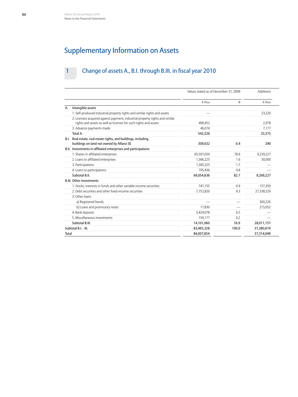## <span id="page-97-0"></span>Supplementary Information on Assets

## 1 Change of assets A., B.I. through B.III. in fiscal year 2010

|                                                                                                             | Values stated as of December 31, 2009 |                          | Additions                       |
|-------------------------------------------------------------------------------------------------------------|---------------------------------------|--------------------------|---------------------------------|
|                                                                                                             | € thou                                | %                        | € thou                          |
| A. Intangible assets                                                                                        |                                       |                          |                                 |
| 1. Self-produced industrial property rights and similar rights and assets                                   | -                                     |                          | 23,220                          |
| 2. Licenses acquired against payment, industrial property rights and similar                                |                                       |                          |                                 |
| rights and assets as well as licenses for such rights and assets                                            | 496,452                               |                          | 2,978                           |
| 3. Advance payments made                                                                                    | 46,074                                |                          | 7,177                           |
| Total A.                                                                                                    | 542,526                               |                          | 33,375                          |
| B.I. Real estate, real estate rights, and buildings, including<br>buildings on land not owned by Allianz SE | 309,632                               | 0.4                      | 290                             |
| B.II. Investments in affiliated enterprises and participations                                              |                                       |                          |                                 |
| 1. Shares in affiliated enterprises                                                                         | 65,597,650                            | 78.6                     | 9,239,227                       |
| 2. Loans to affiliated enterprises                                                                          | 1,366,225                             | 1.6                      | 30,000                          |
| 3. Participations                                                                                           | 1,385,325                             | 1.7                      | -                               |
| 4. Loans to participations                                                                                  | 705,436                               | 0.8                      | -                               |
| Subtotal B.II.                                                                                              | 69,054,636                            | 82.7                     | 9,269,227                       |
| <b>B.III. Other investments</b>                                                                             |                                       |                          |                                 |
| 1. Stocks, interests in funds and other variable income securities                                          | 747,155                               | 0.9                      | 157,350                         |
| 2. Debt securities and other fixed-income securities                                                        | 7,752,820                             | 9.3                      | 27,338,529                      |
| 3. Other loans                                                                                              |                                       |                          |                                 |
| a) Registered bonds                                                                                         |                                       |                          | 300,226                         |
| b) Loans and promissory notes                                                                               | 17,830                                | $\overline{\phantom{a}}$ | 215,052                         |
| 4. Bank deposits                                                                                            | 5,424,078                             | 6.5                      | -                               |
| 5. Miscellaneous investments                                                                                | 159,177                               | 0.2                      | $\hspace{0.1mm}-\hspace{0.1mm}$ |
| Subtotal B.III.                                                                                             | 14,101,060                            | 16.9                     | 28,011,157                      |
| Subtotal B.I. - III.                                                                                        | 83,465,328                            | 100.0                    | 37,280,674                      |
| Total                                                                                                       | 84,007,854                            |                          | 37,314,049                      |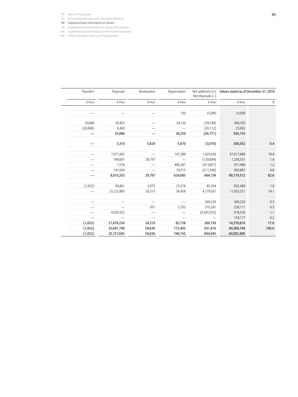91 Basis of Preparation 81 Accounting to the United States of Preparation 2012<br>91 Accounting, Valuation and Calculation Methods

94 Supplementary Information on Assets

- 99 Supplementary Information on Equity and Liabilities
- 106 Supplementary Information to the Income Statement
- 109 Other Information and List of Participations

| Net additions (+) Values stated as of December 31, 2010 | Net disposals (-)               | Depreciation                    | Revaluation                     | Disposals                       | Transfers                |
|---------------------------------------------------------|---------------------------------|---------------------------------|---------------------------------|---------------------------------|--------------------------|
| €thou<br>%                                              | € thou                          | € thou                          | $\epsilon$ thou                 | € thou                          | € thou                   |
| 23,090                                                  | 23,090                          | 130                             | $\overline{\phantom{m}}$        | $\hspace{0.1mm}-\hspace{0.1mm}$ | $\overline{\phantom{a}}$ |
|                                                         |                                 |                                 |                                 |                                 |                          |
| 456,703                                                 | (39, 749)                       | 34,120                          | $\overline{\phantom{0}}$        | 29,453                          | 20,846                   |
| 25,962                                                  | (20, 112)                       | $\overline{\phantom{m}}$        | $\overline{\phantom{0}}$        | 6,443                           | (20, 846)                |
| 505,755                                                 | (36, 771)                       | 34,250                          |                                 | 35,896                          | $\overline{\phantom{a}}$ |
| 306,562<br>0.4                                          | (3,070)                         | 5,670                           | 5,620                           | 3,310                           | $\overline{\phantom{0}}$ |
| 79.4<br>67,017,686                                      | 1,420,036                       | 147,289                         | $\hspace{0.1mm}-\hspace{0.1mm}$ | 7,671,902                       | $\overline{\phantom{a}}$ |
| 1.4<br>1,236,331                                        | (129, 894)                      | $\hspace{0.1mm}$                | 29,797                          | 189,691                         | $\overline{\phantom{a}}$ |
| 1.2<br>971,468                                          | (413,857)                       | 406,281                         | $\hspace{0.1mm}-\hspace{0.1mm}$ | 7,576                           | $\overline{\phantom{a}}$ |
| 493,887<br>$0.6\,$                                      | (211, 549)                      | 70,515                          | $\hspace{0.1mm}-\hspace{0.1mm}$ | 141,034                         | $\overline{\phantom{a}}$ |
| 82.6<br>69,719,372                                      | 664,736                         | 624,085                         | 29,797                          | 8,010,203                       | $\overline{\phantom{m}}$ |
| 832,449<br>1.0                                          | 85,294                          | 23,578                          | 2,975                           | 49,801                          | (1,652)                  |
| 11,932,321<br>14.1                                      | 4,179,501                       | 56,458                          | 20,313                          | 23,122,883                      | $\overline{\phantom{m}}$ |
| 300,226<br>0.3                                          | 300,226                         | $\hspace{0.1mm}-\hspace{0.1mm}$ | $\hspace{0.1mm}-\hspace{0.1mm}$ | $\overline{\phantom{a}}$        | $\overline{\phantom{m}}$ |
| 0.3<br>228,111                                          | 210,281                         | 5,702                           | 931                             | $\overline{\phantom{a}}$        | $\overline{\phantom{a}}$ |
| 918,526<br>1.1                                          | (4,505,552)                     | $\overline{\phantom{m}}$        | $\hspace{0.1mm}-\hspace{0.1mm}$ | 4,505,552                       | $\overline{\phantom{a}}$ |
| 0.2<br>159,177                                          | $\hspace{0.1mm}-\hspace{0.1mm}$ |                                 | $\overline{\phantom{a}}$        | $\hspace{0.1mm}-\hspace{0.1mm}$ | $\overline{\phantom{a}}$ |
| 14,370,810<br>17.0                                      | 269,750                         | 85,738                          | 24,219                          | 27,678,236                      | (1,652)                  |
| 100.0<br>84,396,744                                     | 931,416                         | 715,493                         | 59,636                          | 35,691,749                      | (1,652)                  |
| 84,902,499                                              | 894,645                         | 749,743                         | 59,636                          | 35,727,645                      | (1,652)                  |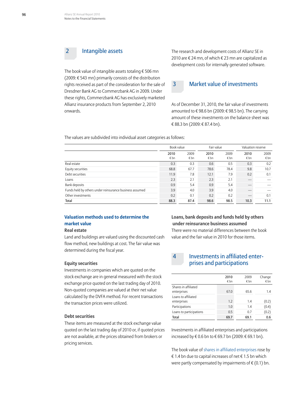## <span id="page-99-0"></span>2 Intangible assets

The book value of intangible assets totaling  $\epsilon$  506 mn (2009: € 543 mn) primarily consists of the distribution rights received as part of the consideration for the sale of Dresdner Bank AG to Commerzbank AG in 2009. Under these rights, Commerzbank AG has exclusively marketed Allianz insurance products from September 2, 2010 onwards.

The research and development costs of Allianz SE in 2010 are € 24 mn, of which € 23 mn are capitalized as development costs for internally generated software.

### 3 Market value of investments

As of December 31, 2010, the fair value of investments amounted to € 98.6 bn (2009: € 98.5 bn). The carrying amount of these investments on the balance sheet was € 88.3 bn (2009: € 87.4 bn).

#### The values are subdivided into individual asset categories as follows:

|                                                         |              | Book value   |              | Fair value   |              | Valuation reserve |
|---------------------------------------------------------|--------------|--------------|--------------|--------------|--------------|-------------------|
|                                                         | 2010<br>€ bn | 2009<br>€ bn | 2010<br>€ bn | 2009<br>€ bn | 2010<br>€ bn | 2009<br>€ bn      |
| Real estate                                             | 0.3          | 0.3          | 0.6          | 0.5          | 0.3          | 0.2               |
| Equity securities                                       | 68.8         | 67.7         | 78.6         | 78.4         | 9.8          | 10.7              |
| Debt securities                                         | 11.9         | 7.8          | 12.1         | 7.9          | 0.2          | 0.1               |
| Loans                                                   | 2.3          | 2.1          | 2.3          | 2.1          |              |                   |
| Bank deposits                                           | 0.9          | 5.4          | 0.9          | 5.4          |              |                   |
| Funds held by others under reinsurance business assumed | 3.9          | 4.0          | 3.9          | 4.0          |              |                   |
| Other investments                                       | 0.2          | 0.1          | 0.2          | 0.2          |              | 0.1               |
| Total                                                   | 88.3         | 87.4         | 98.6         | 98.5         | 10.3         | 11.1              |

## **Valuation methods used to determine the market value**

#### **Real estate**

Land and buildings are valued using the discounted cash flow method, new buildings at cost. The fair value was determined during the fiscal year.

#### **Equity securities**

Investments in companies which are quoted on the stock exchange are in general measured with the stock exchange price quoted on the last trading day of 2010. Non-quoted companies are valued at their net value calculated by the DVFA method. For recent transactions the transaction prices were utilized.

#### **Debt securities**

These items are measured at the stock exchange value quoted on the last trading day of 2010 or, if quoted prices are not available, at the prices obtained from brokers or pricing services.

## **Loans, bank deposits and funds held by others under reinsurance business assumed**

There were no material differences between the book value and the fair value in 2010 for those items.

## Investments in affiliated enterprises and participations

|                                     | 2010<br>€ hn | 2009<br>$\n  fin\n$ | Change<br>€ hn |
|-------------------------------------|--------------|---------------------|----------------|
| Shares in affiliated<br>enterprises | 67.0         | 65.6                | 1.4            |
| Loans to affiliated<br>enterprises  | 1.2          | 1.4                 | (0.2)          |
| Participations                      | 1.0          | 1.4                 | (0.4)          |
| Loans to participations             | 0.5          | 0.7                 | (0.2)          |
| Total                               | 69.7         | 69.1                | 0.6            |

Investments in affiliated enterprises and participations increased by € 0.6 bn to € 69.7 bn (2009: € 69.1 bn).

The book value of shares in affiliated enterprises rose by € 1.4 bn due to capital increases of net  $€$  1.5 bn which were partly compensated by impairments of  $\epsilon$  (0.1) bn.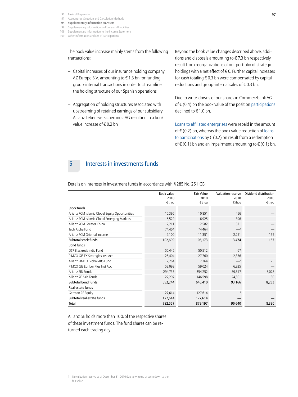- 97 Basis of Preparation **97**
- 91 Accounting, Valuation and Calculation Methods
- 94 Supplementary Information on Assets
- 99 Supplementary Information on Equity and Liabilities
- 106 Supplementary Information to the Income Statement
- 109 Other Information and List of Participations

The book value increase mainly stems from the following transactions:

- Capital increases of our insurance holding company AZ Europe B.V. amounting to  $\epsilon$  1.3 bn for funding group-internal transactions in order to streamline the holding structure of our Spanish operations
- Aggregation of holding structures associated with upstreaming of retained earnings of our subsidiary Allianz Lebensversicherungs-AG resulting in a book value increase of € 0.2 bn

Beyond the book value changes described above, additions and disposals amounting to  $\epsilon$  7.3 bn respectively result from reorganizations of our portfolio of strategic holdings with a net effect of € 0. Further capital increases for cash totaling  $\epsilon$  0.3 bn were compensated by capital reductions and group-internal sales of  $\epsilon$  0.3 bn.

Due to write-downs of our shares in Commerzbank AG of  $\epsilon$  (0.4) bn the book value of the position participations declined to € 1.0 bn.

Loans to affiliated enterprises were repaid in the amount of € (0.2) bn, whereas the book value reduction of loans to participations by  $\in$  (0.2) bn result from a redemption of  $\in$  (0.1) bn and an impairment amounting to  $\in$  (0.1) bn.

## 5 Interests in investments funds

Details on interests in investment funds in accordance with §285 No. 26 HGB:

|                                                 | Book value | <b>Fair Value</b> | Valuation reserve | Dividend distribution |
|-------------------------------------------------|------------|-------------------|-------------------|-----------------------|
|                                                 | 2010       | 2010              | 2010              | 2010                  |
|                                                 | € thou     | € thou            | € thou            | € thou                |
| Stock funds                                     |            |                   |                   |                       |
| Allianz RCM Islamic Global Equity Opportunities | 10,395     | 10,851            | 456               |                       |
| Allianz RCM Islamic Global Emerging Markets     | 6,529      | 6,925             | 396               |                       |
| Allianz RCM Greater China                       | 2,211      | 2,582             | 371               |                       |
| Tech Alpha Fund                                 | 74,464     | 74,464            | $-1$              |                       |
| Allianz RCM Oriental Income                     | 9,100      | 11,351            | 2,251             | 157                   |
| Subtotal stock funds                            | 102,699    | 106,173           | 3,474             | 157                   |
| <b>Bond funds</b>                               |            |                   |                   |                       |
| DSP Blackrock India Fund                        | 50,445     | 50,512            | 67                |                       |
| PIMCO GIS FX Strategies Inst Acc                | 25,404     | 27,760            | 2,356             |                       |
| Allianz PIMCO Global ABS Fund                   | 7,264      | 7,264             | $-1$              | 125                   |
| PIMCO GIS Euribor Plus Inst Acc                 | 52,099     | 59,024            | 6,925             |                       |
| Allianz SIN Fonds                               | 294,735    | 354,252           | 59,517            | 8,078                 |
| Allianz RE Asia Fonds                           | 122,297    | 146,598           | 24,301            | 30                    |
| Subtotal bond funds                             | 552,244    | 645,410           | 93,166            | 8,233                 |
| Real estate funds                               |            |                   |                   |                       |
| German RE Equity                                | 127,614    | 127,614           | $-1$              |                       |
| Subtotal real estate funds                      | 127,614    | 127,614           |                   |                       |
| <b>Total</b>                                    | 782,557    | 879,197           | 96,640            | 8,390                 |

Allianz SE holds more than 10% of the respective shares of these investment funds. The fund shares can be returned each trading day.

<sup>1</sup> No valuation reserve as of December 31, 2010 due to write up or write down to the fair value.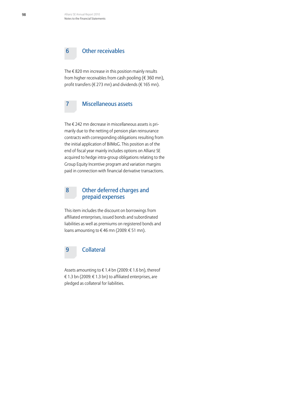## <span id="page-101-0"></span>6 Other receivables

The € 820 mn increase in this position mainly results from higher receivables from cash pooling ( $\epsilon$  360 mn), profit transfers (€ 273 mn) and dividends (€ 165 mn).

### 7 Miscellaneous assets

The € 242 mn decrease in miscellaneous assets is primarily due to the netting of pension plan reinsurance contracts with corresponding obligations resulting from the initial application of BilMoG. This position as of the end of fiscal year mainly includes options on Allianz SE acquired to hedge intra-group obligations relating to the Group Equity Incentive program and variation margins paid in connection with financial derivative transactions.

## 8 Other deferred charges and prepaid expenses

This item includes the discount on borrowings from affiliated enterprises, issued bonds and subordinated liabilities as well as premiums on registered bonds and loans amounting to € 46 mn (2009: € 51 mn).

## 9 Collateral

Assets amounting to € 1.4 bn (2009: € 1.6 bn), thereof € 1.3 bn (2009: € 1.3 bn) to affiliated enterprises, are pledged as collateral for liabilities.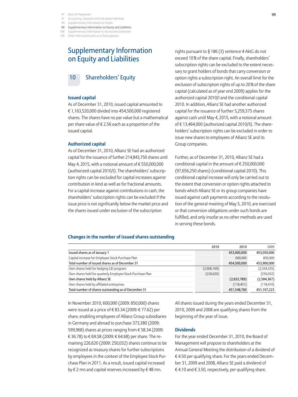<span id="page-102-0"></span>91 Basis of Preparation **99** 

91 Accounting, Valuation and Calculation Methods

94 Supplementary Information on Assets

99 Supplementary Information on Equity and Liabilities

106 Supplementary Information to the Income Statement

109 Other Information and List of Participations

## Supplementary Information on Equity and Liabilities

## 10 Shareholders' Equity

#### **Issued capital**

As of December 31, 2010, issued capital amounted to € 1,163,520,000 divided into 454,500,000 registered shares. The shares have no par value but a mathematical per share value of € 2.56 each as a proportion of the issued capital.

#### **Authorized capital**

As of December 31, 2010, Allianz SE had an authorized capital for the issuance of further 214,843,750 shares until May 4, 2015, with a notional amount of € 550,000,000 (authorized capital 2010/I). The shareholders' subscription rights can be excluded for capital increases against contribution in kind as well as for fractional amounts. For a capital increase against contributions in cash, the shareholders' subscription rights can be excluded if the issue price is not significantly below the market price and the shares issued under exclusion of the subscription

rights pursuant to §186 (3) sentence 4 AktG do not exceed 10% of the share capital. Finally, shareholders' subscription rights can be excluded to the extent necessary to grant holders of bonds that carry conversion or option rights a subscription right. An overall limit for the exclusion of subscription rights of up to 20% of the share capital (calculated as of year end 2009) applies for the authorized capital 2010/I and the conditional capital 2010. In addition, Allianz SE had another authorized capital for the issuance of further 5,259,375 shares against cash until May 4, 2015, with a notional amount of € 13,464,000 (authorized capital 2010/II). The shareholders' subscription rights can be excluded in order to issue new shares to employees of Allianz SE and its Group companies.

Further, as of December 31, 2010, Allianz SE had a conditional capital in the amount of € 250,000,000 (97,656,250 shares) (conditional capital 2010). This conditional capital increase will only be carried out to the extent that conversion or option rights attached to bonds which Allianz SE or its group companies have issued against cash payments according to the resolution of the general meeting of May 5, 2010, are exercised or that conversion obligations under such bonds are fulfilled, and only insofar as no other methods are used in serving these bonds.

#### **Changes in the number of issued shares outstanding**

|                                                            | 2010        | 2010        | 2009        |
|------------------------------------------------------------|-------------|-------------|-------------|
| Issued shares as of January 1                              |             | 453,900,000 | 453,050,000 |
| Capital increase for Employee Stock Purchase Plan          |             | 600,000     | 850.000     |
| Total number of issued shares as of December 31            |             | 454,500,000 | 453,900,000 |
| Own shares held for hedging GEI program                    | (2,606,169) |             | (2,334,335) |
| Own shares held for quarterly Employee Stock Purchase Plan | (226, 620)  |             | (250, 032)  |
| Own shares held by Allianz SE                              |             | (2,832,789) | (2,584,367) |
| Own shares held by affiliated enterprises                  |             | (118, 451)  | (118, 410)  |
| Total number of shares outstanding as of December 31       |             | 451,548,760 | 451,197,223 |

In November 2010, 600,000 (2009: 850,000) shares were issued at a price of € 83.34 (2009: € 77.62) per share, enabling employees of Allianz Group subsidiaries in Germany and abroad to purchase 373,380 (2009: 599,968) shares at prices ranging from € 58.34 (2009: € 36.78) to € 69.58 (2009: € 64.68) per share. The remaining 226,620 (2009: 250,032) shares continue to be recognized as treasury shares for further subscriptions by employees in the context of the Employee Stock Purchase Plan in 2011. As a result, issued capital increased by € 2 mn and capital reserves increased by € 48 mn.

All shares issued during the years ended December 31, 2010, 2009 and 2008 are qualifying shares from the beginning of the year of issue.

#### **Dividends**

For the year ended December 31, 2010, the Board of Management will propose to shareholders at the Annual General Meeting the distribution of a dividend of € 4.50 per qualifying share. For the years ended December 31, 2009 and 2008, Allianz SE paid a dividend of € 4.10 and € 3.50, respectively, per qualifying share.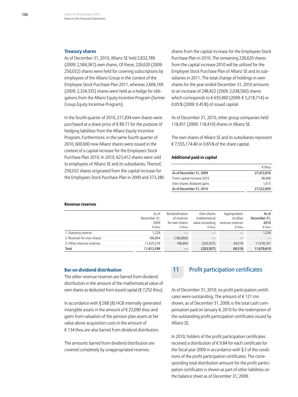#### <span id="page-103-0"></span>**Treasury shares**

As of December 31, 2010, Allianz SE held 2,832,789 (2009: 2,584,367) own shares. Of these, 226,620 (2009: 250,032) shares were held for covering subscriptions by employees of the Allianz Group in the context of the Employee Stock Purchase Plan 2011, whereas 2,606,169 (2009: 2,334,335) shares were held as a hedge for obligations from the Allianz Equity Incentive Program (former Group Equity Incentive Program).

In the fourth quarter of 2010, 271,834 own shares were purchased at a share price of € 89.71 for the purpose of hedging liabilities from the Allianz Equity Incentive Program. Furthermore, in the same fourth quarter of 2010, 600,000 new Allianz shares were issued in the context of a capital increase for the Employees Stock Purchase Plan 2010. In 2010, 623,412 shares were sold to employees of Allianz SE and its subsidiaries. Thereof, 250,032 shares originated from the capital increase for the Employees Stock Purchase Plan in 2009 and 373,380 shares from the capital increase for the Employees Stock Purchase Plan in 2010. The remaining 226,620 shares from the capital increase 2010 will be utilized for the Employee Stock Purchase Plan of Allianz SE and its subsidiaries in 2011. The total change of holdings in own shares for the year ended December 31, 2010 amounts to an increase of 248,422 (2009: 2,038,560) shares which corresponds to € 635,960 (2009: € 5,218,714) or 0.05% (2009: 0.45%) of issued capital.

As of December 31, 2010, other group companies held 118,451 (2009: 118,410) shares in Allianz SE.

The own shares of Allianz SE and its subsidiaries represent € 7,555,174.40 or 0.65% of the share capital.

#### **Additional paid-in capital**

|                            | $f$ thou   |
|----------------------------|------------|
| As of December 31, 2009    | 27,472,876 |
| From capital increase 2010 | 48.468     |
| Own shares: Realized gains | 1.615      |
| As of December 31, 2010    | 27.522.959 |

#### **Revenue reserves**

|                            | As of<br>December 31,<br>2009<br>€ thou | Reclassification<br>of reserves<br>for own shares<br>$\epsilon$ thou | Own shares<br>mathematical<br>value exceeding<br>$\epsilon$ thou | Appropriation<br>to other<br>revenue reserves<br>$\epsilon$ thou | As of<br>December 31,<br>2010<br>€ thou |
|----------------------------|-----------------------------------------|----------------------------------------------------------------------|------------------------------------------------------------------|------------------------------------------------------------------|-----------------------------------------|
| 1. Statutory reserve       | 1.229                                   |                                                                      |                                                                  |                                                                  | 1.229                                   |
| 2. Reserves for own shares | 186.894                                 | (186, 894)                                                           |                                                                  |                                                                  |                                         |
| 3. Other revenue reserves  | 11,625,276                              | 186.894                                                              | (203, 507)                                                       | 69,518                                                           | 11,678,181                              |
| Total                      | 11,813,399                              |                                                                      | (203, 507)                                                       | 69,518                                                           | 11,679,410                              |

#### **Bar on dividend distribution**

The other revenue reserves are barred from dividend distribution in the amount of the mathematical value of own shares as deducted from issued capital (€ 7,252 thou).

In accordance with §268 (8) HGB internally generated intangible assets in the amount of € 23,090 thou and gains from valuation of the pension plan assets at fair value above acquisition costs in the amount of € 134 thou are also barred from dividend distribution.

The amounts barred from dividend distribution are covered completely by unappropriated reserves.



## 11 Profit participation certificates

As of December 31, 2010, no profit participation certificates were outstanding. The amount of  $\epsilon$  121 mn shown, as of December 31, 2009, is the total cash compensation paid on January 4, 2010 for the redemption of the outstanding profit participation certificates issued by Allianz SE.

In 2010, holders of the profit participation certificates received a distribution of € 9.84 for each certificate for the fiscal year 2009 in accordance with  $\S 2$  of the conditions of the profit participation certificates. The corresponding total distribution amount for the profit participation certificates is shown as part of other liabilities on the balance sheet as of December 31, 2009.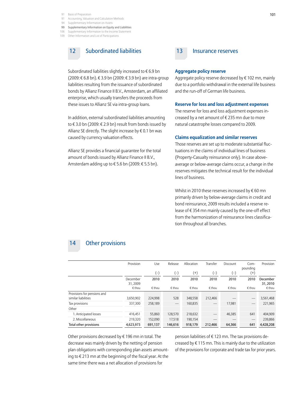<span id="page-104-0"></span>91 Basis of Preparation **101** Basis of Preparation **101** 

91 Accounting, Valuation and Calculation Methods

94 Supplementary Information on Assets

99 Supplementary Information on Equity and Liabilities

106 Supplementary Information to the Income Statement

109 Other Information and List of Participations

## 12 Subordinated liabilities

Subordinated liabilities slightly increased to € 6.9 bn (2009: € 6.8 bn). € 3.9 bn (2009: € 3.9 bn) are intra-group liabilities resulting from the issuance of subordinated bonds by Allianz Finance II B.V., Amsterdam, an affiliated enterprise, which usually transfers the proceeds from these issues to Allianz SE via intra-group loans.

In addition, external subordinated liabilities amounting to € 3.0 bn (2009: € 2.9 bn) result from bonds issued by Allianz SE directly. The slight increase by  $\epsilon$  0.1 bn was caused by currency valuation effects.

Allianz SE provides a financial guarantee for the total amount of bonds issued by Allianz Finance II B.V., Amsterdam adding up to  $\epsilon$  5.6 bn (2009:  $\epsilon$  5.5 bn).

### 13 Insurance reserves

#### **Aggregate policy reserve**

Aggregate policy reserve decreased by  $\epsilon$  102 mn, mainly due to a portfolio withdrawal in the external life business and the run-off of German life business.

#### **Reserve for loss and loss adjustment expenses**

The reserve for loss and loss adjustment expenses increased by a net amount of € 235 mn due to more natural catastrophe losses compared to 2009.

#### **Claims equalization and similar reserves**

Those reserves are set up to moderate substantial fluctuations in the claims of individual lines of business (Property-Casualty reinsurance only). In case aboveaverage or below-average claims occur, a change in the reserves mitigates the technical result for the individual lines of business.

Whilst in 2010 these reserves increased by € 60 mn primarily driven by below-average claims in credit and bond reinsurance, 2009 results included a reserve release of € 354 mn mainly caused by the one-off effect from the harmonization of reinsurance lines classification throughout all branches.

## 14 Other provisions

|                                                    | Provision           | Use             | Release       | Allocation      | Transfer        | Discount      | Com-<br>pounding | Provision           |
|----------------------------------------------------|---------------------|-----------------|---------------|-----------------|-----------------|---------------|------------------|---------------------|
|                                                    |                     | $_{(-)}$        | $(\hbox{--})$ | $^{(+)}$        | $(-)$           | $(\text{--})$ | $^{(+)}$         |                     |
|                                                    | December<br>31,2009 | 2010            | 2010          | 2010            | 2010            | 2010          | 2010             | December<br>31,2010 |
|                                                    | $\epsilon$ thou     | $\epsilon$ thou | € thou        | $\epsilon$ thou | $\epsilon$ thou | € thou        | € thou           | € thou              |
| Provisions for pensions and<br>similar liabilities | 3,650,902           | 224,998         | 528           | 348,558         | 212,466         |               |                  | 3,561,468           |
| Tax provisions                                     | 337,300             | 258,189         |               | 160.835         |                 | 17.981        |                  | 221,965             |
| Other                                              |                     |                 |               |                 |                 |               |                  |                     |
| 1. Anticipated losses                              | 416,451             | 55,860          | 128.570       | 218,632         |                 | 46,385        | 641              | 404,909             |
| 2. Miscellaneous                                   | 219.320             | 152,090         | 17,518        | 190,154         |                 |               |                  | 239,866             |
| Total other provisions                             | 4,623,973           | 691,137         | 146,616       | 918,179         | 212.466         | 64,366        | 641              | 4,428,208           |

Other provisions decreased by € 196 mn in total. The decrease was mainly driven by the netting of pension plan obligations with corresponding plan assets amounting to € 213 mn at the beginning of the fiscal year. At the same time there was a net allocation of provisions for

pension liabilities of € 123 mn. The tax provisions decreased by € 115 mn. This is mainly due to the utilization of the provisions for corporate and trade tax for prior years.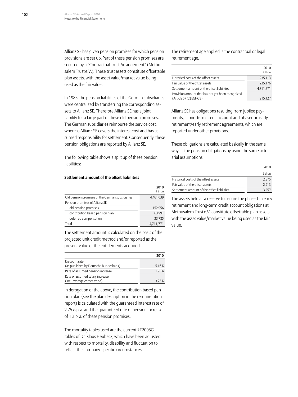Allianz SE has given pension promises for which pension provisions are set up. Part of these pension promises are secured by a "Contractual Trust Arrangement" (Methusalem Trust e.V.). These trust assets constitute offsettable plan assets, with the asset value/market value being used as the fair value.

In 1985, the pension liabilities of the German subsidiaries were centralized by transferring the corresponding assets to Allianz SE. Therefore Allianz SE has a joint liability for a large part of these old pension promises. The German subsidiaries reimburse the service cost, whereas Allianz SE covers the interest cost and has assumed responsibility for settlement. Consequently, these pension obligations are reported by Allianz SE.

The following table shows a split up of these pension liabilities:

#### **Settlement amount of the offset liabilities**

|                                                 | 2010<br>€ thou |
|-------------------------------------------------|----------------|
| Old pension promises of the German subsidiaries | 4,461,039      |
| Pension promises of Allianz SE                  |                |
| old pension promises                            | 152,956        |
| contribution based pension plan                 | 63,991         |
| deferred compensation                           | 33,785         |
| Total                                           | 4,711,771      |

The settlement amount is calculated on the basis of the projected unit credit method and/or reported as the present value of the entitlements acquired.

|                                       | 2010  |
|---------------------------------------|-------|
| Discount rate                         |       |
| (as published by Deutsche Bundesbank) | 5.16% |
| Rate of assumed pension increase      | 1.90% |
| Rate of assumed salary increase       |       |
| (incl. average career trend)          | 325%  |

In derogation of the above, the contribution based pension plan (see the plan description in the remuneration report) is calculated with the guaranteed interest rate of 2.75% p. a. and the guaranteed rate of pension increase of 1% p. a. of these pension promises.

The mortality tables used are the current RT2005Gtables of Dr. Klaus Heubeck, which have been adjusted with respect to mortality, disability and fluctuation to reflect the company-specific circumstances.

The retirement age applied is the contractual or legal retirement age.

|                                                   | 2010<br>€ thou |
|---------------------------------------------------|----------------|
| Historical costs of the offset assets             | 235,113        |
| Fair value of the offset assets                   | 235,176        |
| Settlement amount of the offset liabilities       | 4,711,771      |
| Provision amount that has not yet been recognized |                |
| (Article 67(2) EGHGB)                             | 915,127        |

Allianz SE has obligations resulting from jubilee payments, a long-term credit account and phased-in early retirement/early retirement agreements, which are reported under other provisions.

These obligations are calculated basically in the same way as the pension obligations by using the same actuarial assumptions.

|                                             | 2010     |
|---------------------------------------------|----------|
|                                             | $f$ thou |
| Historical costs of the offset assets       | 2.875    |
| Fair value of the offset assets             | 2.913    |
| Settlement amount of the offset liabilities | 3257     |

The assets held as a reserve to secure the phased-in early retirement and long-term credit account obligations at Methusalem Trust e.V. constitute offsettable plan assets, with the asset value/market value being used as the fair value.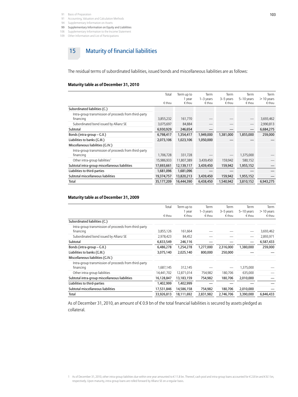<span id="page-106-0"></span>91 Accounting, Valuation and Calculation Methods

94 Supplementary Information on Assets

99 Supplementary Information on Equity and Liabilities

106 Supplementary Information to the Income Statement

109 Other Information and List of Participations

## 15 Maturity of financial liabilities

The residual terms of subordinated liabilities, issued bonds and miscellaneous liabilities are as follows:

#### **Maturity table as of December 31, 2010**

|                                                       | Total           | Term up to                | Term<br>$1-3$ years | <b>Term</b><br>3-5 years | Term<br>$5-10$ years | Term<br>$>$ 10 years |
|-------------------------------------------------------|-----------------|---------------------------|---------------------|--------------------------|----------------------|----------------------|
|                                                       | $\epsilon$ thou | 1 year<br>$\epsilon$ thou | € thou              | $\epsilon$ thou          | $\epsilon$ thou      | $\epsilon$ thou      |
| Subordinated liabilities (C.)                         |                 |                           |                     |                          |                      |                      |
| Intra-group transmission of proceeds from third-party |                 |                           |                     |                          |                      |                      |
| financing                                             | 3,855,232       | 161,770                   |                     |                          | $\qquad \qquad$      | 3,693,462            |
| Subordinated bond issued by Allianz SE                | 3,075,697       | 84,884                    |                     |                          |                      | 2,990,813            |
| Subtotal                                              | 6,930,929       | 246,654                   |                     |                          | —                    | 6,684,275            |
| Bonds (intra-group $-G.I.I.$ )                        | 6,798,417       | 1,354,417                 | 1,949,000           | 1,381,000                | 1,855,000            | 259,000              |
| Liabilities to banks (G.III.)                         | 2,073,106       | 1,023,106                 | 1,050,000           |                          |                      |                      |
| Miscellaneous liabilities (G.IV.)                     |                 |                           |                     |                          |                      |                      |
| Intra-group transmission of proceeds from third-party |                 |                           |                     |                          |                      |                      |
| financing                                             | 1,706,728       | 331,728                   |                     |                          | 1,375,000            |                      |
| Other intra-group liabilities <sup>1</sup>            | 15,986,933      | 11,807,389                | 3,439,450           | 159,942                  | 580,152              |                      |
| Subtotal intra-group miscellaneous liabilities        | 17,693,661      | 12,139,117                | 3,439,450           | 159,942                  | 1,955,152            |                      |
| Liabilities to third-parties                          | 1,681,096       | 1,681,096                 |                     |                          |                      |                      |
| Subtotal miscellaneous liabilities                    | 19,374,757      | 13,820,213                | 3,439,450           | 159,942                  | 1,955,152            |                      |
| Total                                                 | 35,177,209      | 16,444,390                | 6,438,450           | 1,540,942                | 3,810,152            | 6,943,275            |

#### **Maturity table as of December 31, 2009**

|                                                       | Total      | Term up to      | Term            | Term            | Term            | Term            |
|-------------------------------------------------------|------------|-----------------|-----------------|-----------------|-----------------|-----------------|
|                                                       |            | 1 year          | 1-3 years       | 3-5 years       | $5-10$ years    | $>$ 10 years    |
|                                                       | € thou     | $\epsilon$ thou | $\epsilon$ thou | $\epsilon$ thou | $\epsilon$ thou | $\epsilon$ thou |
| Subordinated liabilities (C.)                         |            |                 |                 |                 |                 |                 |
| Intra-group transmission of proceeds from third-party |            |                 |                 |                 |                 |                 |
| financing                                             | 3,855,126  | 161,664         |                 |                 |                 | 3,693,462       |
| Subordinated bond issued by Allianz SE                | 2,978,423  | 84,452          |                 |                 | –               | 2,893,971       |
| Subtotal                                              | 6,833,549  | 246,116         |                 |                 | –               | 6,587,433       |
| Bonds (intra-group $-G.I.I.$ )                        | 6,486,278  | 1,254,278       | 1,277,000       | 2,316,000       | 1,380,000       | 259,000         |
| Liabilities to banks (G.III.)                         | 3,075,140  | 2,025,140       | 800,000         | 250,000         |                 |                 |
| Miscellaneous liabilities (G.IV.)                     |            |                 |                 |                 |                 |                 |
| Intra-group transmission of proceeds from third-party |            |                 |                 |                 |                 |                 |
| financing                                             | 1,687,145  | 312,145         |                 |                 | 1,375,000       |                 |
| Other intra-group liabilities                         | 14,441,702 | 12,871,014      | 754,982         | 180,706         | 635,000         |                 |
| Subtotal intra-group miscellaneous liabilities        | 16,128,847 | 13,183,159      | 754,982         | 180,706         | 2,010,000       |                 |
| Liabilities to third-parties                          | 1,402,999  | 1,402,999       |                 |                 |                 |                 |
| Subtotal miscellaneous liabilities                    | 17,531,846 | 14,586,158      | 754,982         | 180,706         | 2,010,000       |                 |
| Total                                                 | 33,926,813 | 18,111,692      | 2,831,982       | 2,746,706       | 3,390,000       | 6.846.433       |

As of December 31, 2010, an amount of € 0.9 bn of the total financial liabilities is secured by assets pledged as collateral.

<sup>1</sup> As of December 31, 2010, other intra-group liabilities due within one year amounted to € 11.8 bn. Thereof, cash pool and intra-group loans accounted for € 2.8 bn and € 8.1 bn, respectively. Upon maturity, intra-group loans are rolled forward by Allianz SE on a regular basis.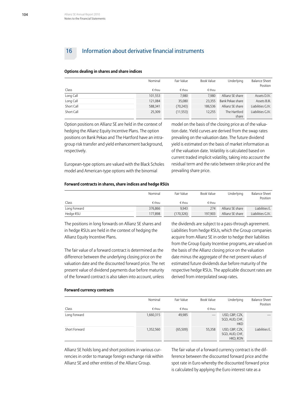## <span id="page-107-0"></span>16 Information about derivative financial instruments

#### **Options dealing in shares and share indices**

|            | Nominal | Fair Value      | Book Value      | Underlying            | <b>Balance Sheet</b><br>Position |
|------------|---------|-----------------|-----------------|-----------------------|----------------------------------|
| Class      | € thou  | $\epsilon$ thou | $\epsilon$ thou |                       |                                  |
| Long Call  | 101,553 | 7,980           | 7.980           | Allianz SE share      | Assets D.IV.                     |
| Long Call  | 121.084 | 35.080          | 23.355          | Bank Pekao share      | Assets B.III.                    |
| Short Call | 588.341 | (70, 243)       | 186.536         | Allianz SE share      | Liabilities G.IV.                |
| Short Call | 25,309  | (11, 553)       | 12,255          | The Hartford<br>share | Liabilities G.IV.                |

Option positions on Allianz SE are held in the context of hedging the Allianz Equity Incentive Plans. The option positions on Bank Pekao and The Hartford have an intragroup risk transfer and yield enhancement background, respectively.

model on the basis of the closing price as of the valuation date. Yield curves are derived from the swap rates prevailing on the valuation date. The future dividend yield is estimated on the basis of market information as of the valuation date. Volatility is calculated based on current traded implicit volatility, taking into account the residual term and the ratio between strike price and the prevailing share price.

European-type options are valued with the Black Scholes model and American-type options with the binomial

#### **Forward contracts in shares, share indices and hedge RSUs**

|              | Nominal | Fair Value    | Book Value    | Underlying       | Balance Sheet<br>Position |
|--------------|---------|---------------|---------------|------------------|---------------------------|
| Class        | € thou  | $\notin$ thou | $\notin$ thou |                  |                           |
| Long Forward | 376.866 | 9.943         | 274           | Allianz SE share | Liabilities E.            |
| Hedge RSU    | 177,898 | (170,326)     | 197.903       | Allianz SE share | Liabilities G.IV.         |

The positions in long forwards on Allianz SE shares and in hedge RSUs are held in the context of hedging the Allianz Equity Incentive Plans.

The fair value of a forward contract is determined as the difference between the underlying closing price on the valuation date and the discounted forward price. The net present value of dividend payments due before maturity of the forward contract is also taken into account, unless

the dividends are subject to a pass-through agreement. Liabilities from hedge RSUs, which the Group companies acquire from Allianz SE in order to hedge their liabilities from the Group Equity Incentive programs, are valued on the basis of the Allianz closing price on the valuation date minus the aggregate of the net present values of estimated future dividends due before maturity of the respective hedge RSUs. The applicable discount rates are derived from interpolated swap rates.

#### **Forward currency contracts**

|               | Nominal         | Fair Value      | Book Value      | Underlying                                     | <b>Balance Sheet</b><br>Position |
|---------------|-----------------|-----------------|-----------------|------------------------------------------------|----------------------------------|
| Class         | $\epsilon$ thou | $\epsilon$ thou | $\epsilon$ thou |                                                |                                  |
| Long Forward  | 1,660,315       | 49,985          |                 | USD, GBP, CZK,<br>SGD, AUD, CHF,<br><b>HKD</b> |                                  |
| Short Forward | 1,352,560       | (65, 509)       | 55,358          | USD, GBP, CZK,<br>SGD, AUD, CHF,<br>HKD, RON   | Liabilities E.                   |

Allianz SE holds long and short positions in various currencies in order to manage foreign exchange risk within Allianz SE and other entities of the Allianz Group.

The fair value of a forward currency contract is the difference between the discounted forward price and the spot rate in Euro whereby the discounted forward price is calculated by applying the Euro interest rate as a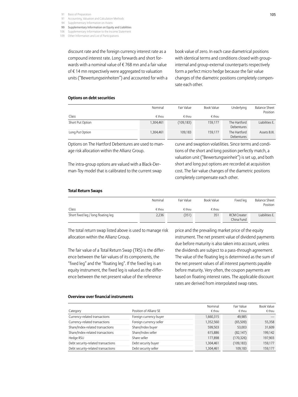91 Basis of Preparation **105** 

91 Accounting, Valuation and Calculation Methods

94 Supplementary Information on Assets

99 Supplementary Information on Equity and Liabilities

106 Supplementary Information to the Income Statement

109 Other Information and List of Participations

discount rate and the foreign currency interest rate as a compound interest rate. Long forwards and short forwards with a nominal value of € 768 mn and a fair value of € 14 mn respectively were aggregated to valuation units ("Bewertungseinheiten") and accounted for with a book value of zero. In each case diametrical positions with identical terms and conditions closed with groupinternal and group-external counterparts respectively form a perfect micro hedge because the fair value changes of the diametric positions completely compensate each other.

#### **Options on debt securities**

|                  | Nominal   | Fair Value    | Book Value | Underlying                        | <b>Balance Sheet</b><br>Position |
|------------------|-----------|---------------|------------|-----------------------------------|----------------------------------|
| Class            | $f$ thou  | $\notin$ thou | € thou     |                                   |                                  |
| Short Put Option | 1,304,461 | (109, 183)    | 159.177    | The Hartford<br><b>Debentures</b> | Liabilities E.                   |
| Long Put Option  | 1,304,461 | 109,183       | 159.177    | The Hartford<br><b>Debentures</b> | Assets B.III.                    |

Options on The Hartford Debentures are used to manage risk allocation within the Allianz Group.

The intra-group options are valued with a Black-Derman-Toy model that is calibrated to the current swap curve and swaption volatilities. Since terms and conditions of the short and long position perfectly match, a valuation unit ("Bewertungseinheit") is set up, and both short and long put options are recorded at acquisition cost. The fair value changes of the diametric positions completely compensate each other.

### **Total Return Swaps**

|                                     | Nominal | Fair Value    | Book Value      | Fixed lea                        | <b>Balance Sheet</b><br>Position |
|-------------------------------------|---------|---------------|-----------------|----------------------------------|----------------------------------|
| Class                               | € thou  | $\notin$ thou | $\epsilon$ thou |                                  |                                  |
| Short fixed leg / long floating leg | 2,236   | (351)         | 351             | <b>RCM Creater</b><br>China Fund | Liabilities E.                   |

The total return swap listed above is used to manage risk allocation within the Allianz Group.

The fair value of a Total Return Swap (TRS) is the difference between the fair values of its components, the "fixed leg" and the "floating leg". If the fixed leg is an equity instrument, the fixed leg is valued as the difference between the net present value of the reference

price and the prevailing market price of the equity instrument. The net present value of dividend payments due before maturity is also taken into account, unless the dividends are subject to a pass-through agreement. The value of the floating leg is determined as the sum of the net present values of all interest payments payable before maturity. Very often, the coupon payments are based on floating interest rates. The applicable discount rates are derived from interpolated swap rates.

#### **Overview over financial instruments**

| Category                           | Position of Allianz SE  | Nominal<br>€ thou | Fair Value<br>€ thou | Book Value<br>€ thou |
|------------------------------------|-------------------------|-------------------|----------------------|----------------------|
| Currency-related transactions      | Foreign currency buyer  | 1,660,315         | 49.985               |                      |
| Currency-related transactions      | Foreign currency seller | 1,352,560         | (65, 509)            | 55,358               |
| Share/Index-related transactions   | Share/Index buyer       | 599,503           | 53,003               | 31,609               |
| Share/Index-related transactions   | Share/Index seller      | 615,886           | (82, 147)            | 199,142              |
| Hedge RSU                          | Share seller            | 177.898           | (170, 326)           | 197,903              |
| Debt security-related transactions | Debt security buyer     | 1,304,461         | (109, 183)           | 159,177              |
| Debt security-related transactions | Debt security seller    | 1,304,461         | 109,183              | 159,177              |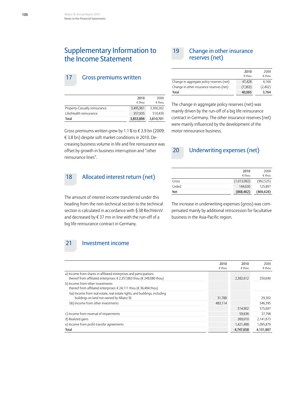# Supplementary Information to the Income Statement

# 17 Gross premiums written

|                               | 2010      | 2009      |
|-------------------------------|-----------|-----------|
|                               | $f$ thou  | $f$ thou  |
| Property-Casualty reinsurance | 3,495,961 | 3,300,262 |
| Life/Health reinsurance       | 357,935   | 510,439   |
| Total                         | 3,853,896 | 3,810,701 |

Gross premiums written grew by 1.1% to € 3.9 bn (2009: € 3.8 bn) despite soft market conditions in 2010. Decreasing business volume in life and fire reinsurance was offset by growth in business interruption and "other reinsurance lines".

# 18 Allocated interest return (net)

The amount of interest income transferred under this heading from the non-technical section to the technical section is calculated in accordance with §38 RechVersV and decreased by € 37 mn in line with the run-off of a big life reinsurance contract in Germany.

# 21 Investment income

# 19 Change in other insurance reserves (net)

| 2010<br>€ thou | 2009<br>€ thou |
|----------------|----------------|
| 47,428         | 6,166          |
| (7,363)        | (2,402)        |
| 40,065         | 3,764          |
|                |                |

The change in aggregate policy reserves (net) was mainly driven by the run-off of a big life reinsurance contract in Germany. The other insurance reserves (net) were mainly influenced by the development of the motor reinsurance business.

# 20 Underwriting expenses (net)

| 2010            | 2009       |
|-----------------|------------|
| $\epsilon$ thou | € thou     |
| (1,013,092)     | (992, 525) |
| 144.630         | 125,897    |
| (868, 462)      | (866, 628) |
|                 |            |

The increase in underwriting expenses (gross) was compensated mainly by additional retrocession for facultative business in the Asia-Pacific region.

|                                                                                                                                              | 2010<br>€ thou | 2010<br>$\n  inou\n$ | 2009<br>€ thou |
|----------------------------------------------------------------------------------------------------------------------------------------------|----------------|----------------------|----------------|
| a) Income from shares in affiliated enterprises and participations<br>thereof from affiliated enterprises: € 2,357,863 thou (€ 249,080 thou) |                | 2,382,612            | 250,640        |
| b) Income from other investments<br>thereof from affiliated enterprises: € 24,111 thou (€ 36,494 thou)                                       |                |                      |                |
| ba) Income from real estate, real estate rights, and buildings, including<br>buildings on land not owned by Allianz SE                       | 31,788         |                      | 29,302         |
| bb) Income from other investments                                                                                                            | 483,114        |                      | 546,395        |
|                                                                                                                                              |                | 514,902              | 575,697        |
| c) Income from reversal of impairments                                                                                                       |                | 59.636               | 37.798         |
| d) Realized gains                                                                                                                            |                | 369,010              | 2,141,873      |
| e) Income from profit transfer agreements                                                                                                    |                | 1,421,498            | 1,095,879      |
| Total                                                                                                                                        |                | 4,747,658            | 4,101,887      |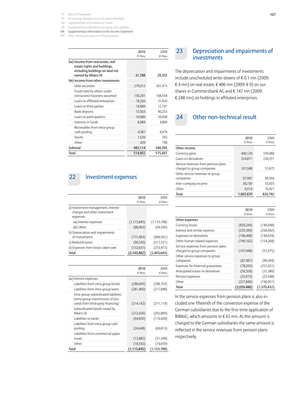- 91 Basis of Preparation **107**
- 91 Accounting, Valuation and Calculation Methods
- 94 Supplementary Information on Assets
- 99 Supplementary Information on Equity and Liabilities
- 106 Supplementary Information to the Income Statement
- 109 Other Information and List of Participations

|                                                                                                                             | 2010    | 2009    |
|-----------------------------------------------------------------------------------------------------------------------------|---------|---------|
|                                                                                                                             | € thou  | € thou  |
| ba) Income from real estate, real<br>estate rights and buildings,<br>including buildings on land not<br>owned by Allianz SE | 31,788  | 29,302  |
| bb) Income from other investments                                                                                           |         |         |
| Debt securities                                                                                                             | 279,912 | 261,915 |
| Funds held by others under<br>reinsurance business assumed                                                                  | 130,291 | 168,554 |
| Loans to affiliated enterprises                                                                                             | 18,260  | 31,620  |
| Loans to third-parties                                                                                                      | 14,849  | 12,741  |
| Bank deposits                                                                                                               | 13,503  | 40,253  |
| Loans to participations                                                                                                     | 10,980  | 20,008  |
| Interests in funds                                                                                                          | 8,989   | 4,869   |
| Receivables from intra-group<br>cash pooling                                                                                | 4,381   | 4,874   |
| <b>Stocks</b>                                                                                                               | 1,520   | 763     |
| Other                                                                                                                       | 429     | 798     |
| Subtotal                                                                                                                    | 483,114 | 546,395 |
| Total                                                                                                                       | 514,902 | 575,697 |

## 23 Depreciation and impairments of investments

The depreciation and impairments of investments include unscheduled write-downs of €0.1 mn (2009: € 4 mn) on real estate, € 406 mn (2009: € 0) on our shares in Commerzbank AG and € 147 mn (2009: € 248 mn) on holdings in affiliated enterprises.

# 24 Other non-technical result

|                                     | 2010      | 2009    |
|-------------------------------------|-----------|---------|
|                                     | € thou    | € thou  |
| Other income                        |           |         |
| Currency gains                      | 440,120   | 339,480 |
| Gains on derivatives                | 324,871   | 220,251 |
| Service revenues from pension plans |           |         |
| charged to group companies          | 107,948   | 57.675  |
| Other service revenues to group     |           |         |
| companies                           | 87,987    | 99,304  |
| Inter-company income                | 36,730    | 33,655  |
| Other                               | 6.014     | 70,427  |
| Total                               | 1,003,670 | 820.792 |

|                                                                   | 2010        | 2009        |
|-------------------------------------------------------------------|-------------|-------------|
|                                                                   | € thou      | € thou      |
| Other expenses                                                    |             |             |
| Currency losses                                                   | (829, 244)  | (146, 698)  |
| Interest and similar expense                                      | (235, 569)  | (266, 442)  |
| Expenses on derivatives                                           | (196, 498)  | (144, 029)  |
| Other human related expenses                                      | (190, 162)  | (154, 268)  |
| Service expenses from pension plans<br>charged to group companies | (107, 948)  | (57, 675)   |
| Other service expenses to group<br>companies                      | (87, 987)   | (99,304)    |
| Expenses for financial quarantees                                 | (78, 203)   | (257, 031)  |
| Anticipated losses on derivatives                                 | (50, 358)   | (31, 386)   |
| Pension expenses                                                  | (25, 673)   | (23, 548)   |
| Other                                                             | (227, 846)  | (190, 051)  |
| Total                                                             | (2,029,488) | (1,370,432) |

In the service expenses from pension plans is also included one fifteenth of the conversion expense of the German subsidiaries due to the first-time application of BilMoG, which amounts to € 63 mn. As this amount is charged to the German subsidiaries the same amount is reflected in the service revenues from pension plans respectively.

# 22 Investment expenses

|                                                                                | 2010<br>$\notin$ thou | 2009<br>€ thou |
|--------------------------------------------------------------------------------|-----------------------|----------------|
| a) Investment management, interest<br>charges and other investment<br>expenses |                       |                |
| aa) Interest expenses                                                          | (1, 115, 845)         | (1, 153, 788)  |
| ab) Other                                                                      | (88,903)              | (69,300)       |
| b) Depreciation and impairments<br>of investments                              | (715, 493)            | (409, 561)     |
| c) Realized losses                                                             | (90, 530)             | (517, 521)     |
| d) Expenses from losses taken over                                             | (132, 631)            | (253, 473)     |
| Total                                                                          | (2, 143, 402)         | (2,403,643)    |

|                                                                                                                | 2010<br>€ thou | 2009<br>€ thou |
|----------------------------------------------------------------------------------------------------------------|----------------|----------------|
| aa) Interest expenses                                                                                          |                |                |
| Liabilities from intra-group bonds                                                                             | (286, 695)     | (296, 703)     |
| Liabilities from intra-group loans                                                                             | (281, 460)     | (217, 848)     |
| Intra-group subordinated liabilities<br>(intra-group transmission of pro-<br>ceeds from third-party financing) | (214, 142)     | (211, 119)     |
| Subordinated bonds issued by<br>Allianz SF                                                                     | (212,026)      | (202, 869)     |
| Liabilities to banks                                                                                           | (64, 650)      | (110, 428)     |
| Liabilities from intra-group cash<br>pooling                                                                   | (24, 448)      | (66, 813)      |
| Liabilities from commercial paper<br>issues                                                                    |                |                |
|                                                                                                                | (13,882)       | (31, 349)      |
| Other                                                                                                          | (18, 542)      | (16, 659)      |
| Total                                                                                                          | (1, 115, 845)  | (1, 153, 788)  |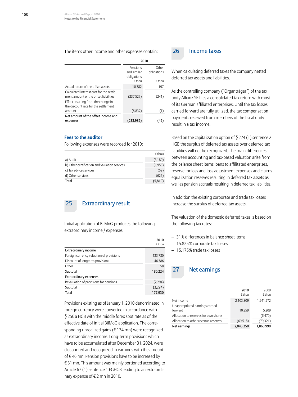#### The items other income and other expenses contain:

|                                                                                   | 2010                                   |                      |  |  |
|-----------------------------------------------------------------------------------|----------------------------------------|----------------------|--|--|
|                                                                                   | Pensions<br>and similar<br>obligations | Other<br>obligations |  |  |
|                                                                                   | $\notin$ thou                          | € thou               |  |  |
| Actual return of the offset assets                                                | 10,382                                 | 197                  |  |  |
| Calculated interest cost for the settle-<br>ment amount of the offset liabilities | (237, 527)                             | (241)                |  |  |
| Effect resulting from the change in<br>the discount rate for the settlement       |                                        |                      |  |  |
| amount                                                                            | (6,837)                                | (1)                  |  |  |
| Net amount of the offset income and                                               |                                        |                      |  |  |
| expenses                                                                          | (233,982)                              | (45                  |  |  |

### **Fees to the auditor**

Following expenses were recorded for 2010:

|                                               | € thou   |
|-----------------------------------------------|----------|
| a) Audit                                      | (3,180)  |
| b) Other certification and valuation services | (1, 955) |
| c) Tax advice services                        | (59)     |
| d) Other services                             | (625)    |
| Total                                         | (5,819)  |

# 25 Extraordinary result

Initial application of BilMoG produces the following extraordinary income / expenses:

|                                          | 2010<br>€ thou |
|------------------------------------------|----------------|
| <b>Extraordinary income</b>              |                |
| Foreign currency valuation of provisions | 133,780        |
| Discount of longterm provisions          | 46,386         |
| Other                                    | 58             |
| Subtotal                                 | 180,224        |
| <b>Extraordinary expenses</b>            |                |
| Revaluation of provisions for pensions   | (2, 294)       |
| Subtotal                                 | (2, 294)       |
| Total                                    | 177,930        |

Provisions existing as of January 1, 2010 denominated in foreign currency were converted in accordance with §256 a HGB with the middle forex spot rate as of the effective date of initial BilMoG application. The corresponding unrealized gains (€ 134 mn) were recognized as extraordinary income. Long-term provisions which have to be accumulated after December 31, 2024, were discounted and recognized in earnings with the amount of € 46 mn. Pension provisions have to be increased by € 31 mn. This amount was mainly portioned according to Article 67 (1) sentence 1 EGHGB leading to an extraordinary expense of € 2 mn in 2010.

### 26 Income taxes

When calculating deferred taxes the company netted deferred tax assets and liabilities.

As the controlling company ("Organträger") of the tax unity Allianz SE files a consolidated tax return with most of its German affiliated enterprises. Until the tax losses carried forward are fully utilized, the tax compensation payments received from members of the fiscal unity result in a tax income.

Based on the capitalization option of §274 (1) sentence 2 HGB the surplus of deferred tax assets over deferred tax liabilities will not be recognized. The main differences between accounting and tax-based valuation arise from the balance sheet items loans to affilitated enterprises, reserve for loss and loss adjustment expenses and claims equalization reserves resulting in deferred tax assets as well as pension accruals resulting in deferred tax liabilities.

In addition the existing corporate and trade tax losses increase the surplus of deferred tax assets.

The valuation of the domestic deferred taxes is based on the following tax rates:

- 31% differences in balance sheet items
- 15.825% corporate tax losses
- 15.175% trade tax losses

# 27 Net earnings

|                                            | 2010<br>$\notin$ thou | 2009<br>€ thou |
|--------------------------------------------|-----------------------|----------------|
| Net income                                 | 2,103,809             | 1,941,572      |
| Unappropriated earnings carried<br>forward | 10,959                | 5,209          |
| Allocation to reserves for own shares      |                       | (6, 470)       |
| Allocation to other revenue reserves       | (69, 518)             | (79, 321)      |
| Net earnings                               | 2,045,250             | 1,860,990      |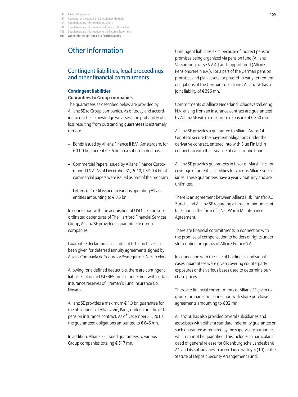- 91 Basis of Preparation **109**
- 91 Accounting, Valuation and Calculation Methods
- 94 Supplementary Information on Assets
- 99 Supplementary Information on Equity and Liabilities
- 106 Supplementary Information to the Income Statement
- 109 Other Information and List of Participations

# Other Information

# Contingent liabilities, legal proceedings and other financial commitments

### **Contingent liabilities**

### **Guarantees to Group companies**

The guarantees as described below are provided by Allianz SE to Group companies. As of today and according to our best knowledge we assess the probability of a loss resulting from outstanding guarantees is extremely remote.

- Bonds issued by Allianz Finance II B.V., Amsterdam, for € 11.0 bn, thereof € 5.6 bn on a subordinated basis
- Commercial Papers issued by Allianz Finance Corporation, U.S.A. As of December 31, 2010, USD 0.4 bn of commercial papers were issued as part of the program
- Letters of Credit issued to various operating Allianz entities amounting to € 0.5 bn

In connection with the acquisition of USD 1.75 bn subordinated debentures of The Hartford Financial Services Group, Allianz SE provided a guarantee to group companies.

Guarantee declarations in a total of € 1.5 bn have also been given for deferred annuity agreements signed by Allianz Companía de Seguros y Reaseguros S.A., Barcelona.

Allowing for a defined deductible, there are contingent liabilities of up to USD 465 mn in connection with certain insurance reserves of Fireman's Fund Insurance Co., Novato.

Allianz SE provides a maximum € 1.0 bn guarantee for the obligations of Allianz Vie, Paris, under a unit-linked pension insurance contract. As of December 31, 2010, the quaranteed obligations amounted to  $\epsilon$  646 mn.

In addition, Allianz SE issued guarantees to various Group companies totaling € 517 mn.

Contingent liabilities exist because of indirect pension promises being organized via pension fund (Allianz Versorgungskasse VVaG) and support fund (Allianz Pensionsverein e.V.). For a part of the German pension promises and plan assets for phased-in early retirement obligations of the German subsidiaries Allianz SE has a joint liability of € 396 mn.

Commitments of Allianz Nederland Schadeverzekering N.V. arising from an insurance contract are guaranteed by Allianz SE with a maximum exposure of € 350 mn.

Allianz SE provides a guarantee to Allianz Argos 14 GmbH to secure the payment obligations under the derivative contract, entered into with Blue Fin Ltd in connection with the issuance of catastrophe bonds.

Allianz SE provides guarantees in favor of Marsh, Inc. for coverage of potential liabilities for various Allianz subsidiaries. These guarantees have a yearly maturity and are unlimited.

There is an agreement between Allianz Risk Transfer AG, Zurich, and Allianz SE regarding a target minimum capitalization in the form of a Net Worth Maintenance Agreement.

There are financial commitments in connection with the promise of compensation to holders of rights under stock option programs of Allianz France S.A.

In connection with the sale of holdings in individual cases, guarantees were given covering counterparty exposures or the various bases used to determine purchase prices.

There are financial commitments of Allianz SE given to group companies in connection with share purchase agreements amounting to € 32 mn.

Allianz SE has also provided several subsidiaries and associates with either a standard indemnity guarantee or such guarantee as required by the supervisory authorities, which cannot be quantified. This includes in particular a deed of general release for Oldenburgische Landesbank AG and its subsidiaries in accordance with  $\S$  5 (10) of the Statute of Deposit Security Arrangement Fund.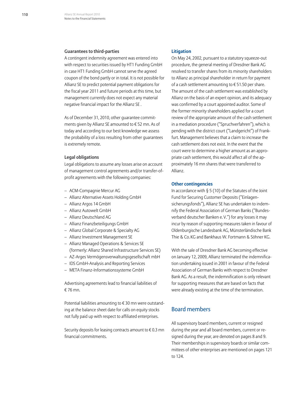#### **Guarantees to third-parties**

A contingent indemnity agreement was entered into with respect to securities issued by HT1 Funding GmbH in case HT1 Funding GmbH cannot serve the agreed coupon of the bond partly or in total. It is not possible for Allianz SE to predict potential payment obligations for the fiscal year 2011 and future periods at this time, but management currently does not expect any material negative financial impact for the Allianz SE .

As of December 31, 2010, other guarantee commitments given by Allianz SE amounted to € 52 mn. As of today and according to our best knowledge we assess the probability of a loss resulting from other guarantees is extremely remote.

### **Legal obligations**

Legal obligations to assume any losses arise on account of management control agreements and/or transfer-ofprofit agreements with the following companies:

- ACM-Compagnie Mercur AG
- Allianz Alternative Assets Holding GmbH
- Allianz Argos 14 GmbH
- Allianz Autowelt GmbH
- Allianz Deutschland AG
- Allianz Finanzbeteiligungs GmbH
- Allianz Global Corporate & Specialty AG
- Allianz Investment Management SE
- Allianz Managed Operations & Services SE (formerly: Allianz Shared Infrastructure Services SE)
- AZ-Arges Vermögensverwaltungsgesellschaft mbH
- IDS GmbH-Analysis and Reporting Services
- META Finanz-Informationssysteme GmbH

Advertising agreements lead to financial liabilities of € 76 mn.

Potential liabilities amounting to € 30 mn were outstanding at the balance sheet date for calls on equity stocks not fully paid up with respect to affiliated enterprises.

Security deposits for leasing contracts amount to  $\epsilon$  0.3 mn financial commitments.

### **Litigation**

On May 24, 2002, pursuant to a statutory squeeze-out procedure, the general meeting of Dresdner Bank AG resolved to transfer shares from its minority shareholders to Allianz as principal shareholder in return for payment of a cash settlement amounting to  $\epsilon$  51.50 per share. The amount of the cash settlement was established by Allianz on the basis of an expert opinion, and its adequacy was confirmed by a court appointed auditor. Some of the former minority shareholders applied for a court review of the appropriate amount of the cash settlement in a mediation procedure ("Spruchverfahren"), which is pending with the district court ("Landgericht") of Frankfurt. Management believes that a claim to increase the cash settlement does not exist. In the event that the court were to determine a higher amount as an appropriate cash settlement, this would affect all of the approximately 16 mn shares that were transferred to Allianz.

### **Other contingencies**

In accordance with  $\S$  5 (10) of the Statutes of the Joint Fund for Securing Customer Deposits ("Einlagensicherungsfonds"), Allianz SE has undertaken to indemnify the Federal Association of German Banks ("Bundesverband deutscher Banken e.V.") for any losses it may incur by reason of supporting measures taken in favour of Oldenburgische Landesbank AG, Münsterländische Bank Thie & Co. KG and Bankhaus W. Fortmann & Söhner KG.

With the sale of Dresdner Bank AG becoming effective on January 12, 2009, Allianz terminated the indemnification undertaking issued in 2001 in favour of the Federal Association of German Banks with respect to Dresdner Bank AG. As a result, the indemnification is only relevant for supporting measures that are based on facts that were already existing at the time of the termination.

# Board members

All supervisory board members, current or resigned during the year and all board members, current or resigned during the year, are denot[ed on pages 8 and 9.](#page-9-0)  Their memberships in supervisory boards or similar com[mittees of other enterprises are mentioned on pages 121](#page-124-0)  to 124.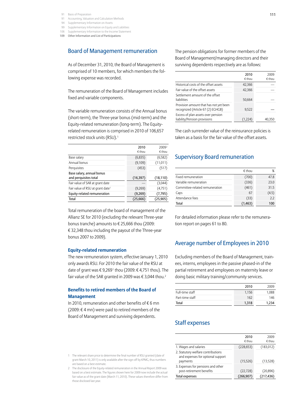- 91 Basis of Preparation **111**
- 91 Accounting, Valuation and Calculation Methods
- 94 Supplementary Information on Assets
- 99 Supplementary Information on Equity and Liabilities
- 106 Supplementary Information to the Income Statement
- 109 Other Information and List of Participations

### Board of Management remuneration

As of December 31, 2010, the Board of Management is comprised of 10 members, for which members the following expense was recorded.

The remuneration of the Board of Management includes fixed and variable components.

The variable remuneration consists of the Annual bonus (short-term), the Three-year bonus (mid-term) and the Equity-related remuneration (long-term). The Equityrelated remuneration is comprised in 2010 of 106,657 restricted stock units (RSU).<sup>1</sup>

|                                                    | 2010<br>€ thou | 2009 <sup>2</sup><br>€ thou |
|----------------------------------------------------|----------------|-----------------------------|
| Base salary                                        | (6,835)        | (6, 582)                    |
| Annual bonus                                       | (9,109)        | (11, 011)                   |
| Perquisites                                        | (453)          | (517)                       |
| Base salary, annual bonus<br>and perquisites total | (16, 397)      | (18, 110)                   |
| Fair value of SAR at grant date                    |                | (3,044)                     |
| Fair value of RSU at grant date <sup>1</sup>       | (9,269)        | (4,751)                     |
| Equity-related remuneration                        | (9,269)        | (7, 795)                    |
| Total                                              | (25,666)       | (25, 905)                   |

Total remuneration of the board of management of the Allianz SE for 2010 (excluding the relevant Three-year bonus tranche) amounts to € 25,666 thou (2009: € 32,348 thou including the payout of the Three-year bonus 2007 to 2009).

### **Equity-related remuneration**

The new remuneration system, effective January 1, 2010 only awards RSU. For 2010 the fair value of the RSU at date of grant was € 9,2691 thou (2009: € 4,751 thou). The fair value of the SAR granted in 2009 was  $\epsilon$  3,044 thou.<sup>2</sup>

### **Benefits to retired members of the Board of Management**

In 2010, remuneration and other benefits of € 6 mn (2009: € 4 mn) were paid to retired members of the Board of Management and surviving dependents.

The pension obligations for former members of the Board of Management/managing directors and their surviving dependents respectively are as follows:

|                                                                             | 2010<br>€ thou | 2009<br>€ thou |
|-----------------------------------------------------------------------------|----------------|----------------|
| Historical costs of the offset assets                                       | 42,366         |                |
| Fair value of the offset assets                                             | 42,366         |                |
| Settlement amount of the offset<br>liabilities                              | 50,664         |                |
| Provision amount that has not yet been<br>recognized (Article 67 (2) EGHGB) | 9,522          |                |
| Excess of plan assets over pension<br>liability/Pension provisions          | (1,224)        | 40.350         |

The cash surrender value of the reinsurance policies is taken as a basis for the fair value of the offset assets.

## Supervisory Board remuneration

|                                | $\notin$ thou |       |
|--------------------------------|---------------|-------|
| Fixed remuneration             | (700)         | 47.8  |
| Variable remuneration          | (336)         | 23.0  |
| Committee-related remuneration | (461)         | 31.5  |
| Caps                           | 67            | (4.5) |
| Attendance fees                | (33)          | 2.2   |
| Total                          | (1, 463)      | 100   |

[For detailed information please refer to the remunera](#page-62-0)tion report on pages 61 to 80.

### Average number of Employees in 2010

Excluding members of the Board of Management, trainees, interns, employees in the passive phased-in of the partial retirement and employees on maternity leave or doing basic military training/community services.

|                 | 2010  | 2009  |
|-----------------|-------|-------|
| Full-time staff | 1.156 | 1.088 |
| Part-time staff | 162   | 146   |
| Total           | 1,318 | 1.234 |

# Staff expenses

|                                                                                     | 2010<br>$f$ thou | 2009<br>$f$ thou |
|-------------------------------------------------------------------------------------|------------------|------------------|
| 1. Wages and salaries                                                               | (228, 653)       | (183,012)        |
| 2. Statutory welfare contributions<br>and expenses for optional support<br>payments | (15, 526)        | (13,528)         |
| 3. Expenses for pensions and other<br>post-retirement benefits                      | (22, 728)        | (20,896)         |
| <b>Total expenses</b>                                                               | (266, 907)       | (217, 436)       |

1 The relevant share price to determine the final number of RSU granted (date of grant March 10, 2011) is only available after the sign-off by KPMG, thus numbers are based on a best estimate.

2 The disclosure of the Equity-related remuneration in the Annual Report 2009 was based on a best estimate. The figures shown here for 2009 now include the actual fair value as of the grant date (March 11, 2010). These values therefore differ from those disclosed last year.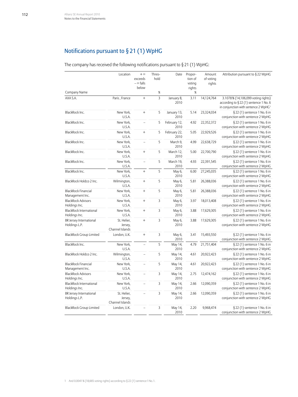# Notifications pursuant to §21 (1) WpHG

## The company has received the following notifications pursuant to  $\S 21$  (1) WpHG:

| Company Name                                    | Location                                  | $+=$<br>exceeds<br>$=$ falls<br>below | Thres-<br>hold<br>$\%$ | Date                 | Propor-<br>tion of<br>voting<br>rights<br>$\%$ | Amount<br>of voting<br>rights | Attribution pursuant to §22 WpHG                                                                                                    |
|-------------------------------------------------|-------------------------------------------|---------------------------------------|------------------------|----------------------|------------------------------------------------|-------------------------------|-------------------------------------------------------------------------------------------------------------------------------------|
| AXA S.A.                                        | Paris, France                             | $+$                                   | $\overline{3}$         | January 8,<br>2010   | 3.11                                           | 14,124,764                    | 3.1078% (14,106,099 voting rights)<br>according to $\S$ 22 (1) sentence 1 No. 6<br>in conjunction with sentence 2 WpHG <sup>1</sup> |
| BlackRock Inc.                                  | New York,<br>U.S.A.                       | $+$                                   | 5                      | January 13,<br>2010  | 5.14                                           | 23,324,034                    | § 22 (1) sentence 1 No. 6 in<br>conjunction with sentence 2 WpHG                                                                    |
| BlackRock Inc.                                  | New York,<br>U.S.A.                       | $\overline{a}$                        | 5                      | February 12,<br>2010 | 4.92                                           | 22,352,372                    | § 22 (1) sentence 1 No. 6 in<br>conjunction with sentence 2 WpHG                                                                    |
| BlackRock Inc.                                  | New York,<br>U.S.A.                       | $+$                                   | 5                      | February 22,<br>2010 | 5.05                                           | 22,929,526                    | § 22 (1) sentence 1 No. 6 in<br>conjunction with sentence 2 WpHG                                                                    |
| BlackRock Inc.                                  | New York,<br>U.S.A.                       | $\overline{\phantom{0}}$              | 5                      | March 9,<br>2010     | 4.99                                           | 22,638,729                    | § 22 (1) sentence 1 No. 6 in<br>conjunction with sentence 2 WpHG                                                                    |
| BlackRock Inc.                                  | New York,<br>U.S.A.                       |                                       | 5                      | March 12,<br>2010    | 5.00                                           | 22,700,790                    | § 22 (1) sentence 1 No. 6 in<br>conjunction with sentence 2 WpHG                                                                    |
| BlackRock Inc.                                  | New York,<br>U.S.A.                       | $\overline{a}$                        | 5                      | March 19,<br>2010    | 4.93                                           | 22,391,545                    | § 22 (1) sentence 1 No. 6 in<br>conjunction with sentence 2 WpHG                                                                    |
| BlackRock Inc.                                  | New York,<br>U.S.A.                       | $+$                                   | 5                      | May 6,<br>2010       | 6.00                                           | 27,245,035                    | § 22 (1) sentence 1 No. 6 in<br>conjunction with sentence 2 WpHG                                                                    |
| BlackRock Holdco 2 Inc.                         | Wilmington,<br>U.S.A.                     | $\! + \!\!\!\!$                       | 5                      | May 6,<br>2010       | 5.81                                           | 26,388,036                    | § 22 (1) sentence 1 No. 6 in<br>conjunction with sentence 2 WpHG                                                                    |
| <b>BlackRock Financial</b><br>Management Inc.   | New York,<br>U.S.A.                       |                                       | 5                      | May 6,<br>2010       | 5.81                                           | 26,388,036                    | § 22 (1) sentence 1 No. 6 in<br>conjunction with sentence 2 WpHG                                                                    |
| <b>BlackRock Advisors</b><br>Holdings Inc.      | New York,<br>U.S.A.                       |                                       | 3                      | May 6,<br>2010       | 3.97                                           | 18,013,408                    | § 22 (1) sentence 1 No. 6 in<br>conjunction with sentence 2 WpHG                                                                    |
| <b>BlackRock International</b><br>Holdings Inc. | New York,<br>U.S.A.                       |                                       | 3                      | May 6,<br>2010       | 3.88                                           | 17,629,305                    | § 22 (1) sentence 1 No. 6 in<br>conjunction with sentence 2 WpHG                                                                    |
| BR Jersey International<br>Holdings L.P.        | St. Helier,<br>Jersey,<br>Channel Islands | $+$                                   | 3                      | May 6,<br>2010       | 3.88                                           | 17,629,305                    | § 22 (1) sentence 1 No. 6 in<br>conjunction with sentence 2 WpHG                                                                    |
| <b>BlackRock Group Limited</b>                  | London, U.K.                              | $^{+}$                                | 3                      | May 6,<br>2010       | 3.41                                           | 15,493,550                    | § 22 (1) sentence 1 No. 6 in<br>conjunction with sentence 2 WpHG                                                                    |
| BlackRock Inc.                                  | New York,<br>U.S.A.                       | $\overline{a}$                        | 5                      | May 14,<br>2010      | 4.79                                           | 21,751,404                    | § 22 (1) sentence 1 No. 6 in<br>conjunction with sentence 2 WpHG                                                                    |
| BlackRock Holdco 2 Inc.                         | Wilmington,<br>U.S.A.                     | $\overline{\phantom{0}}$              | 5                      | May 14,<br>2010      | 4.61                                           | 20,922,423                    | § 22 (1) sentence 1 No. 6 in<br>conjunction with sentence 2 WpHG                                                                    |
| <b>BlackRock Financial</b><br>Management Inc.   | New York,<br>U.S.A.                       | $\overline{a}$                        | 5                      | May 14,<br>2010      | 4.61                                           | 20,922,423                    | § 22 (1) sentence 1 No. 6 in<br>conjunction with sentence 2 WpHG                                                                    |
| <b>BlackRock Advisors</b><br>Holdings Inc.      | New York,<br>U.S.A.                       | $\overline{\phantom{0}}$              | 3                      | May 14,<br>2010      | 2.75                                           | 12,474,162                    | § 22 (1) sentence 1 No. 6 in<br>conjunction with sentence 2 WpHG                                                                    |
| <b>BlackRock International</b><br>Holdings Inc. | New York,<br>U.S.A.                       | $\overline{a}$                        | 3                      | May 14,<br>2010      | 2.66                                           | 12,090,359                    | § 22 (1) sentence 1 No. 6 in<br>conjunction with sentence 2 WpHG                                                                    |
| BR Jersey International<br>Holdings L.P.        | St. Helier,<br>Jersey,<br>Channel Islands | L,                                    | 3                      | May 14,<br>2010      | 2.66                                           | 12,090,359                    | § 22 (1) sentence 1 No. 6 in<br>conjunction with sentence 2 WpHG                                                                    |
| <b>BlackRock Group Limited</b>                  | London, U.K.                              |                                       | 3                      | May 14,<br>2010      | 2.20                                           | 9,968,474                     | § 22 (1) sentence 1 No. 6 in<br>conjunction with sentence 2 WpHG                                                                    |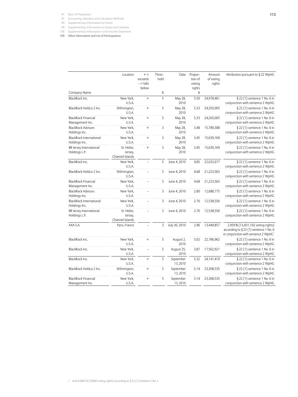91 Basis of Preparation 113<br>91 Accounting, Valuation and Calculation Methods 191 Accounting of the Second Methods of the Second Methods 113

94 Supplementary Information on Assets

99 Supplementary Information on Equity and Liabilities

106 Supplementary Information to the Income Statement

109 Other Information and List of Participations

| Company Name                                    | Location                                  | $+=$<br>exceeds<br>$=$ falls<br>below | Thres-<br>hold<br>$\%$ | Date                 | Propor-<br>tion of<br>voting<br>rights<br>$\%$ | Amount<br>of voting<br>rights | Attribution pursuant to §22 WpHG                                                                                                |
|-------------------------------------------------|-------------------------------------------|---------------------------------------|------------------------|----------------------|------------------------------------------------|-------------------------------|---------------------------------------------------------------------------------------------------------------------------------|
| BlackRock Inc.                                  | New York,<br>U.S.A.                       | $\ddot{}$                             | 5                      | May 28,<br>2010      | 5.50                                           | 24,978,461                    | § 22 (1) sentence 1 No. 6 in<br>conjunction with sentence 2 WpHG                                                                |
| BlackRock Holdco 2 Inc.                         | Wilmington,<br>U.S.A.                     | $\ddot{}$                             | 5                      | May 28,<br>2010      | 5.33                                           | 24,203,005                    | § 22 (1) sentence 1 No. 6 in<br>conjunction with sentence 2 WpHG                                                                |
| <b>BlackRock Financial</b><br>Management Inc.   | New York,<br>U.S.A.                       | $\ddot{}$                             | 5                      | May 28,<br>2010      | 5.33                                           | 24,203,005                    | § 22 (1) sentence 1 No. 6 in<br>conjunction with sentence 2 WpHG                                                                |
| <b>BlackRock Advisors</b><br>Holdings Inc.      | New York,<br>U.S.A.                       | $\ddot{}$                             | 3                      | May 28,<br>2010      | 3.48                                           | 15,789,388                    | § 22 (1) sentence 1 No. 6 in<br>conjunction with sentence 2 WpHG                                                                |
| <b>BlackRock International</b><br>Holdings Inc. | New York,<br>U.S.A.                       | $\! + \!\!\!\!$                       | 3                      | May 28,<br>2010      | 3.45                                           | 15,639,169                    | § 22 (1) sentence 1 No. 6 in<br>conjunction with sentence 2 WpHG                                                                |
| BR Jersey International<br>Holdings L.P.        | St. Helier.<br>Jersey,<br>Channel Islands | $\ddot{}$                             | 3                      | May 28,<br>2010      | 3.45                                           | 15,639,169                    | § 22 (1) sentence 1 No. 6 in<br>conjunction with sentence 2 WpHG                                                                |
| BlackRock Inc.                                  | New York,<br>U.S.A.                       | $\overline{\phantom{0}}$              | 5                      | June 4, 2010         | 4.85                                           | 22,032,677                    | § 22 (1) sentence 1 No. 6 in<br>conjunction with sentence 2 WpHG                                                                |
| BlackRock Holdco 2 Inc.                         | Wilmington,<br>U.S.A.                     | L,                                    | 5                      | June 4, 2010         | 4.68                                           | 21,223,563                    | § 22 (1) sentence 1 No. 6 in<br>conjunction with sentence 2 WpHG                                                                |
| <b>BlackRock Financial</b><br>Management Inc.   | New York.<br>U.S.A.                       | $\overline{\phantom{0}}$              | 5                      | June 4, 2010         | 4.68                                           | 21,223,563                    | § 22 (1) sentence 1 No. 6 in<br>conjunction with sentence 2 WpHG                                                                |
| <b>BlackRock Advisors</b><br>Holdings Inc.      | New York,<br>U.S.A.                       | $\overline{\phantom{0}}$              | 3                      | June 4, 2010         | 2.80                                           | 12,688,775                    | § 22 (1) sentence 1 No. 6 in<br>conjunction with sentence 2 WpHG                                                                |
| <b>BlackRock International</b><br>Holdings Inc. | New York,<br>U.S.A.                       | $\overline{\phantom{0}}$              | 3                      | June 4, 2010         | 2.76                                           | 12,538,556                    | § 22 (1) sentence 1 No. 6 in<br>conjunction with sentence 2 WpHG                                                                |
| BR Jersey International<br>Holdings L.P.        | St. Helier,<br>Jersey,<br>Channel Islands |                                       | 3                      | June 4, 2010         | 2.76                                           | 12,538,556                    | § 22 (1) sentence 1 No. 6 in<br>conjunction with sentence 2 WpHG                                                                |
| AXA S.A.                                        | Paris, France                             |                                       | 3                      | July 30, 2010        | 2.96                                           | 13,449,857                    | 2.959% (13,431,192 voting rights)<br>according to § 22 (1) sentence 1 No. 6<br>in conjunction with sentence 2 WpHG <sup>1</sup> |
| BlackRock Inc.                                  | New York.<br>U.S.A.                       | $^{+}$                                | 5                      | August 2,<br>2010    | 5.02                                           | 22,786,962                    | § 22 (1) sentence 1 No. 6 in<br>conjunction with sentence 2 WpHG                                                                |
| BlackRock Inc.                                  | New York,<br>U.S.A.                       | $\overline{\phantom{0}}$              | 5                      | August 25,<br>2010   | 3.87                                           | 17,562,921                    | § 22 (1) sentence 1 No. 6 in<br>conjunction with sentence 2 WpHG                                                                |
| BlackRock Inc.                                  | New York,<br>U.S.A.                       | $^{+}$                                | 5                      | September<br>13,2010 | 5.32                                           | 24,141,419                    | § 22 (1) sentence 1 No. 6 in<br>conjunction with sentence 2 WpHG                                                                |
| BlackRock Holdco 2 Inc.                         | Wilmington,<br>U.S.A.                     | $\ddot{}$                             | 5                      | September<br>13,2010 | 5.14                                           | 23,308,535                    | § 22 (1) sentence 1 No. 6 in<br>conjunction with sentence 2 WpHG                                                                |
| <b>BlackRock Financial</b><br>Management Inc.   | New York,<br>U.S.A.                       | $\ddot{}$                             | 5                      | September<br>13,2010 | 5.14                                           | 23,308,535                    | § 22 (1) sentence 1 No. 6 in<br>conjunction with sentence 2 WpHG                                                                |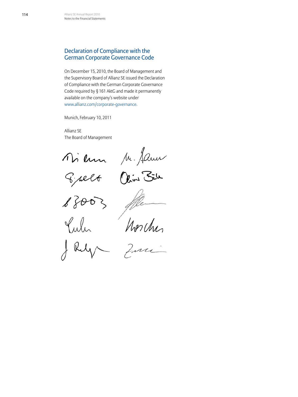# Declaration of Compliance with the German Corporate Governance Code

On December 15, 2010, the Board of Management and the Supervisory Board of Allianz SE issued the Declaration of Compliance with the German Corporate Governance Code required by §161 AktG and made it permanently available on the company's website under [www.allianz.com/corporate-governance.](www.allianz.com/corporate-governance)

Munich, February 10, 2011

Allianz SE The Board of Management



Morches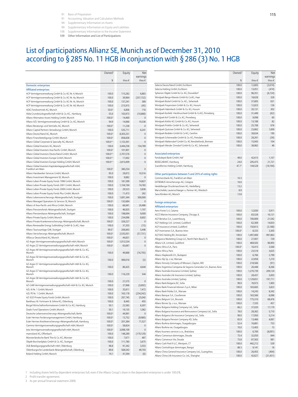- 91 Basis of Preparation **115**
- 91 Accounting, Valuation and Calculation Methods

94 Supplementary Information on Assets

- 99 Supplementary Information on Equity and Liabilities
- 106 Supplementary Information to the Income Statement
- 109 Other Information and List of Participations

# List of participations Allianz SE, Munich as of December 31, 2010 according to §285 No. 11 HGB in conjunction with §286 (3) No. 1 HGB

|                                                                                                                    | Owned <sup>1</sup>           | Equity             | Net                |
|--------------------------------------------------------------------------------------------------------------------|------------------------------|--------------------|--------------------|
|                                                                                                                    | $\chi$                       | thou€              | earnings<br>thou € |
| <b>Domestic enterprises</b>                                                                                        |                              |                    |                    |
| <b>Affiliated enterprises</b>                                                                                      |                              |                    |                    |
| ACP Vermögensverwaltung GmbH & Co. KG Nr. 4, Munich                                                                | 100.0                        | 115,282            | 6,863              |
| ACP Vermögensverwaltung GmbH & Co. KG Nr. 4a, Munich                                                               | 100.0                        | 39,964             | (337, 152)         |
| ACP Vermögensverwaltung GmbH & Co. KG Nr. 4c, Munich                                                               | 100.0                        | 137,241            | 389                |
| ACP Vermögensverwaltung GmbH & Co. KG Nr. 4d, Munich                                                               | 100.0                        | 215,915            | (45)               |
| ADIG Fondsvertrieb AG, Munich                                                                                      | 50.0 <sup>2</sup>            | 6,806              | 716                |
| Alida Grundstücksgesellschaft mbH & Co. KG, Hamburg                                                                | 55.0                         | 103,973            | (10,888)           |
| Allianz Alternative Assets Holding GmbH, Munich                                                                    | 100.02                       | 14,469             | $\bf{0}$           |
| Allianz AZL Vermögensverwaltung GmbH & Co. KG, Munich                                                              | 94.9<br>100.02               | 14,066             | 19,336             |
| Allianz Beratungs-und Vertriebs-AG, Munich<br>Allianz Capital Partners Verwaltungs GmbH, Munich                    | 100.0                        | 11,238<br>535,711  | 0<br>6,241         |
| Allianz Deutschland AG, Munich                                                                                     | 100.02                       | 8,303,251          | $\bf{0}$           |
| Allianz Finanzbeteiligungs GmbH, Munich                                                                            | 100.02                       | 858,838            | 0                  |
| Allianz Global Corporate & Specialty AG, Munich                                                                    | 100.023                      | 1,153,391          | $\theta$           |
| Allianz Global Investors AG, Munich                                                                                | 100.0                        | 3,444,258          | 154,789            |
| Allianz Global Investors Asia Pacific GmbH, Munich                                                                 | 100.02                       | 101,901            | $\overline{0}$     |
| Allianz Global Investors Deutschland GmbH, Munich                                                                  | 100.023                      | 2,707,576          | $\mathbf 0$        |
| Allianz Global Investors Europe GmbH, Munich                                                                       | $100.0^{23}$                 | 17,002             | $\mathbf 0$        |
| Allianz Global Investors Europe Holding GmbH, Munich                                                               | 100.023                      | 2,815,009          | $\theta$           |
| Allianz Global Investors Kapitalanlagegesellschaft mbH,                                                            |                              |                    |                    |
| Frankfurt am Main                                                                                                  | 100.02                       | 380,254            | $\bf 0$            |
| Allianz Handwerker Services GmbH, Munich                                                                           | 95.0                         | 29,872             | 10,516             |
| Allianz Investment Management SE, Munich                                                                           | 100.0                        | 9,882              | $\bf{0}$           |
| Allianz Leben Private Equity Fonds 1998 GmbH, Munich                                                               | 100.0                        | 181,599            | 14.827             |
| Allianz Leben Private Equity Fonds 2001 GmbH, Munich                                                               | 100.0                        | 1,104,194          | 74,783             |
| Allianz Leben Private Equity Fonds 2008 GmbH, Munich                                                               | 100.0                        | 29,523             | 3,836              |
| Allianz Leben Private Equity Fonds Plus GmbH, Munich                                                               | 100.0                        | 11,473             | 262                |
| Allianz Lebensversicherungs-Aktiengesellschaft, Stuttgart                                                          | 100.0                        | 1,691,344          | 500,000            |
| Allianz Managed Operations & Services SE, Munich                                                                   | 100.02                       | 132,684            | $\bf{0}$           |
| Allianz of Asia-Pacific and Africa GmbH, Munich                                                                    | 100.0                        | 66,941             | 20.486             |
| Allianz Pensionsfonds Aktiengesellschaft, Stuttgart                                                                | 100.0<br>100.0               | 46,925             | 1,197              |
| Allianz Pensionskasse Aktiengesellschaft, Stuttgart<br>Allianz Private Equity GmbH, Munich                         | 100.0                        | 198,694<br>234,096 | 9,000<br>8,602     |
| Allianz Private Krankenversicherungs-Aktiengesellschaft, Munich                                                    | 100.02                       | 326,227            | $\mathbf 0$        |
| Allianz Renewable Energy Subholding GmbH & Co.KG, Haar                                                             | 100.0                        | 37,355             | (15)               |
| Allianz Taunusanlage GbR, Stuttgart                                                                                | 99.53                        | 206,843            | 5,446              |
| Allianz Versicherungs-Aktiengesellschaft, Munich                                                                   | 100.02                       | 2,535,051          | (57, 731)          |
| AllSecur Deutschland AG, Munich                                                                                    | 100.02                       | 44,831             | $\mathbf 0$        |
| AZ-Arges Vermögensverwaltungsgesellschaft mbH, Munich                                                              | 100.0 <sup>2</sup>           | 1,012,534          | $\mathbf 0$        |
| AZ-Argos 22 Vermögensverwaltungsgesellschaft mbH, Munich                                                           | 100.02                       | 83,687             | 0                  |
| AZ-Argos 44 Vermögensverwaltungsgesellschaft mbH & Co. KG,                                                         |                              |                    |                    |
| Munich                                                                                                             | 100.0                        | 49,888             | (16, 705)          |
| AZ-Argos 50 Vermögensverwaltungsgesellschaft mbH & Co. KG,<br>Munich                                               | 100.0                        | 489,016            | (5)                |
| AZ-Argos 51 Vermögensverwaltungsgesellschaft mbH & Co. KG,<br>Munich                                               | 100.0                        | 86,425             | 4,644              |
| AZ-Argos 57 Vermögensverwaltungsgesellschaft mbH & Co. KG,<br>Munich                                               | 100.0                        | 116,229            | 544                |
| AZ-Argos 58 Vermögensverwaltungsgesellschaft mbH & Co. KG,                                                         |                              |                    |                    |
| Munich                                                                                                             | 100.0                        | 21,575             | $\mathbf 0$        |
| AZ-GARI Vermögensverwaltungsgesellschaft mbH & Co. KG, Munich                                                      | 100.0                        | 37,968             | (3,692)            |
| AZL AI Nr. 1 GmbH. Munich                                                                                          | 100.0                        | 35,811             | 7,472              |
| AZL PE Nr. 1 GmbH, Munich                                                                                          | 100.0                        | 163,178            | (234, 242)         |
| AZ-SGD Private Equity Fonds GmbH, Munich                                                                           | 100.0                        | 287,745            | 25,042             |
| Bankhaus W. Fortmann & Söhne KG, Oldenburg<br>Bürgel Wirtschaftsinformationen GmbH & Co. KG, Hamburg               | 100.0                        | 8,445              | 455                |
|                                                                                                                    | 50.1                         | 22,583             | 6,307              |
| Dealis Fund Operations GmbH, Munich<br>Deutsche Lebensversicherungs-Aktiengesellschaft, Berlin                     | 50.1                         | 19,135             | 1,062              |
|                                                                                                                    | 100.02                       | 44,991             | 0                  |
| Euler Hermes Forderungsmanagement GmbH, Hamburg                                                                    | 100.0 <sup>3</sup><br>100.03 | 13,752             | (9,980)            |
| Euler Hermes Kreditversicherungs-Aktiengesellschaft, Hamburg<br>Gamma-Vermögensverwaltungsgesellschaft mbH, Munich | 100.0 <sup>2</sup>           | 201,384<br>58,824  | 71,527             |
| Jota-Vermögensverwaltungsgesellschaft mbH, Munich                                                                  | 100.02                       | 3,098,109          | 0<br>$\bf 0$       |
| manroland AG, Offenbach                                                                                            | 100.0                        | 148,289            | (179, 129)         |
| Münsterländische Bank Thie & Co. KG, Münster                                                                       | 100.0                        | 7,671              | 487                |
| Objekt Burchardplatz GmbH & Co. KG, Stuttgart                                                                      | 100.0                        | 111,780            | 3,675              |
| OLB-Beteiligungsgesellschaft mbH, Oldenburg                                                                        | 98.8                         | 91,342             | 3,553              |
| Oldenburgische Landesbank Aktiengesellschaft, Oldenburg                                                            | 89.6                         | 568,543            | 49,703             |
| Roland Holding GmbH, Munich                                                                                        | 74.1                         | 41,594             | (6)                |
|                                                                                                                    |                              |                    |                    |

|                                                                                                 | Owned <sup>1</sup> | Equity              | Net                |
|-------------------------------------------------------------------------------------------------|--------------------|---------------------|--------------------|
|                                                                                                 | $\rm \chi$         | thou €              | earnings<br>thou € |
| Selecta Deutschland GmbH, Eschborn                                                              | 100.0              | 12,805              | (3,074)            |
| Selecta Holding GmbH, Eschborn                                                                  | 100.0              | 13,051              | (474)              |
| Spherion Objekt GmbH & Co. KG, Düsseldorf                                                       | 100.0              | 96,351              | (6, 724)           |
| Windpark Berge-Kleeste GmbH & Co.KG, Haar                                                       | 100.0              | 18,628              | 328                |
| Windpark Büttel GmbH & Co. KG., Sehestedt                                                       | 100.0              | 37,805              | 631                |
| Windpark Freyenstein GmbH & Co. KG, Husum                                                       | 100.0              | 12,823              | 126                |
| Windpark Halenbeck GmbH & Co. KG, Husum                                                         | 100.0              | 20,131              | 302                |
| Windpark Kesfeld -Heckhuscheid GmbH & Co KG, Pinneberg                                          | 100.0              | 31,449              | (62)               |
| Windpark Kirf GmbH & Co. KG, Pinneberg                                                          | 100.0              | 9,098               | 60                 |
| Windpark Kittlitz KG GmbH & Co. KG, Husum<br>Windpark Pröttlin GmbH & Co. KG, Sehestedt         | 100.0<br>100.0     | 13,188<br>25,708    | 82<br>676          |
| Windpark Quitzow GmbH & Co. KG, Sehestedt                                                       | 100.0              | 23,862              | 1,009              |
| Windpark Redekin GmbH & Co KG, Genthin                                                          | 100.0              | 39,634              | 190                |
| Windpark Schönwalde GmbH & Co. KG, Potsdam                                                      | 100.0              | 28,261              | (39)               |
| Windpark Waltersdorf GmbH Co. KG Renditefonds, Bremen                                           | 100.0              | 15,943              | 104                |
| Windpark Werder Zinndorf GmbH & Co. KG, Sehestedt                                               | 100.0              | 38,962              | 46                 |
|                                                                                                 |                    |                     |                    |
| <b>Associated enterprises</b>                                                                   |                    |                     |                    |
| Fondsdepot Bank GmbH, Hof                                                                       | 49.0               | 42,615              | 1,107              |
| REISEGARANT, Hamburg                                                                            | 24.0               | 205,475             | 21,721             |
| Scandferries Holding GmbH, Hamburg                                                              | 47.73              | 144,528             | (19, 194)          |
| Other participations between 5 and 20% of voting rights                                         |                    |                     |                    |
| Commerzbank AG, Frankfurt am Main                                                               | 103                |                     |                    |
| EXTREMUS Versicherungs-AG, Cologne                                                              | 16.0               |                     |                    |
| Heidelberger Druckmaschinen AG, Heidelberg                                                      | 13.2               |                     |                    |
| Marschollek, Lautenschlaeger u. Partner AG, Wiesloch                                            | 8.9                |                     |                    |
| Sana Kliniken AG, Munich                                                                        | 13.8               |                     |                    |
|                                                                                                 |                    |                     |                    |
| <b>Foreign enterprises</b>                                                                      |                    |                     |                    |
| <b>Affiliated enterprises</b>                                                                   |                    |                     |                    |
| Aero-Fonte S.r.l, Catania                                                                       | 100.0              | 12,830              | 5,911              |
| AGCS Marine Insurance Company, Chicago, IL                                                      | 100.0              | 83,528              | 16,121             |
| AGF Benelux S.A., Luxembourg<br>AGF Holdings U.K. Limited, Guildford                            | 100.0              | 700,909             | 21,542             |
| AGF Insurance Limited, Guildford                                                                | 100.0<br>100.0     | 62,369<br>150,813   | 14,833<br>(3, 188) |
| AGF Inversiones S.A., Buenos Aires                                                              | 100.03             | 8,333               | 3,305              |
| AGF RAS Holding BV, Amsterdam                                                                   | 100.0              | 1,497,069           | 997,863            |
| Allegiance Marketing Group LLC, North Palm Beach, FL                                            | 100.0              | 27,007              | 729                |
| Allianz U.K. Limited, Guildford                                                                 | 100.0              | 469,505             | 96,905             |
| Allianz Africa S.A., Paris                                                                      | 100.03             | 16,415              | 3,568              |
| Allianz Africa, Paris                                                                           | 100.0              | 23,518              | 3,625              |
| Allianz Alapkezelő Zrt., Budapest                                                               | 100.0              | 6,766               | 2,799              |
| Allianz Alp Sp. z oo, Warsaw                                                                    | 100.0              | 22,858              | 1,210              |
| Allianz Annuity Company of Missouri, Clayton, MO                                                | 100.0              | 218,566             | (91)               |
| Allianz Argentina Compania de Seguros Generales S.A., Buenos Aires                              | 100.0<br>100.0     | 26,448              | 8,266              |
| Allianz Australia Insurance Limited, Sydney<br>Allianz Australia Life Insurance Limited, Sydney | 100.0              | 1,270,739<br>28,437 | 209,124<br>3,003   |
| Allianz Australia Limited, Sydney                                                               | 100.0              | 1,129,651           | 197,711            |
| Allianz Bank Bulgaria JSC, Sofia                                                                | 99.9               | 76,973              | 1,905              |
| Allianz Bank Financial Advisors S.p.A., Milan                                                   | 100.0              | 183,683             | 3,823              |
| Allianz Bank Polska S.A., Warsaw                                                                | 100.0              | 14,243              | 8,342              |
| Allianz Banque S.A., Courbevoie                                                                 | 100.0              | 163,566             | 6,096              |
| Allianz Belgium S.A., Brussels                                                                  | 100.0              | 775,310             | 68,476             |
| Allianz Biznes Sp. z o.o., Warsaw                                                               | 100.0              | 7,335               | 457                |
| Allianz Bulgaria Holding Company Ltd., Sofia                                                    | 66.2               | 37,020              | 17,170             |
| Allianz Bulgaria Insurance and Reinsurance Company Ltd., Sofia                                  | 78.0               | 28,362              | 5,710              |
| Allianz Bulgaria Life Insurance Company Ltd., Sofia                                             | 99.0               | 17,950              | 5,214              |
| Allianz Bulgaria Pension Company AD, Sofia<br>Allianz Burkina dommages, Ouagadougou             | 65.9<br>52.4       | 13,466              | 4,067              |
| Allianz Burkina vie, Ouagadougou                                                                | 70.0               | 16,881<br>13,403    | 753<br>15          |
| Allianz business services s.r.o., Bratislava                                                    | 100.0              | 6,769               | (8,091)            |
| Allianz Cameroun dommages, Douala                                                               | 75.4               | 32,050              | 844                |
| Allianz Cameroun Vie, Douala                                                                    | 75.8               | 87,563              | 981                |
| Allianz Cash Pool II LLC, Westport, CT                                                          | 100.0              | 442,212             | 539                |
| Allianz Centrafrique dommages, Bangui                                                           | 883                | 9,141               | 18                 |
| Allianz China General Insurance Company Ltd., Guangzhou                                         | 100.0              | 26,455              | (404)              |
| Allianz China Life Insurance Co. Ltd., Shanghai                                                 | 100.0              | 42,627              | (31, 431)          |

1 Including shares held by dependent enterprises full, even if the Allianz Group's share in the dependent enterprise is under 100.0%.

2 Profit transfer agreement.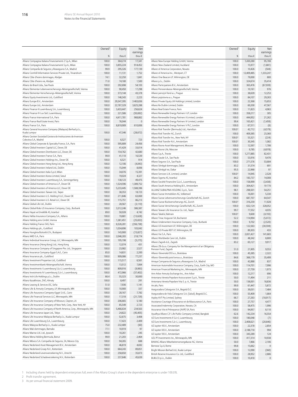|                                                                                                                                            | Owned <sup>1</sup> | Equity              | Net<br>earnings  |                                                 |
|--------------------------------------------------------------------------------------------------------------------------------------------|--------------------|---------------------|------------------|-------------------------------------------------|
|                                                                                                                                            | $\chi$             | thou €              | thou €           |                                                 |
| Allianz Compagnia Italiana Finanziamenti 2 S.p.A., Milan                                                                                   | 100.0              | 364,274             | 17,341           | Allianz New Europe                              |
| Allianz Compagnia Italiana Finanziamenti S.p.A., Milan                                                                                     | 100.0              | 3,855,224           | 914,452          | Allianz New Zealan                              |
| Allianz Companía de Seguros y Reaseguros S.A., Madrid                                                                                      | 99.9               | 295,326             | 177,139          | Allianz of America C                            |
| Allianz Cornhill Information Services Private Ltd., Trivandrum<br>Allianz Côte d'Ivoire dommages, Abidjan                                  | 100.0<br>74.1      | 11,131<br>32,250    | 1,752<br>1,841   | Allianz of America II<br>Allianz One Beacon     |
| Allianz Côte d'Ivoire vie, Abidjan                                                                                                         | 71.0               | 74,180              | 1,500            | Allianz p.l.c., Dublin                          |
| Allianz do Brasil Ltda., Sao Paulo                                                                                                         | 100.0              | 292,698             | 54,103           | Allianz Participation                           |
| Allianz Elementar Lebensversicherungs-Aktiengesellschaft, Vienna                                                                           | 100.0              | 90,450              | 17,298           | Allianz Pensionskas:                            |
| Allianz Elementar Versicherungs-Aktiengesellschaft, Vienna                                                                                 | 100.0              | 373,144             | 43,378           | Allianz penzijní fon                            |
| Allianz Equity Investments Ltd., Guildford                                                                                                 | 100.0              | 146,343             | 2,223            | Allianz pojistovna a.                           |
| Allianz Europe B.V., Amsterdam                                                                                                             | 100.0              | 29,347,395          | 3 463,836        | Allianz Private Equit                           |
| Allianz Europe Ltd., Amsterdam                                                                                                             | 100.0              | 22,787,329          | 3,625,288        | Allianz Re Dublin Lir                           |
| Allianz Finance II Luxembourg S.A., Luxembourg                                                                                             | 100.0              | 3,433,447           | 256,624          | Allianz Real Estate F                           |
| Allianz Finance IV Lux Sárl, Luxembourg                                                                                                    | 100.0              | 221,586             | (93, 692)        | Allianz Renewable E                             |
| Allianz France International S.A., Paris                                                                                                   | 100.0              | 4,411,781           | 968,862          | Allianz Renewable E                             |
| Allianz France Real Estate Invest, Paris                                                                                                   | 100.0              | 76,044              | $\bf 0$          | Allianz Renewable E                             |
| Allianz France S.A., Paris                                                                                                                 | 100.0              | 8,819,909           | 610,006          | Allianz Renewable E                             |
| Allianz General Insurance Company (Malaysia) Berhad p.l.c.,<br>Kuala Lumpur                                                                | 100.0              | 47,346              | (28, 672)        | Allianz Risk Transfer<br>Allianz Risk Transfer  |
| Allianz Gestion Sociedad Gestora de Instituciones de Inversion                                                                             |                    |                     |                  | Allianz Risk Transfer                           |
| Colectiva S.A., Madrid                                                                                                                     | 100.0              | 6,527               | 723              | Allianz Risk Transfer                           |
| Allianz Global Corporate & Specialty France, S.A., Paris                                                                                   | 100.0              | 595,689             | 24,456           | Allianz Rosno Asset                             |
| Allianz Global Investors Capital LLC, Dover, DE<br>Allianz Global Investors Distributors LLC, Dover, DE                                    | 100.0<br>100.0     | 41,429<br>154,762   | 33,014<br>42,680 | Allianz Rosno Life, N                           |
| Allianz Global Investors France S.A., Paris                                                                                                | 99.9               | 41,110              | 16,539           | Allianz S.p.A., Trieste                         |
| Allianz Global Investors Holdings Inc., Dover DE                                                                                           | 100.0              | 6,521               | 914              | Allianz Saude S.A., S                           |
| Allianz Global Investors Hong Kong Ltd., Hong Kong                                                                                         | 100.0              | 12,106              | (4,043)          | Allianz Seguros S.A.                            |
| Allianz Global Investors Ireland Ltd., Dublin                                                                                              | 100.0              | 15,044              | 8,006            | Allianz Sénégal don                             |
| Allianz Global Investors Italia S.p.A, Milan                                                                                               | 100.0              | 34,076              | 15,391           | Allianz Sénégal vie,                            |
| Allianz Global Investors Korea Limited, Seoul                                                                                              | 100.0              | 19,024              | 4,327            | Allianz Services U.K.                           |
| Allianz Global Investors Luxembourg S.A., Senningerberg                                                                                    | 100.0              | 138,123             | 49,475           | Allianz Sigorta AS, Is                          |
| Allianz Global Investors of America L.P., Dover DE                                                                                         | 100.0              | 1,524,596           | 1,389,752        | Allianz Société Finar                           |
| Allianz Global Investors of America LLC, Dover DE                                                                                          | 100.0              | 5,233,445           | 1,588,396        | Allianz South Ameri                             |
| Allianz Global Investors Taiwan Ltd., Taipei                                                                                               | 100.0              | 38,353              | 18,723           | ALLIANZ SUBALPIN/                               |
| Allianz Global Investors U.S. Holding II LLC, Dover DE                                                                                     | 100.0              | 211,846             | 63,069           | Allianz Suisse Immo                             |
| Allianz Global Investors U.S. Retail LLC, Dover DE                                                                                         | 100.0              | 115,751             | 86,213           | Allianz Suisse Leber                            |
| Allianz Global Life Ltd., Dublin                                                                                                           | 100.0              | 28,567              | (3, 110)         | Allianz Suisse Rückv                            |
| Allianz Global Risks US Insurance Company, Corp., Burbank                                                                                  | 100.0              | 3,312,246           | 386,387          | Allianz Suisse Versio                           |
| Allianz Hayat ve Emeklilik AS, Istanbul                                                                                                    | 89.0               | 50,028              | 4,742            | Allianz Taiwan Life I<br>Allianz Takaful, Bahr  |
| Allianz Hellas Insurance Company S.A., Athens                                                                                              | 100.0              | 19,881              | (13,628)         | Allianz Tiriac Asigur                           |
| Allianz Holding eins GmbH, Vienna                                                                                                          | 100.0              | 1,381,451           | (25, 833)        | Allianz Underwriter                             |
| Allianz Holding France SAS, Paris                                                                                                          | 100.0              | 6,526,281           | (356, 738)       | Allianz US Investme                             |
| Allianz Holdings plc., Guildford                                                                                                           | 100.0              | 1,034,696           | 103,042          | Allianz US Private RI                           |
| Allianz Hungária Biztosító Zrt., Budapest                                                                                                  | 100.0              | 143,900             | (15, 827)        | Allianz Vie S.A., Pari:                         |
| Allianz IARD S.A., Paris                                                                                                                   | 100.0              | 2,046,283           | 218,774          | Allianz Worldwide O                             |
| Allianz Individual Insurance Group, LLC, Minneapolis, MN                                                                                   | 100.0              | 195,198             | (5,275)          | Allianz Zagreb d.d.,                            |
| Allianz Insurance (Hong Kong) Ltd., Hong Kong                                                                                              | 100.0              | 12,074              | 431              | Allianz ZB d.o.o. Cor                           |
| Allianz Insurance Company of Singapore Pte. Ltd., Singapore                                                                                | 100.0              | 23,982              | 2,527            | Pension Fund, Zagn                              |
| Allianz Insurance Company-Egypt S.A.E., Cairo                                                                                              | 85.0               | 14,831              | 2,200            | Allianz-Slovenská D                             |
| Allianz Insurance plc., Guildford                                                                                                          | 100.0              | 909,086             | 77,237           | Allianz-Slovenská p                             |
| Allianz Investment Properties Ltd., Guildford                                                                                              | 100.0              | 115,517             | 6,561            | Amaya Compania d                                |
| Allianz Investmentbank Aktiengesellschaft, Vienna                                                                                          | 100.0              | 13,512              | 7,064            | American Automob                                |
| Allianz Investments I Luxembourg S.à.r.l, Luxembourg                                                                                       | 100.0              | 809,916             | (9,983)          | American Financial                              |
| Allianz Investments IV Luxembourg S.à r.l., Luxembourg                                                                                     | 100.0              | 472,966             | (57, 402)        | Ann Arbor Annuity I                             |
| Allianz Irish Life Holdings p.l.c., Dublin                                                                                                 | 66.4               | 55,323              | 30,000           | Antoniana Veneta P                              |
| Allianz Kazakhstan, ZAO, Almaty                                                                                                            | 100.0              | 8,497               | 291              | Antoniana Veneta P                              |
| Allianz Leasing & Services JSC, Sofia                                                                                                      | 51.0               | 7,936               | 1,141            | Arcalis, Paris                                  |
| Allianz Life & Annuity Company, LP, Minneapolis, MN                                                                                        | 100.0              | 10,900              | 337              | Asequradora Colsed                              |
| Allianz Life Assurance Company-Egypt S.A.E., Cairo                                                                                         | 100.0              | 28,167              | 7,782            | Aseguradora de Vid                              |
| Allianz Life Financial Services LLC, Minneapolis, MN                                                                                       | 100.0              | 17,318              | (21, 729)        | Aspley AVT Pty Limi                             |
| Allianz Life Insurance Company of Missouri, Clayton, LA                                                                                    | 100.0<br>100.0     | 206,665             | 5,180            | Assistance Courtage                             |
| Allianz Life Insurance Company of New York, Corp., New York, NY<br>Allianz Life Insurance Company of North America, Corp., Minneapolis, MN | 100.0              | 85,549<br>5,466,634 | 2,723<br>234,563 | Associated Indemni                              |
| Allianz Life Insurance Japan Ltd., Tokyo                                                                                                   | 100.0              | 24,822              | (45, 405)        | Assurance Vie et Pre                            |
| Allianz Life Insurance Malaysia Berhad p.l.c., Kuala Lumpur                                                                                | 100.0              | 52,675              | 3,408            | Ayudhya Allianz C.P                             |
| Allianz Life Luxembourg S.A., Luxembourg                                                                                                   | 100.0              | 17,423              | 2,409            | AZ Euro Investment                              |
| Allianz Malaysia Berhad p.l.c., Kuala Lumpur                                                                                               | 75.0               | 232,489             | (60)             | AZ Euro Investment                              |
| Allianz Mali dommages, Bamako                                                                                                              | 77.1               | 10,919              | 97               | AZ Jupiter 4 B.V., An                           |
| Allianz Marine U.K. Ltd., Ipswich                                                                                                          | 100.0              | 10,261              | 245              | AZ Jupiter 8 B.V., An                           |
| Allianz Mena Holding Bermuda, Beirut                                                                                                       | 99.9               | 21,203              | 2,464            | AZ Jupiter 9 B.V., An                           |
| Allianz México S.A. Compañía de Seguros, SA, Mexico City                                                                                   | 100.0              | 94,265              | 688              | AZL PF Investments<br><b>BAWAG Allianz Mita</b> |
| Allianz Nederland Asset Management B.V., Amsterdam                                                                                         | 100.0              | 46,819              | 4,692            | Bernese S.p.A, Rom                              |
| Allianz Nederland Groep N.V., Rotterdam                                                                                                    | 100.0              | 664,243             | 89,851           | <b>Bright Mission Berh</b>                      |
| Allianz Nederland Levensverzekering N.V., Utrecht                                                                                          | 100.0              | 258,650             | 35,873           | <b>British Reserve Insur</b>                    |

|                                                                                  | Owned <sup>1</sup><br>$\chi$ | Equity<br>thou € | Net<br>earnings<br>thou € |
|----------------------------------------------------------------------------------|------------------------------|------------------|---------------------------|
|                                                                                  | 100.0                        | 1.430.280        | 95,708                    |
| Allianz New Europe Holding GmbH, Vienna<br>Allianz New Zealand Limited, Auckland | 100.0                        | 15,977           | (1,881)                   |
| Allianz of America Corporation, Novato                                           | 100.0                        | 10,426           | (504)                     |
| Allianz of America Inc., Westport, CT                                            | 100.0                        | 12,409,485       | 1,333,247                 |
| Allianz One Beacon LP, Wilmington, DE                                            | 100.0                        | 79,000           | 800                       |
| Allianz p.l.c., Dublin                                                           | 100.0                        | 324,674          | 35,414                    |
| Allianz Participations B.V., Amsterdam                                           | 100.0                        | 363,476          | (67, 939)                 |
| Allianz Pensionskasse Aktiengesellschaft, Vienna                                 | 100.0                        | 10,161           | 976                       |
| Allianz penzijní fond a.s., Prague                                               | 100.0                        | 38,639           | 12,253                    |
| Allianz pojistovna a.s., Prague                                                  | 100.0                        | 84,107           | 29,263                    |
| Allianz Private Equity UK Holdings Limited, London                               | 100.0                        | 22,368           | 15,653                    |
| Allianz Re Dublin Limited, Dublin                                                | 100.0                        | 60,200           | 47,567                    |
| Allianz Real Estate France, Paris                                                | 100.0                        | 11,823           | 4,963                     |
| Allianz Renewable Energy Partners I LP, London                                   | 100.0                        | 358,217          | 305                       |
| Allianz Renewable Energy Partners II Limited, London                             | 100.0                        | 444,952          | 21,262                    |
| Allianz Renewable Energy Partners IV Limited, London                             | 99.4                         | 163,421          | (1,459)                   |
| Allianz Renewable Energy Partners V PLC, London                                  | 100.0                        | 67,511           | (6)                       |
| Allianz Risk Transfer (Bermuda) Ltd., Hamilton                                   | 100.03                       | 42,712           | (4,579)                   |
| Allianz Risk Transfer AG, Zurich                                                 | 100.0                        | 409,385          | 23,360                    |
| Allianz Risk Transfer Inc., New York, NY                                         | 100.03                       | 53,321           | (224)                     |
| Allianz Risk Transfer N.V., Amsterdam                                            | 100.03                       | 30,345           | 1,082                     |
| Allianz Rosno Asset Management, Moscow                                           | 100.0                        | 12,597<br>9.785  | 1,706                     |
| Allianz Rosno Life, Moscow<br>Allianz S.p.A., Trieste                            | 100.0<br>100.0               | 1,277,885        | (4,978)<br>82,431         |
| Allianz Saude S.A., Sao Paulo                                                    | 100.0                        | 53,916           | 9,476                     |
| Allianz Seguros S.A., Sao Paulo                                                  | 100.0                        | 271,576          | 53,684                    |
| Allianz Sénégal dommages, Dakar                                                  | 83.2                         | 31,574           | 691                       |
| Allianz Sénégal vie, Dakar                                                       | 95.5                         | 22,968           | 97                        |
| Allianz Services U.K. Limited, London                                            | 100.0 <sup>3</sup>           | 14,945           | 2,528                     |
| Allianz Sigorta AS, Istanbul                                                     | 84.2                         | 183,737          | 14,008                    |
| Allianz Société Financiére S.à.r.l., Luxembourg                                  | 100.0                        | 158,999          | (3,438)                   |
| Allianz South America Holding B.V., Amsterdam                                    | 100.0                        | 304,421          | 19770                     |
| ALLIANZ SUBALPINA HOLDING S.p.A., Turin                                          | 98.1                         | 298,501          | 54,251                    |
| Allianz Suisse Immobilien AG, Volketswil                                         | 100.0                        | 16,001           | 5,330                     |
| Allianz Suisse Lebensversicherungs-Gesellschaft AG, Zurich                       | 100.0                        | 687,707          | 64,547                    |
| Allianz Suisse Rückversicherungs AG, Zurich                                      | 100.03                       | 316,259          | 11,928                    |
| Allianz Suisse Versicherungs-Gesellschaft, AG, Zurich                            | 100.0                        | 632,124          | 328,052                   |
| Allianz Taiwan Life Insurance Co. Ltd., Taipei                                   | 99.7                         | 77,552           | 4,035                     |
| Allianz Takaful, Bahrain                                                         | 100.03                       | 9,600            | (4, 193)                  |
| Allianz Tiriac Asigurari SA, Bucharest                                           | 52.2                         | 114,994          | (5,072)                   |
| Allianz Underwriters Insurance Company, Corp., Burbank                           | 100.0                        | 9,702            | (2,520)                   |
| Allianz US Investment LP, Wilmington, DE                                         | 100.0                        | 122,563          | (30, 594)                 |
| Allianz US Private REIT LP, Wilmington, DE                                       | 100.0                        | 89,303           | 433                       |
| Allianz Vie S.A., Paris                                                          | 100.0                        | 2,831,427        | 141,683                   |
| Allianz Worldwide Care Ltd., Dublin                                              | 100.0                        | 48,342           | 8,800                     |
| Allianz Zagreb d.d., Zagreb                                                      | 83.2                         | 65,127           | 9,917                     |
| Allianz ZB d.o.o. Company for the Management of an Obligatory                    | 51.0                         | 21,905           |                           |
| Pension Fund, Zagreb<br>Allianz-Slovenská DSS a.s., Bratislava                   | 100.0                        | 45,385           | 9,553<br>2,322            |
| Allianz-Slovenská poisťovna a.s., Bratislava                                     | 84.6                         | 366,179          | 35,499                    |
| Amaya Compania de Seguros y Reaseguros S.A., Madrid                              | 100.0                        | 42.888           | 837                       |
| American Automobile Insurance Company, Corp., Earth City, MO                     | 100.0                        | 114,701          | 7,996                     |
| American Financial Marketing Inc., Minneapolis, MN                               | 100.0                        | 27,759           | 1,973                     |
| Ann Arbor Annuity Exchange Inc., Ann Arbor                                       | 100.0                        | 12,217           | 696                       |
| Antoniana Veneta Popolare Assicurazioni S.p.A., Trieste                          | 50.0                         | 11,494           | 211                       |
| Antoniana Veneta Popolare Vita S. p. A., Trieste                                 | 50.0                         | 138,001          | 18,836                    |
| Arcalis, Paris                                                                   | 99.9                         | 61,447           | 5,872                     |
| Aseguradora Colseguros S.A., Bogotá D.C.                                         | 100.0                        | 39,031           | 7,484                     |
| Aseguradora de Vida Colseguros S.A. (Salud), Bogotá D.C.                         | 100.0                        | 55,409           | 1,664                     |
| Aspley AVT Pty Limited, Sydney                                                   | 66.7                         | 27,263           | (18, 917)                 |
| Assistance Courtage d'Assurance et de Réassurance S.A., Paris                    | 100.0                        | 27,757           | 4,477                     |
| Associated Indemnity Corporation, Novato, CA                                     | 100.0                        | 58,475           | 1,996                     |
| Assurance Vie et Prévoyance (AVIP) SA, Paris                                     | 100.0                        | 94,957           | 8,110                     |
| Ayudhya Allianz C.P. Life Public Company Limited, Bangkok                        | 62.6                         | 142,234          | 16,554                    |
| AZ Euro Investments II S.à r.l, Luxembourg                                       | 100.0                        | 180,048          | (7)                       |
| AZ Euro Investments S.à r.l., Luxembourg                                         | 100.0                        | 2,408,621        | (20, 646)                 |
| AZ Jupiter 4 B.V., Amsterdam                                                     | 100.0                        | 22,378           | 2,854                     |
| AZ Jupiter 8 B.V., Amsterdam                                                     | 100.0                        | 2,188,718        | 994                       |
| AZ Jupiter 9 B.V., Amsterdam                                                     | 100.0                        | 343,289          | 124                       |
| AZL PF Investments Inc., Minneapolis, MN                                         | 100.0                        | 417,314          | 10,938                    |
| BAWAG Allianz Mitarbeitervorsorgekasse AG, Vienna                                | 50.0                         | 7,866            | 2,106                     |
| Bernese S.p.A, Rome                                                              | 99.8                         | 15,662           | 0                         |
| Bright Mission Berhad Ltd., Kuala Lumpur                                         | 100.0                        | 12,090           | (360)                     |
| British Reserve Insurance Co. Ltd., Guildford                                    | 100.0                        | 28,952           | 2,886                     |
| BURLCO p.l.c., Dublin                                                            | 100.0                        | 10,418           | 0                         |

1 Including shares held by dependent enterprises full, even if the Allianz Group's share in the dependent enterprise is under 100.0%.

Allianz Nederland Schadeverzekering N.V., Rotterdam 100.0 237,646 45,639

2 Profit transfer agreement.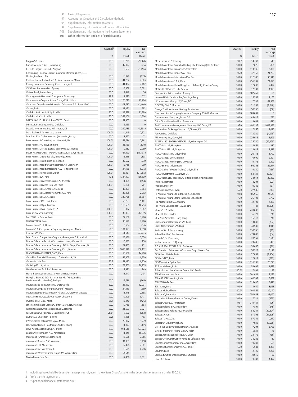- 91 Basis of Preparation **117**
- 91 Accounting, Valuation and Calculation Methods
- 94 Supplementary Information on Assets
- 99 Supplementary Information on Equity and Liabilities
- 106 Supplementary Information to the Income Statement
- 109 Other Information and List of Participations

| thou €<br>$\chi$<br>thou €<br>Calypso S.A., Paris<br>100.0<br>10,239<br>(9,368)<br>Mede<br>47,827<br>Capital Messine S.à.r.l., Luxembourg<br>100.0<br>(25)<br>CEPE de Langres Sud SARL, Avignon<br>100.0<br>(1, 496)<br>6,667<br>Mond<br>Challenging Financial Careers Insurance Marketing Corp., LLC,<br>Mond<br>100.0<br>Huntington Beach, CA<br>10,878<br>(179)<br>Château Larose Trintaudon S.A., Saint Laurent de Médoc<br>100.0<br>41,702<br>2,383<br>Chicago Insurance Company, Corp., Chicago, IL<br>100.0<br>41,434<br>2,462<br>CIC Allianz Insurance Ltd., Sydney<br>100.0<br>18,868<br>7,391<br>100.0<br>26<br>Colisee S.à r.l., Luxembourg<br>9,448<br>Natio<br>512<br>Compagnie de Gestion et Prevoyance, Strasbourg<br>99.9<br>7,610<br>Companhia de Seguros Allianz Portugal S.A., Lisbon<br>64.8<br>126,710<br>29,294<br>NFJ In<br>Compania Colombiana de Inversion Colseguros S.A., Bogotá D.C.<br>100.0<br>103,732<br>(1,400)<br>OJSC <sup>®</sup><br>Coparc, Paris<br>100.0<br>27,371<br>992<br>Omeo<br>CreditRas Assicurazioni S.p.A., Milan<br>50.0<br>29,698<br>11,299<br>Open<br>50.0<br>1,604<br>CreditRas Vita S.p.A., Milan<br>359,206<br>Oppe<br>DARTA SAVING LIFE ASSURANCE LTD., Dublin<br>100.0<br>51,907<br>$\bf{0}$<br>Orion<br>DBI Insurance Company Ltd., Guildford<br>100.0<br>$\mathbf 0$<br>6,863<br>Pacifi<br>100.0<br>Deeside Investments Inc., Wilmington, DE<br>290,785<br>(8,351)<br>Perso<br>Delta Technical Services Ltd., London<br>100.03<br>14,949<br>2,528<br>Pet Pl<br>Dresdner RCM Global Investors (Jersey) Ltd, Jersey<br>100.0<br>8,597<br>472<br>PFP H<br>100.03<br>Euler Hermes ACI Holding, Inc., New York, NY<br>167,734<br>2,161<br>PGREI<br>Euler Hermes ACI Inc., Baltimore<br>100.0 <sup>3</sup><br>133,159<br>(1,839)<br><b>PIMC</b><br>Euler Hermes Cescob uverová pojistovna, a.s., Prague<br>100.03<br>9,232<br>2,059<br><b>PIMC</b><br>EULER HERMES CREDIT INSURANCE BELGIUM S.A., Brussels<br>100.0<br>67,320<br>(15, 181)<br>PIMC<br>100.03<br>Euler Hermes Guarantee plc., Tonbridge, Kent<br>15,618<br>1,303<br><b>PIMC</b><br>Euler Hermes Holdings UK plc, London<br>100.0<br>132,502<br>1,370<br><b>PIMC</b><br>Euler Hermes Kreditförsäkring Norden AB, Stockholm<br>100.0 <sup>3</sup><br>299<br>15,718<br><b>PIMC</b><br>Euler Hermes Kreditverzekering N.V., Hertogenbosch<br>100.0<br>24,176<br>(935)<br><b>PIMC</b><br>Euler Hermes Réinsurance, Zurich<br>100.0 <sup>3</sup><br>88,951<br>(71, 985)<br><b>PIMC</b><br>Euler Hermes S.A., Paris<br>703<br>1,324,907<br>166,830<br><b>PIMC</b><br>Euler Hermes Services Belgium S.A., Brussels<br>100.0<br>11,805<br>(154)<br>Prism<br>Euler Hermes Servicos Ltda, Sao Paulo<br>701<br>100.03<br>15,106<br>Progr<br>Euler Hermes SFAC Crédit S.A.S., Paris<br>100.0<br>145,359<br>3,564<br>Prote:<br>Euler Hermes SFAC Recouvrement S.A.S., Paris<br>100.0<br>2,292<br>33,358<br>PT As<br>Euler Hermes SFAC S.A., Paris<br>100.0<br>339,738<br>88,667<br>PT As<br>Euler Hermes SIAC S.p.A., Rome<br>100.0<br>53,753<br>9,101<br>PTE A<br>Euler Hermes UK plc, London<br>100.0<br>116,565<br>16,714<br>Euler Hermes UMA, Louisville, LA<br>100,03<br>9,332<br>1,387<br>RB Vit<br>Euler Re, SA, Senningerberg<br>100.0 <sup>3</sup><br>36,383<br>(6, 872)<br>RCM I<br>Eurl 20/22 Le Peletier, Paris<br>100.0<br>27,168<br>1,400<br>RCM,<br>EURO GESTION, Paris<br>100.0<br>35,699<br>2,406<br>Real F<br>Eurosol Invest S.r.l., Udine<br>100.0<br>8,584<br>(16)<br>Real F<br>Eurovida S.A. Compañía de Seguros y Reaseguros, Madrid<br>51.0<br>104,393<br>36,658<br>Redor<br>100.0<br>F Jupiter SAS, Paris<br>61,647<br>(4,741)<br>Rolan<br>Fenix Directo Compania de Seguros y Reaseguros S.A., Madrid<br>100.0<br>3,058<br>23,356<br>Rosno<br>Fireman's Fund Indemnity Corporation, Liberty Corner, NJ<br>178<br>100.0<br>10,532<br>Roste<br>Fireman's Fund Insurance Company of Ohio, Corp., Cincinnati, OH<br>100.0<br>721<br>27,483<br>S.C. A<br>100.0<br>Fireman's Fund Insurance Company, Corp., Novato<br>2,058,679<br>130,122<br>San F<br>FRAGONARD ASSURANCE, SACS, Paris<br>100.0<br>58,588<br>14,498<br>SAS A<br>100.0<br>49,905<br>GamePlan Financial Marketing LLC, Woodstock, GA<br>8,639<br>SAS <sub>L</sub><br>52.5<br>Generation Vie, Paris<br>51,332<br>9,920<br>SAS <sub>N</sub><br>Genialloyd S.p.A., Milan<br>100.0<br>73,600<br>28,775<br>SC To<br>Havelaar et Van Stolk B.V., Rotterdam<br>100.0<br>7,991<br>749<br>Schm<br>Home & Legacy Insurance Services Limited, London<br>100.0<br>11,847<br>1,407<br>SCI Al<br>Hungária Biztosító Számitástechnikai Kft. (Hungária EDV-<br>SCI <sub>A</sub><br>Betriebsgesellschaft mbH), Budapest<br>100.0<br>15,736<br>(664)<br>SCI PF<br>Insurance and Reinsurance AG Energy, Sofia<br>50.9<br>28,072<br>12,231<br>Insurance Company "Progress Garant", Moscow<br>100.0<br>34,413<br>1,659<br>Insurance Joint Stock Company "Allianz", AOOT/OAO, Moscow<br>100.0<br>11,948<br>2,198<br>Interstate Fire & Casualty Company, Chicago, IL<br>100.0<br>112,509<br>5,471<br>Investitori SGR S.p.a., Milan<br>98.7<br>15,040<br>(426)<br>Select<br>Jefferson Insurance Company of N.Y., Corp., New York, NY<br>100.0<br>19,716<br>1,164<br>Select<br>Kiinteistöoasakeyhtiö Eteläesplanadi 2, Helsinki<br>100.0<br>21,603<br>3,021<br>Select<br>KNIGHTSBRIDGE ALLIANZ LP, Bartlesville, OK<br>99.53<br>7,600<br>(752)<br>Select<br>LA RURALE, Charenton- le-Pont<br>99.8<br>7,068<br>493<br>Select<br>L'Assicuratrice Italiana Vita S.p.A., Milan<br>100.0<br>28,032<br>1,239<br>Select<br>LLC "Allianz Eurasia Healthcare", St. Petersburg<br>100.0<br>11,923<br>(1,007)<br>Lloyd Adriatico Holding S.p.A., Trieste<br>99.9<br>911,616<br>123,223<br>London Verzekeringen N.V., Amsterdam<br>100.0<br>111,845<br>10,836<br>Societ<br>manroland (China) Ltd., Hong Kong<br>100.0<br>16,668<br>3,885<br>Socié<br>manroland Benelux N.V., Wemmel<br>100.0<br>34,309<br>1,458<br>Socié<br>manroland CEE AG, Vienna<br>100.0<br>17,498<br>2,801<br>Socié<br>manroland Inc., Westmont, IL<br>100.0<br>19,525<br>(949)<br>Sonin<br>manroland Western Europe Group B.V., Amsterdam<br>100.0<br>64,645<br>1<br>South<br>Martin Maurel Vie, Paris<br>66.0<br>12,406<br>2,021<br>SPACI | Owned <sup>1</sup> | Equity | Net<br>earnings |            |
|--------------------------------------------------------------------------------------------------------------------------------------------------------------------------------------------------------------------------------------------------------------------------------------------------------------------------------------------------------------------------------------------------------------------------------------------------------------------------------------------------------------------------------------------------------------------------------------------------------------------------------------------------------------------------------------------------------------------------------------------------------------------------------------------------------------------------------------------------------------------------------------------------------------------------------------------------------------------------------------------------------------------------------------------------------------------------------------------------------------------------------------------------------------------------------------------------------------------------------------------------------------------------------------------------------------------------------------------------------------------------------------------------------------------------------------------------------------------------------------------------------------------------------------------------------------------------------------------------------------------------------------------------------------------------------------------------------------------------------------------------------------------------------------------------------------------------------------------------------------------------------------------------------------------------------------------------------------------------------------------------------------------------------------------------------------------------------------------------------------------------------------------------------------------------------------------------------------------------------------------------------------------------------------------------------------------------------------------------------------------------------------------------------------------------------------------------------------------------------------------------------------------------------------------------------------------------------------------------------------------------------------------------------------------------------------------------------------------------------------------------------------------------------------------------------------------------------------------------------------------------------------------------------------------------------------------------------------------------------------------------------------------------------------------------------------------------------------------------------------------------------------------------------------------------------------------------------------------------------------------------------------------------------------------------------------------------------------------------------------------------------------------------------------------------------------------------------------------------------------------------------------------------------------------------------------------------------------------------------------------------------------------------------------------------------------------------------------------------------------------------------------------------------------------------------------------------------------------------------------------------------------------------------------------------------------------------------------------------------------------------------------------------------------------------------------------------------------------------------------------------------------------------------------------------------------------------------------------------------------------------------------------------------------------------------------------------------------------------------------------------------------------------------------------------------------------------------------------------------------------------------------------------------------------------------------------------------------------------------------------------------------------------------------------------------------------------------------------------------------------------------------------------------------------------------------------------------------------------------------------------------------------------------------------------------------------------------------------------------------------------------------------------------------------------------------------------------------------------------------------------------------------------------------------------------------------------------------------------------------------------------------------------------------------------------------------------------------------------------------------------------------------------------------------------------------------------------------------------------------------------------------------------------------------------------------------------------------------------------------------------------------------------------------------------------------------------------------------------------------------------------------------------------------------------------------------------------------------------------------------------------------------------------------------------------------------------------------------------------------------------------------------------------------------------------------------------------------------------------------------------------------------------------------------------------------------------------------------------------------------------------------------|--------------------|--------|-----------------|------------|
|                                                                                                                                                                                                                                                                                                                                                                                                                                                                                                                                                                                                                                                                                                                                                                                                                                                                                                                                                                                                                                                                                                                                                                                                                                                                                                                                                                                                                                                                                                                                                                                                                                                                                                                                                                                                                                                                                                                                                                                                                                                                                                                                                                                                                                                                                                                                                                                                                                                                                                                                                                                                                                                                                                                                                                                                                                                                                                                                                                                                                                                                                                                                                                                                                                                                                                                                                                                                                                                                                                                                                                                                                                                                                                                                                                                                                                                                                                                                                                                                                                                                                                                                                                                                                                                                                                                                                                                                                                                                                                                                                                                                                                                                                                                                                                                                                                                                                                                                                                                                                                                                                                                                                                                                                                                                                                                                                                                                                                                                                                                                                                                                                                                                                                                                                                                                                                                                                                                                                                                                                                                                                                                                                                                                                                                                    |                    |        |                 |            |
|                                                                                                                                                                                                                                                                                                                                                                                                                                                                                                                                                                                                                                                                                                                                                                                                                                                                                                                                                                                                                                                                                                                                                                                                                                                                                                                                                                                                                                                                                                                                                                                                                                                                                                                                                                                                                                                                                                                                                                                                                                                                                                                                                                                                                                                                                                                                                                                                                                                                                                                                                                                                                                                                                                                                                                                                                                                                                                                                                                                                                                                                                                                                                                                                                                                                                                                                                                                                                                                                                                                                                                                                                                                                                                                                                                                                                                                                                                                                                                                                                                                                                                                                                                                                                                                                                                                                                                                                                                                                                                                                                                                                                                                                                                                                                                                                                                                                                                                                                                                                                                                                                                                                                                                                                                                                                                                                                                                                                                                                                                                                                                                                                                                                                                                                                                                                                                                                                                                                                                                                                                                                                                                                                                                                                                                                    |                    |        |                 |            |
|                                                                                                                                                                                                                                                                                                                                                                                                                                                                                                                                                                                                                                                                                                                                                                                                                                                                                                                                                                                                                                                                                                                                                                                                                                                                                                                                                                                                                                                                                                                                                                                                                                                                                                                                                                                                                                                                                                                                                                                                                                                                                                                                                                                                                                                                                                                                                                                                                                                                                                                                                                                                                                                                                                                                                                                                                                                                                                                                                                                                                                                                                                                                                                                                                                                                                                                                                                                                                                                                                                                                                                                                                                                                                                                                                                                                                                                                                                                                                                                                                                                                                                                                                                                                                                                                                                                                                                                                                                                                                                                                                                                                                                                                                                                                                                                                                                                                                                                                                                                                                                                                                                                                                                                                                                                                                                                                                                                                                                                                                                                                                                                                                                                                                                                                                                                                                                                                                                                                                                                                                                                                                                                                                                                                                                                                    |                    |        |                 | Mond       |
|                                                                                                                                                                                                                                                                                                                                                                                                                                                                                                                                                                                                                                                                                                                                                                                                                                                                                                                                                                                                                                                                                                                                                                                                                                                                                                                                                                                                                                                                                                                                                                                                                                                                                                                                                                                                                                                                                                                                                                                                                                                                                                                                                                                                                                                                                                                                                                                                                                                                                                                                                                                                                                                                                                                                                                                                                                                                                                                                                                                                                                                                                                                                                                                                                                                                                                                                                                                                                                                                                                                                                                                                                                                                                                                                                                                                                                                                                                                                                                                                                                                                                                                                                                                                                                                                                                                                                                                                                                                                                                                                                                                                                                                                                                                                                                                                                                                                                                                                                                                                                                                                                                                                                                                                                                                                                                                                                                                                                                                                                                                                                                                                                                                                                                                                                                                                                                                                                                                                                                                                                                                                                                                                                                                                                                                                    |                    |        |                 |            |
|                                                                                                                                                                                                                                                                                                                                                                                                                                                                                                                                                                                                                                                                                                                                                                                                                                                                                                                                                                                                                                                                                                                                                                                                                                                                                                                                                                                                                                                                                                                                                                                                                                                                                                                                                                                                                                                                                                                                                                                                                                                                                                                                                                                                                                                                                                                                                                                                                                                                                                                                                                                                                                                                                                                                                                                                                                                                                                                                                                                                                                                                                                                                                                                                                                                                                                                                                                                                                                                                                                                                                                                                                                                                                                                                                                                                                                                                                                                                                                                                                                                                                                                                                                                                                                                                                                                                                                                                                                                                                                                                                                                                                                                                                                                                                                                                                                                                                                                                                                                                                                                                                                                                                                                                                                                                                                                                                                                                                                                                                                                                                                                                                                                                                                                                                                                                                                                                                                                                                                                                                                                                                                                                                                                                                                                                    |                    |        |                 | Mond       |
|                                                                                                                                                                                                                                                                                                                                                                                                                                                                                                                                                                                                                                                                                                                                                                                                                                                                                                                                                                                                                                                                                                                                                                                                                                                                                                                                                                                                                                                                                                                                                                                                                                                                                                                                                                                                                                                                                                                                                                                                                                                                                                                                                                                                                                                                                                                                                                                                                                                                                                                                                                                                                                                                                                                                                                                                                                                                                                                                                                                                                                                                                                                                                                                                                                                                                                                                                                                                                                                                                                                                                                                                                                                                                                                                                                                                                                                                                                                                                                                                                                                                                                                                                                                                                                                                                                                                                                                                                                                                                                                                                                                                                                                                                                                                                                                                                                                                                                                                                                                                                                                                                                                                                                                                                                                                                                                                                                                                                                                                                                                                                                                                                                                                                                                                                                                                                                                                                                                                                                                                                                                                                                                                                                                                                                                                    |                    |        |                 | Mond       |
|                                                                                                                                                                                                                                                                                                                                                                                                                                                                                                                                                                                                                                                                                                                                                                                                                                                                                                                                                                                                                                                                                                                                                                                                                                                                                                                                                                                                                                                                                                                                                                                                                                                                                                                                                                                                                                                                                                                                                                                                                                                                                                                                                                                                                                                                                                                                                                                                                                                                                                                                                                                                                                                                                                                                                                                                                                                                                                                                                                                                                                                                                                                                                                                                                                                                                                                                                                                                                                                                                                                                                                                                                                                                                                                                                                                                                                                                                                                                                                                                                                                                                                                                                                                                                                                                                                                                                                                                                                                                                                                                                                                                                                                                                                                                                                                                                                                                                                                                                                                                                                                                                                                                                                                                                                                                                                                                                                                                                                                                                                                                                                                                                                                                                                                                                                                                                                                                                                                                                                                                                                                                                                                                                                                                                                                                    |                    |        |                 | Mond       |
|                                                                                                                                                                                                                                                                                                                                                                                                                                                                                                                                                                                                                                                                                                                                                                                                                                                                                                                                                                                                                                                                                                                                                                                                                                                                                                                                                                                                                                                                                                                                                                                                                                                                                                                                                                                                                                                                                                                                                                                                                                                                                                                                                                                                                                                                                                                                                                                                                                                                                                                                                                                                                                                                                                                                                                                                                                                                                                                                                                                                                                                                                                                                                                                                                                                                                                                                                                                                                                                                                                                                                                                                                                                                                                                                                                                                                                                                                                                                                                                                                                                                                                                                                                                                                                                                                                                                                                                                                                                                                                                                                                                                                                                                                                                                                                                                                                                                                                                                                                                                                                                                                                                                                                                                                                                                                                                                                                                                                                                                                                                                                                                                                                                                                                                                                                                                                                                                                                                                                                                                                                                                                                                                                                                                                                                                    |                    |        |                 | <b>MON</b> |
|                                                                                                                                                                                                                                                                                                                                                                                                                                                                                                                                                                                                                                                                                                                                                                                                                                                                                                                                                                                                                                                                                                                                                                                                                                                                                                                                                                                                                                                                                                                                                                                                                                                                                                                                                                                                                                                                                                                                                                                                                                                                                                                                                                                                                                                                                                                                                                                                                                                                                                                                                                                                                                                                                                                                                                                                                                                                                                                                                                                                                                                                                                                                                                                                                                                                                                                                                                                                                                                                                                                                                                                                                                                                                                                                                                                                                                                                                                                                                                                                                                                                                                                                                                                                                                                                                                                                                                                                                                                                                                                                                                                                                                                                                                                                                                                                                                                                                                                                                                                                                                                                                                                                                                                                                                                                                                                                                                                                                                                                                                                                                                                                                                                                                                                                                                                                                                                                                                                                                                                                                                                                                                                                                                                                                                                                    |                    |        |                 |            |
|                                                                                                                                                                                                                                                                                                                                                                                                                                                                                                                                                                                                                                                                                                                                                                                                                                                                                                                                                                                                                                                                                                                                                                                                                                                                                                                                                                                                                                                                                                                                                                                                                                                                                                                                                                                                                                                                                                                                                                                                                                                                                                                                                                                                                                                                                                                                                                                                                                                                                                                                                                                                                                                                                                                                                                                                                                                                                                                                                                                                                                                                                                                                                                                                                                                                                                                                                                                                                                                                                                                                                                                                                                                                                                                                                                                                                                                                                                                                                                                                                                                                                                                                                                                                                                                                                                                                                                                                                                                                                                                                                                                                                                                                                                                                                                                                                                                                                                                                                                                                                                                                                                                                                                                                                                                                                                                                                                                                                                                                                                                                                                                                                                                                                                                                                                                                                                                                                                                                                                                                                                                                                                                                                                                                                                                                    |                    |        |                 | Nemi       |
|                                                                                                                                                                                                                                                                                                                                                                                                                                                                                                                                                                                                                                                                                                                                                                                                                                                                                                                                                                                                                                                                                                                                                                                                                                                                                                                                                                                                                                                                                                                                                                                                                                                                                                                                                                                                                                                                                                                                                                                                                                                                                                                                                                                                                                                                                                                                                                                                                                                                                                                                                                                                                                                                                                                                                                                                                                                                                                                                                                                                                                                                                                                                                                                                                                                                                                                                                                                                                                                                                                                                                                                                                                                                                                                                                                                                                                                                                                                                                                                                                                                                                                                                                                                                                                                                                                                                                                                                                                                                                                                                                                                                                                                                                                                                                                                                                                                                                                                                                                                                                                                                                                                                                                                                                                                                                                                                                                                                                                                                                                                                                                                                                                                                                                                                                                                                                                                                                                                                                                                                                                                                                                                                                                                                                                                                    |                    |        |                 |            |
|                                                                                                                                                                                                                                                                                                                                                                                                                                                                                                                                                                                                                                                                                                                                                                                                                                                                                                                                                                                                                                                                                                                                                                                                                                                                                                                                                                                                                                                                                                                                                                                                                                                                                                                                                                                                                                                                                                                                                                                                                                                                                                                                                                                                                                                                                                                                                                                                                                                                                                                                                                                                                                                                                                                                                                                                                                                                                                                                                                                                                                                                                                                                                                                                                                                                                                                                                                                                                                                                                                                                                                                                                                                                                                                                                                                                                                                                                                                                                                                                                                                                                                                                                                                                                                                                                                                                                                                                                                                                                                                                                                                                                                                                                                                                                                                                                                                                                                                                                                                                                                                                                                                                                                                                                                                                                                                                                                                                                                                                                                                                                                                                                                                                                                                                                                                                                                                                                                                                                                                                                                                                                                                                                                                                                                                                    |                    |        |                 |            |
|                                                                                                                                                                                                                                                                                                                                                                                                                                                                                                                                                                                                                                                                                                                                                                                                                                                                                                                                                                                                                                                                                                                                                                                                                                                                                                                                                                                                                                                                                                                                                                                                                                                                                                                                                                                                                                                                                                                                                                                                                                                                                                                                                                                                                                                                                                                                                                                                                                                                                                                                                                                                                                                                                                                                                                                                                                                                                                                                                                                                                                                                                                                                                                                                                                                                                                                                                                                                                                                                                                                                                                                                                                                                                                                                                                                                                                                                                                                                                                                                                                                                                                                                                                                                                                                                                                                                                                                                                                                                                                                                                                                                                                                                                                                                                                                                                                                                                                                                                                                                                                                                                                                                                                                                                                                                                                                                                                                                                                                                                                                                                                                                                                                                                                                                                                                                                                                                                                                                                                                                                                                                                                                                                                                                                                                                    |                    |        |                 |            |
|                                                                                                                                                                                                                                                                                                                                                                                                                                                                                                                                                                                                                                                                                                                                                                                                                                                                                                                                                                                                                                                                                                                                                                                                                                                                                                                                                                                                                                                                                                                                                                                                                                                                                                                                                                                                                                                                                                                                                                                                                                                                                                                                                                                                                                                                                                                                                                                                                                                                                                                                                                                                                                                                                                                                                                                                                                                                                                                                                                                                                                                                                                                                                                                                                                                                                                                                                                                                                                                                                                                                                                                                                                                                                                                                                                                                                                                                                                                                                                                                                                                                                                                                                                                                                                                                                                                                                                                                                                                                                                                                                                                                                                                                                                                                                                                                                                                                                                                                                                                                                                                                                                                                                                                                                                                                                                                                                                                                                                                                                                                                                                                                                                                                                                                                                                                                                                                                                                                                                                                                                                                                                                                                                                                                                                                                    |                    |        |                 |            |
|                                                                                                                                                                                                                                                                                                                                                                                                                                                                                                                                                                                                                                                                                                                                                                                                                                                                                                                                                                                                                                                                                                                                                                                                                                                                                                                                                                                                                                                                                                                                                                                                                                                                                                                                                                                                                                                                                                                                                                                                                                                                                                                                                                                                                                                                                                                                                                                                                                                                                                                                                                                                                                                                                                                                                                                                                                                                                                                                                                                                                                                                                                                                                                                                                                                                                                                                                                                                                                                                                                                                                                                                                                                                                                                                                                                                                                                                                                                                                                                                                                                                                                                                                                                                                                                                                                                                                                                                                                                                                                                                                                                                                                                                                                                                                                                                                                                                                                                                                                                                                                                                                                                                                                                                                                                                                                                                                                                                                                                                                                                                                                                                                                                                                                                                                                                                                                                                                                                                                                                                                                                                                                                                                                                                                                                                    |                    |        |                 |            |
|                                                                                                                                                                                                                                                                                                                                                                                                                                                                                                                                                                                                                                                                                                                                                                                                                                                                                                                                                                                                                                                                                                                                                                                                                                                                                                                                                                                                                                                                                                                                                                                                                                                                                                                                                                                                                                                                                                                                                                                                                                                                                                                                                                                                                                                                                                                                                                                                                                                                                                                                                                                                                                                                                                                                                                                                                                                                                                                                                                                                                                                                                                                                                                                                                                                                                                                                                                                                                                                                                                                                                                                                                                                                                                                                                                                                                                                                                                                                                                                                                                                                                                                                                                                                                                                                                                                                                                                                                                                                                                                                                                                                                                                                                                                                                                                                                                                                                                                                                                                                                                                                                                                                                                                                                                                                                                                                                                                                                                                                                                                                                                                                                                                                                                                                                                                                                                                                                                                                                                                                                                                                                                                                                                                                                                                                    |                    |        |                 |            |
|                                                                                                                                                                                                                                                                                                                                                                                                                                                                                                                                                                                                                                                                                                                                                                                                                                                                                                                                                                                                                                                                                                                                                                                                                                                                                                                                                                                                                                                                                                                                                                                                                                                                                                                                                                                                                                                                                                                                                                                                                                                                                                                                                                                                                                                                                                                                                                                                                                                                                                                                                                                                                                                                                                                                                                                                                                                                                                                                                                                                                                                                                                                                                                                                                                                                                                                                                                                                                                                                                                                                                                                                                                                                                                                                                                                                                                                                                                                                                                                                                                                                                                                                                                                                                                                                                                                                                                                                                                                                                                                                                                                                                                                                                                                                                                                                                                                                                                                                                                                                                                                                                                                                                                                                                                                                                                                                                                                                                                                                                                                                                                                                                                                                                                                                                                                                                                                                                                                                                                                                                                                                                                                                                                                                                                                                    |                    |        |                 |            |
|                                                                                                                                                                                                                                                                                                                                                                                                                                                                                                                                                                                                                                                                                                                                                                                                                                                                                                                                                                                                                                                                                                                                                                                                                                                                                                                                                                                                                                                                                                                                                                                                                                                                                                                                                                                                                                                                                                                                                                                                                                                                                                                                                                                                                                                                                                                                                                                                                                                                                                                                                                                                                                                                                                                                                                                                                                                                                                                                                                                                                                                                                                                                                                                                                                                                                                                                                                                                                                                                                                                                                                                                                                                                                                                                                                                                                                                                                                                                                                                                                                                                                                                                                                                                                                                                                                                                                                                                                                                                                                                                                                                                                                                                                                                                                                                                                                                                                                                                                                                                                                                                                                                                                                                                                                                                                                                                                                                                                                                                                                                                                                                                                                                                                                                                                                                                                                                                                                                                                                                                                                                                                                                                                                                                                                                                    |                    |        |                 |            |
|                                                                                                                                                                                                                                                                                                                                                                                                                                                                                                                                                                                                                                                                                                                                                                                                                                                                                                                                                                                                                                                                                                                                                                                                                                                                                                                                                                                                                                                                                                                                                                                                                                                                                                                                                                                                                                                                                                                                                                                                                                                                                                                                                                                                                                                                                                                                                                                                                                                                                                                                                                                                                                                                                                                                                                                                                                                                                                                                                                                                                                                                                                                                                                                                                                                                                                                                                                                                                                                                                                                                                                                                                                                                                                                                                                                                                                                                                                                                                                                                                                                                                                                                                                                                                                                                                                                                                                                                                                                                                                                                                                                                                                                                                                                                                                                                                                                                                                                                                                                                                                                                                                                                                                                                                                                                                                                                                                                                                                                                                                                                                                                                                                                                                                                                                                                                                                                                                                                                                                                                                                                                                                                                                                                                                                                                    |                    |        |                 |            |
|                                                                                                                                                                                                                                                                                                                                                                                                                                                                                                                                                                                                                                                                                                                                                                                                                                                                                                                                                                                                                                                                                                                                                                                                                                                                                                                                                                                                                                                                                                                                                                                                                                                                                                                                                                                                                                                                                                                                                                                                                                                                                                                                                                                                                                                                                                                                                                                                                                                                                                                                                                                                                                                                                                                                                                                                                                                                                                                                                                                                                                                                                                                                                                                                                                                                                                                                                                                                                                                                                                                                                                                                                                                                                                                                                                                                                                                                                                                                                                                                                                                                                                                                                                                                                                                                                                                                                                                                                                                                                                                                                                                                                                                                                                                                                                                                                                                                                                                                                                                                                                                                                                                                                                                                                                                                                                                                                                                                                                                                                                                                                                                                                                                                                                                                                                                                                                                                                                                                                                                                                                                                                                                                                                                                                                                                    |                    |        |                 |            |
|                                                                                                                                                                                                                                                                                                                                                                                                                                                                                                                                                                                                                                                                                                                                                                                                                                                                                                                                                                                                                                                                                                                                                                                                                                                                                                                                                                                                                                                                                                                                                                                                                                                                                                                                                                                                                                                                                                                                                                                                                                                                                                                                                                                                                                                                                                                                                                                                                                                                                                                                                                                                                                                                                                                                                                                                                                                                                                                                                                                                                                                                                                                                                                                                                                                                                                                                                                                                                                                                                                                                                                                                                                                                                                                                                                                                                                                                                                                                                                                                                                                                                                                                                                                                                                                                                                                                                                                                                                                                                                                                                                                                                                                                                                                                                                                                                                                                                                                                                                                                                                                                                                                                                                                                                                                                                                                                                                                                                                                                                                                                                                                                                                                                                                                                                                                                                                                                                                                                                                                                                                                                                                                                                                                                                                                                    |                    |        |                 |            |
|                                                                                                                                                                                                                                                                                                                                                                                                                                                                                                                                                                                                                                                                                                                                                                                                                                                                                                                                                                                                                                                                                                                                                                                                                                                                                                                                                                                                                                                                                                                                                                                                                                                                                                                                                                                                                                                                                                                                                                                                                                                                                                                                                                                                                                                                                                                                                                                                                                                                                                                                                                                                                                                                                                                                                                                                                                                                                                                                                                                                                                                                                                                                                                                                                                                                                                                                                                                                                                                                                                                                                                                                                                                                                                                                                                                                                                                                                                                                                                                                                                                                                                                                                                                                                                                                                                                                                                                                                                                                                                                                                                                                                                                                                                                                                                                                                                                                                                                                                                                                                                                                                                                                                                                                                                                                                                                                                                                                                                                                                                                                                                                                                                                                                                                                                                                                                                                                                                                                                                                                                                                                                                                                                                                                                                                                    |                    |        |                 |            |
|                                                                                                                                                                                                                                                                                                                                                                                                                                                                                                                                                                                                                                                                                                                                                                                                                                                                                                                                                                                                                                                                                                                                                                                                                                                                                                                                                                                                                                                                                                                                                                                                                                                                                                                                                                                                                                                                                                                                                                                                                                                                                                                                                                                                                                                                                                                                                                                                                                                                                                                                                                                                                                                                                                                                                                                                                                                                                                                                                                                                                                                                                                                                                                                                                                                                                                                                                                                                                                                                                                                                                                                                                                                                                                                                                                                                                                                                                                                                                                                                                                                                                                                                                                                                                                                                                                                                                                                                                                                                                                                                                                                                                                                                                                                                                                                                                                                                                                                                                                                                                                                                                                                                                                                                                                                                                                                                                                                                                                                                                                                                                                                                                                                                                                                                                                                                                                                                                                                                                                                                                                                                                                                                                                                                                                                                    |                    |        |                 |            |
|                                                                                                                                                                                                                                                                                                                                                                                                                                                                                                                                                                                                                                                                                                                                                                                                                                                                                                                                                                                                                                                                                                                                                                                                                                                                                                                                                                                                                                                                                                                                                                                                                                                                                                                                                                                                                                                                                                                                                                                                                                                                                                                                                                                                                                                                                                                                                                                                                                                                                                                                                                                                                                                                                                                                                                                                                                                                                                                                                                                                                                                                                                                                                                                                                                                                                                                                                                                                                                                                                                                                                                                                                                                                                                                                                                                                                                                                                                                                                                                                                                                                                                                                                                                                                                                                                                                                                                                                                                                                                                                                                                                                                                                                                                                                                                                                                                                                                                                                                                                                                                                                                                                                                                                                                                                                                                                                                                                                                                                                                                                                                                                                                                                                                                                                                                                                                                                                                                                                                                                                                                                                                                                                                                                                                                                                    |                    |        |                 |            |
|                                                                                                                                                                                                                                                                                                                                                                                                                                                                                                                                                                                                                                                                                                                                                                                                                                                                                                                                                                                                                                                                                                                                                                                                                                                                                                                                                                                                                                                                                                                                                                                                                                                                                                                                                                                                                                                                                                                                                                                                                                                                                                                                                                                                                                                                                                                                                                                                                                                                                                                                                                                                                                                                                                                                                                                                                                                                                                                                                                                                                                                                                                                                                                                                                                                                                                                                                                                                                                                                                                                                                                                                                                                                                                                                                                                                                                                                                                                                                                                                                                                                                                                                                                                                                                                                                                                                                                                                                                                                                                                                                                                                                                                                                                                                                                                                                                                                                                                                                                                                                                                                                                                                                                                                                                                                                                                                                                                                                                                                                                                                                                                                                                                                                                                                                                                                                                                                                                                                                                                                                                                                                                                                                                                                                                                                    |                    |        |                 |            |
|                                                                                                                                                                                                                                                                                                                                                                                                                                                                                                                                                                                                                                                                                                                                                                                                                                                                                                                                                                                                                                                                                                                                                                                                                                                                                                                                                                                                                                                                                                                                                                                                                                                                                                                                                                                                                                                                                                                                                                                                                                                                                                                                                                                                                                                                                                                                                                                                                                                                                                                                                                                                                                                                                                                                                                                                                                                                                                                                                                                                                                                                                                                                                                                                                                                                                                                                                                                                                                                                                                                                                                                                                                                                                                                                                                                                                                                                                                                                                                                                                                                                                                                                                                                                                                                                                                                                                                                                                                                                                                                                                                                                                                                                                                                                                                                                                                                                                                                                                                                                                                                                                                                                                                                                                                                                                                                                                                                                                                                                                                                                                                                                                                                                                                                                                                                                                                                                                                                                                                                                                                                                                                                                                                                                                                                                    |                    |        |                 |            |
|                                                                                                                                                                                                                                                                                                                                                                                                                                                                                                                                                                                                                                                                                                                                                                                                                                                                                                                                                                                                                                                                                                                                                                                                                                                                                                                                                                                                                                                                                                                                                                                                                                                                                                                                                                                                                                                                                                                                                                                                                                                                                                                                                                                                                                                                                                                                                                                                                                                                                                                                                                                                                                                                                                                                                                                                                                                                                                                                                                                                                                                                                                                                                                                                                                                                                                                                                                                                                                                                                                                                                                                                                                                                                                                                                                                                                                                                                                                                                                                                                                                                                                                                                                                                                                                                                                                                                                                                                                                                                                                                                                                                                                                                                                                                                                                                                                                                                                                                                                                                                                                                                                                                                                                                                                                                                                                                                                                                                                                                                                                                                                                                                                                                                                                                                                                                                                                                                                                                                                                                                                                                                                                                                                                                                                                                    |                    |        |                 |            |
|                                                                                                                                                                                                                                                                                                                                                                                                                                                                                                                                                                                                                                                                                                                                                                                                                                                                                                                                                                                                                                                                                                                                                                                                                                                                                                                                                                                                                                                                                                                                                                                                                                                                                                                                                                                                                                                                                                                                                                                                                                                                                                                                                                                                                                                                                                                                                                                                                                                                                                                                                                                                                                                                                                                                                                                                                                                                                                                                                                                                                                                                                                                                                                                                                                                                                                                                                                                                                                                                                                                                                                                                                                                                                                                                                                                                                                                                                                                                                                                                                                                                                                                                                                                                                                                                                                                                                                                                                                                                                                                                                                                                                                                                                                                                                                                                                                                                                                                                                                                                                                                                                                                                                                                                                                                                                                                                                                                                                                                                                                                                                                                                                                                                                                                                                                                                                                                                                                                                                                                                                                                                                                                                                                                                                                                                    |                    |        |                 |            |
|                                                                                                                                                                                                                                                                                                                                                                                                                                                                                                                                                                                                                                                                                                                                                                                                                                                                                                                                                                                                                                                                                                                                                                                                                                                                                                                                                                                                                                                                                                                                                                                                                                                                                                                                                                                                                                                                                                                                                                                                                                                                                                                                                                                                                                                                                                                                                                                                                                                                                                                                                                                                                                                                                                                                                                                                                                                                                                                                                                                                                                                                                                                                                                                                                                                                                                                                                                                                                                                                                                                                                                                                                                                                                                                                                                                                                                                                                                                                                                                                                                                                                                                                                                                                                                                                                                                                                                                                                                                                                                                                                                                                                                                                                                                                                                                                                                                                                                                                                                                                                                                                                                                                                                                                                                                                                                                                                                                                                                                                                                                                                                                                                                                                                                                                                                                                                                                                                                                                                                                                                                                                                                                                                                                                                                                                    |                    |        |                 |            |
|                                                                                                                                                                                                                                                                                                                                                                                                                                                                                                                                                                                                                                                                                                                                                                                                                                                                                                                                                                                                                                                                                                                                                                                                                                                                                                                                                                                                                                                                                                                                                                                                                                                                                                                                                                                                                                                                                                                                                                                                                                                                                                                                                                                                                                                                                                                                                                                                                                                                                                                                                                                                                                                                                                                                                                                                                                                                                                                                                                                                                                                                                                                                                                                                                                                                                                                                                                                                                                                                                                                                                                                                                                                                                                                                                                                                                                                                                                                                                                                                                                                                                                                                                                                                                                                                                                                                                                                                                                                                                                                                                                                                                                                                                                                                                                                                                                                                                                                                                                                                                                                                                                                                                                                                                                                                                                                                                                                                                                                                                                                                                                                                                                                                                                                                                                                                                                                                                                                                                                                                                                                                                                                                                                                                                                                                    |                    |        |                 |            |
|                                                                                                                                                                                                                                                                                                                                                                                                                                                                                                                                                                                                                                                                                                                                                                                                                                                                                                                                                                                                                                                                                                                                                                                                                                                                                                                                                                                                                                                                                                                                                                                                                                                                                                                                                                                                                                                                                                                                                                                                                                                                                                                                                                                                                                                                                                                                                                                                                                                                                                                                                                                                                                                                                                                                                                                                                                                                                                                                                                                                                                                                                                                                                                                                                                                                                                                                                                                                                                                                                                                                                                                                                                                                                                                                                                                                                                                                                                                                                                                                                                                                                                                                                                                                                                                                                                                                                                                                                                                                                                                                                                                                                                                                                                                                                                                                                                                                                                                                                                                                                                                                                                                                                                                                                                                                                                                                                                                                                                                                                                                                                                                                                                                                                                                                                                                                                                                                                                                                                                                                                                                                                                                                                                                                                                                                    |                    |        |                 |            |
|                                                                                                                                                                                                                                                                                                                                                                                                                                                                                                                                                                                                                                                                                                                                                                                                                                                                                                                                                                                                                                                                                                                                                                                                                                                                                                                                                                                                                                                                                                                                                                                                                                                                                                                                                                                                                                                                                                                                                                                                                                                                                                                                                                                                                                                                                                                                                                                                                                                                                                                                                                                                                                                                                                                                                                                                                                                                                                                                                                                                                                                                                                                                                                                                                                                                                                                                                                                                                                                                                                                                                                                                                                                                                                                                                                                                                                                                                                                                                                                                                                                                                                                                                                                                                                                                                                                                                                                                                                                                                                                                                                                                                                                                                                                                                                                                                                                                                                                                                                                                                                                                                                                                                                                                                                                                                                                                                                                                                                                                                                                                                                                                                                                                                                                                                                                                                                                                                                                                                                                                                                                                                                                                                                                                                                                                    |                    |        |                 |            |
|                                                                                                                                                                                                                                                                                                                                                                                                                                                                                                                                                                                                                                                                                                                                                                                                                                                                                                                                                                                                                                                                                                                                                                                                                                                                                                                                                                                                                                                                                                                                                                                                                                                                                                                                                                                                                                                                                                                                                                                                                                                                                                                                                                                                                                                                                                                                                                                                                                                                                                                                                                                                                                                                                                                                                                                                                                                                                                                                                                                                                                                                                                                                                                                                                                                                                                                                                                                                                                                                                                                                                                                                                                                                                                                                                                                                                                                                                                                                                                                                                                                                                                                                                                                                                                                                                                                                                                                                                                                                                                                                                                                                                                                                                                                                                                                                                                                                                                                                                                                                                                                                                                                                                                                                                                                                                                                                                                                                                                                                                                                                                                                                                                                                                                                                                                                                                                                                                                                                                                                                                                                                                                                                                                                                                                                                    |                    |        |                 |            |
|                                                                                                                                                                                                                                                                                                                                                                                                                                                                                                                                                                                                                                                                                                                                                                                                                                                                                                                                                                                                                                                                                                                                                                                                                                                                                                                                                                                                                                                                                                                                                                                                                                                                                                                                                                                                                                                                                                                                                                                                                                                                                                                                                                                                                                                                                                                                                                                                                                                                                                                                                                                                                                                                                                                                                                                                                                                                                                                                                                                                                                                                                                                                                                                                                                                                                                                                                                                                                                                                                                                                                                                                                                                                                                                                                                                                                                                                                                                                                                                                                                                                                                                                                                                                                                                                                                                                                                                                                                                                                                                                                                                                                                                                                                                                                                                                                                                                                                                                                                                                                                                                                                                                                                                                                                                                                                                                                                                                                                                                                                                                                                                                                                                                                                                                                                                                                                                                                                                                                                                                                                                                                                                                                                                                                                                                    |                    |        |                 | Ras Pr     |
|                                                                                                                                                                                                                                                                                                                                                                                                                                                                                                                                                                                                                                                                                                                                                                                                                                                                                                                                                                                                                                                                                                                                                                                                                                                                                                                                                                                                                                                                                                                                                                                                                                                                                                                                                                                                                                                                                                                                                                                                                                                                                                                                                                                                                                                                                                                                                                                                                                                                                                                                                                                                                                                                                                                                                                                                                                                                                                                                                                                                                                                                                                                                                                                                                                                                                                                                                                                                                                                                                                                                                                                                                                                                                                                                                                                                                                                                                                                                                                                                                                                                                                                                                                                                                                                                                                                                                                                                                                                                                                                                                                                                                                                                                                                                                                                                                                                                                                                                                                                                                                                                                                                                                                                                                                                                                                                                                                                                                                                                                                                                                                                                                                                                                                                                                                                                                                                                                                                                                                                                                                                                                                                                                                                                                                                                    |                    |        |                 |            |
|                                                                                                                                                                                                                                                                                                                                                                                                                                                                                                                                                                                                                                                                                                                                                                                                                                                                                                                                                                                                                                                                                                                                                                                                                                                                                                                                                                                                                                                                                                                                                                                                                                                                                                                                                                                                                                                                                                                                                                                                                                                                                                                                                                                                                                                                                                                                                                                                                                                                                                                                                                                                                                                                                                                                                                                                                                                                                                                                                                                                                                                                                                                                                                                                                                                                                                                                                                                                                                                                                                                                                                                                                                                                                                                                                                                                                                                                                                                                                                                                                                                                                                                                                                                                                                                                                                                                                                                                                                                                                                                                                                                                                                                                                                                                                                                                                                                                                                                                                                                                                                                                                                                                                                                                                                                                                                                                                                                                                                                                                                                                                                                                                                                                                                                                                                                                                                                                                                                                                                                                                                                                                                                                                                                                                                                                    |                    |        |                 |            |
|                                                                                                                                                                                                                                                                                                                                                                                                                                                                                                                                                                                                                                                                                                                                                                                                                                                                                                                                                                                                                                                                                                                                                                                                                                                                                                                                                                                                                                                                                                                                                                                                                                                                                                                                                                                                                                                                                                                                                                                                                                                                                                                                                                                                                                                                                                                                                                                                                                                                                                                                                                                                                                                                                                                                                                                                                                                                                                                                                                                                                                                                                                                                                                                                                                                                                                                                                                                                                                                                                                                                                                                                                                                                                                                                                                                                                                                                                                                                                                                                                                                                                                                                                                                                                                                                                                                                                                                                                                                                                                                                                                                                                                                                                                                                                                                                                                                                                                                                                                                                                                                                                                                                                                                                                                                                                                                                                                                                                                                                                                                                                                                                                                                                                                                                                                                                                                                                                                                                                                                                                                                                                                                                                                                                                                                                    |                    |        |                 |            |
|                                                                                                                                                                                                                                                                                                                                                                                                                                                                                                                                                                                                                                                                                                                                                                                                                                                                                                                                                                                                                                                                                                                                                                                                                                                                                                                                                                                                                                                                                                                                                                                                                                                                                                                                                                                                                                                                                                                                                                                                                                                                                                                                                                                                                                                                                                                                                                                                                                                                                                                                                                                                                                                                                                                                                                                                                                                                                                                                                                                                                                                                                                                                                                                                                                                                                                                                                                                                                                                                                                                                                                                                                                                                                                                                                                                                                                                                                                                                                                                                                                                                                                                                                                                                                                                                                                                                                                                                                                                                                                                                                                                                                                                                                                                                                                                                                                                                                                                                                                                                                                                                                                                                                                                                                                                                                                                                                                                                                                                                                                                                                                                                                                                                                                                                                                                                                                                                                                                                                                                                                                                                                                                                                                                                                                                                    |                    |        |                 |            |
|                                                                                                                                                                                                                                                                                                                                                                                                                                                                                                                                                                                                                                                                                                                                                                                                                                                                                                                                                                                                                                                                                                                                                                                                                                                                                                                                                                                                                                                                                                                                                                                                                                                                                                                                                                                                                                                                                                                                                                                                                                                                                                                                                                                                                                                                                                                                                                                                                                                                                                                                                                                                                                                                                                                                                                                                                                                                                                                                                                                                                                                                                                                                                                                                                                                                                                                                                                                                                                                                                                                                                                                                                                                                                                                                                                                                                                                                                                                                                                                                                                                                                                                                                                                                                                                                                                                                                                                                                                                                                                                                                                                                                                                                                                                                                                                                                                                                                                                                                                                                                                                                                                                                                                                                                                                                                                                                                                                                                                                                                                                                                                                                                                                                                                                                                                                                                                                                                                                                                                                                                                                                                                                                                                                                                                                                    |                    |        |                 |            |
|                                                                                                                                                                                                                                                                                                                                                                                                                                                                                                                                                                                                                                                                                                                                                                                                                                                                                                                                                                                                                                                                                                                                                                                                                                                                                                                                                                                                                                                                                                                                                                                                                                                                                                                                                                                                                                                                                                                                                                                                                                                                                                                                                                                                                                                                                                                                                                                                                                                                                                                                                                                                                                                                                                                                                                                                                                                                                                                                                                                                                                                                                                                                                                                                                                                                                                                                                                                                                                                                                                                                                                                                                                                                                                                                                                                                                                                                                                                                                                                                                                                                                                                                                                                                                                                                                                                                                                                                                                                                                                                                                                                                                                                                                                                                                                                                                                                                                                                                                                                                                                                                                                                                                                                                                                                                                                                                                                                                                                                                                                                                                                                                                                                                                                                                                                                                                                                                                                                                                                                                                                                                                                                                                                                                                                                                    |                    |        |                 |            |
|                                                                                                                                                                                                                                                                                                                                                                                                                                                                                                                                                                                                                                                                                                                                                                                                                                                                                                                                                                                                                                                                                                                                                                                                                                                                                                                                                                                                                                                                                                                                                                                                                                                                                                                                                                                                                                                                                                                                                                                                                                                                                                                                                                                                                                                                                                                                                                                                                                                                                                                                                                                                                                                                                                                                                                                                                                                                                                                                                                                                                                                                                                                                                                                                                                                                                                                                                                                                                                                                                                                                                                                                                                                                                                                                                                                                                                                                                                                                                                                                                                                                                                                                                                                                                                                                                                                                                                                                                                                                                                                                                                                                                                                                                                                                                                                                                                                                                                                                                                                                                                                                                                                                                                                                                                                                                                                                                                                                                                                                                                                                                                                                                                                                                                                                                                                                                                                                                                                                                                                                                                                                                                                                                                                                                                                                    |                    |        |                 |            |
|                                                                                                                                                                                                                                                                                                                                                                                                                                                                                                                                                                                                                                                                                                                                                                                                                                                                                                                                                                                                                                                                                                                                                                                                                                                                                                                                                                                                                                                                                                                                                                                                                                                                                                                                                                                                                                                                                                                                                                                                                                                                                                                                                                                                                                                                                                                                                                                                                                                                                                                                                                                                                                                                                                                                                                                                                                                                                                                                                                                                                                                                                                                                                                                                                                                                                                                                                                                                                                                                                                                                                                                                                                                                                                                                                                                                                                                                                                                                                                                                                                                                                                                                                                                                                                                                                                                                                                                                                                                                                                                                                                                                                                                                                                                                                                                                                                                                                                                                                                                                                                                                                                                                                                                                                                                                                                                                                                                                                                                                                                                                                                                                                                                                                                                                                                                                                                                                                                                                                                                                                                                                                                                                                                                                                                                                    |                    |        |                 |            |
|                                                                                                                                                                                                                                                                                                                                                                                                                                                                                                                                                                                                                                                                                                                                                                                                                                                                                                                                                                                                                                                                                                                                                                                                                                                                                                                                                                                                                                                                                                                                                                                                                                                                                                                                                                                                                                                                                                                                                                                                                                                                                                                                                                                                                                                                                                                                                                                                                                                                                                                                                                                                                                                                                                                                                                                                                                                                                                                                                                                                                                                                                                                                                                                                                                                                                                                                                                                                                                                                                                                                                                                                                                                                                                                                                                                                                                                                                                                                                                                                                                                                                                                                                                                                                                                                                                                                                                                                                                                                                                                                                                                                                                                                                                                                                                                                                                                                                                                                                                                                                                                                                                                                                                                                                                                                                                                                                                                                                                                                                                                                                                                                                                                                                                                                                                                                                                                                                                                                                                                                                                                                                                                                                                                                                                                                    |                    |        |                 |            |
|                                                                                                                                                                                                                                                                                                                                                                                                                                                                                                                                                                                                                                                                                                                                                                                                                                                                                                                                                                                                                                                                                                                                                                                                                                                                                                                                                                                                                                                                                                                                                                                                                                                                                                                                                                                                                                                                                                                                                                                                                                                                                                                                                                                                                                                                                                                                                                                                                                                                                                                                                                                                                                                                                                                                                                                                                                                                                                                                                                                                                                                                                                                                                                                                                                                                                                                                                                                                                                                                                                                                                                                                                                                                                                                                                                                                                                                                                                                                                                                                                                                                                                                                                                                                                                                                                                                                                                                                                                                                                                                                                                                                                                                                                                                                                                                                                                                                                                                                                                                                                                                                                                                                                                                                                                                                                                                                                                                                                                                                                                                                                                                                                                                                                                                                                                                                                                                                                                                                                                                                                                                                                                                                                                                                                                                                    |                    |        |                 |            |
|                                                                                                                                                                                                                                                                                                                                                                                                                                                                                                                                                                                                                                                                                                                                                                                                                                                                                                                                                                                                                                                                                                                                                                                                                                                                                                                                                                                                                                                                                                                                                                                                                                                                                                                                                                                                                                                                                                                                                                                                                                                                                                                                                                                                                                                                                                                                                                                                                                                                                                                                                                                                                                                                                                                                                                                                                                                                                                                                                                                                                                                                                                                                                                                                                                                                                                                                                                                                                                                                                                                                                                                                                                                                                                                                                                                                                                                                                                                                                                                                                                                                                                                                                                                                                                                                                                                                                                                                                                                                                                                                                                                                                                                                                                                                                                                                                                                                                                                                                                                                                                                                                                                                                                                                                                                                                                                                                                                                                                                                                                                                                                                                                                                                                                                                                                                                                                                                                                                                                                                                                                                                                                                                                                                                                                                                    |                    |        |                 |            |
|                                                                                                                                                                                                                                                                                                                                                                                                                                                                                                                                                                                                                                                                                                                                                                                                                                                                                                                                                                                                                                                                                                                                                                                                                                                                                                                                                                                                                                                                                                                                                                                                                                                                                                                                                                                                                                                                                                                                                                                                                                                                                                                                                                                                                                                                                                                                                                                                                                                                                                                                                                                                                                                                                                                                                                                                                                                                                                                                                                                                                                                                                                                                                                                                                                                                                                                                                                                                                                                                                                                                                                                                                                                                                                                                                                                                                                                                                                                                                                                                                                                                                                                                                                                                                                                                                                                                                                                                                                                                                                                                                                                                                                                                                                                                                                                                                                                                                                                                                                                                                                                                                                                                                                                                                                                                                                                                                                                                                                                                                                                                                                                                                                                                                                                                                                                                                                                                                                                                                                                                                                                                                                                                                                                                                                                                    |                    |        |                 |            |
|                                                                                                                                                                                                                                                                                                                                                                                                                                                                                                                                                                                                                                                                                                                                                                                                                                                                                                                                                                                                                                                                                                                                                                                                                                                                                                                                                                                                                                                                                                                                                                                                                                                                                                                                                                                                                                                                                                                                                                                                                                                                                                                                                                                                                                                                                                                                                                                                                                                                                                                                                                                                                                                                                                                                                                                                                                                                                                                                                                                                                                                                                                                                                                                                                                                                                                                                                                                                                                                                                                                                                                                                                                                                                                                                                                                                                                                                                                                                                                                                                                                                                                                                                                                                                                                                                                                                                                                                                                                                                                                                                                                                                                                                                                                                                                                                                                                                                                                                                                                                                                                                                                                                                                                                                                                                                                                                                                                                                                                                                                                                                                                                                                                                                                                                                                                                                                                                                                                                                                                                                                                                                                                                                                                                                                                                    |                    |        |                 |            |
|                                                                                                                                                                                                                                                                                                                                                                                                                                                                                                                                                                                                                                                                                                                                                                                                                                                                                                                                                                                                                                                                                                                                                                                                                                                                                                                                                                                                                                                                                                                                                                                                                                                                                                                                                                                                                                                                                                                                                                                                                                                                                                                                                                                                                                                                                                                                                                                                                                                                                                                                                                                                                                                                                                                                                                                                                                                                                                                                                                                                                                                                                                                                                                                                                                                                                                                                                                                                                                                                                                                                                                                                                                                                                                                                                                                                                                                                                                                                                                                                                                                                                                                                                                                                                                                                                                                                                                                                                                                                                                                                                                                                                                                                                                                                                                                                                                                                                                                                                                                                                                                                                                                                                                                                                                                                                                                                                                                                                                                                                                                                                                                                                                                                                                                                                                                                                                                                                                                                                                                                                                                                                                                                                                                                                                                                    |                    |        |                 |            |
|                                                                                                                                                                                                                                                                                                                                                                                                                                                                                                                                                                                                                                                                                                                                                                                                                                                                                                                                                                                                                                                                                                                                                                                                                                                                                                                                                                                                                                                                                                                                                                                                                                                                                                                                                                                                                                                                                                                                                                                                                                                                                                                                                                                                                                                                                                                                                                                                                                                                                                                                                                                                                                                                                                                                                                                                                                                                                                                                                                                                                                                                                                                                                                                                                                                                                                                                                                                                                                                                                                                                                                                                                                                                                                                                                                                                                                                                                                                                                                                                                                                                                                                                                                                                                                                                                                                                                                                                                                                                                                                                                                                                                                                                                                                                                                                                                                                                                                                                                                                                                                                                                                                                                                                                                                                                                                                                                                                                                                                                                                                                                                                                                                                                                                                                                                                                                                                                                                                                                                                                                                                                                                                                                                                                                                                                    |                    |        |                 |            |
|                                                                                                                                                                                                                                                                                                                                                                                                                                                                                                                                                                                                                                                                                                                                                                                                                                                                                                                                                                                                                                                                                                                                                                                                                                                                                                                                                                                                                                                                                                                                                                                                                                                                                                                                                                                                                                                                                                                                                                                                                                                                                                                                                                                                                                                                                                                                                                                                                                                                                                                                                                                                                                                                                                                                                                                                                                                                                                                                                                                                                                                                                                                                                                                                                                                                                                                                                                                                                                                                                                                                                                                                                                                                                                                                                                                                                                                                                                                                                                                                                                                                                                                                                                                                                                                                                                                                                                                                                                                                                                                                                                                                                                                                                                                                                                                                                                                                                                                                                                                                                                                                                                                                                                                                                                                                                                                                                                                                                                                                                                                                                                                                                                                                                                                                                                                                                                                                                                                                                                                                                                                                                                                                                                                                                                                                    |                    |        |                 |            |
|                                                                                                                                                                                                                                                                                                                                                                                                                                                                                                                                                                                                                                                                                                                                                                                                                                                                                                                                                                                                                                                                                                                                                                                                                                                                                                                                                                                                                                                                                                                                                                                                                                                                                                                                                                                                                                                                                                                                                                                                                                                                                                                                                                                                                                                                                                                                                                                                                                                                                                                                                                                                                                                                                                                                                                                                                                                                                                                                                                                                                                                                                                                                                                                                                                                                                                                                                                                                                                                                                                                                                                                                                                                                                                                                                                                                                                                                                                                                                                                                                                                                                                                                                                                                                                                                                                                                                                                                                                                                                                                                                                                                                                                                                                                                                                                                                                                                                                                                                                                                                                                                                                                                                                                                                                                                                                                                                                                                                                                                                                                                                                                                                                                                                                                                                                                                                                                                                                                                                                                                                                                                                                                                                                                                                                                                    |                    |        |                 |            |
|                                                                                                                                                                                                                                                                                                                                                                                                                                                                                                                                                                                                                                                                                                                                                                                                                                                                                                                                                                                                                                                                                                                                                                                                                                                                                                                                                                                                                                                                                                                                                                                                                                                                                                                                                                                                                                                                                                                                                                                                                                                                                                                                                                                                                                                                                                                                                                                                                                                                                                                                                                                                                                                                                                                                                                                                                                                                                                                                                                                                                                                                                                                                                                                                                                                                                                                                                                                                                                                                                                                                                                                                                                                                                                                                                                                                                                                                                                                                                                                                                                                                                                                                                                                                                                                                                                                                                                                                                                                                                                                                                                                                                                                                                                                                                                                                                                                                                                                                                                                                                                                                                                                                                                                                                                                                                                                                                                                                                                                                                                                                                                                                                                                                                                                                                                                                                                                                                                                                                                                                                                                                                                                                                                                                                                                                    |                    |        |                 | SCI St     |
|                                                                                                                                                                                                                                                                                                                                                                                                                                                                                                                                                                                                                                                                                                                                                                                                                                                                                                                                                                                                                                                                                                                                                                                                                                                                                                                                                                                                                                                                                                                                                                                                                                                                                                                                                                                                                                                                                                                                                                                                                                                                                                                                                                                                                                                                                                                                                                                                                                                                                                                                                                                                                                                                                                                                                                                                                                                                                                                                                                                                                                                                                                                                                                                                                                                                                                                                                                                                                                                                                                                                                                                                                                                                                                                                                                                                                                                                                                                                                                                                                                                                                                                                                                                                                                                                                                                                                                                                                                                                                                                                                                                                                                                                                                                                                                                                                                                                                                                                                                                                                                                                                                                                                                                                                                                                                                                                                                                                                                                                                                                                                                                                                                                                                                                                                                                                                                                                                                                                                                                                                                                                                                                                                                                                                                                                    |                    |        |                 | Select     |
|                                                                                                                                                                                                                                                                                                                                                                                                                                                                                                                                                                                                                                                                                                                                                                                                                                                                                                                                                                                                                                                                                                                                                                                                                                                                                                                                                                                                                                                                                                                                                                                                                                                                                                                                                                                                                                                                                                                                                                                                                                                                                                                                                                                                                                                                                                                                                                                                                                                                                                                                                                                                                                                                                                                                                                                                                                                                                                                                                                                                                                                                                                                                                                                                                                                                                                                                                                                                                                                                                                                                                                                                                                                                                                                                                                                                                                                                                                                                                                                                                                                                                                                                                                                                                                                                                                                                                                                                                                                                                                                                                                                                                                                                                                                                                                                                                                                                                                                                                                                                                                                                                                                                                                                                                                                                                                                                                                                                                                                                                                                                                                                                                                                                                                                                                                                                                                                                                                                                                                                                                                                                                                                                                                                                                                                                    |                    |        |                 | Select     |
|                                                                                                                                                                                                                                                                                                                                                                                                                                                                                                                                                                                                                                                                                                                                                                                                                                                                                                                                                                                                                                                                                                                                                                                                                                                                                                                                                                                                                                                                                                                                                                                                                                                                                                                                                                                                                                                                                                                                                                                                                                                                                                                                                                                                                                                                                                                                                                                                                                                                                                                                                                                                                                                                                                                                                                                                                                                                                                                                                                                                                                                                                                                                                                                                                                                                                                                                                                                                                                                                                                                                                                                                                                                                                                                                                                                                                                                                                                                                                                                                                                                                                                                                                                                                                                                                                                                                                                                                                                                                                                                                                                                                                                                                                                                                                                                                                                                                                                                                                                                                                                                                                                                                                                                                                                                                                                                                                                                                                                                                                                                                                                                                                                                                                                                                                                                                                                                                                                                                                                                                                                                                                                                                                                                                                                                                    |                    |        |                 | Select     |
|                                                                                                                                                                                                                                                                                                                                                                                                                                                                                                                                                                                                                                                                                                                                                                                                                                                                                                                                                                                                                                                                                                                                                                                                                                                                                                                                                                                                                                                                                                                                                                                                                                                                                                                                                                                                                                                                                                                                                                                                                                                                                                                                                                                                                                                                                                                                                                                                                                                                                                                                                                                                                                                                                                                                                                                                                                                                                                                                                                                                                                                                                                                                                                                                                                                                                                                                                                                                                                                                                                                                                                                                                                                                                                                                                                                                                                                                                                                                                                                                                                                                                                                                                                                                                                                                                                                                                                                                                                                                                                                                                                                                                                                                                                                                                                                                                                                                                                                                                                                                                                                                                                                                                                                                                                                                                                                                                                                                                                                                                                                                                                                                                                                                                                                                                                                                                                                                                                                                                                                                                                                                                                                                                                                                                                                                    |                    |        |                 |            |
|                                                                                                                                                                                                                                                                                                                                                                                                                                                                                                                                                                                                                                                                                                                                                                                                                                                                                                                                                                                                                                                                                                                                                                                                                                                                                                                                                                                                                                                                                                                                                                                                                                                                                                                                                                                                                                                                                                                                                                                                                                                                                                                                                                                                                                                                                                                                                                                                                                                                                                                                                                                                                                                                                                                                                                                                                                                                                                                                                                                                                                                                                                                                                                                                                                                                                                                                                                                                                                                                                                                                                                                                                                                                                                                                                                                                                                                                                                                                                                                                                                                                                                                                                                                                                                                                                                                                                                                                                                                                                                                                                                                                                                                                                                                                                                                                                                                                                                                                                                                                                                                                                                                                                                                                                                                                                                                                                                                                                                                                                                                                                                                                                                                                                                                                                                                                                                                                                                                                                                                                                                                                                                                                                                                                                                                                    |                    |        |                 |            |
|                                                                                                                                                                                                                                                                                                                                                                                                                                                                                                                                                                                                                                                                                                                                                                                                                                                                                                                                                                                                                                                                                                                                                                                                                                                                                                                                                                                                                                                                                                                                                                                                                                                                                                                                                                                                                                                                                                                                                                                                                                                                                                                                                                                                                                                                                                                                                                                                                                                                                                                                                                                                                                                                                                                                                                                                                                                                                                                                                                                                                                                                                                                                                                                                                                                                                                                                                                                                                                                                                                                                                                                                                                                                                                                                                                                                                                                                                                                                                                                                                                                                                                                                                                                                                                                                                                                                                                                                                                                                                                                                                                                                                                                                                                                                                                                                                                                                                                                                                                                                                                                                                                                                                                                                                                                                                                                                                                                                                                                                                                                                                                                                                                                                                                                                                                                                                                                                                                                                                                                                                                                                                                                                                                                                                                                                    |                    |        |                 |            |
|                                                                                                                                                                                                                                                                                                                                                                                                                                                                                                                                                                                                                                                                                                                                                                                                                                                                                                                                                                                                                                                                                                                                                                                                                                                                                                                                                                                                                                                                                                                                                                                                                                                                                                                                                                                                                                                                                                                                                                                                                                                                                                                                                                                                                                                                                                                                                                                                                                                                                                                                                                                                                                                                                                                                                                                                                                                                                                                                                                                                                                                                                                                                                                                                                                                                                                                                                                                                                                                                                                                                                                                                                                                                                                                                                                                                                                                                                                                                                                                                                                                                                                                                                                                                                                                                                                                                                                                                                                                                                                                                                                                                                                                                                                                                                                                                                                                                                                                                                                                                                                                                                                                                                                                                                                                                                                                                                                                                                                                                                                                                                                                                                                                                                                                                                                                                                                                                                                                                                                                                                                                                                                                                                                                                                                                                    |                    |        |                 |            |
|                                                                                                                                                                                                                                                                                                                                                                                                                                                                                                                                                                                                                                                                                                                                                                                                                                                                                                                                                                                                                                                                                                                                                                                                                                                                                                                                                                                                                                                                                                                                                                                                                                                                                                                                                                                                                                                                                                                                                                                                                                                                                                                                                                                                                                                                                                                                                                                                                                                                                                                                                                                                                                                                                                                                                                                                                                                                                                                                                                                                                                                                                                                                                                                                                                                                                                                                                                                                                                                                                                                                                                                                                                                                                                                                                                                                                                                                                                                                                                                                                                                                                                                                                                                                                                                                                                                                                                                                                                                                                                                                                                                                                                                                                                                                                                                                                                                                                                                                                                                                                                                                                                                                                                                                                                                                                                                                                                                                                                                                                                                                                                                                                                                                                                                                                                                                                                                                                                                                                                                                                                                                                                                                                                                                                                                                    |                    |        |                 |            |
|                                                                                                                                                                                                                                                                                                                                                                                                                                                                                                                                                                                                                                                                                                                                                                                                                                                                                                                                                                                                                                                                                                                                                                                                                                                                                                                                                                                                                                                                                                                                                                                                                                                                                                                                                                                                                                                                                                                                                                                                                                                                                                                                                                                                                                                                                                                                                                                                                                                                                                                                                                                                                                                                                                                                                                                                                                                                                                                                                                                                                                                                                                                                                                                                                                                                                                                                                                                                                                                                                                                                                                                                                                                                                                                                                                                                                                                                                                                                                                                                                                                                                                                                                                                                                                                                                                                                                                                                                                                                                                                                                                                                                                                                                                                                                                                                                                                                                                                                                                                                                                                                                                                                                                                                                                                                                                                                                                                                                                                                                                                                                                                                                                                                                                                                                                                                                                                                                                                                                                                                                                                                                                                                                                                                                                                                    |                    |        |                 | SI 173     |
|                                                                                                                                                                                                                                                                                                                                                                                                                                                                                                                                                                                                                                                                                                                                                                                                                                                                                                                                                                                                                                                                                                                                                                                                                                                                                                                                                                                                                                                                                                                                                                                                                                                                                                                                                                                                                                                                                                                                                                                                                                                                                                                                                                                                                                                                                                                                                                                                                                                                                                                                                                                                                                                                                                                                                                                                                                                                                                                                                                                                                                                                                                                                                                                                                                                                                                                                                                                                                                                                                                                                                                                                                                                                                                                                                                                                                                                                                                                                                                                                                                                                                                                                                                                                                                                                                                                                                                                                                                                                                                                                                                                                                                                                                                                                                                                                                                                                                                                                                                                                                                                                                                                                                                                                                                                                                                                                                                                                                                                                                                                                                                                                                                                                                                                                                                                                                                                                                                                                                                                                                                                                                                                                                                                                                                                                    |                    |        |                 | Sister     |
|                                                                                                                                                                                                                                                                                                                                                                                                                                                                                                                                                                                                                                                                                                                                                                                                                                                                                                                                                                                                                                                                                                                                                                                                                                                                                                                                                                                                                                                                                                                                                                                                                                                                                                                                                                                                                                                                                                                                                                                                                                                                                                                                                                                                                                                                                                                                                                                                                                                                                                                                                                                                                                                                                                                                                                                                                                                                                                                                                                                                                                                                                                                                                                                                                                                                                                                                                                                                                                                                                                                                                                                                                                                                                                                                                                                                                                                                                                                                                                                                                                                                                                                                                                                                                                                                                                                                                                                                                                                                                                                                                                                                                                                                                                                                                                                                                                                                                                                                                                                                                                                                                                                                                                                                                                                                                                                                                                                                                                                                                                                                                                                                                                                                                                                                                                                                                                                                                                                                                                                                                                                                                                                                                                                                                                                                    |                    |        |                 |            |
|                                                                                                                                                                                                                                                                                                                                                                                                                                                                                                                                                                                                                                                                                                                                                                                                                                                                                                                                                                                                                                                                                                                                                                                                                                                                                                                                                                                                                                                                                                                                                                                                                                                                                                                                                                                                                                                                                                                                                                                                                                                                                                                                                                                                                                                                                                                                                                                                                                                                                                                                                                                                                                                                                                                                                                                                                                                                                                                                                                                                                                                                                                                                                                                                                                                                                                                                                                                                                                                                                                                                                                                                                                                                                                                                                                                                                                                                                                                                                                                                                                                                                                                                                                                                                                                                                                                                                                                                                                                                                                                                                                                                                                                                                                                                                                                                                                                                                                                                                                                                                                                                                                                                                                                                                                                                                                                                                                                                                                                                                                                                                                                                                                                                                                                                                                                                                                                                                                                                                                                                                                                                                                                                                                                                                                                                    |                    |        |                 |            |
|                                                                                                                                                                                                                                                                                                                                                                                                                                                                                                                                                                                                                                                                                                                                                                                                                                                                                                                                                                                                                                                                                                                                                                                                                                                                                                                                                                                                                                                                                                                                                                                                                                                                                                                                                                                                                                                                                                                                                                                                                                                                                                                                                                                                                                                                                                                                                                                                                                                                                                                                                                                                                                                                                                                                                                                                                                                                                                                                                                                                                                                                                                                                                                                                                                                                                                                                                                                                                                                                                                                                                                                                                                                                                                                                                                                                                                                                                                                                                                                                                                                                                                                                                                                                                                                                                                                                                                                                                                                                                                                                                                                                                                                                                                                                                                                                                                                                                                                                                                                                                                                                                                                                                                                                                                                                                                                                                                                                                                                                                                                                                                                                                                                                                                                                                                                                                                                                                                                                                                                                                                                                                                                                                                                                                                                                    |                    |        |                 |            |
|                                                                                                                                                                                                                                                                                                                                                                                                                                                                                                                                                                                                                                                                                                                                                                                                                                                                                                                                                                                                                                                                                                                                                                                                                                                                                                                                                                                                                                                                                                                                                                                                                                                                                                                                                                                                                                                                                                                                                                                                                                                                                                                                                                                                                                                                                                                                                                                                                                                                                                                                                                                                                                                                                                                                                                                                                                                                                                                                                                                                                                                                                                                                                                                                                                                                                                                                                                                                                                                                                                                                                                                                                                                                                                                                                                                                                                                                                                                                                                                                                                                                                                                                                                                                                                                                                                                                                                                                                                                                                                                                                                                                                                                                                                                                                                                                                                                                                                                                                                                                                                                                                                                                                                                                                                                                                                                                                                                                                                                                                                                                                                                                                                                                                                                                                                                                                                                                                                                                                                                                                                                                                                                                                                                                                                                                    |                    |        |                 |            |
|                                                                                                                                                                                                                                                                                                                                                                                                                                                                                                                                                                                                                                                                                                                                                                                                                                                                                                                                                                                                                                                                                                                                                                                                                                                                                                                                                                                                                                                                                                                                                                                                                                                                                                                                                                                                                                                                                                                                                                                                                                                                                                                                                                                                                                                                                                                                                                                                                                                                                                                                                                                                                                                                                                                                                                                                                                                                                                                                                                                                                                                                                                                                                                                                                                                                                                                                                                                                                                                                                                                                                                                                                                                                                                                                                                                                                                                                                                                                                                                                                                                                                                                                                                                                                                                                                                                                                                                                                                                                                                                                                                                                                                                                                                                                                                                                                                                                                                                                                                                                                                                                                                                                                                                                                                                                                                                                                                                                                                                                                                                                                                                                                                                                                                                                                                                                                                                                                                                                                                                                                                                                                                                                                                                                                                                                    |                    |        |                 |            |
|                                                                                                                                                                                                                                                                                                                                                                                                                                                                                                                                                                                                                                                                                                                                                                                                                                                                                                                                                                                                                                                                                                                                                                                                                                                                                                                                                                                                                                                                                                                                                                                                                                                                                                                                                                                                                                                                                                                                                                                                                                                                                                                                                                                                                                                                                                                                                                                                                                                                                                                                                                                                                                                                                                                                                                                                                                                                                                                                                                                                                                                                                                                                                                                                                                                                                                                                                                                                                                                                                                                                                                                                                                                                                                                                                                                                                                                                                                                                                                                                                                                                                                                                                                                                                                                                                                                                                                                                                                                                                                                                                                                                                                                                                                                                                                                                                                                                                                                                                                                                                                                                                                                                                                                                                                                                                                                                                                                                                                                                                                                                                                                                                                                                                                                                                                                                                                                                                                                                                                                                                                                                                                                                                                                                                                                                    |                    |        |                 |            |

|                                                                                                    | Owned <sup>1</sup> | Equity              | <b>Net</b>             |
|----------------------------------------------------------------------------------------------------|--------------------|---------------------|------------------------|
|                                                                                                    | %                  | thou €              | earnings<br>thou€      |
| Medexpress, St. Petersburg                                                                         | 99.7               | 14,732              | 515                    |
| Mondial Assistance Australia Holding, Pty, Toowong QLD, Australia                                  | 100.0              | 7,626               | 5,866                  |
| Mondial Assistance Europe NV, Amsterdam                                                            | 100.0              | 113,136             | 13,830                 |
| Mondial Assistance France SAS, Paris<br>Mondial Assistance International SA, Paris                 | 95.0<br>100.0      | 37,158<br>217,146   | 21,203<br>36,311       |
| Mondial Assistance S.A.S., Paris                                                                   | 100.0              | 256,209             | 24,021                 |
| Mondial Assistance United Kingdom Ltd (MAUK), Croydon Surrey                                       | 100.0              | 17,608              | 7,497                  |
| MONDIAL SERVICIOS Ltda, Centro                                                                     | 100.0              | 12,183              | 4,923                  |
| National Surety Corporation, Chicago, IL<br>Nemian Life & Pensions S.A., Senningerberg             | 100.0<br>100.0     | 102,459<br>15,583   | 5,191<br>1,105         |
| NFJ Investment Group LLC, Dover, DE                                                                | 100.0              | 7,533               | 61,938                 |
| OJSC "My Clinic", Moscow                                                                           | 100.0              | 21,983              | (1,240)                |
| Omega Thai Investment Holding, Amsterdam                                                           | 100.0              | 50,256              | (30)                   |
| Open Joint Stock Company Insurance Company ROSNO, Moscow                                           | 100.0              | 183,607             | 0                      |
| Oppenheimer Group Inc., Dover, DE<br>Orion Direct Nederland B.V., Etten-Leur                       | 100.0<br>100.0     | 45,417<br>8,643     | 750<br>611             |
| Pacific Investment Management Company LLC, Dover, DE                                               | 97.0               | 480,135             | 1,608,936              |
| Personalized Brokerage Service LLC, Topeka, KS                                                     | 100.0              | 7,966               | 2,020                  |
| Pet Plan Ltd., Guildford                                                                           | 100.0              | 113,329             | (4,075)                |
| PFP Holdings Inc., Dover, DE                                                                       | 100.0              | 226,016             | 5,699                  |
| PGREF V 1301 SIXTH INVESTORS I LP, Wilmington, DE<br>PIMCO Asia Ltd., Hong Kong                    | 100.0<br>100.0     | 35,740<br>8,961     | (29, 995)<br>237       |
| PIMCO Asia PTE Ltd., Singapore                                                                     | 100.0              | 18,015              | 7,539                  |
| PIMCO Australia Pty Ltd., Sydney                                                                   | 100.0              | 20,113              | 11,702                 |
| PIMCO Canada Corp., Toronto                                                                        | 100.0              | 10,099              | 2,491                  |
| PIMCO Canada Holding LLC, Dover, DE                                                                | 100.0              | 9,775               | 2,490                  |
| PIMCO Europe Ltd., London<br>PIMCO Global Advisors (Ireland) Ltd., Dublin                          | 100.0<br>100.0     | 94,365<br>9,840     | 22,274<br>(150)        |
| PIMCO Investments LLC, Dover, DE                                                                   | 100.0              | 58,437              | (2,924)                |
| PIMCO Japan Ltd., Road Town, Tortola (British Virgin Islands)                                      | 100.0              | 34,014              | 22,420                 |
| Prism Re, Hamilton                                                                                 | 100.0              | 14,204              | (503)                  |
| Progress, Moscow                                                                                   | 100.0              | 9,385               | (67)                   |
| Protexia France S.A., Lyon<br>PT Asuransi Allianz Life Indonesia p.l.c., Jakarta                   | 66.0<br>99.8       | 27,586<br>105,966   | 6,969<br>24,649        |
| PT Asuransi Allianz Utama Indonesia Ltd., Jakarta                                                  | 75.0               | 25,193              | 2,782                  |
| PTE Allianz Polska S.A., Warsaw                                                                    | 100.0              | 42,702              | 4,879                  |
| Ras Private Bank (Suisse) S.A., Lugano                                                             | 100.0              | 11,187              | (1,096)                |
| RB Vita S.p.A., Milan                                                                              | 100.0              | 228,688             | 5,927                  |
| RCM U.K. Ltd., London<br>RCM Asia Pacific Ltd., Hong Kong                                          | 100.0<br>100.0     | 36,323<br>15,112    | 10,748<br>240          |
| Real Faubourg Haussmann SAS, Paris                                                                 | 100.0              | 13,648              | (752)                  |
| Real FR Haussmann SAS, Paris                                                                       | 100.0              | 48,588              | 1,911                  |
| Redoma S.à r.l., Luxembourg                                                                        | 100.0              | 130,966             | (19)                   |
| Roland Print B.V., Amsterdam                                                                       | 100.0              | 473,048             | (34)                   |
| Rosno MS, St. Petersburg<br>Roster Financial LLC, Quincy                                           | 100.0<br>100.0     | 20,967<br>23,446    | 3,643<br>423           |
| S.C. ASIT REAL ESTATE S.R.L., Bucharest                                                            | 100.0              | 55,656              | (79)                   |
| San Francisco Reinsurance Company, Corp., Novato, CA                                               | 100.0              | 56,728              | 3,128                  |
| SAS Allianz Colisée, Paris                                                                         | 100.0              | 27,081              | (1, 304)               |
| SAS LAENNEC, Paris                                                                                 | 100.0              | 12,017              | (212)                  |
| SAS Madeleine Opéra, Paris<br>SC Tour Michelet, Paris                                              | 100.0<br>100.0     | 1,116,785<br>58,609 | 25,773<br>1,679        |
| Schmalbach-Lubeca Service Center N.V., Brecht                                                      | 100.0 <sup>3</sup> | 7,801               | 33                     |
| SCI Allianz Messine, Paris                                                                         | 100.0              | 101,084             | 2,296                  |
| SCI AVIP SCPI Selection, Paris                                                                     | 100.0              | 40,307              | 5,659                  |
| SCI PRELLOYD, Paris                                                                                | 100.0              | 115,436             | 3,416                  |
| SCI Stratus, Paris<br>Selecta AB, Stockholm                                                        | 100.0<br>100.03    | 8,049<br>103,562    | 3,068<br>39,127        |
| Selecta AG, Muntelier                                                                              | 100.0              | 250,948             | 37,097                 |
| Selecta Betriebsverpflegungs GmbH, Vienna                                                          | 100.0              | 7,314               | (475)                  |
| Selecta Group B.V., Amsterdam                                                                      | 98.7               | 279,467             | (26)                   |
| Selecta Holding B.V., Amsterdam                                                                    | 100.0              | 7,897               | (649)                  |
| Selecta Nordic Holding AB, Stockholm<br>Selecta SA, Paris                                          | 100.0<br>100.0     | 54,244<br>51,805    | (17, 694)<br>(11, 899) |
| Selecta TMP AG, Zug                                                                                | 100.0              | 57,352              | 10,277                 |
| Selecta UK Ltd., Birmingham                                                                        | 100.0              | 17,938              | (3,539)                |
| SI 173-175 Boulevard Haussmann SAS, Paris                                                          | 100.0              | 77,294              | 3,766                  |
| Sistemi Informativi Allianz S.p.c.A., Milan                                                        | 100.0              | 15,837              | 45                     |
| Società Agricola San Felice S.p.A., Milan<br>Société Civile Construction Vente 33 Lafayette, Paris | 100.0              | 33,172              | (730)                  |
| Société Foncière Européenne, Amsterdam                                                             | 100.0<br>100.0     | 38,225<br>19,242    | 112<br>601             |
| Société Nationale Foncière S.A.L., Beirut                                                          | 66.0               | 6,583               | 1,325                  |
| Sonimm, Paris                                                                                      | 100.0              | 12,720              | 4,205                  |
| South City Office Broodthaers SA, Brussels                                                         | 100.0              | 49,616              | 60                     |
| SPACECO, Paris                                                                                     | 100.0              | 9,742               | 4,477                  |

1 Including shares held by dependent enterprises full, even if the Allianz Group's share in the dependent enterprise is under 100.0%.

2 Profit transfer agreement.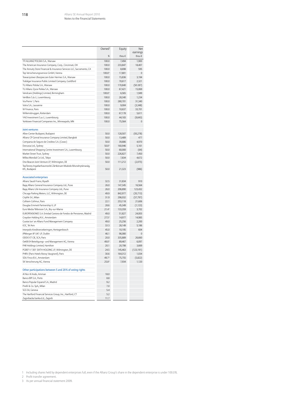|                                                                                                            | Owned <sup>1</sup> | Equity            | Net              |
|------------------------------------------------------------------------------------------------------------|--------------------|-------------------|------------------|
|                                                                                                            |                    |                   | earnings         |
|                                                                                                            | $\chi$             | thou€             | thou€            |
| TFI ALLIANZ POLSKA S.A., Warsaw                                                                            | 100.0              | 7,494             | 1,900            |
| The American Insurance Company, Corp., Cincinnati, OH                                                      | 100.0              | 233,847           | 18,407           |
| The Annuity Store Financial & Insurance Services LLC, Sacramento, CA                                       | 100.0              | 8,698             | 595              |
| Top Versicherungsservice GmbH, Vienna                                                                      | 100.03             | 17,801            | $\overline{0}$   |
| Towarzystwo Ubezpieczen Euler Hermes S.A., Warsaw<br>Trafalgar Insurance Public Limited Company, Guildford | 100.0              | 15,836            | 3,194            |
|                                                                                                            | 100.0<br>100.0     | 70,617<br>170,840 | 2,321<br>(50287) |
| TU Allianz Polska S.A., Warsaw<br>TU Allianz Zycie Polska S.A., Warsaw                                     | 100.0              | 67,421            |                  |
| Vendcare (Holdings) Limited, Birmingham                                                                    | 100.03             | 6,565             | 15,069<br>1,949  |
| VertBois S.à.r.l., Luxembourg                                                                              | 100.0              | 28,340            | 1,234            |
| Via Pierre 1, Paris                                                                                        | 100.0              | 280,701           | 31,340           |
| Votra S.A., Lausanne                                                                                       | 100.0              | 9,004             | (3,348)          |
| W Finance, Paris                                                                                           | 100.0              | 10,637            | 33,701           |
| Willemsbruggen, Rotterdam                                                                                  | 100.0              | 67,178            | 5,611            |
| YAO Investment S.a.r.l., Luxembourg                                                                        | 100.0              | 44,183            | (9,643)          |
| Yorktown Financial Companies Inc., Minneapolis, MN                                                         | 100.0              | 75,564            | $\Omega$         |
|                                                                                                            |                    |                   |                  |
| <b>Joint ventures</b>                                                                                      |                    |                   |                  |
| Allee-Center Budapest, Budapest                                                                            | 50.0               | 128,507           | (93, 278)        |
| Allianz CP Genral Insurance Company Limited, Bangkok                                                       | 50.0               | 13,489            | 477              |
| Compania de Seguro de Creditos S.A. (Cosec)                                                                | 50.0               | 39,886            | 4,970            |
| Dorcasia Ltd., Sydney                                                                                      | 50.0 <sup>3</sup>  | 160,946           | 5,161            |
| International Shopping Centre Investment S.A., Luxembourg                                                  | 50.0               | 60,000            | (64)             |
| Market Street Trust, Sydney                                                                                | 50.0               | 226,827           | 7,450            |
| Millea Mondial Co Ltd., Tokyo                                                                              | 50.0               | 7,834             | 4,672            |
| One Beacon Joint Venture LP, Wilmington, DE                                                                | 50.0               | 111,212           | (2,075)          |
| TopTorony Ingatlanhasznosító Zártköruen Muködo Részvénytársaság,                                           |                    |                   |                  |
| Kft., Budapest                                                                                             | 50.0               | 21,323            | (986)            |
| <b>Associated enterprises</b>                                                                              |                    |                   |                  |
| Allianz Saudi Fransi, Riyadh                                                                               | 32.5               | 31.834            | 910              |
| Bajaj Allianz General Insurance Company Ltd., Pune                                                         | 26.0               | 147,345           | 16,564           |
| Bajaj Allianz Life Insurance Company Ltd., Pune                                                            | 26.0               | 206,890           | 123,432          |
| Chicago Parking Meters, LLC, Wilmington, DE                                                                | 49.9               | 842,977           | (35, 713)        |
| Citylife Srl., Milan                                                                                       | 31.9               | 296,032           | (57, 797)        |
| Cofitem Cofimur, Paris                                                                                     | 22.1               | 253,118           | 21,606           |
| Douglas Emmett Partnership X, LP                                                                           | 28.6               | 45,349            | (1, 123)         |
| Euro Media Télévision S.A., Bry-sur-Marne                                                                  | 21.4 <sup>3</sup>  | 133,359           | 3,702            |
| EUROPENSIONES S.A. Entidad Gestora de Fondos de Pensiones, Madrid                                          | 49.0               | 51,827            | 24,003           |
| Graydon Holding N.V., Amsterdam                                                                            | 27.5 <sup>3</sup>  | 14,977            | 14,985           |
| Guotai Jun' an Allianz Fund Management Company                                                             | 49.0               | 25,256            | 2,200            |
| <b>ICIC. Tel Aviv</b>                                                                                      | 333                | 28,149            | 5,186            |
| Interpolis Kreditverzekeringen, Hertogenbosch                                                              | 45.0               | 10,195            | 604              |
| JPMorgan IIF UK1 LP, Dublin                                                                                | 461                | 96,080            | $\Omega$         |
| ODDO ET CIE, SCA, Paris                                                                                    | 20.0               | 335,889           | 26,660           |
| OeKB EH Beteiligungs - und Management AG, Vienna                                                           | 49.0 <sup>3</sup>  | 89,467            | 6,097            |
| PAR Holdings Limited, Hamilton                                                                             | 20.1               | 20,798            | 3,669            |
| PGREF V 1301 SIXTH HOLDING LP, Wilmington, DE                                                              | 245                | 145.463           | (123, 191)       |
| PHRV (Paris Hotels Roissy Vaugirard), Paris                                                                | 30.6               | 164,312           | 1,034            |
| SDU Finco B.V., Amsterdam                                                                                  | 49.73              | 75,755            | (5,822)          |
| SK Versicherung AG, Vienna                                                                                 | 25.8 <sup>3</sup>  | 7,934             | 1,120            |
|                                                                                                            |                    |                   |                  |
| Other participations between 5 and 20% of voting rights                                                    | 18.0               |                   |                  |
| Al Nisr Al Arabi, Amman                                                                                    | 8.8                |                   |                  |
| Banco BPI S.A., Porto                                                                                      | 92                 |                   |                  |
| Banco Popular Espanol S.A., Madrid                                                                         | 7.0                |                   |                  |
| Pirelli & Co. SpA,, Milan<br>SGS SA, Geneva                                                                | 5.4                |                   |                  |
| The Hartford Financial Services Group, Inc., Hartford, CT                                                  | 5.2                |                   |                  |
| Zagrebacka banka d.d., Zagreb                                                                              | 11.7               |                   |                  |
|                                                                                                            |                    |                   |                  |

1 Including shares held by dependent enterprises full, even if the Allianz Group's share in the dependent enterprise is under 100.0%.

2 Profit transfer agreement.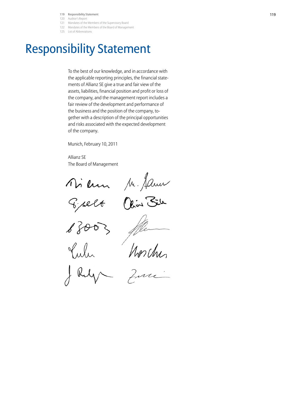- 119 Responsibility Statement
- 120 Auditor's Report
- 121 Mandates of the Members of the Supervisory Board 122 Mandates of the Members of the Board of Management
- 125 List of Abbreviations

# Responsibility Statement

To the best of our knowledge, and in accordance with the applicable reporting principles, the financial statements of Allianz SE give a true and fair view of the assets, liabilities, financial position and profit or loss of the company, and the management report includes a fair review of the development and performance of the business and the position of the company, together with a description of the principal opportunities and risks associated with the expected development of the company.

Munich, February 10, 2011

Allianz SE The Board of Management

Milum M. Almer<br>Guelt Clin Bill<br>18003 fle

Avrilher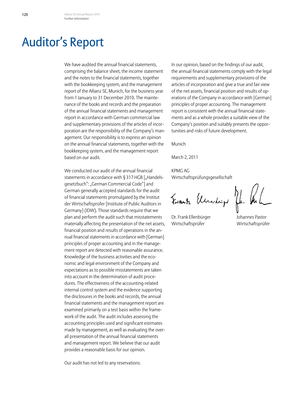# Auditor's Report

We have audited the annual financial statements, comprising the balance sheet, the income statement and the notes to the financial statements, together with the bookkeeping system, and the management report of the Allianz SE, Munich, for the business year from 1 January to 31 December 2010. The maintenance of the books and records and the preparation of the annual financial statements and management report in accordance with German commercial law and supplementary provisions of the articles of incorporation are the responsibility of the Company's management. Our responsibility is to express an opinion on the annual financial statements, together with the bookkeeping system, and the management report based on our audit.

We conducted our audit of the annual financial statements in accordance with  $\S 317$  HGB ["Handelsgesetzbuch": "German Commercial Code"] and German generally accepted standards for the audit of financial statements promulgated by the Institut der Wirtschaftsprüfer [Institute of Public Auditors in Germany] (IDW). Those standards require that we plan and perform the audit such that misstatements materially affecting the presentation of the net assets, financial position and results of operations in the annual financial statements in accordance with [German] principles of proper accounting and in the management report are detected with reasonable assurance. Knowledge of the business activities and the economic and legal environment of the Company and expectations as to possible misstatements are taken into account in the determination of audit procedures. The effectiveness of the accounting-related internal control system and the evidence supporting the disclosures in the books and records, the annual financial statements and the management report are examined primarily on a test basis within the framework of the audit. The audit includes assessing the accounting principles used and significant estimates made by management, as well as evaluating the overall presentation of the annual financial statements and management report. We believe that our audit provides a reasonable basis for our opinion.

Our audit has not led to any reservations.

In our opinion, based on the findings of our audit, the annual financial statements comply with the legal requirements and supplementary provisions of the articles of incorporation and give a true and fair view of the net assets, financial position and results of operations of the Company in accordance with [German] principles of proper accounting. The management report is consistent with the annual financial statements and as a whole provides a suitable view of the Company's position and suitably presents the opportunities and risks of future development.

Munich

March 2, 2011

KPMG AG Wirtschaftsprüfungsgesellschaft

Frank Uncher Ha. Val

Dr. Frank Ellenbürger Johannes Pastor Wirtschaftsprüfer Wirtschaftsprüfer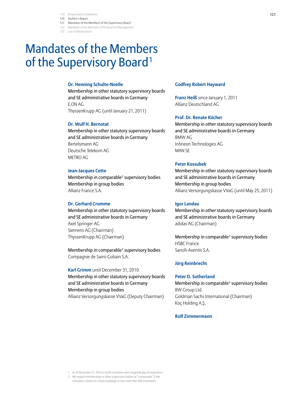119 Responsibility Statement 120 Auditor's Report

121 Mandates of the Members of the Supervisory Board

122 Mandates of the Members of the Board of Management

125 List of Abbreviations

# <span id="page-124-0"></span>Mandates of the Members of the Supervisory Board<sup>1</sup>

### **Dr. Henning Schulte-Noelle**

Membership in other statutory supervisory boards and SE administrative boards in Germany E.ON AG ThyssenKrupp AG (until January 21, 2011)

### **Dr. Wulf H. Bernotat**

Membership in other statutory supervisory boards and SE administrative boards in Germany Bertelsmann AG Deutsche Telekom AG METRO AG

### **Jean-Jacques Cette**

Membership in comparable $^{\rm 2}$  supervisory bodies Membership in group bodies Allianz France S.A.

### **Dr. Gerhard Cromme**

Membership in other statutory supervisory boards and SE administrative boards in Germany Axel Springer AG Siemens AG (Chairman) ThyssenKrupp AG (Chairman)

Membership in comparable<sup>2</sup> supervisory bodies Compagnie de Saint-Gobain S.A.

**Karl Grimm** until December 31, 2010 Membership in other statutory supervisory boards and SE administrative boards in Germany Membership in group bodies Allianz Versorgungskasse VVaG (Deputy Chairman)

### **Godfrey Robert Hayward**

**Franz Heiß** since January 1, 2011 Allianz Deutschland AG

### **Prof. Dr. Renate Köcher**

Membership in other statutory supervisory boards and SE administrative boards in Germany BMW AG Infineon Technologies AG MAN SE

### **Peter Kossubek**

Membership in other statutory supervisory boards and SE administrative boards in Germany Membership in group bodies Allianz Versorgungskasse VVaG (until May 25, 2011)

### **Igor Landau**

Membership in other statutory supervisory boards and SE administrative boards in Germany adidas AG (Chairman)

Membership in comparable<sup>2</sup> supervisory bodies HSBC France Sanofi-Aventis S.A.

### **Jörg Reinbrecht**

### **Peter D. Sutherland**

Membership in comparable<sup>2</sup> supervisory bodies BW Group Ltd. Goldman Sachs International (Chairman) Koç Holding A.Ş.

### **Rolf Zimmermann**

2 We regard memberships in other supervisory bodies as "comparable" if the company is listed on a stock exchange or has more than 500 employees.

<sup>1</sup> As of December 31, 2010 or (with members who resigned) day of resignation.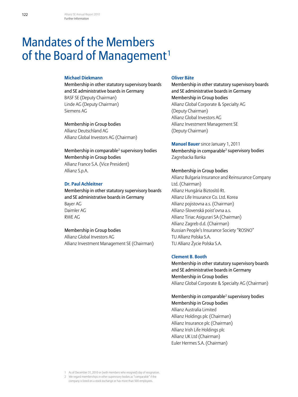# Mandates of the Members of the Board of Management<sup>1</sup>

### **Michael Diekmann**

Membership in other statutory supervisory boards and SE administrative boards in Germany BASF SE (Deputy Chairman) Linde AG (Deputy Chairman) Siemens AG

Membership in Group bodies Allianz Deutschland AG Allianz Global Investors AG (Chairman)

Membership in comparable $^2$  supervisory bodies Membership in Group bodies Allianz France S.A. (Vice President) Allianz S.p.A.

### **Dr. Paul Achleitner**

Membership in other statutory supervisory boards and SE administrative boards in Germany Bayer AG Daimler AG RWE AG

### Membership in Group bodies

Allianz Global Investors AG Allianz Investment Management SE (Chairman)

### **Oliver Bäte**

Membership in other statutory supervisory boards and SE administrative boards in Germany Membership in Group bodies Allianz Global Corporate & Specialty AG (Deputy Chairman) Allianz Global Investors AG Allianz Investment Management SE (Deputy Chairman)

**Manuel Bauer** since January 1, 2011 Membership in comparable<sup>2</sup> supervisory bodies Zagrebacka Banka

### Membership in Group bodies

Allianz Bulgaria Insurance and Reinsurance Company Ltd. (Chairman) Allianz Hungária Biztosító Rt. Allianz Life Insurance Co. Ltd. Korea Allianz pojistovna a.s. (Chairman) Allianz-Slovenská poist'ovna a.s. Allianz Tiriac Asigurari SA (Chairman) Allianz Zagreb d.d. (Chairman) Russian People's Insurance Society "ROSNO" TU Allianz Polska S.A. TU Allianz Życie Polska S.A.

### **Clement B. Booth**

Membership in other statutory supervisory boards and SE administrative boards in Germany Membership in Group bodies Allianz Global Corporate & Specialty AG (Chairman)

### Membership in comparable<sup>2</sup> supervisory bodies Membership in Group bodies

Allianz Australia Limited Allianz Holdings plc (Chairman) Allianz Insurance plc (Chairman) Allianz Irish Life Holdings plc Allianz UK Ltd (Chairman) Euler Hermes S.A. (Chairman)

- 1 As of December 31, 2010 or (with members who resigned) day of resignation.
- 2 We regard memberships in other supervisory bodies as "comparable" if the company is listed on a stock exchange or has more than 500 employe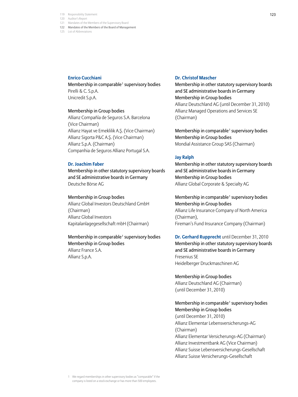119 Responsibility Statement

120 Auditor's Report

121 Mandates of the Members of the Supervisory Board

122 Mandates of the Members of the Board of Management

125 List of Abbreviations

### **Enrico Cucchiani**

Membership in comparable<sup>1</sup> supervisory bodies Pirelli & C. S.p.A. Unicredit S.p.A.

Membership in Group bodies Allianz Compañía de Seguros S.A. Barcelona (Vice Chairman) Allianz Hayat ve Emeklilik A.Ş. (Vice Chairman) Allianz Sigorta P&C A.Ş. (Vice Chairman) Allianz S.p.A. (Chairman) Companhia de Seguros Allianz Portugal S.A.

## **Dr. Joachim Faber**

Membership in other statutory supervisory boards and SE administrative boards in Germany Deutsche Börse AG

### Membership in Group bodies

Allianz Global Investors Deutschland GmbH (Chairman) Allianz Global Investors Kapitalanlagegesellschaft mbH (Chairman)

Membership in comparable<sup>1</sup> supervisory bodies Membership in Group bodies Allianz France S.A.

Allianz S.p.A.

### **Dr. Christof Mascher**

Membership in other statutory supervisory boards and SE administrative boards in Germany Membership in Group bodies Allianz Deutschland AG (until December 31, 2010) Allianz Managed Operations and Services SE (Chairman)

Membership in comparable<sup>1</sup> supervisory bodies Membership in Group bodies Mondial Assistance Group SAS (Chairman)

### **Jay Ralph**

Membership in other statutory supervisory boards and SE administrative boards in Germany Membership in Group bodies Allianz Global Corporate & Specialty AG

Membership in comparable<sup>1</sup> supervisory bodies Membership in Group bodies Allianz Life Insurance Company of North America (Chairman), Fireman's Fund Insurance Company (Chairman)

**Dr. Gerhard Rupprecht** until December 31, 2010 Membership in other statutory supervisory boards and SE administrative boards in Germany Fresenius SE Heidelberger Druckmaschinen AG

Membership in Group bodies Allianz Deutschland AG (Chairman) (until December 31, 2010)

### Membership in comparable<sup>1</sup> supervisory bodies Membership in Group bodies

(until December 31, 2010) Allianz Elementar Lebensversicherungs-AG (Chairman) Allianz Elementar Versicherungs-AG (Chairman) Allianz Investmentbank AG (Vice Chairman) Allianz Suisse Lebensversicherungs-Gesellschaft Allianz Suisse Versicherungs-Gesellschaft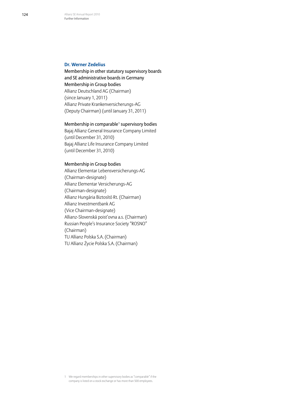### **Dr. Werner Zedelius**

Membership in other statutory supervisory boards and SE administrative boards in Germany Membership in Group bodies Allianz Deutschland AG (Chairman) (since January 1, 2011) Allianz Private Krankenversicherungs-AG (Deputy Chairman) (until January 31, 2011)

### Membership in comparable<sup>1</sup> supervisory bodies

Bajaj Allianz General Insurance Company Limited (until December 31, 2010) Bajaj Allianz Life Insurance Company Limited (until December 31, 2010)

### Membership in Group bodies

Allianz Elementar Lebensversicherungs-AG (Chairman-designate) Allianz Elementar Versicherungs-AG (Chairman-designate) Allianz Hungária Biztosító Rt. (Chairman) Allianz Investmentbank AG (Vice Chairman-designate) Allianz-Slovenská poist'ovna a.s. (Chairman) Russian People's Insurance Society "ROSNO" (Chairman) TU Allianz Polska S.A. (Chairman) TU Allianz Życie Polska S.A. (Chairman)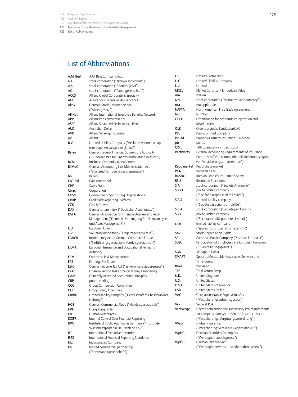- 119 Responsibility Statement **125**<br>120 Auditor's Report
- 

121 Mandates of the Members of the Supervisory Board

122 Mandates of the Members of the Board of Management

125 List of Abbreviations

# List of Abbreviations

| A.M. Best       | A.M. Best Company, Inc.;                                  | L.P.             |
|-----------------|-----------------------------------------------------------|------------------|
| a.s.            | stock corporation ("akciova společnost")                  | LLC              |
| A.Ş.            | stock corporation ("Anonim Şirket")                       | Ltd.             |
| AG              | stock corporation ("Aktiengesellschaft")                  | <b>MCEV</b>      |
| <b>AGCS</b>     | Allianz Global Corporate & Specialty                      | mn               |
| AGF             | Assurances Générales de France S.A.                       | N.V.             |
| AktG            | German Stock Corporation Act                              | n/a              |
|                 | ("Aktiengesetz")                                          | <b>NAFTA</b>     |
| All Net         | Allianz International Employee Benefits Network           | No.              |
| APV             | Allianz Pensionsverein e.V.                               | OECD             |
| <b>ASPP</b>     | Allianz Sustained Performance Plan                        |                  |
| aud             | <b>Australian Dollar</b>                                  | OLB              |
| AVK             | Allianz Versorgungskasse                                  | PLC              |
| AΖ              | Allianz                                                   | Prism            |
| B.V.            | Limited Liability Company ("Besloten Vennootschap         | pts              |
|                 | met beperkte aansprakelijkheid")                          | QIS <sub>5</sub> |
| BaFin           | German Federal Financial Supervisory Authority            | RechVersV        |
|                 | ("Bundesanstalt für Finanzdienstleistungsaufsicht")       |                  |
| BCM             | <b>Business Continuity Management</b>                     |                  |
| BilMoG          | German Accounting Law Modernization Act                   | Repo mark        |
|                 | ("Bilanzrechtsmodernisierungsgesetz")                     | <b>RON</b>       |
| bn              | billion                                                   | <b>ROSNO</b>     |
| <b>CAT</b> risk | Catastrophe risk                                          | <b>RSU</b>       |
| CHF             | Swiss Franc                                               | S.A.             |
| Corp.           | Corporation                                               | S.a.r.l.         |
| COSO            | Committee of Sponsoring Organizations                     |                  |
| CRisP           | Credit Risk Reporting Platform                            | S.A.S            |
| CZK             | Czech Crown                                               |                  |
| DAX             | German share index ("Deutscher Aktienindex")              | S.p.A.           |
| DVFA            | German Association for Financial Analysis and Asset       | S.R.L.           |
|                 | Management ("Deutsche Vereinigung für Finanzanalyse       |                  |
|                 | und Asset Management")                                    | S.T.O            |
| E.U.            | European Union                                            |                  |
| e.V.            | Voluntary association ("eingetragener Verein")            | SAR              |
| EGHGB           | Introductory Act to German Commercial Code                | SE               |
|                 | ("Einführungsgesetz zum Handelsgesetzbuch")               | <b>SEBG</b>      |
| EIOPA           | European Insurance and Occupational Pensions              |                  |
|                 | Authority                                                 | SGD              |
| ERM             | Enterprise Risk Management                                | <b>SMART</b>     |
| EPS             | Earnings Per Share                                        |                  |
| EStG            | German Income Tax Act ("Einkommenssteuergesetz")          | thou             |
| FATF            | Financial Action Task Force on Money Laundering           | <b>TRS</b>       |
| GAAP            | Generally Accepted Accounting Principles                  | U.K.             |
| GBP             | pound sterling                                            | U.S.             |
| GCC             | <b>Group Compension Commitee</b>                          | U.S.A.           |
| GEI             | Group Equity Incentives                                   | USD              |
| GmbH            | Limited liability company ("Gesellschaft mit beschränkter | VAG              |
|                 | Haftung")                                                 |                  |
| HGB             | German Commercial Code ("Handelsgesetzbuch")              | VaR              |
| HKD             | Hong Kong Dollar                                          | VersVergV        |
| hr              | Human Ressources                                          |                  |
| <b>ICOFR</b>    | Internal Control Over Financial Reporting                 |                  |
| idw             | Institute of Public Auditors in Germany ("Institut der    | <b>VVaG</b>      |
|                 | Wirtschaftsprüfer in Deutschland e.V.")                   |                  |
| IEC             | International Executive Commitee                          | WpHG             |
| IFRS            | International Financial Reporting Standards               |                  |
| Inc.            | Incorporated Company                                      | WpÜG             |
| КG              | limited commercial partnership                            |                  |
|                 | ("Kommanditgesellschaft")                                 |                  |

| L.P.         | Limited Partnership                                            |
|--------------|----------------------------------------------------------------|
| LLC          | Limited Liability Company                                      |
| Ltd.         | I imited                                                       |
| MCEV         | Market Consistent Embedded Value                               |
| mn           | million                                                        |
| N.V.         | stock corporation ("Naamloze Vennootschap")                    |
| n/a          | not applicable                                                 |
| <b>NAFTA</b> | North American Free Trade Agreement                            |
| No.          | Number                                                         |
| OECD         | Organization for economic co-operation and<br>development      |
| OLB          | Oldenburgische Landesbank AG                                   |
| PLC          | Public Limited Company                                         |
| <b>PRISM</b> | Property-Casualty Insurance Risk Model                         |
| pts          | points                                                         |
| QIS 5        | fifth quantitative impact study                                |
| RechVersV    | External Accounting Requirements of Insurance                  |
|              | Enterprises ("Verordnung über die Rechnungslegung              |
|              | von Versicherungsunternehmen")                                 |
| Repo market  | Repurchase market                                              |
| ron          | Romanian Leu                                                   |
| rosno        | Russian People's Insurance Society                             |
| rsu          | <b>Restricted Stock Units</b>                                  |
| S.A.         | stock corporation ("Société Anonyme")                          |
| S.a.r.l.     | privite limited company                                        |
|              | ("Société à responsabilité limitée")                           |
| S.A.S        | Limited liability company                                      |
|              | ("Société par actions simplifiée")                             |
| S.p.A.       | stock corporation ("Società per Azioni")                       |
| S.R.L.       | privite limited company                                        |
|              | ("Societate cu Răspundere Limitată")                           |
| s.r.o        | limited liability company<br>("společnost s ručením omezeným") |
| Sar          | <b>Stock Appreciation Rights</b>                               |
| SE           | European Public Company ("Societas Europaea")                  |
| SEBG         | Participation of Employees in a European Company               |
|              | ("SE-Beteiligungsgesetz")                                      |
| SGD          | Singapore Dollar                                               |
| SMART        | Specific, Measurable, Attainable, Relevant and                 |
|              | Time-bound                                                     |
| thou         | thousand                                                       |
| <b>TRS</b>   | Total Return Swap                                              |
| U.K.         | United Kingdom                                                 |
| U.S.         | <b>United States</b>                                           |
| U.S.A.       | United States of America                                       |
| USD          | United States Dollar                                           |
| VAG          | German Insurance Supervision Act                               |
|              | ("Versicherungsaufsichtsgesetz")                               |
| VaR          | Value at Risk                                                  |
| VersVergV    | Decree concerning the supervisory law requirements             |
|              | for compensation systems in the insurance sector               |
|              | ("Versicherungs-Vergütungsverordnung")                         |
| VVaG         | mutual insurance                                               |
|              | ("Versicherungsverein auf Gegenseitigkeit")                    |
| WpHG         | German Securities Trading Act                                  |
|              | ("Wertpapierhandelsgesetz")                                    |
| WpÜG         | German Takeover Act                                            |
|              |                                                                |

("Wertpapiererwerbs- und Übernahmegesetz")